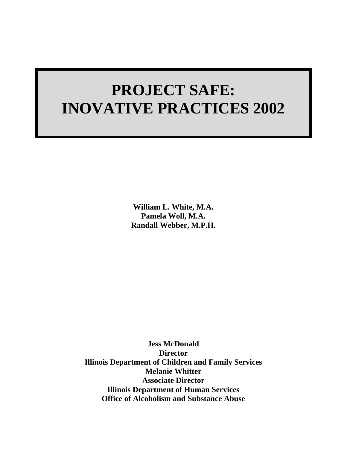# **PROJECT SAFE: INOVATIVE PRACTICES 2002**

**William L. White, M.A. Pamela Woll, M.A. Randall Webber, M.P.H.** 

**Jess McDonald Director Illinois Department of Children and Family Services Melanie Whitter Associate Director Illinois Department of Human Services Office of Alcoholism and Substance Abuse**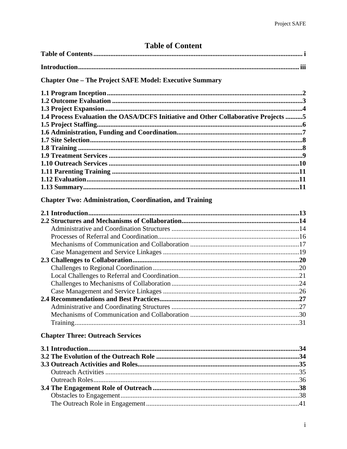# **Table of Content**

| 1.4 Process Evaluation the OASA/DCFS Initiative and Other Collaborative Projects 5 |                                                                |  |
|------------------------------------------------------------------------------------|----------------------------------------------------------------|--|
|                                                                                    |                                                                |  |
|                                                                                    | <b>Chapter One - The Project SAFE Model: Executive Summary</b> |  |
|                                                                                    |                                                                |  |
|                                                                                    |                                                                |  |
|                                                                                    |                                                                |  |
|                                                                                    |                                                                |  |
|                                                                                    |                                                                |  |
|                                                                                    |                                                                |  |
|                                                                                    |                                                                |  |
|                                                                                    |                                                                |  |
|                                                                                    |                                                                |  |
|                                                                                    |                                                                |  |
|                                                                                    |                                                                |  |
|                                                                                    |                                                                |  |
|                                                                                    |                                                                |  |
|                                                                                    | <b>Chapter Two: Administration, Coordination, and Training</b> |  |
|                                                                                    |                                                                |  |
|                                                                                    |                                                                |  |
|                                                                                    |                                                                |  |
|                                                                                    |                                                                |  |
|                                                                                    |                                                                |  |
|                                                                                    |                                                                |  |
|                                                                                    |                                                                |  |
|                                                                                    |                                                                |  |
|                                                                                    |                                                                |  |
|                                                                                    |                                                                |  |
|                                                                                    |                                                                |  |
|                                                                                    |                                                                |  |
|                                                                                    |                                                                |  |
|                                                                                    |                                                                |  |
|                                                                                    |                                                                |  |
|                                                                                    | <b>Chapter Three: Outreach Services</b>                        |  |
|                                                                                    |                                                                |  |
|                                                                                    |                                                                |  |
|                                                                                    |                                                                |  |
|                                                                                    |                                                                |  |
|                                                                                    |                                                                |  |
|                                                                                    |                                                                |  |
|                                                                                    |                                                                |  |
|                                                                                    |                                                                |  |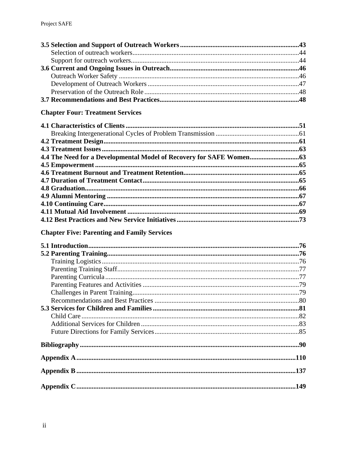# **Chapter Four: Treatment Services**

# **Chapter Five: Parenting and Family Services**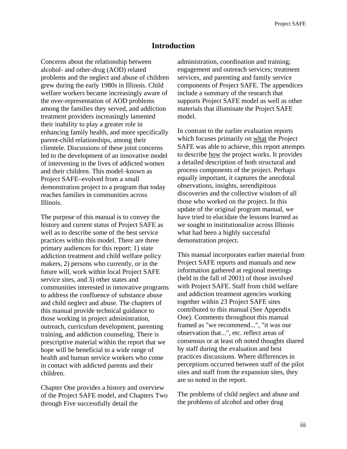## **Introduction**

Concerns about the relationship between alcohol- and other-drug (AOD) related problems and the neglect and abuse of children grew during the early 1980s in Illinois. Child welfare workers became increasingly aware of the over-representation of AOD problems among the families they served, and addiction treatment providers increasingly lamented their inability to play a greater role in enhancing family health, and more specifically parent-child relationships, among their clientele. Discussions of these joint concerns led to the development of an innovative model of intervening in the lives of addicted women and their children. This model–known as Project SAFE–evolved from a small demonstration project to a program that today reaches families in communities across Illinois.

The purpose of this manual is to convey the history and current status of Project SAFE as well as to describe some of the best service practices within this model. There are three primary audiences for this report: 1) state addiction treatment and child welfare policy makers, 2) persons who currently, or in the future will, work within local Project SAFE service sites, and 3) other states and communities interested in innovative programs to address the confluence of substance abuse and child neglect and abuse. The chapters of this manual provide technical guidance to those working in project administration, outreach, curriculum development, parenting training, and addiction counseling. There is prescriptive material within the report that we hope will be beneficial to a wide range of health and human service workers who come in contact with addicted parents and their children.

Chapter One provides a history and overview of the Project SAFE model, and Chapters Two through Five successfully detail the

administration, coordination and training; engagement and outreach services; treatment services, and parenting and family service components of Project SAFE. The appendices include a summary of the research that supports Project SAFE model as well as other materials that illuminate the Project SAFE model.

In contrast to the earlier evaluation reports which focuses primarily on what the Project SAFE was able to achieve, this report attempts to describe how the project works. It provides a detailed description of both structural and process components of the project. Perhaps equally important, it captures the anecdotal observations, insights, serendipitous discoveries and the collective wisdom of all those who worked on the project. In this update of the original program manual, we have tried to elucidate the lessons learned as we sought to institutionalize across Illinois what had been a highly successful demonstration project.

This manual incorporates earlier material from Project SAFE reports and manuals and new information gathered at regional meetings (held in the fall of 2001) of those involved with Project SAFE. Staff from child welfare and addiction treatment agencies working together within 23 Project SAFE sites contributed to this manual (See Appendix One). Comments throughout this manual framed as "we recommend...", "it was our observation that...", etc. reflect areas of consensus or at least oft noted thoughts shared by staff during the evaluation and best practices discussions. Where differences in perceptions occurred between staff of the pilot sites and staff from the expansion sites, they are so noted in the report.

The problems of child neglect and abuse and the problems of alcohol and other drug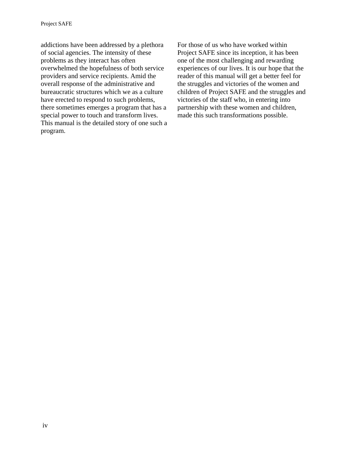addictions have been addressed by a plethora of social agencies. The intensity of these problems as they interact has often overwhelmed the hopefulness of both service providers and service recipients. Amid the overall response of the administrative and bureaucratic structures which we as a culture have erected to respond to such problems, there sometimes emerges a program that has a special power to touch and transform lives. This manual is the detailed story of one such a program.

For those of us who have worked within Project SAFE since its inception, it has been one of the most challenging and rewarding experiences of our lives. It is our hope that the reader of this manual will get a better feel for the struggles and victories of the women and children of Project SAFE and the struggles and victories of the staff who, in entering into partnership with these women and children, made this such transformations possible.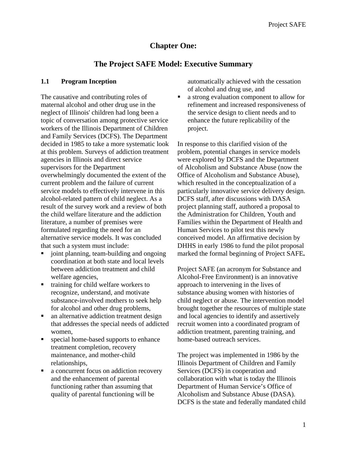# **Chapter One:**

# **The Project SAFE Model: Executive Summary**

#### **1.1 Program Inception**

The causative and contributing roles of maternal alcohol and other drug use in the neglect of Illinois' children had long been a topic of conversation among protective service workers of the Illinois Department of Children and Family Services (DCFS). The Department decided in 1985 to take a more systematic look at this problem. Surveys of addiction treatment agencies in Illinois and direct service supervisors for the Department overwhelmingly documented the extent of the current problem and the failure of current service models to effectively intervene in this alcohol-related pattern of child neglect. As a result of the survey work and a review of both the child welfare literature and the addiction literature, a number of premises were formulated regarding the need for an alternative service models. It was concluded that such a system must include:

- joint planning, team-building and ongoing coordination at both state and local levels between addiction treatment and child welfare agencies,
- training for child welfare workers to recognize, understand, and motivate substance-involved mothers to seek help for alcohol and other drug problems,
- an alternative addiction treatment design that addresses the special needs of addicted women,
- special home-based supports to enhance treatment completion, recovery maintenance, and mother-child relationships,
- a concurrent focus on addiction recovery and the enhancement of parental functioning rather than assuming that quality of parental functioning will be

automatically achieved with the cessation of alcohol and drug use, and

 a strong evaluation component to allow for refinement and increased responsiveness of the service design to client needs and to enhance the future replicability of the project.

In response to this clarified vision of the problem, potential changes in service models were explored by DCFS and the Department of Alcoholism and Substance Abuse (now the Office of Alcoholism and Substance Abuse), which resulted in the conceptualization of a particularly innovative service delivery design. DCFS staff, after discussions with DASA project planning staff, authored a proposal to the Administration for Children, Youth and Families within the Department of Health and Human Services to pilot test this newly conceived model. An affirmative decision by DHHS in early 1986 to fund the pilot proposal marked the formal beginning of Project SAFE**.** 

Project SAFE (an acronym for Substance and Alcohol-Free Environment) is an innovative approach to intervening in the lives of substance abusing women with histories of child neglect or abuse. The intervention model brought together the resources of multiple state and local agencies to identify and assertively recruit women into a coordinated program of addiction treatment, parenting training, and home-based outreach services.

The project was implemented in 1986 by the Illinois Department of Children and Family Services (DCFS) in cooperation and collaboration with what is today the Illinois Department of Human Service's Office of Alcoholism and Substance Abuse (DASA). DCFS is the state and federally mandated child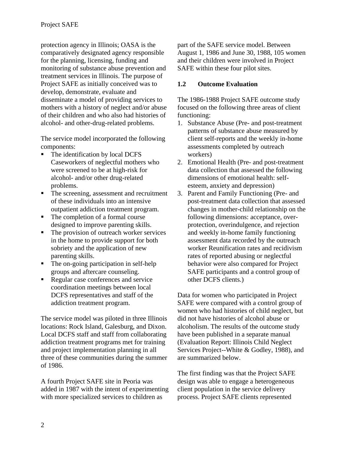protection agency in Illinois; OASA is the comparatively designated agency responsible for the planning, licensing, funding and monitoring of substance abuse prevention and treatment services in Illinois. The purpose of Project SAFE as initially conceived was to develop, demonstrate, evaluate and disseminate a model of providing services to mothers with a history of neglect and/or abuse of their children and who also had histories of alcohol- and other-drug-related problems.

The service model incorporated the following components:

- The identification by local DCFS Caseworkers of neglectful mothers who were screened to be at high-risk for alcohol- and/or other drug-related problems.
- The screening, assessment and recruitment of these individuals into an intensive outpatient addiction treatment program.
- The completion of a formal course designed to improve parenting skills.
- The provision of outreach worker services in the home to provide support for both sobriety and the application of new parenting skills.
- The on-going participation in self-help groups and aftercare counseling.
- Regular case conferences and service coordination meetings between local DCFS representatives and staff of the addiction treatment program.

The service model was piloted in three Illinois locations: Rock Island, Galesburg, and Dixon. Local DCFS staff and staff from collaborating addiction treatment programs met for training and project implementation planning in all three of these communities during the summer of 1986.

A fourth Project SAFE site in Peoria was added in 1987 with the intent of experimenting with more specialized services to children as

part of the SAFE service model. Between August 1, 1986 and June 30, 1988, 105 women and their children were involved in Project SAFE within these four pilot sites.

## **1.2 Outcome Evaluation**

The 1986-1988 Project SAFE outcome study focused on the following three areas of client functioning:

- 1. Substance Abuse (Pre- and post-treatment patterns of substance abuse measured by client self-reports and the weekly in-home assessments completed by outreach workers)
- 2. Emotional Health (Pre- and post-treatment data collection that assessed the following dimensions of emotional health: selfesteem, anxiety and depression)
- 3. Parent and Family Functioning (Pre- and post-treatment data collection that assessed changes in mother-child relationship on the following dimensions: acceptance, overprotection, overindulgence, and rejection and weekly in-home family functioning assessment data recorded by the outreach worker Reunification rates and recidivism rates of reported abusing or neglectful behavior were also compared for Project SAFE participants and a control group of other DCFS clients.)

Data for women who participated in Project SAFE were compared with a control group of women who had histories of child neglect, but did not have histories of alcohol abuse or alcoholism. The results of the outcome study have been published in a separate manual (Evaluation Report: Illinois Child Neglect Services Project--White & Godley, 1988), and are summarized below.

The first finding was that the Project SAFE design was able to engage a heterogeneous client population in the service delivery process. Project SAFE clients represented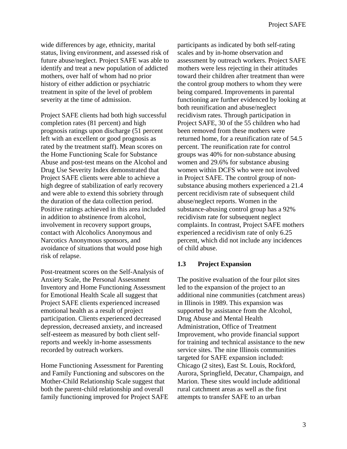wide differences by age, ethnicity, marital status, living environment, and assessed risk of future abuse/neglect. Project SAFE was able to identify and treat a new population of addicted mothers, over half of whom had no prior history of either addiction or psychiatric treatment in spite of the level of problem severity at the time of admission.

Project SAFE clients had both high successful completion rates (81 percent) and high prognosis ratings upon discharge (51 percent left with an excellent or good prognosis as rated by the treatment staff). Mean scores on the Home Functioning Scale for Substance Abuse and post-test means on the Alcohol and Drug Use Severity Index demonstrated that Project SAFE clients were able to achieve a high degree of stabilization of early recovery and were able to extend this sobriety through the duration of the data collection period. Positive ratings achieved in this area included in addition to abstinence from alcohol, involvement in recovery support groups, contact with Alcoholics Anonymous and Narcotics Anonymous sponsors, and avoidance of situations that would pose high risk of relapse.

Post-treatment scores on the Self-Analysis of Anxiety Scale, the Personal Assessment Inventory and Home Functioning Assessment for Emotional Health Scale all suggest that Project SAFE clients experienced increased emotional health as a result of project participation. Clients experienced decreased depression, decreased anxiety, and increased self-esteem as measured by both client selfreports and weekly in-home assessments recorded by outreach workers.

Home Functioning Assessment for Parenting and Family Functioning and subscores on the Mother-Child Relationship Scale suggest that both the parent-child relationship and overall family functioning improved for Project SAFE participants as indicated by both self-rating scales and by in-home observation and assessment by outreach workers. Project SAFE mothers were less rejecting in their attitudes toward their children after treatment than were the control group mothers to whom they were being compared. Improvements in parental functioning are further evidenced by looking at both reunification and abuse/neglect recidivism rates. Through participation in Project SAFE, 30 of the 55 children who had been removed from these mothers were returned home, for a reunification rate of 54.5 percent. The reunification rate for control groups was 40% for non-substance abusing women and 29.6% for substance abusing women within DCFS who were not involved in Project SAFE. The control group of nonsubstance abusing mothers experienced a 21.4 percent recidivism rate of subsequent child abuse/neglect reports. Women in the substance-abusing control group has a 92% recidivism rate for subsequent neglect complaints. In contrast, Project SAFE mothers experienced a recidivism rate of only 6.25 percent, which did not include any incidences of child abuse.

#### **1.3 Project Expansion**

The positive evaluation of the four pilot sites led to the expansion of the project to an additional nine communities (catchment areas) in Illinois in 1989. This expansion was supported by assistance from the Alcohol, Drug Abuse and Mental Health Administration, Office of Treatment Improvement, who provide financial support for training and technical assistance to the new service sites. The nine Illinois communities targeted for SAFE expansion included: Chicago (2 sites), East St. Louis, Rockford, Aurora, Springfield, Decatur, Champaign, and Marion. These sites would include additional rural catchment areas as well as the first attempts to transfer SAFE to an urban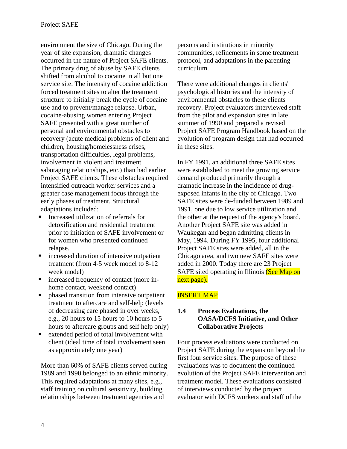environment the size of Chicago. During the year of site expansion, dramatic changes occurred in the nature of Project SAFE clients. The primary drug of abuse by SAFE clients shifted from alcohol to cocaine in all but one service site. The intensity of cocaine addiction forced treatment sites to alter the treatment structure to initially break the cycle of cocaine use and to prevent/manage relapse. Urban, cocaine-abusing women entering Project SAFE presented with a great number of personal and environmental obstacles to recovery (acute medical problems of client and children, housing/homelessness crises, transportation difficulties, legal problems, involvement in violent and treatment sabotaging relationships, etc.) than had earlier Project SAFE clients. These obstacles required intensified outreach worker services and a greater case management focus through the early phases of treatment. Structural adaptations included:

- Increased utilization of referrals for detoxification and residential treatment prior to initiation of SAFE involvement or for women who presented continued relapse.
- **EXECUTE:** increased duration of intensive outpatient treatment (from 4-5 week model to 8-12 week model)
- increased frequency of contact (more inhome contact, weekend contact)
- **•** phased transition from intensive outpatient treatment to aftercare and self-help (levels of decreasing care phased in over weeks, e.g., 20 hours to 15 hours to 10 hours to 5 hours to aftercare groups and self help only)
- extended period of total involvement with client (ideal time of total involvement seen as approximately one year)

More than 60% of SAFE clients served during 1989 and 1990 belonged to an ethnic minority. This required adaptations at many sites, e.g., staff training on cultural sensitivity, building relationships between treatment agencies and

persons and institutions in minority communities, refinements in some treatment protocol, and adaptations in the parenting curriculum.

There were additional changes in clients' psychological histories and the intensity of environmental obstacles to these clients' recovery. Project evaluators interviewed staff from the pilot and expansion sites in late summer of 1990 and prepared a revised Project SAFE Program Handbook based on the evolution of program design that had occurred in these sites.

In FY 1991, an additional three SAFE sites were established to meet the growing service demand produced primarily through a dramatic increase in the incidence of drugexposed infants in the city of Chicago. Two SAFE sites were de-funded between 1989 and 1991, one due to low service utilization and the other at the request of the agency's board. Another Project SAFE site was added in Waukegan and began admitting clients in May, 1994. During FY 1995, four additional Project SAFE sites were added, all in the Chicago area, and two new SAFE sites were added in 2000. Today there are 23 Project SAFE sited operating in Illinois (See Map on next page).

# INSERT MAP

#### **1.4 Process Evaluations, the OASA/DCFS Initiative, and Other Collaborative Projects**

Four process evaluations were conducted on Project SAFE during the expansion beyond the first four service sites. The purpose of these evaluations was to document the continued evolution of the Project SAFE intervention and treatment model. These evaluations consisted of interviews conducted by the project evaluator with DCFS workers and staff of the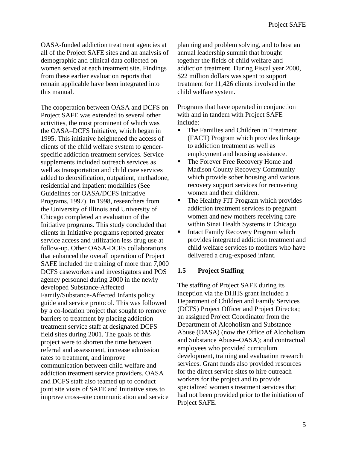OASA-funded addiction treatment agencies at all of the Project SAFE sites and an analysis of demographic and clinical data collected on women served at each treatment site. Findings from these earlier evaluation reports that remain applicable have been integrated into this manual.

The cooperation between OASA and DCFS on Project SAFE was extended to several other activities, the most prominent of which was the OASA–DCFS Initiative, which began in 1995. This initiative heightened the access of clients of the child welfare system to genderspecific addiction treatment services. Service supplements included outreach services as well as transportation and child care services added to detoxification, outpatient, methadone, residential and inpatient modalities (See Guidelines for OASA/DCFS Initiative Programs, 1997). In 1998, researchers from the University of Illinois and University of Chicago completed an evaluation of the Initiative programs. This study concluded that clients in Initiative programs reported greater service access and utilization less drug use at follow-up. Other OASA-DCFS collaborations that enhanced the overall operation of Project SAFE included the training of more than 7,000 DCFS caseworkers and investigators and POS agency personnel during 2000 in the newly developed Substance-Affected Family/Substance-Affected Infants policy guide and service protocol. This was followed by a co-location project that sought to remove barriers to treatment by placing addiction treatment service staff at designated DCFS field sites during 2001. The goals of this project were to shorten the time between referral and assessment, increase admission rates to treatment, and improve communication between child welfare and addiction treatment service providers. OASA and DCFS staff also teamed up to conduct joint site visits of SAFE and Initiative sites to improve cross–site communication and service

planning and problem solving, and to host an annual leadership summit that brought together the fields of child welfare and addiction treatment. During Fiscal year 2000, \$22 million dollars was spent to support treatment for 11,426 clients involved in the child welfare system.

Programs that have operated in conjunction with and in tandem with Project SAFE include:

- The Families and Children in Treatment (FACT) Program which provides linkage to addiction treatment as well as employment and housing assistance.
- The Forever Free Recovery Home and Madison County Recovery Community which provide sober housing and various recovery support services for recovering women and their children.
- The Healthy FIT Program which provides addiction treatment services to pregnant women and new mothers receiving care within Sinai Health Systems in Chicago.
- **Intact Family Recovery Program which** provides integrated addiction treatment and child welfare services to mothers who have delivered a drug-exposed infant.

#### **1.5 Project Staffing**

The staffing of Project SAFE during its inception via the DHHS grant included a Department of Children and Family Services (DCFS) Project Officer and Project Director; an assigned Project Coordinator from the Department of Alcoholism and Substance Abuse (DASA) (now the Office of Alcoholism and Substance Abuse–OASA); and contractual employees who provided curriculum development, training and evaluation research services. Grant funds also provided resources for the direct service sites to hire outreach workers for the project and to provide specialized women's treatment services that had not been provided prior to the initiation of Project SAFE.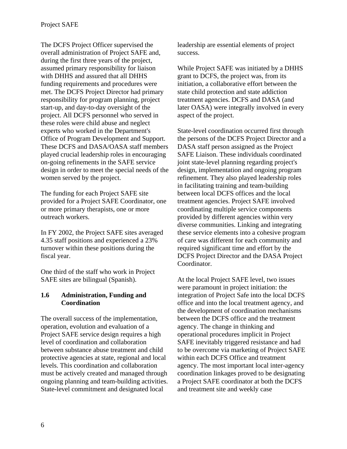The DCFS Project Officer supervised the overall administration of Project SAFE and, during the first three years of the project, assumed primary responsibility for liaison with DHHS and assured that all DHHS funding requirements and procedures were met. The DCFS Project Director had primary responsibility for program planning, project start-up, and day-to-day oversight of the project. All DCFS personnel who served in these roles were child abuse and neglect experts who worked in the Department's Office of Program Development and Support. These DCFS and DASA/OASA staff members played crucial leadership roles in encouraging on-going refinements in the SAFE service design in order to meet the special needs of the women served by the project.

The funding for each Project SAFE site provided for a Project SAFE Coordinator, one or more primary therapists, one or more outreach workers.

In FY 2002, the Project SAFE sites averaged 4.35 staff positions and experienced a 23% turnover within these positions during the fiscal year.

One third of the staff who work in Project SAFE sites are bilingual (Spanish).

#### **1.6 Administration, Funding and Coordination**

The overall success of the implementation, operation, evolution and evaluation of a Project SAFE service design requires a high level of coordination and collaboration between substance abuse treatment and child protective agencies at state, regional and local levels. This coordination and collaboration must be actively created and managed through ongoing planning and team-building activities. State-level commitment and designated local

leadership are essential elements of project success.

While Project SAFE was initiated by a DHHS grant to DCFS, the project was, from its initiation, a collaborative effort between the state child protection and state addiction treatment agencies. DCFS and DASA (and later OASA) were integrally involved in every aspect of the project.

State-level coordination occurred first through the persons of the DCFS Project Director and a DASA staff person assigned as the Project SAFE Liaison. These individuals coordinated joint state-level planning regarding project's design, implementation and ongoing program refinement. They also played leadership roles in facilitating training and team-building between local DCFS offices and the local treatment agencies. Project SAFE involved coordinating multiple service components provided by different agencies within very diverse communities. Linking and integrating these service elements into a cohesive program of care was different for each community and required significant time and effort by the DCFS Project Director and the DASA Project Coordinator.

At the local Project SAFE level, two issues were paramount in project initiation: the integration of Project Safe into the local DCFS office and into the local treatment agency, and the development of coordination mechanisms between the DCFS office and the treatment agency. The change in thinking and operational procedures implicit in Project SAFE inevitably triggered resistance and had to be overcome via marketing of Project SAFE within each DCFS Office and treatment agency. The most important local inter-agency coordination linkages proved to be designating a Project SAFE coordinator at both the DCFS and treatment site and weekly case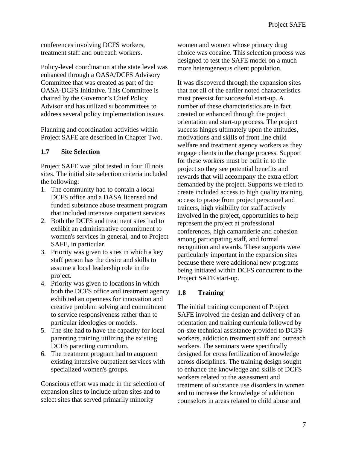conferences involving DCFS workers, treatment staff and outreach workers.

Policy-level coordination at the state level was enhanced through a OASA/DCFS Advisory Committee that was created as part of the OASA-DCFS Initiative. This Committee is chaired by the Governor's Chief Policy Advisor and has utilized subcommittees to address several policy implementation issues.

Planning and coordination activities within Project SAFE are described in Chapter Two.

# **1.7 Site Selection**

Project SAFE was pilot tested in four Illinois sites. The initial site selection criteria included the following:

- 1. The community had to contain a local DCFS office and a DASA licensed and funded substance abuse treatment program that included intensive outpatient services
- 2. Both the DCFS and treatment sites had to exhibit an administrative commitment to women's services in general, and to Project SAFE, in particular.
- 3. Priority was given to sites in which a key staff person has the desire and skills to assume a local leadership role in the project.
- 4. Priority was given to locations in which both the DCFS office and treatment agency exhibited an openness for innovation and creative problem solving and commitment to service responsiveness rather than to particular ideologies or models.
- 5. The site had to have the capacity for local parenting training utilizing the existing DCFS parenting curriculum.
- 6. The treatment program had to augment existing intensive outpatient services with specialized women's groups.

Conscious effort was made in the selection of expansion sites to include urban sites and to select sites that served primarily minority

women and women whose primary drug choice was cocaine. This selection process was designed to test the SAFE model on a much more heterogeneous client population.

It was discovered through the expansion sites that not all of the earlier noted characteristics must preexist for successful start-up. A number of these characteristics are in fact created or enhanced through the project orientation and start-up process. The project success hinges ultimately upon the attitudes, motivations and skills of front line child welfare and treatment agency workers as they engage clients in the change process. Support for these workers must be built in to the project so they see potential benefits and rewards that will accompany the extra effort demanded by the project. Supports we tried to create included access to high quality training, access to praise from project personnel and trainers, high visibility for staff actively involved in the project, opportunities to help represent the project at professional conferences, high camaraderie and cohesion among participating staff, and formal recognition and awards. These supports were particularly important in the expansion sites because there were additional new programs being initiated within DCFS concurrent to the Project SAFE start-up.

# **1.8 Training**

The initial training component of Project SAFE involved the design and delivery of an orientation and training curricula followed by on-site technical assistance provided to DCFS workers, addiction treatment staff and outreach workers. The seminars were specifically designed for cross fertilization of knowledge across disciplines. The training design sought to enhance the knowledge and skills of DCFS workers related to the assessment and treatment of substance use disorders in women and to increase the knowledge of addiction counselors in areas related to child abuse and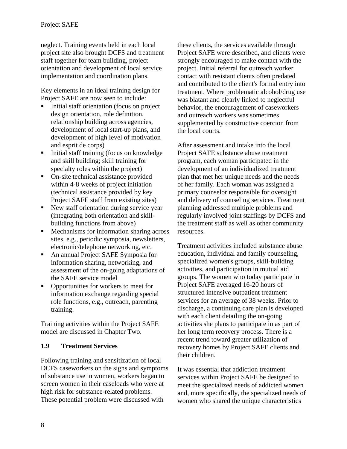neglect. Training events held in each local project site also brought DCFS and treatment staff together for team building, project orientation and development of local service implementation and coordination plans.

Key elements in an ideal training design for Project SAFE are now seen to include:

- Initial staff orientation (focus on project design orientation, role definition, relationship building across agencies, development of local start-up plans, and development of high level of motivation and esprit de corps)
- Initial staff training (focus on knowledge and skill building; skill training for specialty roles within the project)
- On-site technical assistance provided within 4-8 weeks of project initiation (technical assistance provided by key Project SAFE staff from existing sites)
- New staff orientation during service year (integrating both orientation and skillbuilding functions from above)
- Mechanisms for information sharing across sites, e.g., periodic symposia, newsletters, electronic/telephone networking, etc.
- An annual Project SAFE Symposia for information sharing, networking, and assessment of the on-going adaptations of the SAFE service model
- Opportunities for workers to meet for information exchange regarding special role functions, e.g., outreach, parenting training.

Training activities within the Project SAFE model are discussed in Chapter Two.

# **1.9 Treatment Services**

Following training and sensitization of local DCFS caseworkers on the signs and symptoms of substance use in women, workers began to screen women in their caseloads who were at high risk for substance-related problems. These potential problem were discussed with

these clients, the services available through Project SAFE were described, and clients were strongly encouraged to make contact with the project. Initial referral for outreach worker contact with resistant clients often predated and contributed to the client's formal entry into treatment. Where problematic alcohol/drug use was blatant and clearly linked to neglectful behavior, the encouragement of caseworkers and outreach workers was sometimes supplemented by constructive coercion from the local courts.

After assessment and intake into the local Project SAFE substance abuse treatment program, each woman participated in the development of an individualized treatment plan that met her unique needs and the needs of her family. Each woman was assigned a primary counselor responsible for oversight and delivery of counseling services. Treatment planning addressed multiple problems and regularly involved joint staffings by DCFS and the treatment staff as well as other community resources.

Treatment activities included substance abuse education, individual and family counseling, specialized women's groups, skill-building activities, and participation in mutual aid groups. The women who today participate in Project SAFE averaged 16-20 hours of structured intensive outpatient treatment services for an average of 38 weeks. Prior to discharge, a continuing care plan is developed with each client detailing the on-going activities she plans to participate in as part of her long term recovery process. There is a recent trend toward greater utilization of recovery homes by Project SAFE clients and their children.

It was essential that addiction treatment services within Project SAFE be designed to meet the specialized needs of addicted women and, more specifically, the specialized needs of women who shared the unique characteristics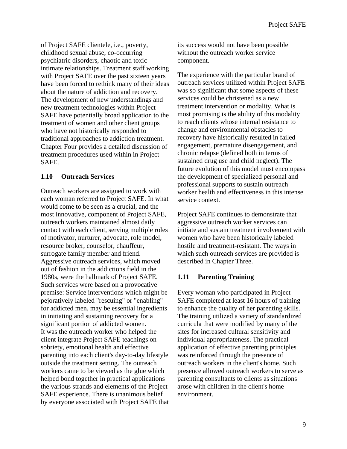of Project SAFE clientele, i.e., poverty, childhood sexual abuse, co-occurring psychiatric disorders, chaotic and toxic intimate relationships. Treatment staff working with Project SAFE over the past sixteen years have been forced to rethink many of their ideas about the nature of addiction and recovery. The development of new understandings and new treatment technologies within Project SAFE have potentially broad application to the treatment of women and other client groups who have not historically responded to traditional approaches to addiction treatment. Chapter Four provides a detailed discussion of treatment procedures used within in Project SAFE.

#### **1.10 Outreach Services**

Outreach workers are assigned to work with each woman referred to Project SAFE. In what would come to be seen as a crucial, and the most innovative, component of Project SAFE, outreach workers maintained almost daily contact with each client, serving multiple roles of motivator, nurturer, advocate, role model, resource broker, counselor, chauffeur, surrogate family member and friend. Aggressive outreach services, which moved out of fashion in the addictions field in the 1980s, were the hallmark of Project SAFE. Such services were based on a provocative premise: Service interventions which might be pejoratively labeled "rescuing" or "enabling" for addicted men, may be essential ingredients in initiating and sustaining recovery for a significant portion of addicted women. It was the outreach worker who helped the client integrate Project SAFE teachings on sobriety, emotional health and effective parenting into each client's day-to-day lifestyle outside the treatment setting. The outreach workers came to be viewed as the glue which helped bond together in practical applications the various strands and elements of the Project SAFE experience. There is unanimous belief by everyone associated with Project SAFE that its success would not have been possible without the outreach worker service component.

The experience with the particular brand of outreach services utilized within Project SAFE was so significant that some aspects of these services could be christened as a new treatment intervention or modality. What is most promising is the ability of this modality to reach clients whose internal resistance to change and environmental obstacles to recovery have historically resulted in failed engagement, premature disengagement, and chronic relapse (defined both in terms of sustained drug use and child neglect). The future evolution of this model must encompass the development of specialized personal and professional supports to sustain outreach worker health and effectiveness in this intense service context.

Project SAFE continues to demonstrate that aggressive outreach worker services can initiate and sustain treatment involvement with women who have been historically labeled hostile and treatment-resistant. The ways in which such outreach services are provided is described in Chapter Three.

#### **1.11 Parenting Training**

Every woman who participated in Project SAFE completed at least 16 hours of training to enhance the quality of her parenting skills. The training utilized a variety of standardized curricula that were modified by many of the sites for increased cultural sensitivity and individual appropriateness. The practical application of effective parenting principles was reinforced through the presence of outreach workers in the client's home. Such presence allowed outreach workers to serve as parenting consultants to clients as situations arose with children in the client's home environment.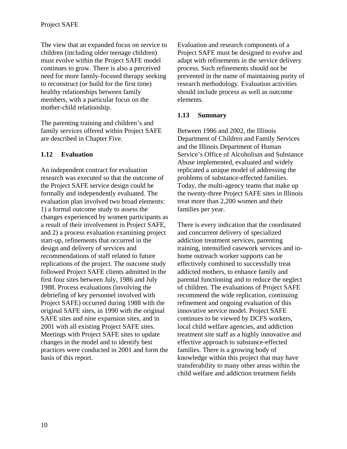The view that an expanded focus on service to children (including older teenage children) must evolve within the Project SAFE model continues to grow. There is also a perceived need for more family-focused therapy seeking to reconstruct (or build for the first time) healthy relationships between family members, with a particular focus on the mother-child relationship.

The parenting training and children's and family services offered within Project SAFE are described in Chapter Five.

# **1.12 Evaluation**

An independent contract for evaluation research was executed so that the outcome of the Project SAFE service design could be formally and independently evaluated. The evaluation plan involved two broad elements: 1) a formal outcome study to assess the changes experienced by women participants as a result of their involvement in Project SAFE, and 2) a process evaluation examining project start-up, refinements that occurred in the design and delivery of services and recommendations of staff related to future replications of the project. The outcome study followed Project SAFE clients admitted in the first four sites between July, 1986 and July 1988. Process evaluations (involving the debriefing of key personnel involved with Project SAFE) occurred during 1988 with the original SAFE sites, in 1990 with the original SAFE sites and nine expansion sites, and in 2001 with all existing Project SAFE sites. Meetings with Project SAFE sites to update changes in the model and to identify best practices were conducted in 2001 and form the basis of this report.

Evaluation and research components of a Project SAFE must be designed to evolve and adapt with refinements in the service delivery process. Such refinements should not be prevented in the name of maintaining purity of research methodology. Evaluation activities should include process as well as outcome elements.

#### **1.13 Summary**

Between 1986 and 2002, the Illinois Department of Children and Family Services and the Illinois Department of Human Service's Office of Alcoholism and Substance Abuse implemented, evaluated and widely replicated a unique model of addressing the problems of substance-effected families. Today, the multi-agency teams that make up the twenty-three Project SAFE sites in Illinois treat more than 2,200 women and their families per year.

There is every indication that the coordinated and concurrent delivery of specialized addiction treatment services, parenting training, intensified casework services and inhome outreach worker supports can be effectively combined to successfully treat addicted mothers, to enhance family and parental functioning and to reduce the neglect of children. The evaluations of Project SAFE recommend the wide replication, continuing refinement and ongoing evaluation of this innovative service model. Project SAFE continues to be viewed by DCFS workers, local child welfare agencies, and addiction treatment site staff as a highly innovative and effective approach to substance-effected families. There is a growing body of knowledge within this project that may have transferability to many other areas within the child welfare and addiction treatment fields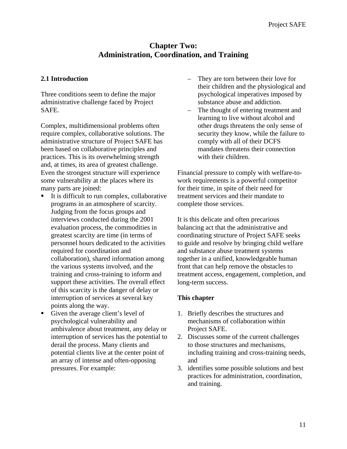# **Chapter Two: Administration, Coordination, and Training**

#### **2.1 Introduction**

Three conditions seem to define the major administrative challenge faced by Project SAFE.

Complex, multidimensional problems often require complex, collaborative solutions. The administrative structure of Project SAFE has been based on collaborative principles and practices. This is its overwhelming strength and, at times, its area of greatest challenge. Even the strongest structure will experience some vulnerability at the places where its many parts are joined:

- It is difficult to run complex, collaborative programs in an atmosphere of scarcity. Judging from the focus groups and interviews conducted during the 2001 evaluation process, the commodities in greatest scarcity are time (in terms of personnel hours dedicated to the activities required for coordination and collaboration), shared information among the various systems involved, and the training and cross-training to inform and support these activities. The overall effect of this scarcity is the danger of delay or interruption of services at several key points along the way.
- Given the average client's level of psychological vulnerability and ambivalence about treatment, any delay or interruption of services has the potential to derail the process. Many clients and potential clients live at the center point of an array of intense and often-opposing pressures. For example:
- They are torn between their love for their children and the physiological and psychological imperatives imposed by substance abuse and addiction.
- The thought of entering treatment and learning to live without alcohol and other drugs threatens the only sense of security they know, while the failure to comply with all of their DCFS mandates threatens their connection with their children.

Financial pressure to comply with welfare-towork requirements is a powerful competitor for their time, in spite of their need for treatment services and their mandate to complete those services.

It is this delicate and often precarious balancing act that the administrative and coordinating structure of Project SAFE seeks to guide and resolve by bringing child welfare and substance abuse treatment systems together in a unified, knowledgeable human front that can help remove the obstacles to treatment access, engagement, completion, and long-term success.

# **This chapter**

- 1. Briefly describes the structures and mechanisms of collaboration within Project SAFE.
- 2. Discusses some of the current challenges to those structures and mechanisms, including training and cross-training needs, and
- 3. identifies some possible solutions and best practices for administration, coordination, and training.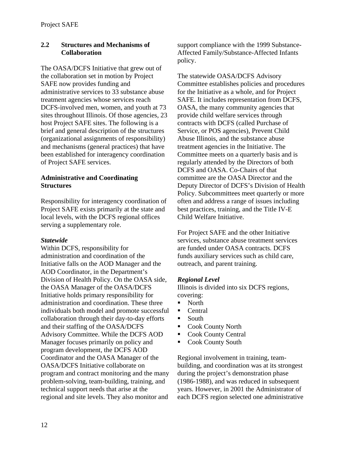#### **2.2 Structures and Mechanisms of Collaboration**

The OASA/DCFS Initiative that grew out of the collaboration set in motion by Project SAFE now provides funding and administrative services to 33 substance abuse treatment agencies whose services reach DCFS-involved men, women, and youth at 73 sites throughout Illinois. Of those agencies, 23 host Project SAFE sites. The following is a brief and general description of the structures (organizational assignments of responsibility) and mechanisms (general practices) that have been established for interagency coordination of Project SAFE services.

#### **Administrative and Coordinating Structures**

Responsibility for interagency coordination of Project SAFE exists primarily at the state and local levels, with the DCFS regional offices serving a supplementary role.

#### *Statewide*

Within DCFS, responsibility for administration and coordination of the Initiative falls on the AOD Manager and the AOD Coordinator, in the Department's Division of Health Policy. On the OASA side, the OASA Manager of the OASA/DCFS Initiative holds primary responsibility for administration and coordination. These three individuals both model and promote successful collaboration through their day-to-day efforts and their staffing of the OASA/DCFS Advisory Committee. While the DCFS AOD Manager focuses primarily on policy and program development, the DCFS AOD Coordinator and the OASA Manager of the OASA/DCFS Initiative collaborate on program and contract monitoring and the many problem-solving, team-building, training, and technical support needs that arise at the regional and site levels. They also monitor and

support compliance with the 1999 Substance-Affected Family/Substance-Affected Infants policy.

The statewide OASA/DCFS Advisory Committee establishes policies and procedures for the Initiative as a whole, and for Project SAFE. It includes representation from DCFS, OASA, the many community agencies that provide child welfare services through contracts with DCFS (called Purchase of Service, or POS agencies), Prevent Child Abuse Illinois, and the substance abuse treatment agencies in the Initiative. The Committee meets on a quarterly basis and is regularly attended by the Directors of both DCFS and OASA. Co-Chairs of that committee are the OASA Director and the Deputy Director of DCFS's Division of Health Policy. Subcommittees meet quarterly or more often and address a range of issues including best practices, training, and the Title IV-E Child Welfare Initiative.

For Project SAFE and the other Initiative services, substance abuse treatment services are funded under OASA contracts. DCFS funds auxiliary services such as child care, outreach, and parent training.

#### *Regional Level*

Illinois is divided into six DCFS regions, covering:

- North
- Central
- **South**
- Cook County North
- Cook County Central
- Cook County South

Regional involvement in training, teambuilding, and coordination was at its strongest during the project's demonstration phase (1986-1988), and was reduced in subsequent years. However, in 2001 the Administrator of each DCFS region selected one administrative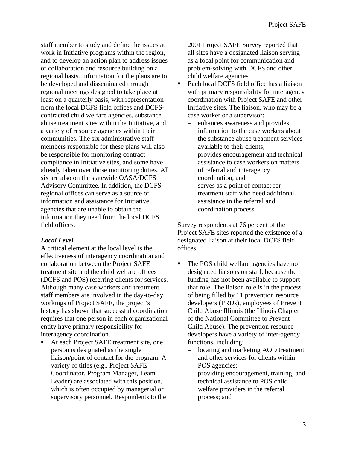staff member to study and define the issues at work in Initiative programs within the region, and to develop an action plan to address issues of collaboration and resource building on a regional basis. Information for the plans are to be developed and disseminated through regional meetings designed to take place at least on a quarterly basis, with representation from the local DCFS field offices and DCFScontracted child welfare agencies, substance abuse treatment sites within the Initiative, and a variety of resource agencies within their communities. The six administrative staff members responsible for these plans will also be responsible for monitoring contract compliance in Initiative sites, and some have already taken over those monitoring duties. All six are also on the statewide OASA/DCFS Advisory Committee. In addition, the DCFS regional offices can serve as a source of information and assistance for Initiative agencies that are unable to obtain the information they need from the local DCFS field offices.

# *Local Level*

A critical element at the local level is the effectiveness of interagency coordination and collaboration between the Project SAFE treatment site and the child welfare offices (DCFS and POS) referring clients for services. Although many case workers and treatment staff members are involved in the day-to-day workings of Project SAFE, the project's history has shown that successful coordination requires that one person in each organizational entity have primary responsibility for interagency coordination.

 At each Project SAFE treatment site, one person is designated as the single liaison/point of contact for the program. A variety of titles (e.g., Project SAFE Coordinator, Program Manager, Team Leader) are associated with this position, which is often occupied by managerial or supervisory personnel. Respondents to the

2001 Project SAFE Survey reported that all sites have a designated liaison serving as a focal point for communication and problem-solving with DCFS and other child welfare agencies.

- Each local DCFS field office has a liaison with primary responsibility for interagency coordination with Project SAFE and other Initiative sites. The liaison, who may be a case worker or a supervisor:
	- enhances awareness and provides information to the case workers about the substance abuse treatment services available to their clients,
	- provides encouragement and technical assistance to case workers on matters of referral and interagency coordination, and
	- serves as a point of contact for treatment staff who need additional assistance in the referral and coordination process.

Survey respondents at 76 percent of the Project SAFE sites reported the existence of a designated liaison at their local DCFS field offices.

- The POS child welfare agencies have no designated liaisons on staff, because the funding has not been available to support that role. The liaison role is in the process of being filled by 11 prevention resource developers (PRDs), employees of Prevent Child Abuse Illinois (the Illinois Chapter of the National Committee to Prevent Child Abuse). The prevention resource developers have a variety of inter-agency functions, including:
	- locating and marketing AOD treatment and other services for clients within POS agencies;
	- providing encouragement, training, and technical assistance to POS child welfare providers in the referral process; and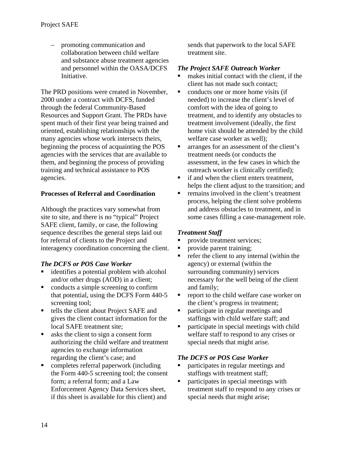– promoting communication and collaboration between child welfare and substance abuse treatment agencies and personnel within the OASA/DCFS Initiative.

The PRD positions were created in November, 2000 under a contract with DCFS, funded through the federal Community-Based Resources and Support Grant. The PRDs have spent much of their first year being trained and oriented, establishing relationships with the many agencies whose work intersects theirs, beginning the process of acquainting the POS agencies with the services that are available to them, and beginning the process of providing training and technical assistance to POS agencies.

#### **Processes of Referral and Coordination**

Although the practices vary somewhat from site to site, and there is no "typical" Project SAFE client, family, or case, the following sequence describes the general steps laid out for referral of clients to the Project and interagency coordination concerning the client.

# *The DCFS or POS Case Worker*

- identifies a potential problem with alcohol and/or other drugs (AOD) in a client;
- conducts a simple screening to confirm that potential, using the DCFS Form 440-5 screening tool:
- tells the client about Project SAFE and gives the client contact information for the local SAFE treatment site;
- asks the client to sign a consent form authorizing the child welfare and treatment agencies to exchange information regarding the client's case; and
- completes referral paperwork (including the Form 440-5 screening tool; the consent form; a referral form; and a Law Enforcement Agency Data Services sheet, if this sheet is available for this client) and

sends that paperwork to the local SAFE treatment site.

#### *The Project SAFE Outreach Worker*

- $\blacksquare$  makes initial contact with the client, if the client has not made such contact;
- conducts one or more home visits (if needed) to increase the client's level of comfort with the idea of going to treatment, and to identify any obstacles to treatment involvement (ideally, the first home visit should be attended by the child welfare case worker as well);
- **a** arranges for an assessment of the client's treatment needs (or conducts the assessment, in the few cases in which the outreach worker is clinically certified);
- **i** if and when the client enters treatment, helps the client adjust to the transition; and
- **F** remains involved in the client's treatment process, helping the client solve problems and address obstacles to treatment, and in some cases filling a case-management role.

# *Treatment Staff*

- provide treatment services;
- **provide parent training;**
- $\blacksquare$  refer the client to any internal (within the agency) or external (within the surrounding community) services necessary for the well being of the client and family;
- **•** report to the child welfare case worker on the client's progress in treatment;
- **participate in regular meetings and** staffings with child welfare staff; and
- **Participate in special meetings with child** welfare staff to respond to any crises or special needs that might arise.

#### *The DCFS or POS Case Worker*

- participates in regular meetings and staffings with treatment staff;
- **participates in special meetings with** treatment staff to respond to any crises or special needs that might arise;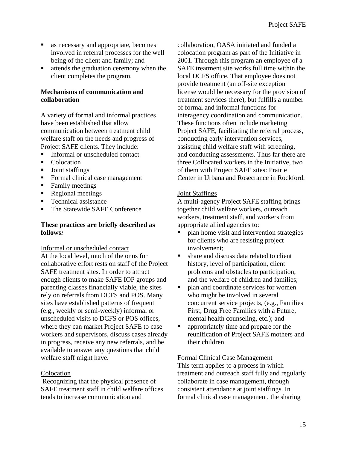- as necessary and appropriate, becomes involved in referral processes for the well being of the client and family; and
- attends the graduation ceremony when the client completes the program.

#### **Mechanisms of communication and collaboration**

A variety of formal and informal practices have been established that allow communication between treatment child welfare staff on the needs and progress of Project SAFE clients. They include:

- **Informal or unscheduled contact**
- Colocation
- **Joint staffings**
- Formal clinical case management
- **Family meetings**
- Regional meetings
- Technical assistance
- The Statewide SAFE Conference

#### **These practices are briefly described as follows***:*

#### Informal or unscheduled contact

At the local level, much of the onus for collaborative effort rests on staff of the Project SAFE treatment sites. In order to attract enough clients to make SAFE IOP groups and parenting classes financially viable, the sites rely on referrals from DCFS and POS. Many sites have established patterns of frequent (e.g., weekly or semi-weekly) informal or unscheduled visits to DCFS or POS offices, where they can market Project SAFE to case workers and supervisors, discuss cases already in progress, receive any new referrals, and be available to answer any questions that child welfare staff might have.

#### Colocation

 Recognizing that the physical presence of SAFE treatment staff in child welfare offices tends to increase communication and

collaboration, OASA initiated and funded a colocation program as part of the Initiative in 2001. Through this program an employee of a SAFE treatment site works full time within the local DCFS office. That employee does not provide treatment (an off-site exception license would be necessary for the provision of treatment services there), but fulfills a number of formal and informal functions for interagency coordination and communication. These functions often include marketing Project SAFE, facilitating the referral process, conducting early intervention services, assisting child welfare staff with screening, and conducting assessments. Thus far there are three Collocated workers in the Initiative, two of them with Project SAFE sites: Prairie Center in Urbana and Rosecrance in Rockford.

#### Joint Staffings

A multi-agency Project SAFE staffing brings together child welfare workers, outreach workers, treatment staff, and workers from appropriate allied agencies to:

- plan home visit and intervention strategies for clients who are resisting project involvement;
- share and discuss data related to client history, level of participation, client problems and obstacles to participation, and the welfare of children and families;
- **p** plan and coordinate services for women who might be involved in several concurrent service projects, (e.g., Families First, Drug Free Families with a Future, mental health counseling, etc.); and
- **•** appropriately time and prepare for the reunification of Project SAFE mothers and their children.

#### Formal Clinical Case Management

This term applies to a process in which treatment and outreach staff fully and regularly collaborate in case management, through consistent attendance at joint staffings. In formal clinical case management, the sharing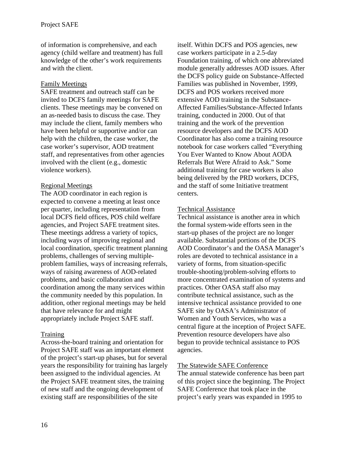of information is comprehensive, and each agency (child welfare and treatment) has full knowledge of the other's work requirements and with the client.

#### Family Meetings

SAFE treatment and outreach staff can be invited to DCFS family meetings for SAFE clients. These meetings may be convened on an as-needed basis to discuss the case. They may include the client, family members who have been helpful or supportive and/or can help with the children, the case worker, the case worker's supervisor, AOD treatment staff, and representatives from other agencies involved with the client (e.g., domestic violence workers).

#### Regional Meetings

The AOD coordinator in each region is expected to convene a meeting at least once per quarter, including representation from local DCFS field offices, POS child welfare agencies, and Project SAFE treatment sites. These meetings address a variety of topics, including ways of improving regional and local coordination, specific treatment planning problems, challenges of serving multipleproblem families, ways of increasing referrals, ways of raising awareness of AOD-related problems, and basic collaboration and coordination among the many services within the community needed by this population. In addition, other regional meetings may be held that have relevance for and might appropriately include Project SAFE staff.

#### **Training**

Across-the-board training and orientation for Project SAFE staff was an important element of the project's start-up phases, but for several years the responsibility for training has largely been assigned to the individual agencies. At the Project SAFE treatment sites, the training of new staff and the ongoing development of existing staff are responsibilities of the site

itself. Within DCFS and POS agencies, new case workers participate in a 2.5-day Foundation training, of which one abbreviated module generally addresses AOD issues. After the DCFS policy guide on Substance-Affected Families was published in November, 1999, DCFS and POS workers received more extensive AOD training in the Substance-Affected Families/Substance-Affected Infants training, conducted in 2000. Out of that training and the work of the prevention resource developers and the DCFS AOD Coordinator has also come a training resource notebook for case workers called "Everything You Ever Wanted to Know About AODA Referrals But Were Afraid to Ask." Some additional training for case workers is also being delivered by the PRD workers, DCFS, and the staff of some Initiative treatment centers.

#### Technical Assistance

Technical assistance is another area in which the formal system-wide efforts seen in the start-up phases of the project are no longer available. Substantial portions of the DCFS AOD Coordinator's and the OASA Manager's roles are devoted to technical assistance in a variety of forms, from situation-specific trouble-shooting/problem-solving efforts to more concentrated examination of systems and practices. Other OASA staff also may contribute technical assistance, such as the intensive technical assistance provided to one SAFE site by OASA's Administrator of Women and Youth Services, who was a central figure at the inception of Project SAFE. Prevention resource developers have also begun to provide technical assistance to POS agencies.

#### The Statewide SAFE Conference

The annual statewide conference has been part of this project since the beginning. The Project SAFE Conference that took place in the project's early years was expanded in 1995 to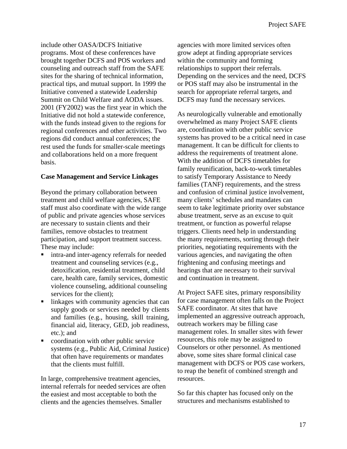include other OASA/DCFS Initiative programs. Most of these conferences have brought together DCFS and POS workers and counseling and outreach staff from the SAFE sites for the sharing of technical information, practical tips, and mutual support. In 1999 the Initiative convened a statewide Leadership Summit on Child Welfare and AODA issues. 2001 (FY2002) was the first year in which the Initiative did not hold a statewide conference, with the funds instead given to the regions for regional conferences and other activities. Two regions did conduct annual conferences; the rest used the funds for smaller-scale meetings and collaborations held on a more frequent basis.

#### **Case Management and Service Linkages**

Beyond the primary collaboration between treatment and child welfare agencies, SAFE staff must also coordinate with the wide range of public and private agencies whose services are necessary to sustain clients and their families, remove obstacles to treatment participation, and support treatment success. These may include:

- intra-and inter-agency referrals for needed treatment and counseling services (e.g., detoxification, residential treatment, child care, health care, family services, domestic violence counseling, additional counseling services for the client);
- linkages with community agencies that can supply goods or services needed by clients and families (e.g., housing, skill training, financial aid, literacy, GED, job readiness, etc.); and
- coordination with other public service systems (e.g., Public Aid, Criminal Justice) that often have requirements or mandates that the clients must fulfill.

In large, comprehensive treatment agencies, internal referrals for needed services are often the easiest and most acceptable to both the clients and the agencies themselves. Smaller

agencies with more limited services often grow adept at finding appropriate services within the community and forming relationships to support their referrals. Depending on the services and the need, DCFS or POS staff may also be instrumental in the search for appropriate referral targets, and DCFS may fund the necessary services.

As neurologically vulnerable and emotionally overwhelmed as many Project SAFE clients are, coordination with other public service systems has proved to be a critical need in case management. It can be difficult for clients to address the requirements of treatment alone. With the addition of DCFS timetables for family reunification, back-to-work timetables to satisfy Temporary Assistance to Needy families (TANF) requirements, and the stress and confusion of criminal justice involvement, many clients' schedules and mandates can seem to take legitimate priority over substance abuse treatment, serve as an excuse to quit treatment, or function as powerful relapse triggers. Clients need help in understanding the many requirements, sorting through their priorities, negotiating requirements with the various agencies, and navigating the often frightening and confusing meetings and hearings that are necessary to their survival and continuation in treatment.

At Project SAFE sites, primary responsibility for case management often falls on the Project SAFE coordinator. At sites that have implemented an aggressive outreach approach, outreach workers may be filling case management roles. In smaller sites with fewer resources, this role may be assigned to Counselors or other personnel. As mentioned above, some sites share formal clinical case management with DCFS or POS case workers, to reap the benefit of combined strength and resources.

So far this chapter has focused only on the structures and mechanisms established to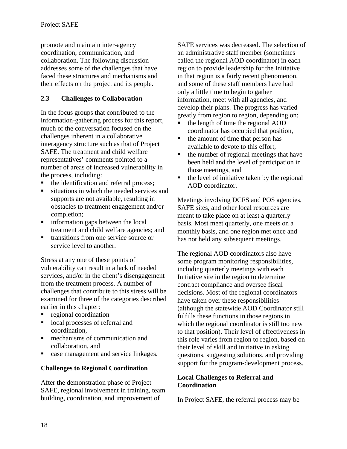promote and maintain inter-agency coordination, communication, and collaboration. The following discussion addresses some of the challenges that have faced these structures and mechanisms and their effects on the project and its people.

## **2.3 Challenges to Collaboration**

In the focus groups that contributed to the information-gathering process for this report, much of the conversation focused on the challenges inherent in a collaborative interagency structure such as that of Project SAFE. The treatment and child welfare representatives' comments pointed to a number of areas of increased vulnerability in the process, including:

- the identification and referral process;
- situations in which the needed services and supports are not available, resulting in obstacles to treatment engagement and/or completion;
- **i** information gaps between the local treatment and child welfare agencies; and
- transitions from one service source or service level to another.

Stress at any one of these points of vulnerability can result in a lack of needed services, and/or in the client's disengagement from the treatment process. A number of challenges that contribute to this stress will be examined for three of the categories described earlier in this chapter:

- regional coordination
- local processes of referral and coordination,
- **F** mechanisms of communication and collaboration, and
- case management and service linkages.

#### **Challenges to Regional Coordination**

After the demonstration phase of Project SAFE, regional involvement in training, team building, coordination, and improvement of

SAFE services was decreased. The selection of an administrative staff member (sometimes called the regional AOD coordinator) in each region to provide leadership for the Initiative in that region is a fairly recent phenomenon, and some of these staff members have had only a little time to begin to gather information, meet with all agencies, and develop their plans. The progress has varied greatly from region to region, depending on:

- $\blacksquare$  the length of time the regional AOD coordinator has occupied that position,
- $\blacksquare$  the amount of time that person has available to devote to this effort,
- $\blacksquare$  the number of regional meetings that have been held and the level of participation in those meetings, and
- $\blacksquare$  the level of initiative taken by the regional AOD coordinator.

Meetings involving DCFS and POS agencies, SAFE sites, and other local resources are meant to take place on at least a quarterly basis. Most meet quarterly, one meets on a monthly basis, and one region met once and has not held any subsequent meetings.

The regional AOD coordinators also have some program monitoring responsibilities, including quarterly meetings with each Initiative site in the region to determine contract compliance and oversee fiscal decisions. Most of the regional coordinators have taken over these responsibilities (although the statewide AOD Coordinator still fulfills these functions in those regions in which the regional coordinator is still too new to that position). Their level of effectiveness in this role varies from region to region, based on their level of skill and initiative in asking questions, suggesting solutions, and providing support for the program-development process.

#### **Local Challenges to Referral and Coordination**

In Project SAFE, the referral process may be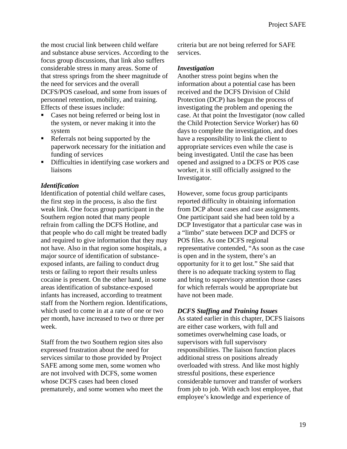the most crucial link between child welfare and substance abuse services. According to the focus group discussions, that link also suffers considerable stress in many areas. Some of that stress springs from the sheer magnitude of the need for services and the overall DCFS/POS caseload, and some from issues of personnel retention, mobility, and training. Effects of these issues include:

- Cases not being referred or being lost in the system, or never making it into the system
- Referrals not being supported by the paperwork necessary for the initiation and funding of services
- Difficulties in identifying case workers and liaisons

#### *Identification*

Identification of potential child welfare cases, the first step in the process, is also the first weak link. One focus group participant in the Southern region noted that many people refrain from calling the DCFS Hotline, and that people who do call might be treated badly and required to give information that they may not have. Also in that region some hospitals, a major source of identification of substanceexposed infants, are failing to conduct drug tests or failing to report their results unless cocaine is present. On the other hand, in some areas identification of substance-exposed infants has increased, according to treatment staff from the Northern region. Identifications, which used to come in at a rate of one or two per month, have increased to two or three per week.

Staff from the two Southern region sites also expressed frustration about the need for services similar to those provided by Project SAFE among some men, some women who are not involved with DCFS, some women whose DCFS cases had been closed prematurely, and some women who meet the criteria but are not being referred for SAFE services.

#### *Investigation*

Another stress point begins when the information about a potential case has been received and the DCFS Division of Child Protection (DCP) has begun the process of investigating the problem and opening the case. At that point the Investigator (now called the Child Protection Service Worker) has 60 days to complete the investigation, and does have a responsibility to link the client to appropriate services even while the case is being investigated. Until the case has been opened and assigned to a DCFS or POS case worker, it is still officially assigned to the Investigator.

However, some focus group participants reported difficulty in obtaining information from DCP about cases and case assignments. One participant said she had been told by a DCP Investigator that a particular case was in a "limbo" state between DCP and DCFS or POS files. As one DCFS regional representative contended, "As soon as the case is open and in the system, there's an opportunity for it to get lost." She said that there is no adequate tracking system to flag and bring to supervisory attention those cases for which referrals would be appropriate but have not been made.

# *DCFS Staffing and Training Issues*

As stated earlier in this chapter, DCFS liaisons are either case workers, with full and sometimes overwhelming case loads, or supervisors with full supervisory responsibilities. The liaison function places additional stress on positions already overloaded with stress. And like most highly stressful positions, these experience considerable turnover and transfer of workers from job to job. With each lost employee, that employee's knowledge and experience of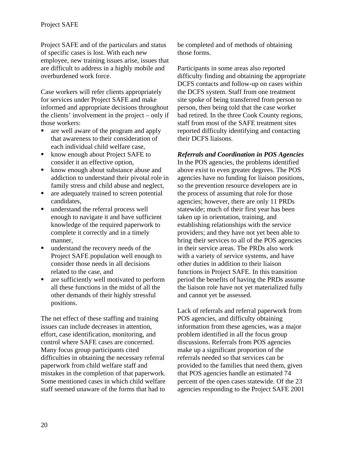Project SAFE and of the particulars and status of specific cases is lost. With each new employee, new training issues arise, issues that are difficult to address in a highly mobile and overburdened work force.

Case workers will refer clients appropriately for services under Project SAFE and make informed and appropriate decisions throughout the clients' involvement in the project – only if those workers:

- are well aware of the program and apply that awareness to their consideration of each individual child welfare case,
- know enough about Project SAFE to consider it an effective option,
- know enough about substance abuse and addiction to understand their pivotal role in family stress and child abuse and neglect,
- are adequately trained to screen potential candidates,
- understand the referral process well enough to navigate it and have sufficient knowledge of the required paperwork to complete it correctly and in a timely manner,
- understand the recovery needs of the Project SAFE population well enough to consider those needs in all decisions related to the case, and
- are sufficiently well motivated to perform all these functions in the midst of all the other demands of their highly stressful positions.

The net effect of these staffing and training issues can include decreases in attention, effort, case identification, monitoring, and control where SAFE cases are concerned. Many focus group participants cited difficulties in obtaining the necessary referral paperwork from child welfare staff and mistakes in the completion of that paperwork. Some mentioned cases in which child welfare staff seemed unaware of the forms that had to

be completed and of methods of obtaining those forms.

Participants in some areas also reported difficulty finding and obtaining the appropriate DCFS contacts and follow-up on cases within the DCFS system. Staff from one treatment site spoke of being transferred from person to person, then being told that the case worker had retired. In the three Cook County regions, staff from most of the SAFE treatment sites reported difficulty identifying and contacting their DCFS liaisons.

# *Referrals and Coordination in POS Agencies*

In the POS agencies, the problems identified above exist to even greater degrees. The POS agencies have no funding for liaison positions, so the prevention resource developers are in the process of assuming that role for those agencies; however, there are only 11 PRDs statewide; much of their first year has been taken up in orientation, training, and establishing relationships with the service providers; and they have not yet been able to bring their services to all of the POS agencies in their service areas. The PRDs also work with a variety of service systems, and have other duties in addition to their liaison functions in Project SAFE. In this transition period the benefits of having the PRDs assume the liaison role have not yet materialized fully and cannot yet be assessed.

Lack of referrals and referral paperwork from POS agencies, and difficulty obtaining information from these agencies, was a major problem identified in all the focus group discussions. Referrals from POS agencies make up a significant proportion of the referrals needed so that services can be provided to the families that need them, given that POS agencies handle an estimated 74 percent of the open cases statewide. Of the 23 agencies responding to the Project SAFE 2001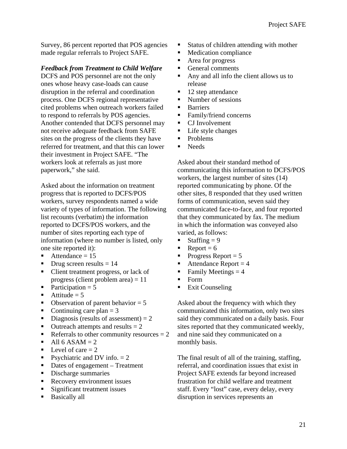Survey, 86 percent reported that POS agencies made regular referrals to Project SAFE.

#### *Feedback from Treatment to Child Welfare*

DCFS and POS personnel are not the only ones whose heavy case-loads can cause disruption in the referral and coordination process. One DCFS regional representative cited problems when outreach workers failed to respond to referrals by POS agencies. Another contended that DCFS personnel may not receive adequate feedback from SAFE sites on the progress of the clients they have referred for treatment, and that this can lower their investment in Project SAFE. "The workers look at referrals as just more paperwork," she said.

Asked about the information on treatment progress that is reported to DCFS/POS workers, survey respondents named a wide variety of types of information. The following list recounts (verbatim) the information reported to DCFS/POS workers, and the number of sites reporting each type of information (where no number is listed, only one site reported it):

- Attendance  $= 15$
- $\blacksquare$  Drug screen results = 14
- Client treatment progress, or lack of progress (client problem area) = 11
- $\blacksquare$  Participation = 5
- $\blacksquare$  Attitude = 5
- Observation of parent behavior  $= 5$
- Continuing care plan  $= 3$
- Diagnosis (results of assessment)  $= 2$
- $\blacksquare$  Outreach attempts and results = 2
- Referrals to other community resources  $= 2$
- $\blacksquare$  All 6 ASAM = 2
- $\blacksquare$  Level of care  $= 2$
- **P**sychiatric and DV info.  $= 2$
- Dates of engagement Treatment
- Discharge summaries
- Recovery environment issues
- Significant treatment issues
- Basically all
- Status of children attending with mother
- **Medication compliance**
- Area for progress
- General comments
- Any and all info the client allows us to release
- $\blacksquare$  12 step attendance
- Number of sessions
- **Barriers**
- Family/friend concerns
- **CJ** Involvement
- Life style changes
- Problems
- **Needs**

Asked about their standard method of communicating this information to DCFS/POS workers, the largest number of sites (14) reported communicating by phone. Of the other sites, 8 responded that they used written forms of communication, seven said they communicated face-to-face, and four reported that they communicated by fax. The medium in which the information was conveyed also varied, as follows:

- Staffing  $= 9$
- Report =  $6$
- Progress Report  $= 5$
- Attendance Report  $= 4$
- Family Meetings  $= 4$
- Form
- **Exit Counseling**

Asked about the frequency with which they communicated this information, only two sites said they communicated on a daily basis. Four sites reported that they communicated weekly, and nine said they communicated on a monthly basis.

The final result of all of the training, staffing, referral, and coordination issues that exist in Project SAFE extends far beyond increased frustration for child welfare and treatment staff. Every "lost" case, every delay, every disruption in services represents an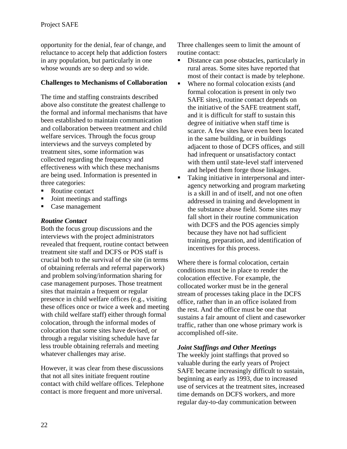opportunity for the denial, fear of change, and reluctance to accept help that addiction fosters in any population, but particularly in one whose wounds are so deep and so wide.

#### **Challenges to Mechanisms of Collaboration**

The time and staffing constraints described above also constitute the greatest challenge to the formal and informal mechanisms that have been established to maintain communication and collaboration between treatment and child welfare services. Through the focus group interviews and the surveys completed by treatment sites, some information was collected regarding the frequency and effectiveness with which these mechanisms are being used. Information is presented in three categories:

- Routine contact
- Joint meetings and staffings
- Case management

#### *Routine Contact*

Both the focus group discussions and the interviews with the project administrators revealed that frequent, routine contact between treatment site staff and DCFS or POS staff is crucial both to the survival of the site (in terms of obtaining referrals and referral paperwork) and problem solving/information sharing for case management purposes. Those treatment sites that maintain a frequent or regular presence in child welfare offices (e.g., visiting these offices once or twice a week and meeting with child welfare staff) either through formal colocation, through the informal modes of colocation that some sites have devised, or through a regular visiting schedule have far less trouble obtaining referrals and meeting whatever challenges may arise.

However, it was clear from these discussions that not all sites initiate frequent routine contact with child welfare offices. Telephone contact is more frequent and more universal.

Three challenges seem to limit the amount of routine contact:

- Distance can pose obstacles, particularly in rural areas. Some sites have reported that most of their contact is made by telephone.
- Where no formal colocation exists (and formal colocation is present in only two SAFE sites), routine contact depends on the initiative of the SAFE treatment staff, and it is difficult for staff to sustain this degree of initiative when staff time is scarce. A few sites have even been located in the same building, or in buildings adjacent to those of DCFS offices, and still had infrequent or unsatisfactory contact with them until state-level staff intervened and helped them forge those linkages.
- Taking initiative in interpersonal and interagency networking and program marketing is a skill in and of itself, and not one often addressed in training and development in the substance abuse field. Some sites may fall short in their routine communication with DCFS and the POS agencies simply because they have not had sufficient training, preparation, and identification of incentives for this process.

Where there is formal colocation, certain conditions must be in place to render the colocation effective. For example, the collocated worker must be in the general stream of processes taking place in the DCFS office, rather than in an office isolated from the rest. And the office must be one that sustains a fair amount of client and caseworker traffic, rather than one whose primary work is accomplished off-site.

#### *Joint Staffings and Other Meetings*

The weekly joint staffings that proved so valuable during the early years of Project SAFE became increasingly difficult to sustain, beginning as early as 1993, due to increased use of services at the treatment sites, increased time demands on DCFS workers, and more regular day-to-day communication between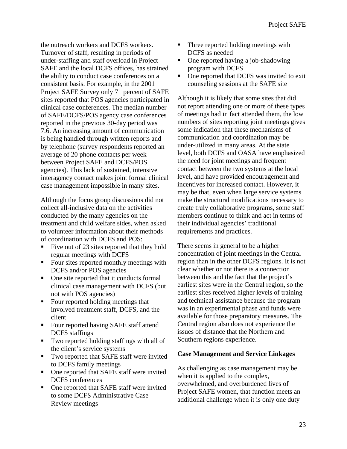the outreach workers and DCFS workers. Turnover of staff, resulting in periods of under-staffing and staff overload in Project SAFE and the local DCFS offices, has strained the ability to conduct case conferences on a consistent basis. For example, in the 2001 Project SAFE Survey only 71 percent of SAFE sites reported that POS agencies participated in clinical case conferences. The median number of SAFE/DCFS/POS agency case conferences reported in the previous 30-day period was 7.6. An increasing amount of communication is being handled through written reports and by telephone (survey respondents reported an average of 20 phone contacts per week between Project SAFE and DCFS/POS agencies). This lack of sustained, intensive interagency contact makes joint formal clinical case management impossible in many sites.

Although the focus group discussions did not collect all-inclusive data on the activities conducted by the many agencies on the treatment and child welfare sides, when asked to volunteer information about their methods of coordination with DCFS and POS:

- Five out of 23 sites reported that they hold regular meetings with DCFS
- Four sites reported monthly meetings with DCFS and/or POS agencies
- One site reported that it conducts formal clinical case management with DCFS (but not with POS agencies)
- Four reported holding meetings that involved treatment staff, DCFS, and the client
- Four reported having SAFE staff attend DCFS staffings
- Two reported holding staffings with all of the client's service systems
- Two reported that SAFE staff were invited to DCFS family meetings
- One reported that SAFE staff were invited DCFS conferences
- One reported that SAFE staff were invited to some DCFS Administrative Case Review meetings
- Three reported holding meetings with DCFS as needed
- One reported having a job-shadowing program with DCFS
- One reported that DCFS was invited to exit counseling sessions at the SAFE site

Although it is likely that some sites that did not report attending one or more of these types of meetings had in fact attended them, the low numbers of sites reporting joint meetings gives some indication that these mechanisms of communication and coordination may be under-utilized in many areas. At the state level, both DCFS and OASA have emphasized the need for joint meetings and frequent contact between the two systems at the local level, and have provided encouragement and incentives for increased contact. However, it may be that, even when large service systems make the structural modifications necessary to create truly collaborative programs, some staff members continue to think and act in terms of their individual agencies' traditional requirements and practices.

There seems in general to be a higher concentration of joint meetings in the Central region than in the other DCFS regions. It is not clear whether or not there is a connection between this and the fact that the project's earliest sites were in the Central region, so the earliest sites received higher levels of training and technical assistance because the program was in an experimental phase and funds were available for those preparatory measures. The Central region also does not experience the issues of distance that the Northern and Southern regions experience.

#### **Case Management and Service Linkages**

As challenging as case management may be when it is applied to the complex, overwhelmed, and overburdened lives of Project SAFE women, that function meets an additional challenge when it is only one duty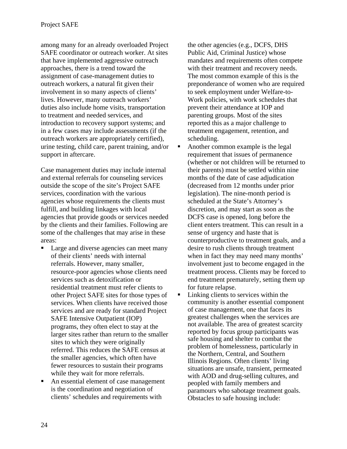among many for an already overloaded Project SAFE coordinator or outreach worker. At sites that have implemented aggressive outreach approaches, there is a trend toward the assignment of case-management duties to outreach workers, a natural fit given their involvement in so many aspects of clients' lives. However, many outreach workers' duties also include home visits, transportation to treatment and needed services, and introduction to recovery support systems; and in a few cases may include assessments (if the outreach workers are appropriately certified), urine testing, child care, parent training, and/or support in aftercare.

Case management duties may include internal and external referrals for counseling services outside the scope of the site's Project SAFE services, coordination with the various agencies whose requirements the clients must fulfill, and building linkages with local agencies that provide goods or services needed by the clients and their families. Following are some of the challenges that may arise in these areas:

- Large and diverse agencies can meet many of their clients' needs with internal referrals. However, many smaller, resource-poor agencies whose clients need services such as detoxification or residential treatment must refer clients to other Project SAFE sites for those types of services. When clients have received those services and are ready for standard Project SAFE Intensive Outpatient (IOP) programs, they often elect to stay at the larger sites rather than return to the smaller sites to which they were originally referred. This reduces the SAFE census at the smaller agencies, which often have fewer resources to sustain their programs while they wait for more referrals.
- An essential element of case management is the coordination and negotiation of clients' schedules and requirements with

the other agencies (e.g., DCFS, DHS Public Aid, Criminal Justice) whose mandates and requirements often compete with their treatment and recovery needs. The most common example of this is the preponderance of women who are required to seek employment under Welfare-to-Work policies, with work schedules that prevent their attendance at IOP and parenting groups. Most of the sites reported this as a major challenge to treatment engagement, retention, and scheduling.

• Another common example is the legal requirement that issues of permanence (whether or not children will be returned to their parents) must be settled within nine months of the date of case adjudication (decreased from 12 months under prior legislation). The nine-month period is scheduled at the State's Attorney's discretion, and may start as soon as the DCFS case is opened, long before the client enters treatment. This can result in a sense of urgency and haste that is counterproductive to treatment goals, and a desire to rush clients through treatment when in fact they may need many months' involvement just to become engaged in the treatment process. Clients may be forced to end treatment prematurely, setting them up for future relapse.

■ Linking clients to services within the community is another essential component of case management, one that faces its greatest challenges when the services are not available. The area of greatest scarcity reported by focus group participants was safe housing and shelter to combat the problem of homelessness, particularly in the Northern, Central, and Southern Illinois Regions. Often clients' living situations are unsafe, transient, permeated with AOD and drug-selling cultures, and peopled with family members and paramours who sabotage treatment goals. Obstacles to safe housing include: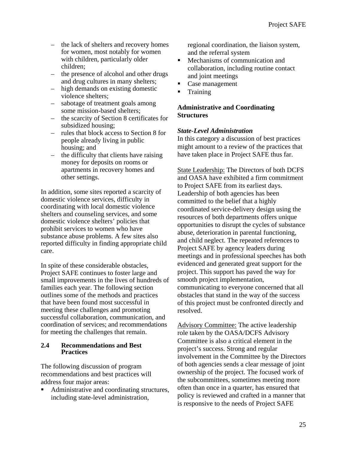- the lack of shelters and recovery homes for women, most notably for women with children, particularly older children;
- the presence of alcohol and other drugs and drug cultures in many shelters;
- high demands on existing domestic violence shelters;
- sabotage of treatment goals among some mission-based shelters;
- the scarcity of Section 8 certificates for subsidized housing;
- rules that block access to Section 8 for people already living in public housing; and
- the difficulty that clients have raising money for deposits on rooms or apartments in recovery homes and other settings.

In addition, some sites reported a scarcity of domestic violence services, difficulty in coordinating with local domestic violence shelters and counseling services, and some domestic violence shelters' policies that prohibit services to women who have substance abuse problems. A few sites also reported difficulty in finding appropriate child care.

In spite of these considerable obstacles, Project SAFE continues to foster large and small improvements in the lives of hundreds of families each year. The following section outlines some of the methods and practices that have been found most successful in meeting these challenges and promoting successful collaboration, communication, and coordination of services; and recommendations for meeting the challenges that remain.

#### **2.4 Recommendations and Best Practices**

The following discussion of program recommendations and best practices will address four major areas:

 Administrative and coordinating structures, including state-level administration,

regional coordination, the liaison system, and the referral system

- Mechanisms of communication and collaboration, including routine contact and joint meetings
- Case management
- **Training**

#### **Administrative and Coordinating Structures**

#### *State-Level Administration*

In this category a discussion of best practices might amount to a review of the practices that have taken place in Project SAFE thus far.

State Leadership: The Directors of both DCFS and OASA have exhibited a firm commitment to Project SAFE from its earliest days. Leadership of both agencies has been committed to the belief that a highly coordinated service-delivery design using the resources of both departments offers unique opportunities to disrupt the cycles of substance abuse, deterioration in parental functioning, and child neglect. The repeated references to Project SAFE by agency leaders during meetings and in professional speeches has both evidenced and generated great support for the project. This support has paved the way for smooth project implementation, communicating to everyone concerned that all obstacles that stand in the way of the success of this project must be confronted directly and resolved.

Advisory Committee: The active leadership role taken by the OASA/DCFS Advisory Committee is also a critical element in the project's success. Strong and regular involvement in the Committee by the Directors of both agencies sends a clear message of joint ownership of the project. The focused work of the subcommittees, sometimes meeting more often than once in a quarter, has ensured that policy is reviewed and crafted in a manner that is responsive to the needs of Project SAFE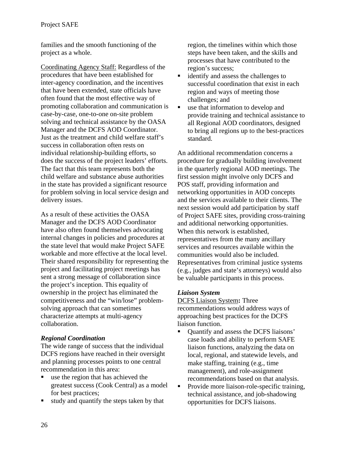families and the smooth functioning of the project as a whole.

Coordinating Agency Staff: Regardless of the procedures that have been established for inter-agency coordination, and the incentives that have been extended, state officials have often found that the most effective way of promoting collaboration and communication is case-by-case, one-to-one on-site problem solving and technical assistance by the OASA Manager and the DCFS AOD Coordinator. Just as the treatment and child welfare staff's success in collaboration often rests on individual relationship-building efforts, so does the success of the project leaders' efforts. The fact that this team represents both the child welfare and substance abuse authorities in the state has provided a significant resource for problem solving in local service design and delivery issues.

As a result of these activities the OASA Manager and the DCFS AOD Coordinator have also often found themselves advocating internal changes in policies and procedures at the state level that would make Project SAFE workable and more effective at the local level. Their shared responsibility for representing the project and facilitating project meetings has sent a strong message of collaboration since the project's inception. This equality of ownership in the project has eliminated the competitiveness and the "win/lose" problemsolving approach that can sometimes characterize attempts at multi-agency collaboration.

#### *Regional Coordination*

The wide range of success that the individual DCFS regions have reached in their oversight and planning processes points to one central recommendation in this area:

- use the region that has achieved the greatest success (Cook Central) as a model for best practices;
- study and quantify the steps taken by that

region, the timelines within which those steps have been taken, and the skills and processes that have contributed to the region's success;

- identify and assess the challenges to successful coordination that exist in each region and ways of meeting those challenges; and
- use that information to develop and provide training and technical assistance to all Regional AOD coordinators, designed to bring all regions up to the best-practices standard.

An additional recommendation concerns a procedure for gradually building involvement in the quarterly regional AOD meetings. The first session might involve only DCFS and POS staff, providing information and networking opportunities in AOD concepts and the services available to their clients. The next session would add participation by staff of Project SAFE sites, providing cross-training and additional networking opportunities. When this network is established, representatives from the many ancillary services and resources available within the communities would also be included. Representatives from criminal justice systems (e.g., judges and state's attorneys) would also be valuable participants in this process.

#### *Liaison System*

DCFS Liaison System**:** Three recommendations would address ways of approaching best practices for the DCFS liaison function.

- Quantify and assess the DCFS liaisons' case loads and ability to perform SAFE liaison functions, analyzing the data on local, regional, and statewide levels, and make staffing, training (e.g., time management), and role-assignment recommendations based on that analysis.
- Provide more liaison-role-specific training, technical assistance, and job-shadowing opportunities for DCFS liaisons.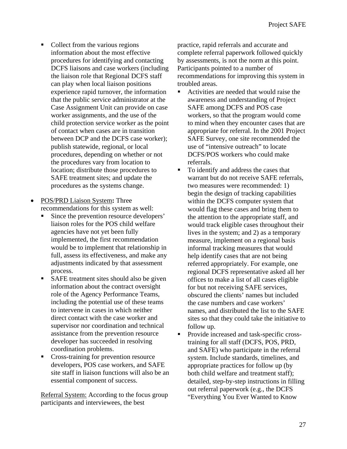- Collect from the various regions information about the most effective procedures for identifying and contacting DCFS liaisons and case workers (including the liaison role that Regional DCFS staff can play when local liaison positions experience rapid turnover, the information that the public service administrator at the Case Assignment Unit can provide on case worker assignments, and the use of the child protection service worker as the point of contact when cases are in transition between DCP and the DCFS case worker); publish statewide, regional, or local procedures, depending on whether or not the procedures vary from location to location; distribute those procedures to SAFE treatment sites; and update the procedures as the systems change.
- POS/PRD Liaison System**:** Three recommendations for this system as well:
	- Since the prevention resource developers' liaison roles for the POS child welfare agencies have not yet been fully implemented, the first recommendation would be to implement that relationship in full, assess its effectiveness, and make any adjustments indicated by that assessment process.
	- SAFE treatment sites should also be given information about the contract oversight role of the Agency Performance Teams, including the potential use of these teams to intervene in cases in which neither direct contact with the case worker and supervisor nor coordination and technical assistance from the prevention resource developer has succeeded in resolving coordination problems.
	- **Cross-training for prevention resource** developers, POS case workers, and SAFE site staff in liaison functions will also be an essential component of success.

Referral System: According to the focus group participants and interviewees, the best

practice, rapid referrals and accurate and complete referral paperwork followed quickly by assessments, is not the norm at this point. Participants pointed to a number of recommendations for improving this system in troubled areas.

- Activities are needed that would raise the awareness and understanding of Project SAFE among DCFS and POS case workers, so that the program would come to mind when they encounter cases that are appropriate for referral. In the 2001 Project SAFE Survey, one site recommended the use of "intensive outreach" to locate DCFS/POS workers who could make referrals.
- To identify and address the cases that warrant but do not receive SAFE referrals, two measures were recommended: 1) begin the design of tracking capabilities within the DCFS computer system that would flag these cases and bring them to the attention to the appropriate staff, and would track eligible cases throughout their lives in the system; and 2) as a temporary measure, implement on a regional basis informal tracking measures that would help identify cases that are not being referred appropriately. For example, one regional DCFS representative asked all her offices to make a list of all cases eligible for but not receiving SAFE services, obscured the clients' names but included the case numbers and case workers' names, and distributed the list to the SAFE sites so that they could take the initiative to follow up.
- **Provide increased and task-specific cross**training for all staff (DCFS, POS, PRD, and SAFE) who participate in the referral system. Include standards, timelines, and appropriate practices for follow up (by both child welfare and treatment staff); detailed, step-by-step instructions in filling out referral paperwork (e.g., the DCFS "Everything You Ever Wanted to Know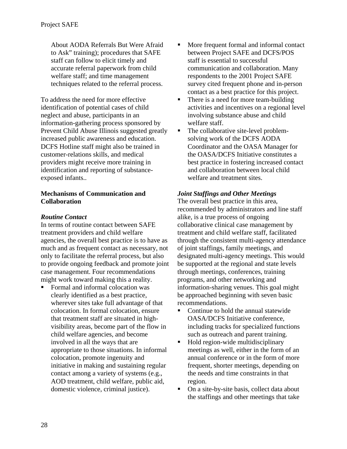About AODA Referrals But Were Afraid to Ask" training); procedures that SAFE staff can follow to elicit timely and accurate referral paperwork from child welfare staff; and time management techniques related to the referral process.

To address the need for more effective identification of potential cases of child neglect and abuse, participants in an information-gathering process sponsored by Prevent Child Abuse Illinois suggested greatly increased public awareness and education. DCFS Hotline staff might also be trained in customer-relations skills, and medical providers might receive more training in identification and reporting of substanceexposed infants..

#### **Mechanisms of Communication and Collaboration**

#### *Routine Contact*

In terms of routine contact between SAFE treatment providers and child welfare agencies, the overall best practice is to have as much and as frequent contact as necessary, not only to facilitate the referral process, but also to provide ongoing feedback and promote joint case management. Four recommendations might work toward making this a reality.

 Formal and informal colocation was clearly identified as a best practice, wherever sites take full advantage of that colocation. In formal colocation, ensure that treatment staff are situated in highvisibility areas, become part of the flow in child welfare agencies, and become involved in all the ways that are appropriate to those situations. In informal colocation, promote ingenuity and initiative in making and sustaining regular contact among a variety of systems (e.g., AOD treatment, child welfare, public aid, domestic violence, criminal justice).

- More frequent formal and informal contact between Project SAFE and DCFS/POS staff is essential to successful communication and collaboration. Many respondents to the 2001 Project SAFE survey cited frequent phone and in-person contact as a best practice for this project.
- There is a need for more team-building activities and incentives on a regional level involving substance abuse and child welfare staff.
- The collaborative site-level problemsolving work of the DCFS AODA Coordinator and the OASA Manager for the OASA/DCFS Initiative constitutes a best practice in fostering increased contact and collaboration between local child welfare and treatment sites.

# *Joint Staffings and Other Meetings*

The overall best practice in this area, recommended by administrators and line staff alike, is a true process of ongoing collaborative clinical case management by treatment and child welfare staff, facilitated through the consistent multi-agency attendance of joint staffings, family meetings, and designated multi-agency meetings. This would be supported at the regional and state levels through meetings, conferences, training programs, and other networking and information-sharing venues. This goal might be approached beginning with seven basic recommendations.

- Continue to hold the annual statewide OASA/DCFS Initiative conference, including tracks for specialized functions such as outreach and parent training.
- $\blacksquare$  Hold region-wide multidisciplinary meetings as well, either in the form of an annual conference or in the form of more frequent, shorter meetings, depending on the needs and time constraints in that region.
- On a site-by-site basis, collect data about the staffings and other meetings that take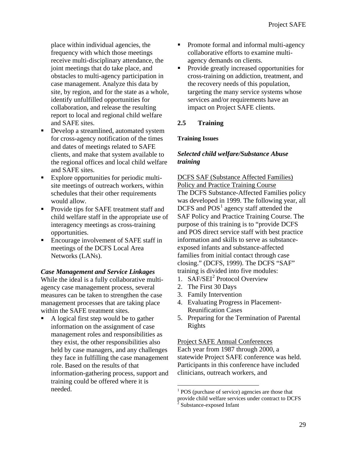place within individual agencies, the frequency with which those meetings receive multi-disciplinary attendance, the joint meetings that do take place, and obstacles to multi-agency participation in case management. Analyze this data by site, by region, and for the state as a whole, identify unfulfilled opportunities for collaboration, and release the resulting report to local and regional child welfare and SAFE sites.

- **•** Develop a streamlined, automated system for cross-agency notification of the times and dates of meetings related to SAFE clients, and make that system available to the regional offices and local child welfare and SAFE sites.
- Explore opportunities for periodic multisite meetings of outreach workers, within schedules that their other requirements would allow.
- Provide tips for SAFE treatment staff and child welfare staff in the appropriate use of interagency meetings as cross-training opportunities.
- Encourage involvement of SAFE staff in meetings of the DCFS Local Area Networks (LANs).

#### *Case Management and Service Linkages*

While the ideal is a fully collaborative multiagency case management process, several measures can be taken to strengthen the case management processes that are taking place within the SAFE treatment sites.

<span id="page-34-1"></span><span id="page-34-0"></span> A logical first step would be to gather information on the assignment of case management roles and responsibilities as they exist, the other responsibilities also held by case managers, and any challenges they face in fulfilling the case management role. Based on the results of that information-gathering process, support and training could be offered where it is needed.

- Promote formal and informal multi-agency collaborative efforts to examine multiagency demands on clients.
- Provide greatly increased opportunities for cross-training on addiction, treatment, and the recovery needs of this population, targeting the many service systems whose services and/or requirements have an impact on Project SAFE clients.

# **2.5 Training**

#### **Training Issues**

#### *Selected child welfare/Substance Abuse training*

DCFS SAF (Substance Affected Families)

Policy and Practice Training Course The DCFS Substance-Affected Families policy was developed in 1999. The following year, all DCFS and  $POS<sup>1</sup>$  $POS<sup>1</sup>$  $POS<sup>1</sup>$  agency staff attended the SAF Policy and Practice Training Course. The purpose of this training is to "provide DCFS and POS direct service staff with best practice information and skills to serve as substanceexposed infants and substance-affected families from initial contact through case closing." (DCFS, 1999). The DCFS "SAF" training is divided into five modules:

- 1. SAF/SEI<sup>[2](#page-34-1)</sup> Protocol Overview
- 2. The First 30 Days

 $\overline{a}$ 

- 3. Family Intervention
- 4. Evaluating Progress in Placement-Reunification Cases
- 5. Preparing for the Termination of Parental Rights

#### Project SAFE Annual Conferences

Each year from 1987 through 2000, a statewide Project SAFE conference was held. Participants in this conference have included clinicians, outreach workers, and

<sup>&</sup>lt;sup>1</sup> POS (purchase of service) agencies are those that provide child welfare services under contract to DCFS<br><sup>2</sup> Substance avnosed Infont Substance-exposed Infant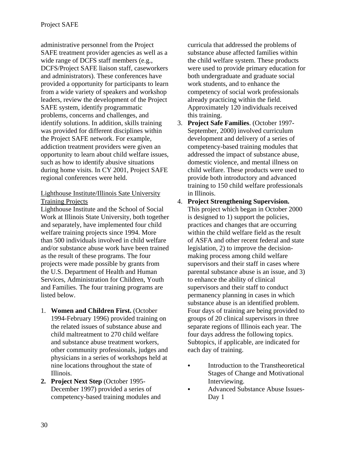administrative personnel from the Project SAFE treatment provider agencies as well as a wide range of DCFS staff members (e.g., DCFS/Project SAFE liaison staff, caseworkers and administrators). These conferences have provided a opportunity for participants to learn from a wide variety of speakers and workshop leaders, review the development of the Project SAFE system, identify programmatic problems, concerns and challenges, and identify solutions. In addition, skills training was provided for different disciplines within the Project SAFE network. For example, addiction treatment providers were given an opportunity to learn about child welfare issues, such as how to identify abusive situations during home visits. In CY 2001, Project SAFE regional conferences were held.

#### Lighthouse Institute/Illinois Sate University Training Projects

Lighthouse Institute and the School of Social Work at Illinois State University, both together and separately, have implemented four child welfare training projects since 1994. More than 500 individuals involved in child welfare and/or substance abuse work have been trained as the result of these programs. The four projects were made possible by grants from the U.S. Department of Health and Human Services, Administration for Children, Youth and Families. The four training programs are listed below.

- 1. **Women and Children First.** (October 1994-February 1996) provided training on the related issues of substance abuse and child maltreatment to 270 child welfare and substance abuse treatment workers, other community professionals, judges and physicians in a series of workshops held at nine locations throughout the state of Illinois.
- **2. Project Next Step** (October 1995- December 1997) provided a series of competency-based training modules and

curricula that addressed the problems of substance abuse affected families within the child welfare system. These products were used to provide primary education for both undergraduate and graduate social work students, and to enhance the competency of social work professionals already practicing within the field. Approximately 120 individuals received this training.

- 3. **Project Safe Families**. (October 1997- September, 2000) involved curriculum development and delivery of a series of competency-based training modules that addressed the impact of substance abuse, domestic violence, and mental illness on child welfare. These products were used to provide both introductory and advanced training to 150 child welfare professionals in Illinois.
- 4. **Project Strengthening Supervision.**  This project which began in October 2000 is designed to 1) support the policies, practices and changes that are occurring within the child welfare field as the result of ASFA and other recent federal and state legislation, 2) to improve the decisionmaking process among child welfare supervisors and their staff in cases where parental substance abuse is an issue, and 3) to enhance the ability of clinical supervisors and their staff to conduct permanency planning in cases in which substance abuse is an identified problem. Four days of training are being provided to groups of 20 clinical supervisors in three separate regions of Illinois each year. The four days address the following topics. Subtopics, if applicable, are indicated for each day of training.
	- Introduction to the Transtheoretical Stages of Change and Motivational Interviewing.
	- Advanced Substance Abuse Issues-Day 1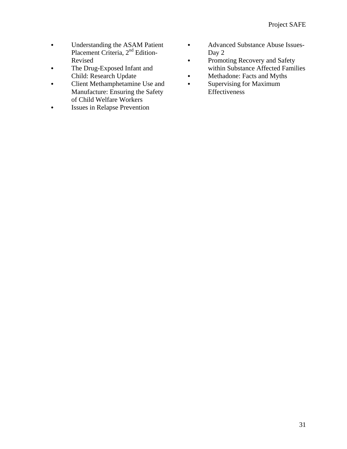- Understanding the ASAM Patient Placement Criteria, 2<sup>nd</sup> Edition-Revised
- The Drug-Exposed Infant and Child: Research Update
- Client Methamphetamine Use and Manufacture: Ensuring the Safety of Child Welfare Workers
- Issues in Relapse Prevention
- Advanced Substance Abuse Issues-Day 2
- Promoting Recovery and Safety within Substance Affected Families
- Methadone: Facts and Myths
- Supervising for Maximum **Effectiveness**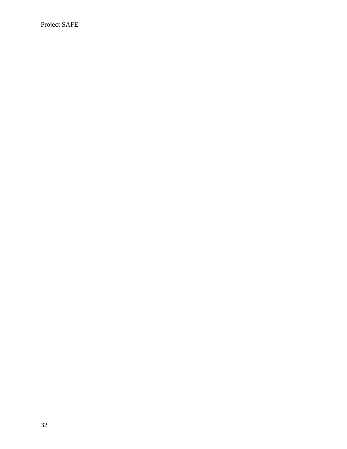Project SAFE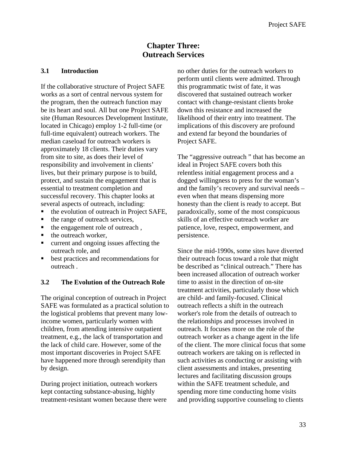# **Chapter Three: Outreach Services**

#### **3.1 Introduction**

If the collaborative structure of Project SAFE works as a sort of central nervous system for the program, then the outreach function may be its heart and soul. All but one Project SAFE site (Human Resources Development Institute, located in Chicago) employ 1-2 full-time (or full-time equivalent) outreach workers. The median caseload for outreach workers is approximately 18 clients. Their duties vary from site to site, as does their level of responsibility and involvement in clients' lives, but their primary purpose is to build, protect, and sustain the engagement that is essential to treatment completion and successful recovery. This chapter looks at several aspects of outreach, including:

- the evolution of outreach in Project SAFE,
- $\blacksquare$  the range of outreach services,
- $\blacksquare$  the engagement role of outreach,
- the outreach worker,
- current and ongoing issues affecting the outreach role, and
- **best practices and recommendations for** outreach .

#### **3.2 The Evolution of the Outreach Role**

The original conception of outreach in Project SAFE was formulated as a practical solution to the logistical problems that prevent many lowincome women, particularly women with children, from attending intensive outpatient treatment, e.g., the lack of transportation and the lack of child care. However, some of the most important discoveries in Project SAFE have happened more through serendipity than by design.

During project initiation, outreach workers kept contacting substance-abusing, highly treatment-resistant women because there were no other duties for the outreach workers to perform until clients were admitted. Through this programmatic twist of fate, it was discovered that sustained outreach worker contact with change-resistant clients broke down this resistance and increased the likelihood of their entry into treatment. The implications of this discovery are profound and extend far beyond the boundaries of Project SAFE.

The "aggressive outreach " that has become an ideal in Project SAFE covers both this relentless initial engagement process and a dogged willingness to press for the woman's and the family's recovery and survival needs – even when that means dispensing more honesty than the client is ready to accept. But paradoxically, some of the most conspicuous skills of an effective outreach worker are patience, love, respect, empowerment, and persistence.

Since the mid-1990s, some sites have diverted their outreach focus toward a role that might be described as "clinical outreach." There has been increased allocation of outreach worker time to assist in the direction of on-site treatment activities, particularly those which are child- and family-focused. Clinical outreach reflects a shift in the outreach worker's role from the details of outreach to the relationships and processes involved in outreach. It focuses more on the role of the outreach worker as a change agent in the life of the client. The more clinical focus that some outreach workers are taking on is reflected in such activities as conducting or assisting with client assessments and intakes, presenting lectures and facilitating discussion groups within the SAFE treatment schedule, and spending more time conducting home visits and providing supportive counseling to clients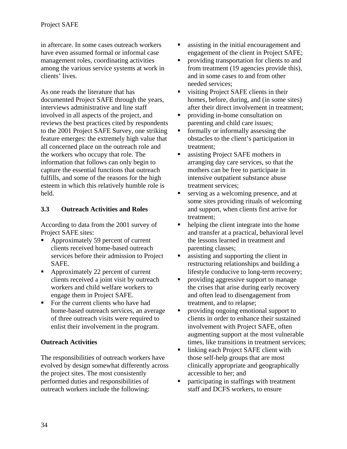in aftercare. In some cases outreach workers have even assumed formal or informal case management roles, coordinating activities among the various service systems at work in clients' lives.

As one reads the literature that has documented Project SAFE through the years, interviews administrative and line staff involved in all aspects of the project, and reviews the best practices cited by respondents to the 2001 Project SAFE Survey, one striking feature emerges: the extremely high value that all concerned place on the outreach role and the workers who occupy that role. The information that follows can only begin to capture the essential functions that outreach fulfills, and some of the reasons for the high esteem in which this relatively humble role is held.

# **3.3 Outreach Activities and Roles**

According to data from the 2001 survey of Project SAFE sites:

- Approximately 59 percent of current clients received home-based outreach services before their admission to Project SAFE.
- Approximately 22 percent of current clients received a joint visit by outreach workers and child welfare workers to engage them in Project SAFE.
- For the current clients who have had home-based outreach services, an average of three outreach visits were required to enlist their involvement in the program.

# **Outreach Activities**

The responsibilities of outreach workers have evolved by design somewhat differently across the project sites. The most consistently performed duties and responsibilities of outreach workers include the following:

- **assisting in the initial encouragement and** engagement of the client in Project SAFE;
- **Peropensi** providing transportation for clients to and from treatment (19 agencies provide this), and in some cases to and from other needed services;
- visiting Project SAFE clients in their homes, before, during, and (in some sites) after their direct involvement in treatment;
- providing in-home consultation on parenting and child care issues;
- **formally or informally assessing the** obstacles to the client's participation in treatment;
- assisting Project SAFE mothers in arranging day care services, so that the mothers can be free to participate in intensive outpatient substance abuse treatment services;
- serving as a welcoming presence, and at some sites providing rituals of welcoming and support, when clients first arrive for treatment;
- helping the client integrate into the home and transfer at a practical, behavioral level the lessons learned in treatment and parenting classes;
- **assisting and supporting the client in** restructuring relationships and building a lifestyle conducive to long-term recovery;
- **Part Figure 1** providing aggressive support to manage the crises that arise during early recovery and often lead to disengagement from treatment, and to relapse;
- **Peropee** providing ongoing emotional support to clients in order to enhance their sustained involvement with Project SAFE, often augmenting support at the most vulnerable times, like transitions in treatment services;
- linking each Project SAFE client with those self-help groups that are most clinically appropriate and geographically accessible to her; and
- **P** participating in staffings with treatment staff and DCFS workers, to ensure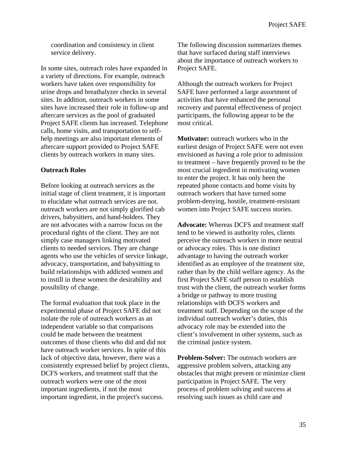coordination and consistency in client service delivery.

In some sites, outreach roles have expanded in a variety of directions. For example, outreach workers have taken over responsibility for urine drops and breathalyzer checks in several sites. In addition, outreach workers in some sites have increased their role in follow-up and aftercare services as the pool of graduated Project SAFE clients has increased. Telephone calls, home visits, and transportation to selfhelp meetings are also important elements of aftercare support provided to Project SAFE clients by outreach workers in many sites.

#### **Outreach Roles**

Before looking at outreach services as the initial stage of client treatment, it is important to elucidate what outreach services are not. outreach workers are not simply glorified cab drivers, babysitters, and hand-holders. They are not advocates with a narrow focus on the procedural rights of the client. They are not simply case managers linking motivated clients to needed services. They are change agents who use the vehicles of service linkage, advocacy, transportation, and babysitting to build relationships with addicted women and to instill in these women the desirability and possibility of change.

The formal evaluation that took place in the experimental phase of Project SAFE did not isolate the role of outreach workers as an independent variable so that comparisons could be made between the treatment outcomes of those clients who did and did not have outreach worker services. In spite of this lack of objective data, however, there was a consistently expressed belief by project clients, DCFS workers, and treatment staff that the outreach workers were one of the most important ingredients, if not the most important ingredient, in the project's success.

The following discussion summarizes themes that have surfaced during staff interviews about the importance of outreach workers to Project SAFE.

Although the outreach workers for Project SAFE have performed a large assortment of activities that have enhanced the personal recovery and parental effectiveness of project participants, the following appear to be the most critical.

**Motivator:** outreach workers who in the earliest design of Project SAFE were not even envisioned as having a role prior to admission to treatment – have frequently proved to be the most crucial ingredient in motivating women to enter the project. It has only been the repeated phone contacts and home visits by outreach workers that have turned some problem-denying, hostile, treatment-resistant women into Project SAFE success stories.

**Advocate:** Whereas DCFS and treatment staff tend to be viewed in authority roles, clients perceive the outreach workers in more neutral or advocacy roles. This is one distinct advantage to having the outreach worker identified as an employee of the treatment site, rather than by the child welfare agency. As the first Project SAFE staff person to establish trust with the client, the outreach worker forms a bridge or pathway to more trusting relationships with DCFS workers and treatment staff. Depending on the scope of the individual outreach worker's duties, this advocacy role may be extended into the client's involvement in other systems, such as the criminal justice system.

**Problem-Solver:** The outreach workers are aggressive problem solvers, attacking any obstacles that might prevent or minimize client participation in Project SAFE. The very process of problem solving and success at resolving such issues as child care and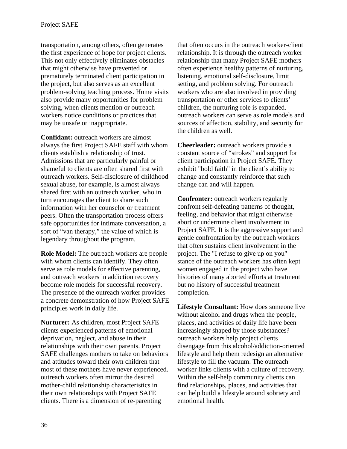transportation, among others, often generates the first experience of hope for project clients. This not only effectively eliminates obstacles that might otherwise have prevented or prematurely terminated client participation in the project, but also serves as an excellent problem-solving teaching process. Home visits also provide many opportunities for problem solving, when clients mention or outreach workers notice conditions or practices that may be unsafe or inappropriate.

**Confidant:** outreach workers are almost always the first Project SAFE staff with whom clients establish a relationship of trust. Admissions that are particularly painful or shameful to clients are often shared first with outreach workers. Self-disclosure of childhood sexual abuse, for example, is almost always shared first with an outreach worker, who in turn encourages the client to share such information with her counselor or treatment peers. Often the transportation process offers safe opportunities for intimate conversation, a sort of "van therapy," the value of which is legendary throughout the program.

**Role Model:** The outreach workers are people with whom clients can identify. They often serve as role models for effective parenting, and outreach workers in addiction recovery become role models for successful recovery. The presence of the outreach worker provides a concrete demonstration of how Project SAFE principles work in daily life.

**Nurturer:** As children, most Project SAFE clients experienced patterns of emotional deprivation, neglect, and abuse in their relationships with their own parents. Project SAFE challenges mothers to take on behaviors and attitudes toward their own children that most of these mothers have never experienced. outreach workers often mirror the desired mother-child relationship characteristics in their own relationships with Project SAFE clients. There is a dimension of re-parenting

that often occurs in the outreach worker-client relationship. It is through the outreach worker relationship that many Project SAFE mothers often experience healthy patterns of nurturing, listening, emotional self-disclosure, limit setting, and problem solving. For outreach workers who are also involved in providing transportation or other services to clients' children, the nurturing role is expanded. outreach workers can serve as role models and sources of affection, stability, and security for the children as well.

**Cheerleader:** outreach workers provide a constant source of "strokes" and support for client participation in Project SAFE. They exhibit "bold faith" in the client's ability to change and constantly reinforce that such change can and will happen.

**Confronter:** outreach workers regularly confront self-defeating patterns of thought, feeling, and behavior that might otherwise abort or undermine client involvement in Project SAFE. It is the aggressive support and gentle confrontation by the outreach workers that often sustains client involvement in the project. The "I refuse to give up on you" stance of the outreach workers has often kept women engaged in the project who have histories of many aborted efforts at treatment but no history of successful treatment completion.

**Lifestyle Consultant:** How does someone live without alcohol and drugs when the people, places, and activities of daily life have been increasingly shaped by those substances? outreach workers help project clients disengage from this alcohol/addiction-oriented lifestyle and help them redesign an alternative lifestyle to fill the vacuum. The outreach worker links clients with a culture of recovery. Within the self-help community clients can find relationships, places, and activities that can help build a lifestyle around sobriety and emotional health.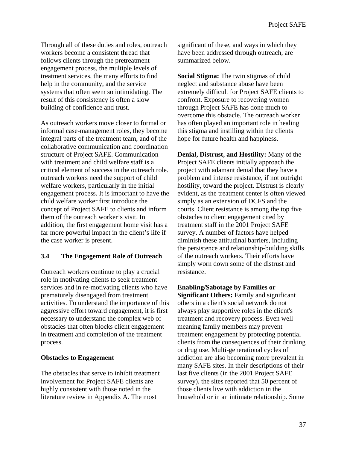Through all of these duties and roles, outreach workers become a consistent thread that follows clients through the pretreatment engagement process, the multiple levels of treatment services, the many efforts to find help in the community, and the service systems that often seem so intimidating. The result of this consistency is often a slow building of confidence and trust.

As outreach workers move closer to formal or informal case-management roles, they become integral parts of the treatment team, and of the collaborative communication and coordination structure of Project SAFE. Communication with treatment and child welfare staff is a critical element of success in the outreach role. outreach workers need the support of child welfare workers, particularly in the initial engagement process. It is important to have the child welfare worker first introduce the concept of Project SAFE to clients and inform them of the outreach worker's visit. In addition, the first engagement home visit has a far more powerful impact in the client's life if the case worker is present.

## **3.4 The Engagement Role of Outreach**

Outreach workers continue to play a crucial role in motivating clients to seek treatment services and in re-motivating clients who have prematurely disengaged from treatment activities. To understand the importance of this aggressive effort toward engagement, it is first necessary to understand the complex web of obstacles that often blocks client engagement in treatment and completion of the treatment process.

#### **Obstacles to Engagement**

The obstacles that serve to inhibit treatment involvement for Project SAFE clients are highly consistent with those noted in the literature review in Appendix A. The most

significant of these, and ways in which they have been addressed through outreach, are summarized below.

**Social Stigma:** The twin stigmas of child neglect and substance abuse have been extremely difficult for Project SAFE clients to confront. Exposure to recovering women through Project SAFE has done much to overcome this obstacle. The outreach worker has often played an important role in healing this stigma and instilling within the clients hope for future health and happiness.

**Denial, Distrust, and Hostility:** Many of the Project SAFE clients initially approach the project with adamant denial that they have a problem and intense resistance, if not outright hostility, toward the project. Distrust is clearly evident, as the treatment center is often viewed simply as an extension of DCFS and the courts. Client resistance is among the top five obstacles to client engagement cited by treatment staff in the 2001 Project SAFE survey. A number of factors have helped diminish these attitudinal barriers, including the persistence and relationship-building skills of the outreach workers. Their efforts have simply worn down some of the distrust and resistance.

**Enabling/Sabotage by Families or Significant Others:** Family and significant others in a client's social network do not always play supportive roles in the client's treatment and recovery process. Even well meaning family members may prevent treatment engagement by protecting potential clients from the consequences of their drinking or drug use. Multi-generational cycles of addiction are also becoming more prevalent in many SAFE sites. In their descriptions of their last five clients (in the 2001 Project SAFE survey), the sites reported that 50 percent of those clients live with addiction in the household or in an intimate relationship. Some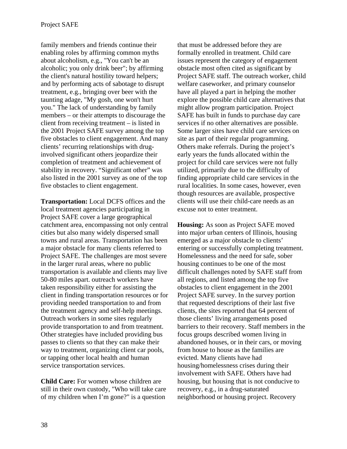family members and friends continue their enabling roles by affirming common myths about alcoholism, e.g., "You can't be an alcoholic; you only drink beer"; by affirming the client's natural hostility toward helpers; and by performing acts of sabotage to disrupt treatment, e.g., bringing over beer with the taunting adage, "My gosh, one won't hurt you." The lack of understanding by family members – or their attempts to discourage the client from receiving treatment – is listed in the 2001 Project SAFE survey among the top five obstacles to client engagement. And many clients' recurring relationships with druginvolved significant others jeopardize their completion of treatment and achievement of stability in recovery. "Significant other" was also listed in the 2001 survey as one of the top five obstacles to client engagement.

**Transportation:** Local DCFS offices and the local treatment agencies participating in Project SAFE cover a large geographical catchment area, encompassing not only central cities but also many widely dispersed small towns and rural areas. Transportation has been a major obstacle for many clients referred to Project SAFE. The challenges are most severe in the larger rural areas, where no public transportation is available and clients may live 50-80 miles apart. outreach workers have taken responsibility either for assisting the client in finding transportation resources or for providing needed transportation to and from the treatment agency and self-help meetings. Outreach workers in some sites regularly provide transportation to and from treatment. Other strategies have included providing bus passes to clients so that they can make their way to treatment, organizing client car pools, or tapping other local health and human service transportation services.

**Child Care:** For women whose children are still in their own custody, "Who will take care of my children when I'm gone?" is a question

that must be addressed before they are formally enrolled in treatment. Child care issues represent the category of engagement obstacle most often cited as significant by Project SAFE staff. The outreach worker, child welfare caseworker, and primary counselor have all played a part in helping the mother explore the possible child care alternatives that might allow program participation. Project SAFE has built in funds to purchase day care services if no other alternatives are possible. Some larger sites have child care services on site as part of their regular programming. Others make referrals. During the project's early years the funds allocated within the project for child care services were not fully utilized, primarily due to the difficulty of finding appropriate child care services in the rural localities. In some cases, however, even though resources are available, prospective clients will use their child-care needs as an excuse not to enter treatment.

**Housing:** As soon as Project SAFE moved into major urban centers of Illinois, housing emerged as a major obstacle to clients' entering or successfully completing treatment. Homelessness and the need for safe, sober housing continues to be one of the most difficult challenges noted by SAFE staff from all regions, and listed among the top five obstacles to client engagement in the 2001 Project SAFE survey. In the survey portion that requested descriptions of their last five clients, the sites reported that 64 percent of those clients' living arrangements posed barriers to their recovery. Staff members in the focus groups described women living in abandoned houses, or in their cars, or moving from house to house as the families are evicted. Many clients have had housing/homelessness crises during their involvement with SAFE. Others have had housing, but housing that is not conducive to recovery, e.g., in a drug-saturated neighborhood or housing project. Recovery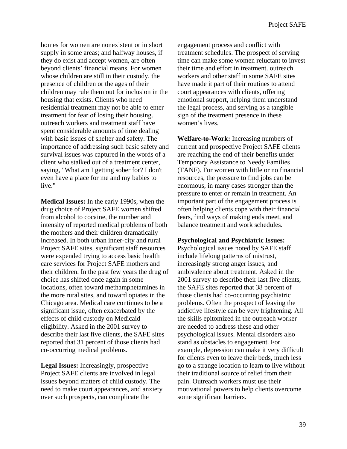homes for women are nonexistent or in short supply in some areas; and halfway houses, if they do exist and accept women, are often beyond clients' financial means. For women whose children are still in their custody, the presence of children or the ages of their children may rule them out for inclusion in the housing that exists. Clients who need residential treatment may not be able to enter treatment for fear of losing their housing. outreach workers and treatment staff have spent considerable amounts of time dealing with basic issues of shelter and safety. The importance of addressing such basic safety and survival issues was captured in the words of a client who stalked out of a treatment center, saying, "What am I getting sober for? I don't even have a place for me and my babies to live."

**Medical Issues:** In the early 1990s, when the drug choice of Project SAFE women shifted from alcohol to cocaine, the number and intensity of reported medical problems of both the mothers and their children dramatically increased. In both urban inner-city and rural Project SAFE sites, significant staff resources were expended trying to access basic health care services for Project SAFE mothers and their children. In the past few years the drug of choice has shifted once again in some locations, often toward methamphetamines in the more rural sites, and toward opiates in the Chicago area. Medical care continues to be a significant issue, often exacerbated by the effects of child custody on Medicaid eligibility. Asked in the 2001 survey to describe their last five clients, the SAFE sites reported that 31 percent of those clients had co-occurring medical problems.

**Legal Issues:** Increasingly, prospective Project SAFE clients are involved in legal issues beyond matters of child custody. The need to make court appearances, and anxiety over such prospects, can complicate the

engagement process and conflict with treatment schedules. The prospect of serving time can make some women reluctant to invest their time and effort in treatment. outreach workers and other staff in some SAFE sites have made it part of their routines to attend court appearances with clients, offering emotional support, helping them understand the legal process, and serving as a tangible sign of the treatment presence in these women's lives.

**Welfare-to-Work:** Increasing numbers of current and prospective Project SAFE clients are reaching the end of their benefits under Temporary Assistance to Needy Families (TANF). For women with little or no financial resources, the pressure to find jobs can be enormous, in many cases stronger than the pressure to enter or remain in treatment. An important part of the engagement process is often helping clients cope with their financial fears, find ways of making ends meet, and balance treatment and work schedules.

#### **Psychological and Psychiatric Issues:**

Psychological issues noted by SAFE staff include lifelong patterns of mistrust, increasingly strong anger issues, and ambivalence about treatment. Asked in the 2001 survey to describe their last five clients, the SAFE sites reported that 38 percent of those clients had co-occurring psychiatric problems. Often the prospect of leaving the addictive lifestyle can be very frightening. All the skills epitomized in the outreach worker are needed to address these and other psychological issues. Mental disorders also stand as obstacles to engagement. For example, depression can make it very difficult for clients even to leave their beds, much less go to a strange location to learn to live without their traditional source of relief from their pain. Outreach workers must use their motivational powers to help clients overcome some significant barriers.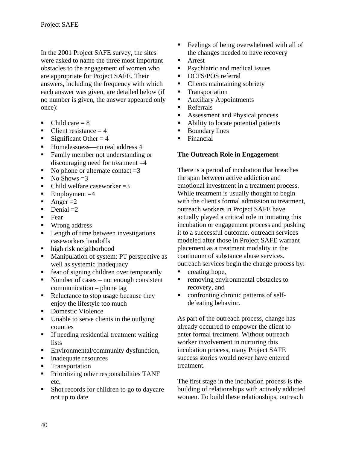In the 2001 Project SAFE survey, the sites were asked to name the three most important obstacles to the engagement of women who are appropriate for Project SAFE. Their answers, including the frequency with which each answer was given, are detailed below (if no number is given, the answer appeared only once):

- Child care  $= 8$
- Client resistance  $= 4$
- Significant Other  $= 4$
- Homelessness-no real address 4
- Family member not understanding or discouraging need for treatment =4
- No phone or alternate contact  $=3$
- $\blacksquare$  No Shows = 3
- Child welfare caseworker  $=3$
- Employment  $=4$
- Anger  $=2$
- $\blacksquare$  Denial  $=2$
- Fear
- Wrong address
- **Length of time between investigations** caseworkers handoffs
- high risk neighborhood
- **Manipulation of system: PT perspective as** well as systemic inadequacy
- fear of signing children over temporarily
- Number of cases not enough consistent communication – phone tag
- Reluctance to stop usage because they enjoy the lifestyle too much
- Domestic Violence
- Unable to serve clients in the outlying counties
- **If needing residential treatment waiting** lists
- Environmental/community dysfunction,
- inadequate resources
- **Transportation**
- **Prioritizing other responsibilities TANF** etc.
- Shot records for children to go to daycare not up to date
- Feelings of being overwhelmed with all of the changes needed to have recovery
- **Arrest**
- **Psychiatric and medical issues**
- DCFS/POS referral
- Clients maintaining sobriety
- **Transportation**
- **Auxiliary Appointments**
- **Referrals**
- Assessment and Physical process
- Ability to locate potential patients
- **Boundary lines**
- Financial

#### **The Outreach Role in Engagement**

There is a period of incubation that breaches the span between active addiction and emotional investment in a treatment process. While treatment is usually thought to begin with the client's formal admission to treatment, outreach workers in Project SAFE have actually played a critical role in initiating this incubation or engagement process and pushing it to a successful outcome. outreach services modeled after those in Project SAFE warrant placement as a treatment modality in the continuum of substance abuse services. outreach services begin the change process by:

- **•** creating hope,
- **•** removing environmental obstacles to recovery, and
- confronting chronic patterns of selfdefeating behavior.

As part of the outreach process, change has already occurred to empower the client to enter formal treatment. Without outreach worker involvement in nurturing this incubation process, many Project SAFE success stories would never have entered treatment.

The first stage in the incubation process is the building of relationships with actively addicted women. To build these relationships, outreach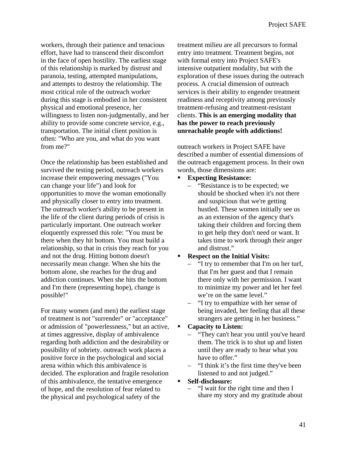workers, through their patience and tenacious effort, have had to transcend their discomfort in the face of open hostility. The earliest stage of this relationship is marked by distrust and paranoia, testing, attempted manipulations, and attempts to destroy the relationship. The most critical role of the outreach worker during this stage is embodied in her consistent physical and emotional presence, her willingness to listen non-judgmentally, and her ability to provide some concrete service, e.g., transportation. The initial client position is often: "Who are you, and what do you want from me?"

Once the relationship has been established and survived the testing period, outreach workers increase their empowering messages ("You can change your life") and look for opportunities to move the woman emotionally and physically closer to entry into treatment. The outreach worker's ability to be present in the life of the client during periods of crisis is particularly important. One outreach worker eloquently expressed this role: "You must be there when they hit bottom. You must build a relationship, so that in crisis they reach for you and not the drug. Hitting bottom doesn't necessarily mean change. When she hits the bottom alone, she reaches for the drug and addiction continues. When she hits the bottom and I'm there (representing hope), change is possible!"

For many women (and men) the earliest stage of treatment is not "surrender" or "acceptance" or admission of "powerlessness," but an active, at times aggressive, display of ambivalence regarding both addiction and the desirability or possibility of sobriety. outreach work places a positive force in the psychological and social arena within which this ambivalence is decided. The exploration and fragile resolution of this ambivalence, the tentative emergence of hope, and the resolution of fear related to the physical and psychological safety of the

treatment milieu are all precursors to formal entry into treatment. Treatment begins, not with formal entry into Project SAFE's intensive outpatient modality, but with the exploration of these issues during the outreach process. A crucial dimension of outreach services is their ability to engender treatment readiness and receptivity among previously treatment-refusing and treatment-resistant clients. **This is an emerging modality that has the power to reach previously unreachable people with addictions!** 

outreach workers in Project SAFE have described a number of essential dimensions of the outreach engagement process. In their own words, those dimensions are:

- **Expecting Resistance:**
	- "Resistance is to be expected; we should be shocked when it's not there and suspicious that we're getting hustled. These women initially see us as an extension of the agency that's taking their children and forcing them to get help they don't need or want. It takes time to work through their anger and distrust."
- **Respect on the Initial Visits:**
	- "I try to remember that I'm on her turf, that I'm her guest and that I remain there only with her permission. I want to minimize my power and let her feel we're on the same level."
	- "I try to empathize with her sense of being invaded, her feeling that all these strangers are getting in her business."
- **Capacity to Listen:**
	- "They can't hear you until you've heard them. The trick is to shut up and listen until they are ready to hear what you have to offer."
	- "I think it's the first time they've been listened to and not judged."

#### **Self-disclosure:**

"I wait for the right time and then I share my story and my gratitude about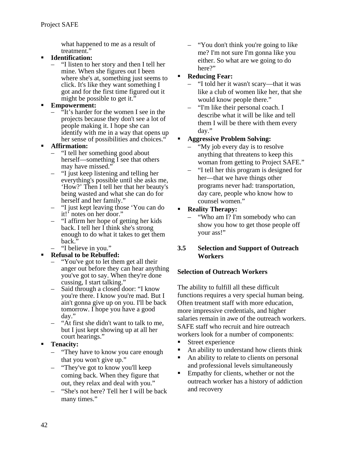what happened to me as a result of treatment."

# **Identification:**

- "I listen to her story and then I tell her mine. When she figures out I been where she's at, something just seems to click. It's like they want something I got and for the first time figured out it might be possible to get it." **Empowerment:**
- - $\frac{1}{2}$  it's harder for the women I see in the projects because they don't see a lot of people making it. I hope she can identify with me in a way that opens up her sense of possibilities and choices." **Affirmation:**

- "I tell her something good about herself—something I see that others may have missed."
- "I just keep listening and telling her everything's possible until she asks me, 'How?' Then I tell her that her beauty's being wasted and what she can do for herself and her family."
- "I just kept leaving those 'You can do it!' notes on her door."
- "I affirm her hope of getting her kids back. I tell her I think she's strong enough to do what it takes to get them back."
- "I believe in you."
- **Refusal to be Rebuffed:**
	- "You've got to let them get all their anger out before they can hear anything you've got to say. When they're done cussing, I start talking."
	- Said through a closed door: "I know you're there. I know you're mad. But I ain't gonna give up on you. I'll be back tomorrow. I hope you have a good day."<br>"At first she didn't want to talk to me,
	- but I just kept showing up at all her court hearings."
- **Tenacity:**
	- "They have to know you care enough that you won't give up."
	- "They've got to know you'll keep coming back. When they figure that out, they relax and deal with you."
	- "She's not here? Tell her I will be back many times."

– "You don't think you're going to like me? I'm not sure I'm gonna like you either. So what are we going to do here?"

# **Reducing Fear:**

- "I told her it wasn't scary—that it was like a club of women like her, that she would know people there."
- "I'm like their personal coach. I describe what it will be like and tell them I will be there with them every day."

# **Aggressive Problem Solving:**

- "My job every day is to resolve" anything that threatens to keep this woman from getting to Project SAFE."
- "I tell her this program is designed for her—that we have things other programs never had: transportation, day care, people who know how to counsel women."

# **Reality Therapy:**

– "Who am I? I'm somebody who can show you how to get those people off your ass!"

# **3.5 Selection and Support of Outreach Workers**

# **Selection of Outreach Workers**

The ability to fulfill all these difficult functions requires a very special human being. Often treatment staff with more education, more impressive credentials, and higher salaries remain in awe of the outreach workers. SAFE staff who recruit and hire outreach workers look for a number of components:

- Street experience
- An ability to understand how clients think
- An ability to relate to clients on personal and professional levels simultaneously
- **Empathy for clients, whether or not the** outreach worker has a history of addiction and recovery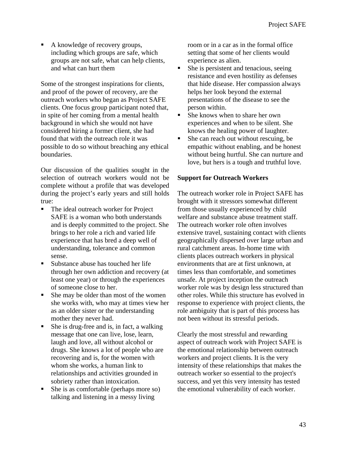A knowledge of recovery groups, including which groups are safe, which groups are not safe, what can help clients, and what can hurt them

Some of the strongest inspirations for clients, and proof of the power of recovery, are the outreach workers who began as Project SAFE clients. One focus group participant noted that, in spite of her coming from a mental health background in which she would not have considered hiring a former client, she had found that with the outreach role it was possible to do so without breaching any ethical boundaries.

Our discussion of the qualities sought in the selection of outreach workers would not be complete without a profile that was developed during the project's early years and still holds true:

- The ideal outreach worker for Project SAFE is a woman who both understands and is deeply committed to the project. She brings to her role a rich and varied life experience that has bred a deep well of understanding, tolerance and common sense.
- Substance abuse has touched her life through her own addiction and recovery (at least one year) or through the experiences of someone close to her.
- She may be older than most of the women she works with, who may at times view her as an older sister or the understanding mother they never had.
- She is drug-free and is, in fact, a walking message that one can live, lose, learn, laugh and love, all without alcohol or drugs. She knows a lot of people who are recovering and is, for the women with whom she works, a human link to relationships and activities grounded in sobriety rather than intoxication.
- She is as comfortable (perhaps more so) talking and listening in a messy living

room or in a car as in the formal office setting that some of her clients would experience as alien.

- She is persistent and tenacious, seeing resistance and even hostility as defenses that hide disease. Her compassion always helps her look beyond the external presentations of the disease to see the person within.
- She knows when to share her own experiences and when to be silent. She knows the healing power of laughter.
- She can reach out without rescuing, be empathic without enabling, and be honest without being hurtful. She can nurture and love, but hers is a tough and truthful love.

## **Support for Outreach Workers**

The outreach worker role in Project SAFE has brought with it stressors somewhat different from those usually experienced by child welfare and substance abuse treatment staff. The outreach worker role often involves extensive travel, sustaining contact with clients geographically dispersed over large urban and rural catchment areas. In-home time with clients places outreach workers in physical environments that are at first unknown, at times less than comfortable, and sometimes unsafe. At project inception the outreach worker role was by design less structured than other roles. While this structure has evolved in response to experience with project clients, the role ambiguity that is part of this process has not been without its stressful periods.

Clearly the most stressful and rewarding aspect of outreach work with Project SAFE is the emotional relationship between outreach workers and project clients. It is the very intensity of these relationships that makes the outreach worker so essential to the project's success, and yet this very intensity has tested the emotional vulnerability of each worker.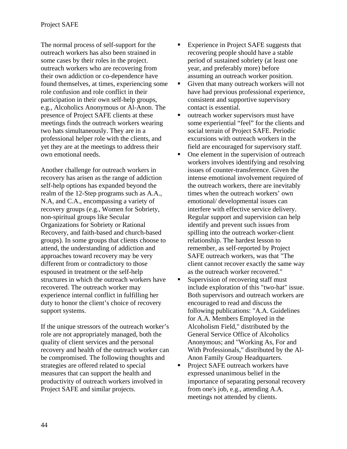The normal process of self-support for the outreach workers has also been strained in some cases by their roles in the project. outreach workers who are recovering from their own addiction or co-dependence have found themselves, at times, experiencing some role confusion and role conflict in their participation in their own self-help groups, e.g., Alcoholics Anonymous or Al-Anon. The presence of Project SAFE clients at these meetings finds the outreach workers wearing two hats simultaneously. They are in a professional helper role with the clients, and yet they are at the meetings to address their own emotional needs.

Another challenge for outreach workers in recovery has arisen as the range of addiction self-help options has expanded beyond the realm of the 12-Step programs such as A.A., N.A, and C.A., encompassing a variety of recovery groups (e.g., Women for Sobriety, non-spiritual groups like Secular Organizations for Sobriety or Rational Recovery, and faith-based and church-based groups). In some groups that clients choose to attend, the understanding of addiction and approaches toward recovery may be very different from or contradictory to those espoused in treatment or the self-help structures in which the outreach workers have recovered. The outreach worker may experience internal conflict in fulfilling her duty to honor the client's choice of recovery support systems.

If the unique stressors of the outreach worker's role are not appropriately managed, both the quality of client services and the personal recovery and health of the outreach worker can be compromised. The following thoughts and strategies are offered related to special measures that can support the health and productivity of outreach workers involved in Project SAFE and similar projects.

- Experience in Project SAFE suggests that recovering people should have a stable period of sustained sobriety (at least one year, and preferably more) before assuming an outreach worker position.
- Given that many outreach workers will not have had previous professional experience, consistent and supportive supervisory contact is essential.
- **u** outreach worker supervisors must have some experiential "feel" for the clients and social terrain of Project SAFE. Periodic excursions with outreach workers in the field are encouraged for supervisory staff.
- One element in the supervision of outreach workers involves identifying and resolving issues of counter-transference. Given the intense emotional involvement required of the outreach workers, there are inevitably times when the outreach workers' own emotional/ developmental issues can interfere with effective service delivery. Regular support and supervision can help identify and prevent such issues from spilling into the outreach worker-client relationship. The hardest lesson to remember, as self-reported by Project SAFE outreach workers, was that "The client cannot recover exactly the same way as the outreach worker recovered."
- Supervision of recovering staff must include exploration of this "two-hat" issue. Both supervisors and outreach workers are encouraged to read and discuss the following publications: "A.A. Guidelines for A.A. Members Employed in the Alcoholism Field," distributed by the General Service Office of Alcoholics Anonymous; and "Working As, For and With Professionals," distributed by the Al-Anon Family Group Headquarters.
- **Project SAFE outreach workers have** expressed unanimous belief in the importance of separating personal recovery from one's job, e.g., attending A.A. meetings not attended by clients.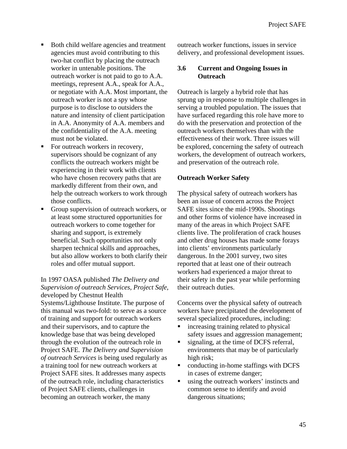- Both child welfare agencies and treatment agencies must avoid contributing to this two-hat conflict by placing the outreach worker in untenable positions. The outreach worker is not paid to go to A.A. meetings, represent A.A., speak for A.A., or negotiate with A.A. Most important, the outreach worker is not a spy whose purpose is to disclose to outsiders the nature and intensity of client participation in A.A. Anonymity of A.A. members and the confidentiality of the A.A. meeting must not be violated.
- For outreach workers in recovery, supervisors should be cognizant of any conflicts the outreach workers might be experiencing in their work with clients who have chosen recovery paths that are markedly different from their own, and help the outreach workers to work through those conflicts.
- Group supervision of outreach workers, or at least some structured opportunities for outreach workers to come together for sharing and support, is extremely beneficial. Such opportunities not only sharpen technical skills and approaches, but also allow workers to both clarify their roles and offer mutual support.

# In 1997 OASA published *The Delivery and Supervision of outreach Services, Project Safe*,

developed by Chestnut Health Systems/Lighthouse Institute. The purpose of this manual was two-fold: to serve as a source of training and support for outreach workers and their supervisors, and to capture the knowledge base that was being developed through the evolution of the outreach role in Project SAFE. *The Delivery and Supervision of outreach Services* is being used regularly as a training tool for new outreach workers at Project SAFE sites. It addresses many aspects of the outreach role, including characteristics of Project SAFE clients, challenges in becoming an outreach worker, the many

outreach worker functions, issues in service delivery, and professional development issues.

#### **3.6 Current and Ongoing Issues in Outreach**

Outreach is largely a hybrid role that has sprung up in response to multiple challenges in serving a troubled population. The issues that have surfaced regarding this role have more to do with the preservation and protection of the outreach workers themselves than with the effectiveness of their work. Three issues will be explored, concerning the safety of outreach workers, the development of outreach workers, and preservation of the outreach role.

## **Outreach Worker Safety**

The physical safety of outreach workers has been an issue of concern across the Project SAFE sites since the mid-1990s. Shootings and other forms of violence have increased in many of the areas in which Project SAFE clients live. The proliferation of crack houses and other drug houses has made some forays into clients' environments particularly dangerous. In the 2001 survey, two sites reported that at least one of their outreach workers had experienced a major threat to their safety in the past year while performing their outreach duties.

Concerns over the physical safety of outreach workers have precipitated the development of several specialized procedures, including:

- increasing training related to physical safety issues and aggression management;
- signaling, at the time of DCFS referral, environments that may be of particularly high risk;
- conducting in-home staffings with DCFS in cases of extreme danger;
- using the outreach workers' instincts and common sense to identify and avoid dangerous situations;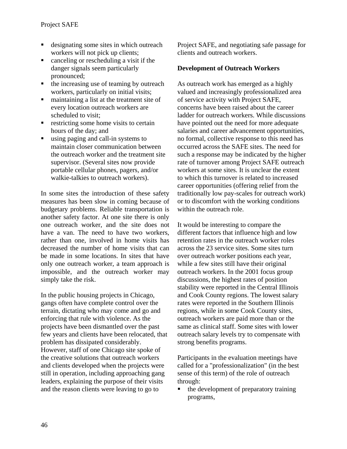- designating some sites in which outreach workers will not pick up clients;
- canceling or rescheduling a visit if the danger signals seem particularly pronounced;
- the increasing use of teaming by outreach workers, particularly on initial visits;
- maintaining a list at the treatment site of every location outreach workers are scheduled to visit;
- restricting some home visits to certain hours of the day; and
- using paging and call-in systems to maintain closer communication between the outreach worker and the treatment site supervisor. (Several sites now provide portable cellular phones, pagers, and/or walkie-talkies to outreach workers).

In some sites the introduction of these safety measures has been slow in coming because of budgetary problems. Reliable transportation is another safety factor. At one site there is only one outreach worker, and the site does not have a van. The need to have two workers, rather than one, involved in home visits has decreased the number of home visits that can be made in some locations. In sites that have only one outreach worker, a team approach is impossible, and the outreach worker may simply take the risk.

In the public housing projects in Chicago, gangs often have complete control over the terrain, dictating who may come and go and enforcing that rule with violence. As the projects have been dismantled over the past few years and clients have been relocated, that problem has dissipated considerably. However, staff of one Chicago site spoke of the creative solutions that outreach workers and clients developed when the projects were still in operation, including approaching gang leaders, explaining the purpose of their visits and the reason clients were leaving to go to

Project SAFE, and negotiating safe passage for clients and outreach workers.

## **Development of Outreach Workers**

As outreach work has emerged as a highly valued and increasingly professionalized area of service activity with Project SAFE, concerns have been raised about the career ladder for outreach workers. While discussions have pointed out the need for more adequate salaries and career advancement opportunities, no formal, collective response to this need has occurred across the SAFE sites. The need for such a response may be indicated by the higher rate of turnover among Project SAFE outreach workers at some sites. It is unclear the extent to which this turnover is related to increased career opportunities (offering relief from the traditionally low pay-scales for outreach work) or to discomfort with the working conditions within the outreach role.

It would be interesting to compare the different factors that influence high and low retention rates in the outreach worker roles across the 23 service sites. Some sites turn over outreach worker positions each year, while a few sites still have their original outreach workers. In the 2001 focus group discussions, the highest rates of position stability were reported in the Central Illinois and Cook County regions. The lowest salary rates were reported in the Southern Illinois regions, while in some Cook County sites, outreach workers are paid more than or the same as clinical staff. Some sites with lower outreach salary levels try to compensate with strong benefits programs.

Participants in the evaluation meetings have called for a "professionalization" (in the best sense of this term) of the role of outreach through:

• the development of preparatory training programs,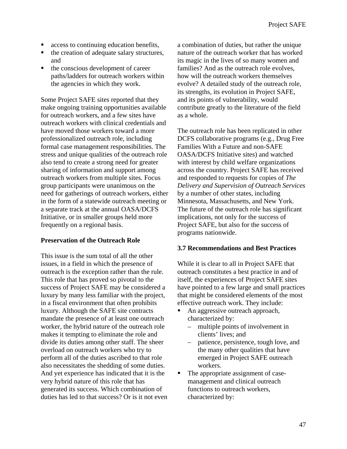- access to continuing education benefits,
- the creation of adequate salary structures, and
- the conscious development of career paths/ladders for outreach workers within the agencies in which they work.

Some Project SAFE sites reported that they make ongoing training opportunities available for outreach workers, and a few sites have outreach workers with clinical credentials and have moved those workers toward a more professionalized outreach role, including formal case management responsibilities. The stress and unique qualities of the outreach role also tend to create a strong need for greater sharing of information and support among outreach workers from multiple sites. Focus group participants were unanimous on the need for gatherings of outreach workers, either in the form of a statewide outreach meeting or a separate track at the annual OASA/DCFS Initiative, or in smaller groups held more frequently on a regional basis.

## **Preservation of the Outreach Role**

This issue is the sum total of all the other issues, in a field in which the presence of outreach is the exception rather than the rule. This role that has proved so pivotal to the success of Project SAFE may be considered a luxury by many less familiar with the project, in a fiscal environment that often prohibits luxury. Although the SAFE site contracts mandate the presence of at least one outreach worker, the hybrid nature of the outreach role makes it tempting to eliminate the role and divide its duties among other staff. The sheer overload on outreach workers who try to perform all of the duties ascribed to that role also necessitates the shedding of some duties. And yet experience has indicated that it is the very hybrid nature of this role that has generated its success. Which combination of duties has led to that success? Or is it not even a combination of duties, but rather the unique nature of the outreach worker that has worked its magic in the lives of so many women and families? And as the outreach role evolves, how will the outreach workers themselves evolve? A detailed study of the outreach role, its strengths, its evolution in Project SAFE, and its points of vulnerability, would contribute greatly to the literature of the field as a whole.

The outreach role has been replicated in other DCFS collaborative programs (e.g., Drug Free Families With a Future and non-SAFE OASA/DCFS Initiative sites) and watched with interest by child welfare organizations across the country. Project SAFE has received and responded to requests for copies of *The Delivery and Supervision of Outreach Services* by a number of other states, including Minnesota, Massachusetts, and New York. The future of the outreach role has significant implications, not only for the success of Project SAFE, but also for the success of programs nationwide.

#### **3.7 Recommendations and Best Practices**

While it is clear to all in Project SAFE that outreach constitutes a best practice in and of itself, the experiences of Project SAFE sites have pointed to a few large and small practices that might be considered elements of the most effective outreach work. They include:

- An aggressive outreach approach, characterized by:
	- multiple points of involvement in clients' lives; and
	- patience, persistence, tough love, and the many other qualities that have emerged in Project SAFE outreach workers.
- The appropriate assignment of casemanagement and clinical outreach functions to outreach workers, characterized by: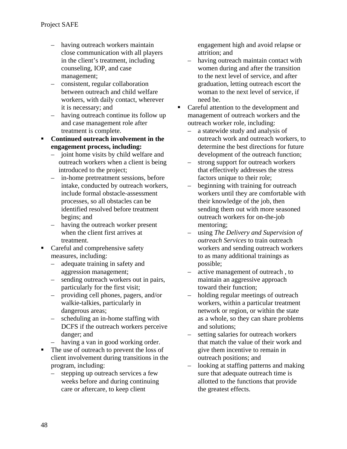- having outreach workers maintain close communication with all players in the client's treatment, including counseling, IOP, and case management;
- consistent, regular collaboration between outreach and child welfare workers, with daily contact, wherever it is necessary; and
- having outreach continue its follow up and case management role after treatment is complete.
- **Continued outreach involvement in the engagement process, including:** 
	- joint home visits by child welfare and outreach workers when a client is being introduced to the project;
	- in-home pretreatment sessions, before intake, conducted by outreach workers, include formal obstacle-assessment processes, so all obstacles can be identified resolved before treatment begins; and
	- having the outreach worker present when the client first arrives at treatment.
- Careful and comprehensive safety measures, including:
	- adequate training in safety and aggression management;
	- sending outreach workers out in pairs, particularly for the first visit;
	- providing cell phones, pagers, and/or walkie-talkies, particularly in dangerous areas;
	- scheduling an in-home staffing with DCFS if the outreach workers perceive danger; and
	- having a van in good working order.
- The use of outreach to prevent the loss of client involvement during transitions in the program, including:
	- stepping up outreach services a few weeks before and during continuing care or aftercare, to keep client

engagement high and avoid relapse or attrition; and

- having outreach maintain contact with women during and after the transition to the next level of service, and after graduation, letting outreach escort the woman to the next level of service, if need be.
- Careful attention to the development and management of outreach workers and the outreach worker role, including:
	- a statewide study and analysis of outreach work and outreach workers, to determine the best directions for future development of the outreach function;
	- strong support for outreach workers that effectively addresses the stress factors unique to their role;
	- beginning with training for outreach workers until they are comfortable with their knowledge of the job, then sending them out with more seasoned outreach workers for on-the-job mentoring;
	- using *The Delivery and Supervision of outreach Services* to train outreach workers and sending outreach workers to as many additional trainings as possible;
	- active management of outreach , to maintain an aggressive approach toward their function;
	- holding regular meetings of outreach workers, within a particular treatment network or region, or within the state as a whole, so they can share problems and solutions;
	- setting salaries for outreach workers that match the value of their work and give them incentive to remain in outreach positions; and
	- looking at staffing patterns and making sure that adequate outreach time is allotted to the functions that provide the greatest effects.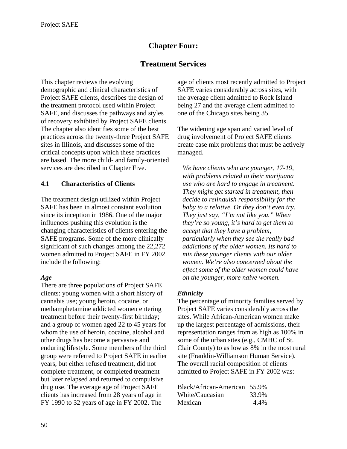# **Chapter Four:**

# **Treatment Services**

This chapter reviews the evolving demographic and clinical characteristics of Project SAFE clients, describes the design of the treatment protocol used within Project SAFE, and discusses the pathways and styles of recovery exhibited by Project SAFE clients. The chapter also identifies some of the best practices across the twenty-three Project SAFE sites in Illinois, and discusses some of the critical concepts upon which these practices are based. The more child- and family-oriented services are described in Chapter Five.

#### **4.1 Characteristics of Clients**

The treatment design utilized within Project SAFE has been in almost constant evolution since its inception in 1986. One of the major influences pushing this evolution is the changing characteristics of clients entering the SAFE programs. Some of the more clinically significant of such changes among the 22,272 women admitted to Project SAFE in FY 2002 include the following:

#### *Age*

There are three populations of Project SAFE clients: young women with a short history of cannabis use; young heroin, cocaine, or methamphetamine addicted women entering treatment before their twenty-first birthday; and a group of women aged 22 to 45 years for whom the use of heroin, cocaine, alcohol and other drugs has become a pervasive and enduring lifestyle. Some members of the third group were referred to Project SAFE in earlier years, but either refused treatment, did not complete treatment, or completed treatment but later relapsed and returned to compulsive drug use. The average age of Project SAFE clients has increased from 28 years of age in FY 1990 to 32 years of age in FY 2002. The

age of clients most recently admitted to Project SAFE varies considerably across sites, with the average client admitted to Rock Island being 27 and the average client admitted to one of the Chicago sites being 35.

The widening age span and varied level of drug involvement of Project SAFE clients create case mix problems that must be actively managed.

*We have clients who are younger, 17-19, with problems related to their marijuana use who are hard to engage in treatment. They might get started in treatment, then decide to relinquish responsibility for the baby to a relative. Or they don't even try. They just say, "I'm not like you." When they're so young, it's hard to get them to accept that they have a problem, particularly when they see the really bad addictions of the older women. Its hard to mix these younger clients with our older women. We're also concerned about the effect some of the older women could have on the younger, more naive women.* 

## *Ethnicity*

The percentage of minority families served by Project SAFE varies considerably across the sites. While African-American women make up the largest percentage of admissions, their representation ranges from as high as 100% in some of the urban sites (e.g., CMHC of St. Clair County) to as low as 8% in the most rural site (Franklin-Williamson Human Service). The overall racial composition of clients admitted to Project SAFE in FY 2002 was:

Black/African-American 55.9% White/Caucasian 33.9% Mexican 4.4%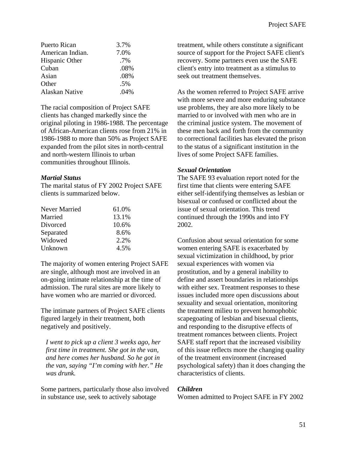| <b>Puerto Rican</b> | 3.7% |
|---------------------|------|
| American Indian.    | 7.0% |
| Hispanic Other      | .7%  |
| Cuban               | .08% |
| Asian               | .08% |
| Other               | .5%  |
| Alaskan Native      | .04% |

The racial composition of Project SAFE clients has changed markedly since the original piloting in 1986-1988. The percentage of African-American clients rose from 21% in 1986-1988 to more than 50% as Project SAFE expanded from the pilot sites in north-central and north-western Illinois to urban communities throughout Illinois.

#### *Martial Status*

The marital status of FY 2002 Project SAFE clients is summarized below.

| Never Married | 61.0% |
|---------------|-------|
| Married       | 13.1% |
| Divorced      | 10.6% |
| Separated     | 8.6%  |
| Widowed       | 2.2%  |
| Unknown       | 4.5%  |

The majority of women entering Project SAFE are single, although most are involved in an on-going intimate relationship at the time of admission. The rural sites are more likely to have women who are married or divorced.

The intimate partners of Project SAFE clients figured largely in their treatment, both negatively and positively.

*I went to pick up a client 3 weeks ago, her first time in treatment. She got in the van, and here comes her husband. So he got in the van, saying "I'm coming with her." He was drunk.* 

Some partners, particularly those also involved in substance use, seek to actively sabotage

treatment, while others constitute a significant source of support for the Project SAFE client's recovery. Some partners even use the SAFE client's entry into treatment as a stimulus to seek out treatment themselves.

As the women referred to Project SAFE arrive with more severe and more enduring substance use problems, they are also more likely to be married to or involved with men who are in the criminal justice system. The movement of these men back and forth from the community to correctional facilities has elevated the prison to the status of a significant institution in the lives of some Project SAFE families.

#### *Sexual Orientation*

The SAFE 93 evaluation report noted for the first time that clients were entering SAFE either self-identifying themselves as lesbian or bisexual or confused or conflicted about the issue of sexual orientation. This trend continued through the 1990s and into FY 2002.

Confusion about sexual orientation for some women entering SAFE is exacerbated by sexual victimization in childhood, by prior sexual experiences with women via prostitution, and by a general inability to define and assert boundaries in relationships with either sex. Treatment responses to these issues included more open discussions about sexuality and sexual orientation, monitoring the treatment milieu to prevent homophobic scapegoating of lesbian and bisexual clients, and responding to the disruptive effects of treatment romances between clients. Project SAFE staff report that the increased visibility of this issue reflects more the changing quality of the treatment environment (increased psychological safety) than it does changing the characteristics of clients.

## *Children*

Women admitted to Project SAFE in FY 2002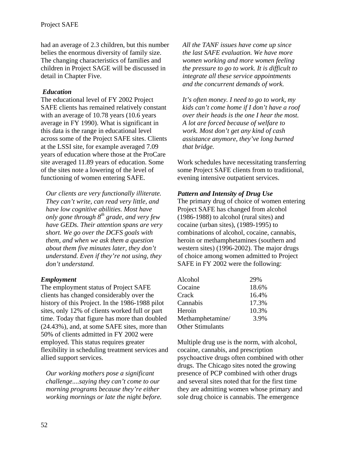had an average of 2.3 children, but this number belies the enormous diversity of family size. The changing characteristics of families and children in Project SAGE will be discussed in detail in Chapter Five.

#### *Education*

The educational level of FY 2002 Project SAFE clients has remained relatively constant with an average of 10.78 years (10.6 years) average in FY 1990). What is significant in this data is the range in educational level across some of the Project SAFE sites. Clients at the LSSI site, for example averaged 7.09 years of education where those at the ProCare site averaged 11.89 years of education. Some of the sites note a lowering of the level of functioning of women entering SAFE.

*Our clients are very functionally illiterate. They can't write, can read very little, and have low cognitive abilities. Most have only gone through 8th grade, and very few have GEDs. Their attention spans are very short. We go over the DCFS goals with them, and when we ask them a question about them five minutes later, they don't understand. Even if they're not using, they don't understand.* 

#### *Employment*

The employment status of Project SAFE clients has changed considerably over the history of this Project. In the 1986-1988 pilot sites, only 12% of clients worked full or part time. Today that figure has more than doubled (24.43%), and, at some SAFE sites, more than 50% of clients admitted in FY 2002 were employed. This status requires greater flexibility in scheduling treatment services and allied support services.

*Our working mothers pose a significant challenge....saying they can't come to our morning programs because they're either working mornings or late the night before.*  *All the TANF issues have come up since the last SAFE evaluation. We have more women working and more women feeling the pressure to go to work. It is difficult to integrate all these service appointments and the concurrent demands of work.* 

*It's often money. I need to go to work, my kids can't come home if I don't have a roof over their heads is the one I hear the most. A lot are forced because of welfare to work. Most don't get any kind of cash assistance anymore, they've long burned that bridge.*

Work schedules have necessitating transferring some Project SAFE clients from to traditional, evening intensive outpatient services.

#### *Pattern and Intensity of Drug Use*

The primary drug of choice of women entering Project SAFE has changed from alcohol (1986-1988) to alcohol (rural sites) and cocaine (urban sites), (1989-1995) to combinations of alcohol, cocaine, cannabis, heroin or methamphetamines (southern and western sites) (1996-2002). The major drugs of choice among women admitted to Project SAFE in FY 2002 were the following:

| Alcohol                 | 29%   |
|-------------------------|-------|
| Cocaine                 | 18.6% |
| Crack                   | 16.4% |
| Cannabis                | 17.3% |
| Heroin                  | 10.3% |
| Methamphetamine/        | 3.9%  |
| <b>Other Stimulants</b> |       |

Multiple drug use is the norm, with alcohol, cocaine, cannabis, and prescription psychoactive drugs often combined with other drugs. The Chicago sites noted the growing presence of PCP combined with other drugs and several sites noted that for the first time they are admitting women whose primary and sole drug choice is cannabis. The emergence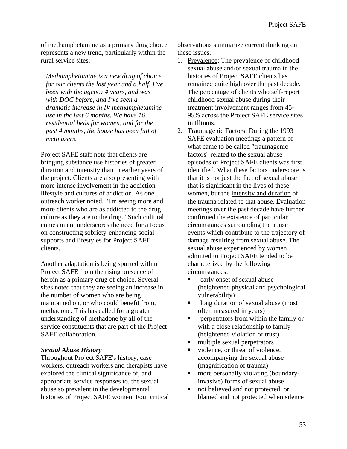of methamphetamine as a primary drug choice represents a new trend, particularly within the rural service sites.

*Methamphetamine is a new drug of choice for our clients the last year and a half. I've been with the agency 4 years, and was with DOC before, and I've seen a dramatic increase in IV methamphetamine use in the last 6 months. We have 16 residential beds for women, and for the past 4 months, the house has been full of meth users.*

Project SAFE staff note that clients are bringing substance use histories of greater duration and intensity than in earlier years of the project. Clients are also presenting with more intense involvement in the addiction lifestyle and cultures of addiction. As one outreach worker noted, "I'm seeing more and more clients who are as addicted to the drug culture as they are to the drug." Such cultural enmeshment underscores the need for a focus on constructing sobriety-enhancing social supports and lifestyles for Project SAFE clients.

Another adaptation is being spurred within Project SAFE from the rising presence of heroin as a primary drug of choice. Several sites noted that they are seeing an increase in the number of women who are being maintained on, or who could benefit from, methadone. This has called for a greater understanding of methadone by all of the service constituents that are part of the Project SAFE collaboration.

## *Sexual Abuse History*

Throughout Project SAFE's history, case workers, outreach workers and therapists have explored the clinical significance of, and appropriate service responses to, the sexual abuse so prevalent in the developmental histories of Project SAFE women. Four critical observations summarize current thinking on these issues.

- 1. Prevalence: The prevalence of childhood sexual abuse and/or sexual trauma in the histories of Project SAFE clients has remained quite high over the past decade. The percentage of clients who self-report childhood sexual abuse during their treatment involvement ranges from 45- 95% across the Project SAFE service sites in Illinois.
- 2. Traumagenic Factors: During the 1993 SAFE evaluation meetings a pattern of what came to be called "traumagenic factors" related to the sexual abuse episodes of Project SAFE clients was first identified. What these factors underscore is that it is not just the fact of sexual abuse that is significant in the lives of these women, but the intensity and duration of the trauma related to that abuse. Evaluation meetings over the past decade have further confirmed the existence of particular circumstances surrounding the abuse events which contribute to the trajectory of damage resulting from sexual abuse. The sexual abuse experienced by women admitted to Project SAFE tended to be characterized by the following circumstances:
	- early onset of sexual abuse (heightened physical and psychological vulnerability)
	- long duration of sexual abuse (most often measured in years)
	- perpetrators from within the family or with a close relationship to family (heightened violation of trust)
	- multiple sexual perpetrators
	- violence, or threat of violence, accompanying the sexual abuse (magnification of trauma)
	- more personally violating (boundaryinvasive) forms of sexual abuse
	- not believed and not protected, or blamed and not protected when silence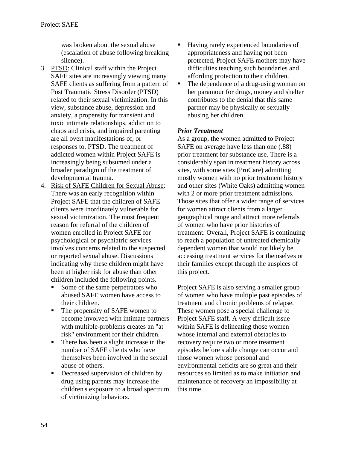was broken about the sexual abuse (escalation of abuse following breaking silence).

- 3. PTSD: Clinical staff within the Project SAFE sites are increasingly viewing many SAFE clients as suffering from a pattern of Post Traumatic Stress Disorder (PTSD) related to their sexual victimization. In this view, substance abuse, depression and anxiety, a propensity for transient and toxic intimate relationships, addiction to chaos and crisis, and impaired parenting are all overt manifestations of, or responses to, PTSD. The treatment of addicted women within Project SAFE is increasingly being subsumed under a broader paradigm of the treatment of developmental trauma.
- 4. Risk of SAFE Children for Sexual Abuse: There was an early recognition within Project SAFE that the children of SAFE clients were inordinately vulnerable for sexual victimization. The most frequent reason for referral of the children of women enrolled in Project SAFE for psychological or psychiatric services involves concerns related to the suspected or reported sexual abuse. Discussions indicating why these children might have been at higher risk for abuse than other children included the following points.
	- Some of the same perpetrators who abused SAFE women have access to their children.
	- The propensity of SAFE women to become involved with intimate partners with multiple-problems creates an "at risk" environment for their children.
	- There has been a slight increase in the number of SAFE clients who have themselves been involved in the sexual abuse of others.
	- Decreased supervision of children by drug using parents may increase the children's exposure to a broad spectrum of victimizing behaviors.
- Having rarely experienced boundaries of appropriateness and having not been protected, Project SAFE mothers may have difficulties teaching such boundaries and affording protection to their children.
- The dependence of a drug-using woman on her paramour for drugs, money and shelter contributes to the denial that this same partner may be physically or sexually abusing her children.

## *Prior Treatment*

As a group, the women admitted to Project SAFE on average have less than one (.88) prior treatment for substance use. There is a considerably span in treatment history across sites, with some sites (ProCare) admitting mostly women with no prior treatment history and other sites (White Oaks) admitting women with 2 or more prior treatment admissions. Those sites that offer a wider range of services for women attract clients from a larger geographical range and attract more referrals of women who have prior histories of treatment. Overall, Project SAFE is continuing to reach a population of untreated chemically dependent women that would not likely be accessing treatment services for themselves or their families except through the auspices of this project.

Project SAFE is also serving a smaller group of women who have multiple past episodes of treatment and chronic problems of relapse. These women pose a special challenge to Project SAFE staff. A very difficult issue within SAFE is delineating those women whose internal and external obstacles to recovery require two or more treatment episodes before stable change can occur and those women whose personal and environmental deficits are so great and their resources so limited as to make initiation and maintenance of recovery an impossibility at this time.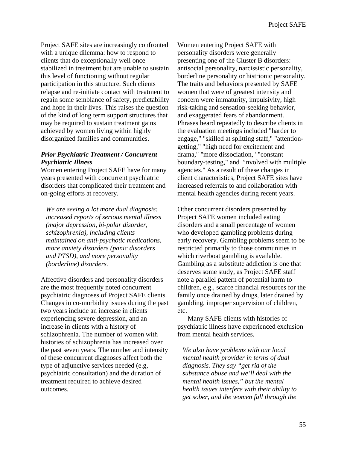Project SAFE sites are increasingly confronted with a unique dilemma: how to respond to clients that do exceptionally well once stabilized in treatment but are unable to sustain this level of functioning without regular participation in this structure. Such clients relapse and re-initiate contact with treatment to regain some semblance of safety, predictability and hope in their lives. This raises the question of the kind of long term support structures that may be required to sustain treatment gains achieved by women living within highly disorganized families and communities.

#### *Prior Psychiatric Treatment / Concurrent Psychiatric Illness*

Women entering Project SAFE have for many years presented with concurrent psychiatric disorders that complicated their treatment and on-going efforts at recovery.

*We are seeing a lot more dual diagnosis: increased reports of serious mental illness (major depression, bi-polar disorder, schizophrenia), including clients maintained on anti-psychotic medications, more anxiety disorders (panic disorders and PTSD), and more personality (borderline) disorders.* 

Affective disorders and personality disorders are the most frequently noted concurrent psychiatric diagnoses of Project SAFE clients. Changes in co-morbidity issues during the past two years include an increase in clients experiencing severe depression, and an increase in clients with a history of schizophrenia. The number of women with histories of schizophrenia has increased over the past seven years. The number and intensity of these concurrent diagnoses affect both the type of adjunctive services needed (e.g, psychiatric consultation) and the duration of treatment required to achieve desired outcomes.

Women entering Project SAFE with personality disorders were generally presenting one of the Cluster B disorders: antisocial personality, narcissistic personality, borderline personality or histrionic personality. The traits and behaviors presented by SAFE women that were of greatest intensity and concern were immaturity, impulsivity, high risk-taking and sensation-seeking behavior, and exaggerated fears of abandonment. Phrases heard repeatedly to describe clients in the evaluation meetings included "harder to engage," "skilled at splitting staff," "attentiongetting," "high need for excitement and drama," "more dissociation," "constant boundary-testing," and "involved with multiple agencies." As a result of these changes in client characteristics, Project SAFE sites have increased referrals to and collaboration with mental health agencies during recent years.

Other concurrent disorders presented by Project SAFE women included eating disorders and a small percentage of women who developed gambling problems during early recovery. Gambling problems seem to be restricted primarily to those communities in which riverboat gambling is available. Gambling as a substitute addiction is one that deserves some study, as Project SAFE staff note a parallel pattern of potential harm to children, e.g., scarce financial resources for the family once drained by drugs, later drained by gambling, improper supervision of children, etc.

 Many SAFE clients with histories of psychiatric illness have experienced exclusion from mental health services.

*We also have problems with our local mental health provider in terms of dual diagnosis. They say "get rid of the substance abuse and we'll deal with the mental health issues," but the mental health issues interfere with their ability to get sober, and the women fall through the*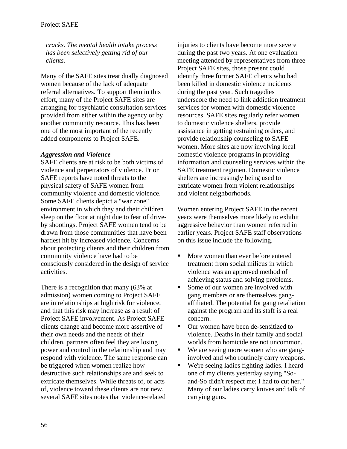*cracks. The mental health intake process has been selectively getting rid of our clients.* 

Many of the SAFE sites treat dually diagnosed women because of the lack of adequate referral alternatives. To support them in this effort, many of the Project SAFE sites are arranging for psychiatric consultation services provided from either within the agency or by another community resource. This has been one of the most important of the recently added components to Project SAFE.

## *Aggression and Violence*

SAFE clients are at risk to be both victims of violence and perpetrators of violence. Prior SAFE reports have noted threats to the physical safety of SAFE women from community violence and domestic violence. Some SAFE clients depict a "war zone" environment in which they and their children sleep on the floor at night due to fear of driveby shootings. Project SAFE women tend to be drawn from those communities that have been hardest hit by increased violence. Concerns about protecting clients and their children from community violence have had to be consciously considered in the design of service activities.

There is a recognition that many (63% at admission) women coming to Project SAFE are in relationships at high risk for violence, and that this risk may increase as a result of Project SAFE involvement. As Project SAFE clients change and become more assertive of their own needs and the needs of their children, partners often feel they are losing power and control in the relationship and may respond with violence. The same response can be triggered when women realize how destructive such relationships are and seek to extricate themselves. While threats of, or acts of, violence toward these clients are not new, several SAFE sites notes that violence-related

injuries to clients have become more severe during the past two years. At one evaluation meeting attended by representatives from three Project SAFE sites, those present could identify three former SAFE clients who had been killed in domestic violence incidents during the past year. Such tragedies underscore the need to link addiction treatment services for women with domestic violence resources. SAFE sites regularly refer women to domestic violence shelters, provide assistance in getting restraining orders, and provide relationship counseling to SAFE women. More sites are now involving local domestic violence programs in providing information and counseling services within the SAFE treatment regimen. Domestic violence shelters are increasingly being used to extricate women from violent relationships and violent neighborhoods.

Women entering Project SAFE in the recent years were themselves more likely to exhibit aggressive behavior than women referred in earlier years. Project SAFE staff observations on this issue include the following.

- More women than ever before entered treatment from social milieus in which violence was an approved method of achieving status and solving problems.
- Some of our women are involved with gang members or are themselves gangaffiliated. The potential for gang retaliation against the program and its staff is a real concern.
- Our women have been de-sensitized to violence. Deaths in their family and social worlds from homicide are not uncommon.
- We are seeing more women who are ganginvolved and who routinely carry weapons.
- We're seeing ladies fighting ladies. I heard one of my clients yesterday saying "Soand-So didn't respect me; I had to cut her." Many of our ladies carry knives and talk of carrying guns.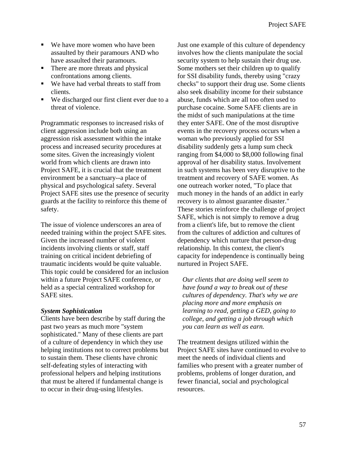- We have more women who have been assaulted by their paramours AND who have assaulted their paramours.
- There are more threats and physical confrontations among clients.
- We have had verbal threats to staff from clients.
- We discharged our first client ever due to a threat of violence.

Programmatic responses to increased risks of client aggression include both using an aggression risk assessment within the intake process and increased security procedures at some sites. Given the increasingly violent world from which clients are drawn into Project SAFE, it is crucial that the treatment environment be a sanctuary--a place of physical and psychological safety. Several Project SAFE sites use the presence of security guards at the facility to reinforce this theme of safety.

The issue of violence underscores an area of needed training within the project SAFE sites. Given the increased number of violent incidents involving clients or staff, staff training on critical incident debriefing of traumatic incidents would be quite valuable. This topic could be considered for an inclusion within a future Project SAFE conference, or held as a special centralized workshop for SAFE sites.

#### *System Sophistication*

Clients have been describe by staff during the past two years as much more "system sophisticated." Many of these clients are part of a culture of dependency in which they use helping institutions not to correct problems but to sustain them. These clients have chronic self-defeating styles of interacting with professional helpers and helping institutions that must be altered if fundamental change is to occur in their drug-using lifestyles.

Just one example of this culture of dependency involves how the clients manipulate the social security system to help sustain their drug use. Some mothers set their children up to qualify for SSI disability funds, thereby using "crazy checks" to support their drug use. Some clients also seek disability income for their substance abuse, funds which are all too often used to purchase cocaine. Some SAFE clients are in the midst of such manipulations at the time they enter SAFE. One of the most disruptive events in the recovery process occurs when a woman who previously applied for SSI disability suddenly gets a lump sum check ranging from \$4,000 to \$8,000 following final approval of her disability status. Involvement in such systems has been very disruptive to the treatment and recovery of SAFE women. As one outreach worker noted, "To place that much money in the hands of an addict in early recovery is to almost guarantee disaster." These stories reinforce the challenge of project SAFE, which is not simply to remove a drug from a client's life, but to remove the client from the cultures of addiction and cultures of dependency which nurture that person-drug relationship. In this context, the client's capacity for independence is continually being nurtured in Project SAFE.

*Our clients that are doing well seem to have found a way to break out of these cultures of dependency. That's why we are placing more and more emphasis on learning to read, getting a GED, going to college, and getting a job through which you can learn as well as earn.* 

The treatment designs utilized within the Project SAFE sites have continued to evolve to meet the needs of individual clients and families who present with a greater number of problems, problems of longer duration, and fewer financial, social and psychological resources.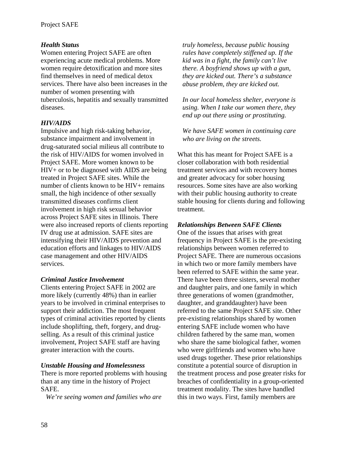## *Health Status*

Women entering Project SAFE are often experiencing acute medical problems. More women require detoxification and more sites find themselves in need of medical detox services. There have also been increases in the number of women presenting with tuberculosis, hepatitis and sexually transmitted diseases.

## *HIV/AIDS*

Impulsive and high risk-taking behavior, substance impairment and involvement in drug-saturated social milieus all contribute to the risk of HIV/AIDS for women involved in Project SAFE. More women known to be HIV+ or to be diagnosed with AIDS are being treated in Project SAFE sites. While the number of clients known to be HIV+ remains small, the high incidence of other sexually transmitted diseases confirms client involvement in high risk sexual behavior across Project SAFE sites in Illinois. There were also increased reports of clients reporting IV drug use at admission. SAFE sites are intensifying their HIV/AIDS prevention and education efforts and linkages to HIV/AIDS case management and other HIV/AIDS services.

## *Criminal Justice Involvement*

Clients entering Project SAFE in 2002 are more likely (currently 48%) than in earlier years to be involved in criminal enterprises to support their addiction. The most frequent types of criminal activities reported by clients include shoplifting, theft, forgery, and drugselling. As a result of this criminal justice involvement, Project SAFE staff are having greater interaction with the courts.

## *Unstable Housing and Homelessness*

There is more reported problems with housing than at any time in the history of Project SAFE.

*We're seeing women and families who are* 

*truly homeless, because public housing rules have completely stiffened up. If the kid was in a fight, the family can't live there. A boyfriend shows up with a gun, they are kicked out. There's a substance abuse problem, they are kicked out.* 

*In our local homeless shelter, everyone is using. When I take our women there, they end up out there using or prostituting.* 

*We have SAFE women in continuing care who are living on the streets.*

What this has meant for Project SAFE is a closer collaboration with both residential treatment services and with recovery homes and greater advocacy for sober housing resources. Some sites have are also working with their public housing authority to create stable housing for clients during and following treatment.

## *Relationships Between SAFE Clients*

One of the issues that arises with great frequency in Project SAFE is the pre-existing relationships between women referred to Project SAFE. There are numerous occasions in which two or more family members have been referred to SAFE within the same year. There have been three sisters, several mother and daughter pairs, and one family in which three generations of women (grandmother, daughter, and granddaughter) have been referred to the same Project SAFE site. Other pre-existing relationships shared by women entering SAFE include women who have children fathered by the same man, women who share the same biological father, women who were girlfriends and women who have used drugs together. These prior relationships constitute a potential source of disruption in the treatment process and pose greater risks for breaches of confidentiality in a group-oriented treatment modality. The sites have handled this in two ways. First, family members are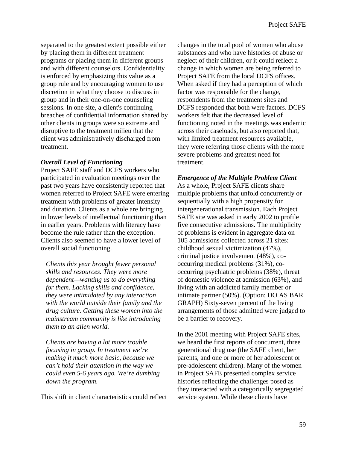separated to the greatest extent possible either by placing them in different treatment programs or placing them in different groups and with different counselors. Confidentiality is enforced by emphasizing this value as a group rule and by encouraging women to use discretion in what they choose to discuss in group and in their one-on-one counseling sessions. In one site, a client's continuing breaches of confidential information shared by other clients in groups were so extreme and disruptive to the treatment milieu that the client was administratively discharged from treatment.

#### *Overall Level of Functioning*

Project SAFE staff and DCFS workers who participated in evaluation meetings over the past two years have consistently reported that women referred to Project SAFE were entering treatment with problems of greater intensity and duration. Clients as a whole are bringing in lower levels of intellectual functioning than in earlier years. Problems with literacy have become the rule rather than the exception. Clients also seemed to have a lower level of overall social functioning.

*Clients this year brought fewer personal skills and resources. They were more dependent—wanting us to do everything for them. Lacking skills and confidence, they were intimidated by any interaction with the world outside their family and the drug culture. Getting these women into the mainstream community is like introducing them to an alien world.* 

*Clients are having a lot more trouble focusing in group. In treatment we're making it much more basic, because we can't hold their attention in the way we could even 5-6 years ago. We're dumbing down the program.* 

This shift in client characteristics could reflect

changes in the total pool of women who abuse substances and who have histories of abuse or neglect of their children, or it could reflect a change in which women are being referred to Project SAFE from the local DCFS offices. When asked if they had a perception of which factor was responsible for the change, respondents from the treatment sites and DCFS responded that both were factors. DCFS workers felt that the decreased level of functioning noted in the meetings was endemic across their caseloads, but also reported that, with limited treatment resources available, they were referring those clients with the more severe problems and greatest need for treatment.

#### *Emergence of the Multiple Problem Client*

As a whole, Project SAFE clients share multiple problems that unfold concurrently or sequentially with a high propensity for intergenerational transmission. Each Project SAFE site was asked in early 2002 to profile five consecutive admissions. The multiplicity of problems is evident in aggregate data on 105 admissions collected across 21 sites: childhood sexual victimization (47%), criminal justice involvement (48%), cooccurring medical problems (31%), cooccurring psychiatric problems (38%), threat of domestic violence at admission (63%), and living with an addicted family member or intimate partner (50%). (Option: DO AS BAR GRAPH) Sixty-seven percent of the living arrangements of those admitted were judged to be a barrier to recovery.

In the 2001 meeting with Project SAFE sites, we heard the first reports of concurrent, three generational drug use (the SAFE client, her parents, and one or more of her adolescent or pre-adolescent children). Many of the women in Project SAFE presented complex service histories reflecting the challenges posed as they interacted with a categorically segregated service system. While these clients have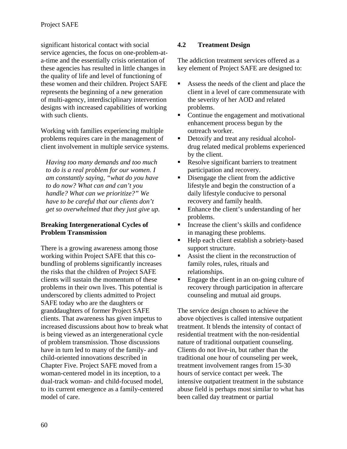significant historical contact with social service agencies, the focus on one-problem-ata-time and the essentially crisis orientation of these agencies has resulted in little changes in the quality of life and level of functioning of these women and their children. Project SAFE represents the beginning of a new generation of multi-agency, interdisciplinary intervention designs with increased capabilities of working with such clients.

Working with families experiencing multiple problems requires care in the management of client involvement in multiple service systems.

*Having too many demands and too much to do is a real problem for our women. I am constantly saying, "what do you have to do now? What can and can't you handle? What can we prioritize?" We have to be careful that our clients don't get so overwhelmed that they just give up.* 

## **Breaking Intergenerational Cycles of Problem Transmission**

There is a growing awareness among those working within Project SAFE that this cobundling of problems significantly increases the risks that the children of Project SAFE clients will sustain the momentum of these problems in their own lives. This potential is underscored by clients admitted to Project SAFE today who are the daughters or granddaughters of former Project SAFE clients. That awareness has given impetus to increased discussions about how to break what is being viewed as an intergenerational cycle of problem transmission. Those discussions have in turn led to many of the family- and child-oriented innovations described in Chapter Five. Project SAFE moved from a woman-centered model in its inception, to a dual-track woman- and child-focused model, to its current emergence as a family-centered model of care.

## **4.2 Treatment Design**

The addiction treatment services offered as a key element of Project SAFE are designed to:

- Assess the needs of the client and place the client in a level of care commensurate with the severity of her AOD and related problems.
- Continue the engagement and motivational enhancement process begun by the outreach worker.
- Detoxify and treat any residual alcoholdrug related medical problems experienced by the client.
- Resolve significant barriers to treatment participation and recovery.
- Disengage the client from the addictive lifestyle and begin the construction of a daily lifestyle conducive to personal recovery and family health.
- Enhance the client's understanding of her problems.
- Increase the client's skills and confidence in managing these problems.
- Help each client establish a sobriety-based support structure.
- Assist the client in the reconstruction of family roles, rules, rituals and relationships.
- Engage the client in an on-going culture of recovery through participation in aftercare counseling and mutual aid groups.

The service design chosen to achieve the above objectives is called intensive outpatient treatment. It blends the intensity of contact of residential treatment with the non-residential nature of traditional outpatient counseling. Clients do not live-in, but rather than the traditional one hour of counseling per week, treatment involvement ranges from 15-30 hours of service contact per week. The intensive outpatient treatment in the substance abuse field is perhaps most similar to what has been called day treatment or partial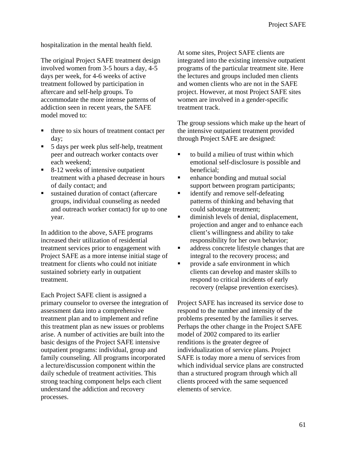hospitalization in the mental health field.

The original Project SAFE treatment design involved women from 3-5 hours a day, 4-5 days per week, for 4-6 weeks of active treatment followed by participation in aftercare and self-help groups. To accommodate the more intense patterns of addiction seen in recent years, the SAFE model moved to:

- three to six hours of treatment contact per day;
- 5 days per week plus self-help, treatment peer and outreach worker contacts over each weekend;
- 8-12 weeks of intensive outpatient treatment with a phased decrease in hours of daily contact; and
- sustained duration of contact (aftercare groups, individual counseling as needed and outreach worker contact) for up to one year.

In addition to the above, SAFE programs increased their utilization of residential treatment services prior to engagement with Project SAFE as a more intense initial stage of treatment for clients who could not initiate sustained sobriety early in outpatient treatment.

Each Project SAFE client is assigned a primary counselor to oversee the integration of assessment data into a comprehensive treatment plan and to implement and refine this treatment plan as new issues or problems arise. A number of activities are built into the basic designs of the Project SAFE intensive outpatient programs: individual, group and family counseling. All programs incorporated a lecture/discussion component within the daily schedule of treatment activities. This strong teaching component helps each client understand the addiction and recovery processes.

At some sites, Project SAFE clients are integrated into the existing intensive outpatient programs of the particular treatment site. Here the lectures and groups included men clients and women clients who are not in the SAFE project. However, at most Project SAFE sites women are involved in a gender-specific treatment track.

The group sessions which make up the heart of the intensive outpatient treatment provided through Project SAFE are designed:

- $\blacksquare$  to build a milieu of trust within which emotional self-disclosure is possible and beneficial;
- enhance bonding and mutual social support between program participants;
- identify and remove self-defeating patterns of thinking and behaving that could sabotage treatment;
- diminish levels of denial, displacement, projection and anger and to enhance each client's willingness and ability to take responsibility for her own behavior;
- address concrete lifestyle changes that are integral to the recovery process; and
- **Provide a safe environment in which** clients can develop and master skills to respond to critical incidents of early recovery (relapse prevention exercises).

Project SAFE has increased its service dose to respond to the number and intensity of the problems presented by the families it serves. Perhaps the other change in the Project SAFE model of 2002 compared to its earlier renditions is the greater degree of individualization of service plans. Project SAFE is today more a menu of services from which individual service plans are constructed than a structured program through which all clients proceed with the same sequenced elements of service.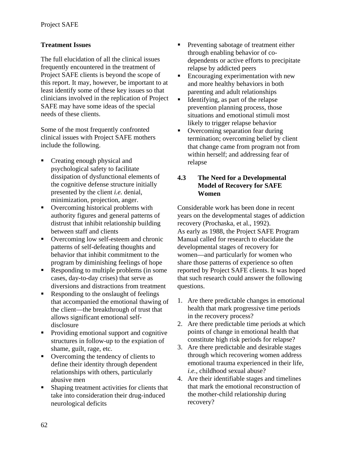# **Treatment Issues**

The full elucidation of all the clinical issues frequently encountered in the treatment of Project SAFE clients is beyond the scope of this report. It may, however, be important to at least identify some of these key issues so that clinicians involved in the replication of Project SAFE may have some ideas of the special needs of these clients.

Some of the most frequently confronted clinical issues with Project SAFE mothers include the following.

- Creating enough physical and psychological safety to facilitate dissipation of dysfunctional elements of the cognitive defense structure initially presented by the client *i.e.* denial, minimization, projection, anger.
- Overcoming historical problems with authority figures and general patterns of distrust that inhibit relationship building between staff and clients
- Overcoming low self-esteem and chronic patterns of self-defeating thoughts and behavior that inhibit commitment to the program by diminishing feelings of hope
- Responding to multiple problems (in some cases, day-to-day crises) that serve as diversions and distractions from treatment
- Responding to the onslaught of feelings that accompanied the emotional thawing of the client—the breakthrough of trust that allows significant emotional selfdisclosure
- Providing emotional support and cognitive structures in follow-up to the expiation of shame, guilt, rage, etc.
- Overcoming the tendency of clients to define their identity through dependent relationships with others, particularly abusive men
- Shaping treatment activities for clients that take into consideration their drug-induced neurological deficits
- **Preventing sabotage of treatment either** through enabling behavior of codependents or active efforts to precipitate relapse by addicted peers
- Encouraging experimentation with new and more healthy behaviors in both parenting and adult relationships
- Identifying, as part of the relapse prevention planning process, those situations and emotional stimuli most likely to trigger relapse behavior
- Overcoming separation fear during termination; overcoming belief by client that change came from program not from within herself; and addressing fear of relapse

#### **4.3 The Need for a Developmental Model of Recovery for SAFE Women**

Considerable work has been done in recent years on the developmental stages of addiction recovery (Prochaska, et al., 1992). As early as 1988, the Project SAFE Program Manual called for research to elucidate the developmental stages of recovery for women—and particularly for women who share those patterns of experience so often reported by Project SAFE clients. It was hoped that such research could answer the following questions.

- 1. Are there predictable changes in emotional health that mark progressive time periods in the recovery process?
- 2. Are there predictable time periods at which points of change in emotional health that constitute high risk periods for relapse?
- 3. Are there predictable and desirable stages through which recovering women address emotional trauma experienced in their life, *i.e.*, childhood sexual abuse?
- 4. Are their identifiable stages and timelines that mark the emotional reconstruction of the mother-child relationship during recovery?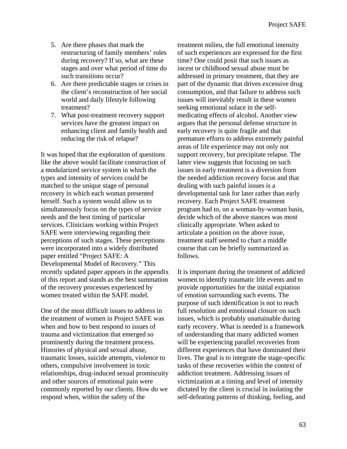- 5. Are there phases that mark the restructuring of family members' roles during recovery? If so, what are these stages and over what period of time do such transitions occur?
- 6. Are there predictable stages or crises in the client's reconstruction of her social world and daily lifestyle following treatment?
- 7. What post-treatment recovery support services have the greatest impact on enhancing client and family health and reducing the risk of relapse?

It was hoped that the exploration of questions like the above would facilitate construction of a modularized service system in which the types and intensity of services could be matched to the unique stage of personal recovery in which each woman presented herself. Such a system would allow us to simultaneously focus on the types of service needs and the best timing of particular services. Clinicians working within Project SAFE were interviewing regarding their perceptions of such stages. These perceptions were incorporated into a widely distributed paper entitled "Project SAFE: A Developmental Model of Recovery." This recently updated paper appears in the appendix of this report and stands as the best summation of the recovery processes experienced by women treated within the SAFE model.

One of the most difficult issues to address in the treatment of women in Project SAFE was when and how to best respond to issues of trauma and victimization that emerged so prominently during the treatment process. Histories of physical and sexual abuse, traumatic losses, suicide attempts, violence to others, compulsive involvement in toxic relationships, drug-induced sexual promiscuity and other sources of emotional pain were commonly reported by our clients. How do we respond when, within the safety of the

treatment milieu, the full emotional intensity of such experiences are expressed for the first time? One could posit that such issues as incest or childhood sexual abuse must be addressed in primary treatment, that they are part of the dynamic that drives excessive drug consumption, and that failure to address such issues will inevitably result in these women seeking emotional solace in the selfmedicating effects of alcohol. Another view argues that the personal defense structure in early recovery is quite fragile and that premature efforts to address extremely painful areas of life experience may not only not support recovery, but precipitate relapse. The latter view suggests that focusing on such issues in early treatment is a diversion from the needed addiction recovery focus and that dealing with such painful issues is a developmental task for later rather than early recovery. Each Project SAFE treatment program had to, on a woman-by-woman basis, decide which of the above stances was most clinically appropriate. When asked to articulate a position on the above issue, treatment staff seemed to chart a middle course that can be briefly summarized as follows.

It is important during the treatment of addicted women to identify traumatic life events and to provide opportunities for the initial expiation of emotion surrounding such events. The purpose of such identification is not to reach full resolution and emotional closure on such issues, which is probably unattainable during early recovery. What is needed is a framework of understanding that many addicted women will be experiencing parallel recoveries from different experiences that have dominated their lives. The goal is to integrate the stage-specific tasks of these recoveries within the context of addiction treatment. Addressing issues of victimization at a timing and level of intensity dictated by the client is crucial in isolating the self-defeating patterns of thinking, feeling, and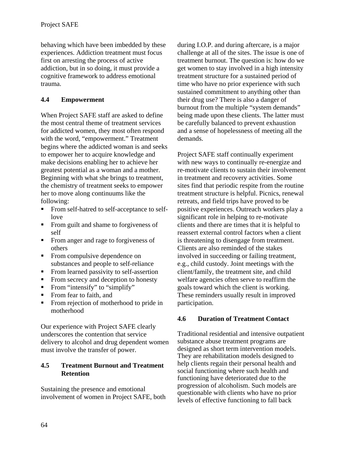behaving which have been imbedded by these experiences. Addiction treatment must focus first on arresting the process of active addiction, but in so doing, it must provide a cognitive framework to address emotional trauma.

# **4.4 Empowerment**

When Project SAFE staff are asked to define the most central theme of treatment services for addicted women, they most often respond with the word, "empowerment." Treatment begins where the addicted woman is and seeks to empower her to acquire knowledge and make decisions enabling her to achieve her greatest potential as a woman and a mother. Beginning with what she brings to treatment, the chemistry of treatment seeks to empower her to move along continuums like the following:

- From self-hatred to self-acceptance to selflove
- From guilt and shame to forgiveness of self
- From anger and rage to forgiveness of others
- From compulsive dependence on substances and people to self-reliance
- From learned passivity to self-assertion
- From secrecy and deception to honesty
- From "intensify" to "simplify"
- From fear to faith, and
- From rejection of motherhood to pride in motherhood

Our experience with Project SAFE clearly underscores the contention that service delivery to alcohol and drug dependent women must involve the transfer of power.

## **4.5 Treatment Burnout and Treatment Retention**

Sustaining the presence and emotional involvement of women in Project SAFE, both during I.O.P. and during aftercare, is a major challenge at all of the sites. The issue is one of treatment burnout. The question is: how do we get women to stay involved in a high intensity treatment structure for a sustained period of time who have no prior experience with such sustained commitment to anything other than their drug use? There is also a danger of burnout from the multiple "system demands" being made upon these clients. The latter must be carefully balanced to prevent exhaustion and a sense of hopelessness of meeting all the demands.

Project SAFE staff continually experiment with new ways to continually re-energize and re-motivate clients to sustain their involvement in treatment and recovery activities. Some sites find that periodic respite from the routine treatment structure is helpful. Picnics, renewal retreats, and field trips have proved to be positive experiences. Outreach workers play a significant role in helping to re-motivate clients and there are times that it is helpful to reassert external control factors when a client is threatening to disengage from treatment. Clients are also reminded of the stakes involved in succeeding or failing treatment, e.g., child custody. Joint meetings with the client/family, the treatment site, and child welfare agencies often serve to reaffirm the goals toward which the client is working. These reminders usually result in improved participation.

# **4.6 Duration of Treatment Contact**

Traditional residential and intensive outpatient substance abuse treatment programs are designed as short term intervention models. They are rehabilitation models designed to help clients regain their personal health and social functioning where such health and functioning have deteriorated due to the progression of alcoholism. Such models are questionable with clients who have no prior levels of effective functioning to fall back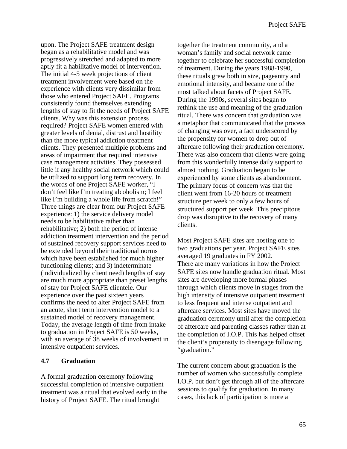upon. The Project SAFE treatment design began as a rehabilitative model and was progressively stretched and adapted to more aptly fit a habilitative model of intervention. The initial 4-5 week projections of client treatment involvement were based on the experience with clients very dissimilar from those who entered Project SAFE. Programs consistently found themselves extending lengths of stay to fit the needs of Project SAFE clients. Why was this extension process required? Project SAFE women entered with greater levels of denial, distrust and hostility than the more typical addiction treatment clients. They presented multiple problems and areas of impairment that required intensive case management activities. They possessed little if any healthy social network which could be utilized to support long term recovery. In the words of one Project SAFE worker, "I don't feel like I'm treating alcoholism; I feel like I'm building a whole life from scratch!" Three things are clear from our Project SAFE experience: 1) the service delivery model needs to be habilitative rather than rehabilitative; 2) both the period of intense addiction treatment intervention and the period of sustained recovery support services need to be extended beyond their traditional norms which have been established for much higher functioning clients; and 3) indeterminate (individualized by client need) lengths of stay are much more appropriate than preset lengths of stay for Project SAFE clientele. Our experience over the past sixteen years confirms the need to alter Project SAFE from an acute, short term intervention model to a sustained model of recovery management. Today, the average length of time from intake to graduation in Project SAFE is 50 weeks, with an average of 38 weeks of involvement in intensive outpatient services.

## **4.7 Graduation**

A formal graduation ceremony following successful completion of intensive outpatient treatment was a ritual that evolved early in the history of Project SAFE. The ritual brought

together the treatment community, and a woman's family and social network came together to celebrate her successful completion of treatment. During the years 1988-1990, these rituals grew both in size, pageantry and emotional intensity, and became one of the most talked about facets of Project SAFE. During the 1990s, several sites began to rethink the use and meaning of the graduation ritual. There was concern that graduation was a metaphor that communicated that the process of changing was over, a fact underscored by the propensity for women to drop out of aftercare following their graduation ceremony. There was also concern that clients were going from this wonderfully intense daily support to almost nothing. Graduation began to be experienced by some clients as abandonment. The primary focus of concern was that the client went from 16-20 hours of treatment structure per week to only a few hours of structured support per week. This precipitous drop was disruptive to the recovery of many clients.

Most Project SAFE sites are hosting one to two graduations per year. Project SAFE sites averaged 19 graduates in FY 2002. There are many variations in how the Project SAFE sites now handle graduation ritual. Most sites are developing more formal phases through which clients move in stages from the high intensity of intensive outpatient treatment to less frequent and intense outpatient and aftercare services. Most sites have moved the graduation ceremony until after the completion of aftercare and parenting classes rather than at the completion of I.O.P. This has helped offset the client's propensity to disengage following "graduation."

The current concern about graduation is the number of women who successfully complete I.O.P. but don't get through all of the aftercare sessions to qualify for graduation. In many cases, this lack of participation is more a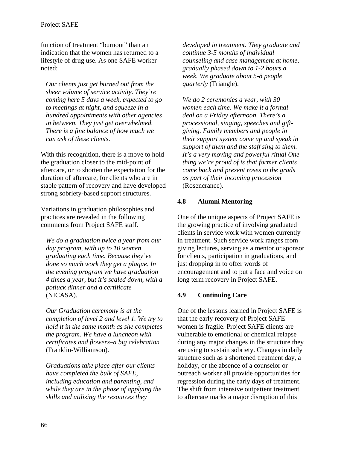function of treatment "burnout" than an indication that the women has returned to a lifestyle of drug use. As one SAFE worker noted:

*Our clients just get burned out from the sheer volume of service activity. They're coming here 5 days a week, expected to go to meetings at night, and squeeze in a hundred appointments with other agencies in between. They just get overwhelmed. There is a fine balance of how much we can ask of these clients.*

With this recognition, there is a move to hold the graduation closer to the mid-point of aftercare, or to shorten the expectation for the duration of aftercare, for clients who are in stable pattern of recovery and have developed strong sobriety-based support structures.

Variations in graduation philosophies and practices are revealed in the following comments from Project SAFE staff.

*We do a graduation twice a year from our day program, with up to 10 women graduating each time. Because they've done so much work they get a plaque. In the evening program we have graduation 4 times a year, but it's scaled down, with a potluck dinner and a certificate* (NICASA).

*Our Graduation ceremony is at the completion of level 2 and level 1. We try to hold it in the same month as she completes the program. We have a luncheon with certificates and flowers–a big celebration* (Franklin-Williamson).

*Graduations take place after our clients have completed the bulk of SAFE, including education and parenting, and while they are in the phase of applying the skills and utilizing the resources they* 

*developed in treatment. They graduate and continue 3-5 months of individual counseling and case management at home, gradually phased down to 1-2 hours a week. We graduate about 5-8 people quarterly* (Triangle).

*We do 2 ceremonies a year, with 30 women each time. We make it a formal deal on a Friday afternoon. There's a processional, singing, speeches and giftgiving. Family members and people in their support system come up and speak in support of them and the staff sing to them. It's a very moving and powerful ritual One thing we're proud of is that former clients come back and present roses to the grads as part of their incoming procession* (Rosencrance).

## **4.8 Alumni Mentoring**

One of the unique aspects of Project SAFE is the growing practice of involving graduated clients in service work with women currently in treatment. Such service work ranges from giving lectures, serving as a mentor or sponsor for clients, participation in graduations, and just dropping in to offer words of encouragement and to put a face and voice on long term recovery in Project SAFE.

## **4.9 Continuing Care**

One of the lessons learned in Project SAFE is that the early recovery of Project SAFE women is fragile. Project SAFE clients are vulnerable to emotional or chemical relapse during any major changes in the structure they are using to sustain sobriety. Changes in daily structure such as a shortened treatment day, a holiday, or the absence of a counselor or outreach worker all provide opportunities for regression during the early days of treatment. The shift from intensive outpatient treatment to aftercare marks a major disruption of this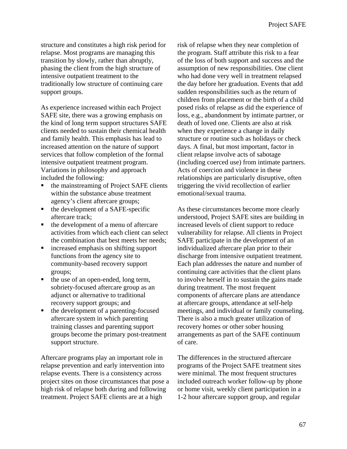structure and constitutes a high risk period for relapse. Most programs are managing this transition by slowly, rather than abruptly, phasing the client from the high structure of intensive outpatient treatment to the traditionally low structure of continuing care support groups.

As experience increased within each Project SAFE site, there was a growing emphasis on the kind of long term support structures SAFE clients needed to sustain their chemical health and family health. This emphasis has lead to increased attention on the nature of support services that follow completion of the formal intensive outpatient treatment program. Variations in philosophy and approach included the following:

- the mainstreaming of Project SAFE clients within the substance abuse treatment agency's client aftercare groups;
- the development of a SAFE-specific aftercare track;
- the development of a menu of aftercare activities from which each client can select the combination that best meets her needs;
- increased emphasis on shifting support functions from the agency site to community-based recovery support groups;
- the use of an open-ended, long term, sobriety-focused aftercare group as an adjunct or alternative to traditional recovery support groups; and
- the development of a parenting-focused aftercare system in which parenting training classes and parenting support groups become the primary post-treatment support structure.

Aftercare programs play an important role in relapse prevention and early intervention into relapse events. There is a consistency across project sites on those circumstances that pose a high risk of relapse both during and following treatment. Project SAFE clients are at a high

risk of relapse when they near completion of the program. Staff attribute this risk to a fear of the loss of both support and success and the assumption of new responsibilities. One client who had done very well in treatment relapsed the day before her graduation. Events that add sudden responsibilities such as the return of children from placement or the birth of a child posed risks of relapse as did the experience of loss, e.g., abandonment by intimate partner, or death of loved one. Clients are also at risk when they experience a change in daily structure or routine such as holidays or check days. A final, but most important, factor in client relapse involve acts of sabotage (including coerced use) from intimate partners. Acts of coercion and violence in these relationships are particularly disruptive, often triggering the vivid recollection of earlier emotional/sexual trauma.

As these circumstances become more clearly understood, Project SAFE sites are building in increased levels of client support to reduce vulnerability for relapse. All clients in Project SAFE participate in the development of an individualized aftercare plan prior to their discharge from intensive outpatient treatment. Each plan addresses the nature and number of continuing care activities that the client plans to involve herself in to sustain the gains made during treatment. The most frequent components of aftercare plans are attendance at aftercare groups, attendance at self-help meetings, and individual or family counseling. There is also a much greater utilization of recovery homes or other sober housing arrangements as part of the SAFE continuum of care.

The differences in the structured aftercare programs of the Project SAFE treatment sites were minimal. The most frequent structures included outreach worker follow-up by phone or home visit, weekly client participation in a 1-2 hour aftercare support group, and regular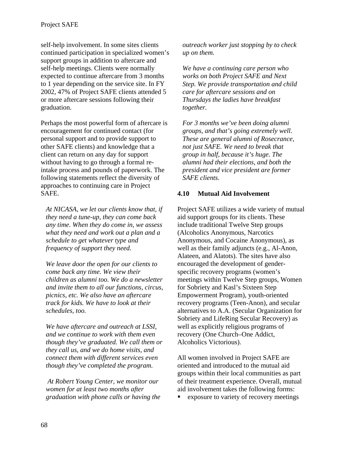self-help involvement. In some sites clients continued participation in specialized women's support groups in addition to aftercare and self-help meetings. Clients were normally expected to continue aftercare from 3 months to 1 year depending on the service site. In FY 2002, 47% of Project SAFE clients attended 5 or more aftercare sessions following their graduation.

Perhaps the most powerful form of aftercare is encouragement for continued contact (for personal support and to provide support to other SAFE clients) and knowledge that a client can return on any day for support without having to go through a formal reintake process and pounds of paperwork. The following statements reflect the diversity of approaches to continuing care in Project SAFE.

*At NICASA, we let our clients know that, if they need a tune-up, they can come back any time. When they do come in, we assess what they need and work out a plan and a schedule to get whatever type and frequency of support they need.*

*We leave door the open for our clients to come back any time. We view their children as alumni too. We do a newsletter and invite them to all our functions, circus, picnics, etc. We also have an aftercare track for kids. We have to look at their schedules, too.* 

*We have aftercare and outreach at LSSI, and we continue to work with them even though they've graduated. We call them or they call us, and we do home visits, and connect them with different services even though they've completed the program.*

*At Robert Young Center, we monitor our women for at least two months after graduation with phone calls or having the* 

*outreach worker just stopping by to check up on them.*

*We have a continuing care person who works on both Project SAFE and Next Step. We provide transportation and child care for aftercare sessions and on Thursdays the ladies have breakfast together.*

*For 3 months we've been doing alumni groups, and that's going extremely well. These are general alumni of Rosecrance, not just SAFE. We need to break that group in half, because it's huge. The alumni had their elections, and both the president and vice president are former SAFE clients.*

# **4.10 Mutual Aid Involvement**

Project SAFE utilizes a wide variety of mutual aid support groups for its clients. These include traditional Twelve Step groups (Alcoholics Anonymous, Narcotics Anonymous, and Cocaine Anonymous), as well as their family adjuncts (e.g., Al-Anon, Alateen, and Alatots). The sites have also encouraged the development of genderspecific recovery programs (women's meetings within Twelve Step groups, Women for Sobriety and Kasl's Sixteen Step Empowerment Program), youth-oriented recovery programs (Teen-Anon), and secular alternatives to A.A. (Secular Organization for Sobriety and LifeRing Secular Recovery) as well as explicitly religious programs of recovery (One Church–One Addict, Alcoholics Victorious).

All women involved in Project SAFE are oriented and introduced to the mutual aid groups within their local communities as part of their treatment experience. Overall, mutual aid involvement takes the following forms:

exposure to variety of recovery meetings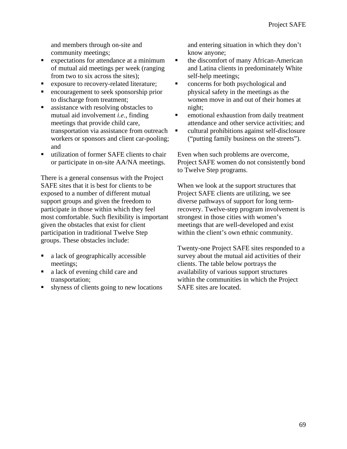and members through on-site and community meetings;

- expectations for attendance at a minimum of mutual aid meetings per week (ranging from two to six across the sites);
- exposure to recovery-related literature;
- encouragement to seek sponsorship prior to discharge from treatment;
- assistance with resolving obstacles to mutual aid involvement *i.e.*, finding meetings that provide child care, transportation via assistance from outreach workers or sponsors and client car-pooling; and
- utilization of former SAFE clients to chair or participate in on-site AA/NA meetings.

There is a general consensus with the Project SAFE sites that it is best for clients to be exposed to a number of different mutual support groups and given the freedom to participate in those within which they feel most comfortable. Such flexibility is important given the obstacles that exist for client participation in traditional Twelve Step groups. These obstacles include:

- a lack of geographically accessible meetings;
- a lack of evening child care and transportation;
- shyness of clients going to new locations

and entering situation in which they don't know anyone;

- the discomfort of many African-American and Latina clients in predominately White self-help meetings;
- **•** concerns for both psychological and physical safety in the meetings as the women move in and out of their homes at night;
- **EXECUTE:** emotional exhaustion from daily treatment attendance and other service activities; and
- cultural prohibitions against self-disclosure ("putting family business on the streets").

Even when such problems are overcome, Project SAFE women do not consistently bond to Twelve Step programs.

When we look at the support structures that Project SAFE clients are utilizing, we see diverse pathways of support for long termrecovery. Twelve-step program involvement is strongest in those cities with women's meetings that are well-developed and exist within the client's own ethnic community.

Twenty-one Project SAFE sites responded to a survey about the mutual aid activities of their clients. The table below portrays the availability of various support structures within the communities in which the Project SAFE sites are located.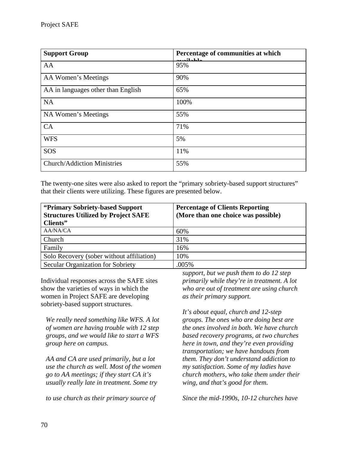| <b>Support Group</b>               | Percentage of communities at which<br>ململمانمب |
|------------------------------------|-------------------------------------------------|
| AA                                 | 95%                                             |
| AA Women's Meetings                | 90%                                             |
| AA in languages other than English | 65%                                             |
| <b>NA</b>                          | 100%                                            |
| NA Women's Meetings                | 55%                                             |
| CA                                 | 71%                                             |
| <b>WFS</b>                         | 5%                                              |
| SOS                                | 11%                                             |
| <b>Church/Addiction Ministries</b> | 55%                                             |

The twenty-one sites were also asked to report the "primary sobriety-based support structures" that their clients were utilizing. These figures are presented below.

| "Primary Sobriety-based Support"<br><b>Structures Utilized by Project SAFE</b><br>Clients" | <b>Percentage of Clients Reporting</b><br>(More than one choice was possible) |
|--------------------------------------------------------------------------------------------|-------------------------------------------------------------------------------|
| <b>AA/NA/CA</b>                                                                            | 60%                                                                           |
| Church                                                                                     | 31%                                                                           |
| Family                                                                                     | 16%                                                                           |
| Solo Recovery (sober without affiliation)                                                  | 10%                                                                           |
| Secular Organization for Sobriety                                                          | .005%                                                                         |

Individual responses across the SAFE sites show the varieties of ways in which the women in Project SAFE are developing sobriety-based support structures.

*We really need something like WFS. A lot of women are having trouble with 12 step groups, and we would like to start a WFS group here on campus.* 

*AA and CA are used primarily, but a lot use the church as well. Most of the women go to AA meetings; if they start CA it's usually really late in treatment. Some try* 

*to use church as their primary source of* 

*support, but we push them to do 12 step primarily while they're in treatment. A lot who are out of treatment are using church as their primary support.*

*It's about equal, church and 12-step groups. The ones who are doing best are the ones involved in both. We have church based recovery programs, at two churches here in town, and they're even providing transportation; we have handouts from them. They don't understand addiction to my satisfaction. Some of my ladies have church mothers, who take them under their wing, and that's good for them.* 

*Since the mid-1990s, 10-12 churches have*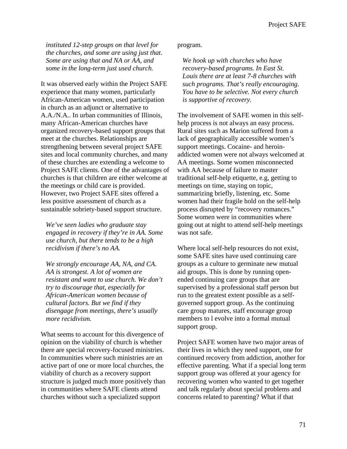*instituted 12-step groups on that level for the churches, and some are using just that. Some are using that and NA or AA, and some in the long-term just used church.* 

It was observed early within the Project SAFE experience that many women, particularly African-American women, used participation in church as an adjunct or alternative to A.A./N.A.. In urban communities of Illinois, many African-American churches have organized recovery-based support groups that meet at the churches. Relationships are strengthening between several project SAFE sites and local community churches, and many of these churches are extending a welcome to Project SAFE clients. One of the advantages of churches is that children are either welcome at the meetings or child care is provided. However, two Project SAFE sites offered a less positive assessment of church as a sustainable sobriety-based support structure.

*We've seen ladies who graduate stay engaged in recovery if they're in AA. Some use church, but there tends to be a high recidivism if there's no AA.*

*We strongly encourage AA, NA, and CA. AA is strongest. A lot of women are resistant and want to use church. We don't try to discourage that, especially for African-American women because of cultural factors. But we find if they disengage from meetings, there's usually more recidivism.*

What seems to account for this divergence of opinion on the viability of church is whether there are special recovery-focused ministries. In communities where such ministries are an active part of one or more local churches, the viability of church as a recovery support structure is judged much more positively than in communities where SAFE clients attend churches without such a specialized support

#### program.

*We hook up with churches who have recovery-based programs. In East St. Louis there are at least 7-8 churches with such programs. That's really encouraging. You have to be selective. Not every church is supportive of recovery.* 

The involvement of SAFE women in this selfhelp process is not always an easy process. Rural sites such as Marion suffered from a lack of geographically accessible women's support meetings. Cocaine- and heroinaddicted women were not always welcomed at AA meetings. Some women misconnected with AA because of failure to master traditional self-help etiquette, e.g, getting to meetings on time, staying on topic, summarizing briefly, listening, etc. Some women had their fragile hold on the self-help process disrupted by "recovery romances." Some women were in communities where going out at night to attend self-help meetings was not safe.

Where local self-help resources do not exist, some SAFE sites have used continuing care groups as a culture to germinate new mutual aid groups. This is done by running openended continuing care groups that are supervised by a professional staff person but run to the greatest extent possible as a selfgoverned support group. As the continuing care group matures, staff encourage group members to l evolve into a formal mutual support group.

Project SAFE women have two major areas of their lives in which they need support, one for continued recovery from addiction, another for effective parenting. What if a special long term support group was offered at your agency for recovering women who wanted to get together and talk regularly about special problems and concerns related to parenting? What if that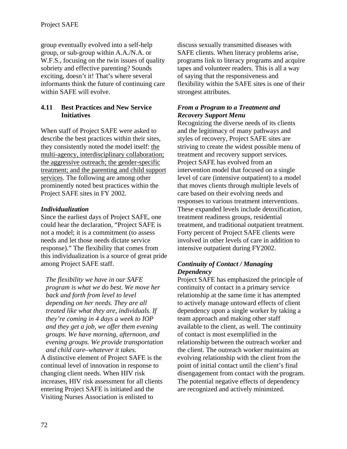group eventually evolved into a self-help group, or sub-group within A.A./N.A. or W.F.S., focusing on the twin issues of quality sobriety and effective parenting? Sounds exciting, doesn't it! That's where several informants think the future of continuing care within SAFE will evolve.

### **4.11 Best Practices and New Service Initiatives**

When staff of Project SAFE were asked to describe the best practices within their sites, they consistently noted the model itself: the multi-agency, interdisciplinary collaboration; the aggressive outreach; the gender-specific treatment; and the parenting and child support services. The following are among other prominently noted best practices within the Project SAFE sites in FY 2002.

# *Individualization*

Since the earliest days of Project SAFE, one could hear the declaration, "Project SAFE is not a model; it is a commitment (to assess needs and let those needs dictate service response)." The flexibility that comes from this individualization is a source of great pride among Project SAFE staff.

*The flexibility we have in our SAFE program is what we do best. We move her back and forth from level to level depending on her needs. They are all treated like what they are, individuals. If they're coming in 4 days a week to IOP and they get a job, we offer them evening groups. We have morning, afternoon, and evening groups. We provide transportation and child care–whatever it takes.* A distinctive element of Project SAFE is the continual level of innovation in response to changing client needs. When HIV risk increases, HIV risk assessment for all clients entering Project SAFE is initiated and the Visiting Nurses Association is enlisted to

discuss sexually transmitted diseases with SAFE clients. When literacy problems arise, programs link to literacy programs and acquire tapes and volunteer readers. This is all a way of saying that the responsiveness and flexibility within the SAFE sites is one of their strongest attributes.

### *From a Program to a Treatment and Recovery Support Menu*

Recognizing the diverse needs of its clients and the legitimacy of many pathways and styles of recovery, Project SAFE sites are striving to create the widest possible menu of treatment and recovery support services. Project SAFE has evolved from an intervention model that focused on a single level of care (intensive outpatient) to a model that moves clients through multiple levels of care based on their evolving needs and responses to various treatment interventions. These expanded levels include detoxification, treatment readiness groups, residential treatment, and traditional outpatient treatment. Forty percent of Project SAFE clients were involved in other levels of care in addition to intensive outpatient during FY2002.

### *Continuity of Contact / Managing Dependency*

Project SAFE has emphasized the principle of continuity of contact in a primary service relationship at the same time it has attempted to actively manage untoward effects of client dependency upon a single worker by taking a team approach and making other staff available to the client, as well. The continuity of contact is most exemplified in the relationship between the outreach worker and the client. The outreach worker maintains an evolving relationship with the client from the point of initial contact until the client's final disengagement from contact with the program. The potential negative effects of dependency are recognized and actively minimized.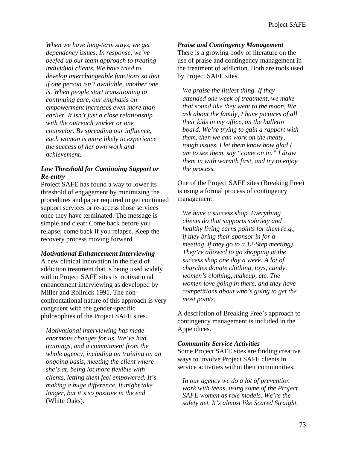*When we have long-term stays, we get dependency issues. In response, we've beefed up our team approach to treating individual clients. We have tried to develop interchangeable functions so that if one person isn't available, another one is. When people start transitioning to continuing care, our emphasis on empowerment increases even more than earlier. It isn't just a close relationship with the outreach worker or one counselor. By spreading our influence, each woman is more likely to experience the success of her own work and achievement.* 

### *Low Threshold for Continuing Support or Re-entry*

Project SAFE has found a way to lower its threshold of engagement by minimizing the procedures and paper required to get continued support services or re-access those services once they have terminated. The message is simple and clear: Come back before you relapse; come back if you relapse. Keep the recovery process moving forward.

### *Motivational Enhancement Interviewing*

A new clinical innovation in the field of addiction treatment that is being used widely within Project SAFE sites is motivational enhancement interviewing as developed by Miller and Rollnick 1991. The nonconfrontational nature of this approach is very congruent with the gender-specific philosophies of the Project SAFE sites.

*Motivational interviewing has made enormous changes for us. We've had trainings, and a commitment from the whole agency, including on training on an ongoing basis, meeting the client where she's at, being lot more flexible with clients, letting them feel empowered. It's making a huge difference. It might take longer, but it's so positive in the end* (White Oaks).

### *Praise and Contingency Management*

There is a growing body of literature on the use of praise and contingency management in the treatment of addiction. Both are tools used by Project SAFE sites.

*We praise the littlest thing. If they attended one week of treatment, we make that sound like they went to the moon. We ask about the family, I have pictures of all their kids in my office, on the bulletin board. We're trying to gain a rapport with them, then we can work on the meaty, tough issues. I let them know how glad I am to see them, say "come on in." I draw them in with warmth first, and try to enjoy the process.* 

One of the Project SAFE sites (Breaking Free) is using a formal process of contingency management.

*We have a success shop. Everything clients do that supports sobriety and healthy living earns points for them (e.g., if they bring their sponsor in for a meeting, if they go to a 12-Step meeting). They're allowed to go shopping at the success shop one day a week. A lot of churches donate clothing, toys, candy, women's clothing, makeup, etc. The women love going in there, and they have competitions about who's going to get the most points.* 

A description of Breaking Free's approach to contingency management is included in the Appendices.

#### *Community Service Activities*

Some Project SAFE sites are finding creative ways to involve Project SAFE clients in service activities within their communities.

*In our agency we do a lot of prevention work with teens, using some of the Project SAFE women as role models. We're the safety net. It's almost like Scared Straight.*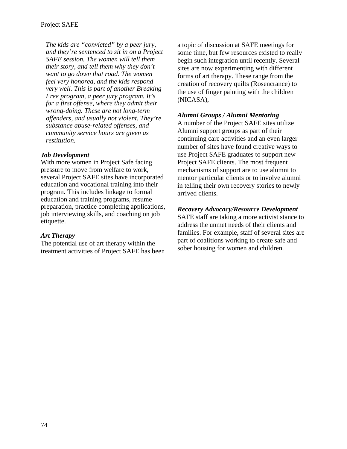*The kids are "convicted" by a peer jury, and they're sentenced to sit in on a Project SAFE session. The women will tell them their story, and tell them why they don't want to go down that road. The women feel very honored, and the kids respond very well. This is part of another Breaking Free program, a peer jury program. It's for a first offense, where they admit their wrong-doing. These are not long-term offenders, and usually not violent. They're substance abuse-related offenses, and community service hours are given as restitution.* 

### *Job Development*

With more women in Project Safe facing pressure to move from welfare to work, several Project SAFE sites have incorporated education and vocational training into their program. This includes linkage to formal education and training programs, resume preparation, practice completing applications, job interviewing skills, and coaching on job etiquette.

### *Art Therapy*

The potential use of art therapy within the treatment activities of Project SAFE has been a topic of discussion at SAFE meetings for some time, but few resources existed to really begin such integration until recently. Several sites are now experimenting with different forms of art therapy. These range from the creation of recovery quilts (Rosencrance) to the use of finger painting with the children (NICASA),

### *Alumni Groups / Alumni Mentoring*

A number of the Project SAFE sites utilize Alumni support groups as part of their continuing care activities and an even larger number of sites have found creative ways to use Project SAFE graduates to support new Project SAFE clients. The most frequent mechanisms of support are to use alumni to mentor particular clients or to involve alumni in telling their own recovery stories to newly arrived clients.

### *Recovery Advocacy/Resource Development*

SAFE staff are taking a more activist stance to address the unmet needs of their clients and families. For example, staff of several sites are part of coalitions working to create safe and sober housing for women and children.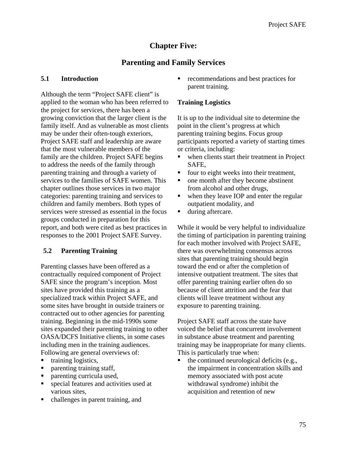# **Chapter Five:**

# **Parenting and Family Services**

#### **5.1 Introduction**

Although the term "Project SAFE client" is applied to the woman who has been referred to the project for services, there has been a growing conviction that the larger client is the family itself. And as vulnerable as most clients may be under their often-tough exteriors, Project SAFE staff and leadership are aware that the most vulnerable members of the family are the children. Project SAFE begins to address the needs of the family through parenting training and through a variety of services to the families of SAFE women. This chapter outlines those services in two major categories: parenting training and services to children and family members. Both types of services were stressed as essential in the focus groups conducted in preparation for this report, and both were cited as best practices in responses to the 2001 Project SAFE Survey.

### **5.2 Parenting Training**

Parenting classes have been offered as a contractually required component of Project SAFE since the program's inception. Most sites have provided this training as a specialized track within Project SAFE, and some sites have brought in outside trainers or contracted out to other agencies for parenting training. Beginning in the mid-1990s some sites expanded their parenting training to other OASA/DCFS Initiative clients, in some cases including men in the training audiences. Following are general overviews of:

- $\blacksquare$  training logistics,
- parenting training staff,
- parenting curricula used,
- special features and activities used at various sites,
- challenges in parent training, and

 recommendations and best practices for parent training.

### **Training Logistics**

It is up to the individual site to determine the point in the client's progress at which parenting training begins. Focus group participants reported a variety of starting times or criteria, including:

- when clients start their treatment in Project SAFE,
- four to eight weeks into their treatment,
- one month after they become abstinent from alcohol and other drugs,
- when they leave IOP and enter the regular outpatient modality, and
- during aftercare.

While it would be very helpful to individualize the timing of participation in parenting training for each mother involved with Project SAFE, there was overwhelming consensus across sites that parenting training should begin toward the end or after the completion of intensive outpatient treatment. The sites that offer parenting training earlier often do so because of client attrition and the fear that clients will leave treatment without any exposure to parenting training.

Project SAFE staff across the state have voiced the belief that concurrent involvement in substance abuse treatment and parenting training may be inappropriate for many clients. This is particularly true when:

 $\blacksquare$  the continued neurological deficits (e.g., the impairment in concentration skills and memory associated with post acute withdrawal syndrome) inhibit the acquisition and retention of new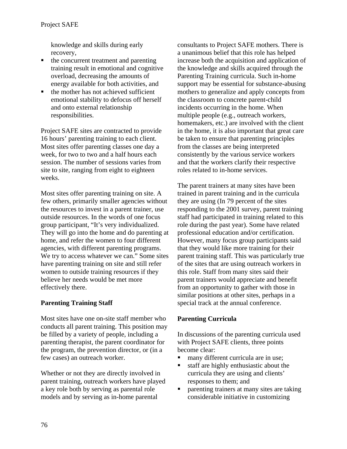knowledge and skills during early recovery,

- the concurrent treatment and parenting training result in emotional and cognitive overload, decreasing the amounts of energy available for both activities, and
- the mother has not achieved sufficient emotional stability to defocus off herself and onto external relationship responsibilities.

Project SAFE sites are contracted to provide 16 hours' parenting training to each client. Most sites offer parenting classes one day a week, for two to two and a half hours each session. The number of sessions varies from site to site, ranging from eight to eighteen weeks.

Most sites offer parenting training on site. A few others, primarily smaller agencies without the resources to invest in a parent trainer, use outside resources. In the words of one focus group participant, "It's very individualized. They will go into the home and do parenting at home, and refer the women to four different agencies, with different parenting programs. We try to access whatever we can." Some sites have parenting training on site and still refer women to outside training resources if they believe her needs would be met more effectively there.

# **Parenting Training Staff**

Most sites have one on-site staff member who conducts all parent training. This position may be filled by a variety of people, including a parenting therapist, the parent coordinator for the program, the prevention director, or (in a few cases) an outreach worker.

Whether or not they are directly involved in parent training, outreach workers have played a key role both by serving as parental role models and by serving as in-home parental

consultants to Project SAFE mothers. There is a unanimous belief that this role has helped increase both the acquisition and application of the knowledge and skills acquired through the Parenting Training curricula. Such in-home support may be essential for substance-abusing mothers to generalize and apply concepts from the classroom to concrete parent-child incidents occurring in the home. When multiple people (e.g., outreach workers, homemakers, etc.) are involved with the client in the home, it is also important that great care be taken to ensure that parenting principles from the classes are being interpreted consistently by the various service workers and that the workers clarify their respective roles related to in-home services.

The parent trainers at many sites have been trained in parent training and in the curricula they are using (In 79 percent of the sites responding to the 2001 survey, parent training staff had participated in training related to this role during the past year). Some have related professional education and/or certification. However, many focus group participants said that they would like more training for their parent training staff. This was particularly true of the sites that are using outreach workers in this role. Staff from many sites said their parent trainers would appreciate and benefit from an opportunity to gather with those in similar positions at other sites, perhaps in a special track at the annual conference.

# **Parenting Curricula**

In discussions of the parenting curricula used with Project SAFE clients, three points become clear:

- many different curricula are in use;
- staff are highly enthusiastic about the curricula they are using and clients' responses to them; and
- parenting trainers at many sites are taking considerable initiative in customizing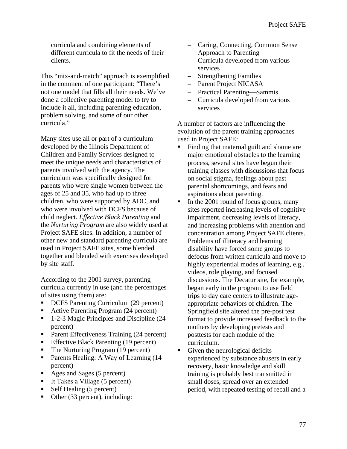curricula and combining elements of different curricula to fit the needs of their clients.

This "mix-and-match" approach is exemplified in the comment of one participant: "There's not one model that fills all their needs. We've done a collective parenting model to try to include it all, including parenting education, problem solving, and some of our other curricula."

Many sites use all or part of a curriculum developed by the Illinois Department of Children and Family Services designed to meet the unique needs and characteristics of parents involved with the agency. The curriculum was specifically designed for parents who were single women between the ages of 25 and 35, who had up to three children, who were supported by ADC, and who were involved with DCFS because of child neglect. *Effective Black Parenting* and the *Nurturing Program* are also widely used at Project SAFE sites. In addition, a number of other new and standard parenting curricula are used in Project SAFE sites, some blended together and blended with exercises developed by site staff.

According to the 2001 survey, parenting curricula currently in use (and the percentages of sites using them) are:

- DCFS Parenting Curriculum (29 percent)
- Active Parenting Program (24 percent)
- <sup>1</sup> 1-2-3 Magic Principles and Discipline (24 percent)
- Parent Effectiveness Training (24 percent)
- **Effective Black Parenting (19 percent)**
- The Nurturing Program (19 percent)
- **Parents Healing: A Way of Learning (14)** percent)
- Ages and Sages (5 percent)
- It Takes a Village  $(5$  percent)
- Self Healing (5 percent)
- Other (33 percent), including:
- Caring, Connecting, Common Sense Approach to Parenting
- Curricula developed from various services
- Strengthening Families
- Parent Project NICASA
- $-$  Practical Parenting-Sammis
- Curricula developed from various services

A number of factors are influencing the evolution of the parent training approaches used in Project SAFE:

- Finding that maternal guilt and shame are major emotional obstacles to the learning process, several sites have begun their training classes with discussions that focus on social stigma, feelings about past parental shortcomings, and fears and aspirations about parenting.
- In the 2001 round of focus groups, many sites reported increasing levels of cognitive impairment, decreasing levels of literacy, and increasing problems with attention and concentration among Project SAFE clients. Problems of illiteracy and learning disability have forced some groups to defocus from written curricula and move to highly experiential modes of learning, e.g., videos, role playing, and focused discussions. The Decatur site, for example, began early in the program to use field trips to day care centers to illustrate ageappropriate behaviors of children. The Springfield site altered the pre-post test format to provide increased feedback to the mothers by developing pretests and posttests for each module of the curriculum.
- Given the neurological deficits experienced by substance abusers in early recovery, basic knowledge and skill training is probably best transmitted in small doses, spread over an extended period, with repeated testing of recall and a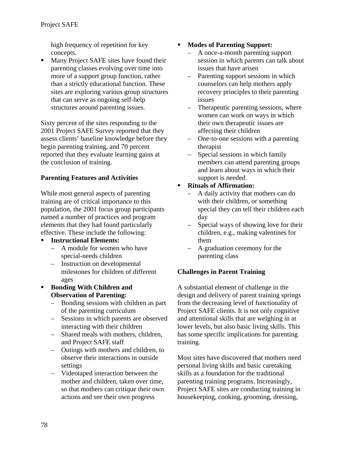high frequency of repetition for key concepts.

 Many Project SAFE sites have found their parenting classes evolving over time into more of a support group function, rather than a strictly educational function. These sites are exploring various group structures that can serve as ongoing self-help structures around parenting issues.

Sixty percent of the sites responding to the 2001 Project SAFE Survey reported that they assess clients' baseline knowledge before they begin parenting training, and 70 percent reported that they evaluate learning gains at the conclusion of training.

# **Parenting Features and Activities**

While most general aspects of parenting training are of critical importance to this population, the 2001 focus group participants named a number of practices and program elements that they had found particularly effective. These include the following:

- **Instructional Elements:**
	- A module for women who have special-needs children
	- Instruction on developmental milestones for children of different ages
- **Bonding With Children and Observation of Parenting:**
	- Bonding sessions with children as part of the parenting curriculum
	- Sessions in which parents are observed interacting with their children
	- Shared meals with mothers, children, and Project SAFE staff
	- Outings with mothers and children, to observe their interactions in outside settings
	- Videotaped interaction between the mother and children, taken over time, so that mothers can critique their own actions and see their own progress

### **Modes of Parenting Support:**

- A once-a-month parenting support session in which parents can talk about issues that have arisen
- Parenting support sessions in which counselors can help mothers apply recovery principles to their parenting issues
- Therapeutic parenting sessions, where women can work on ways in which their own therapeutic issues are affecting their children
- One-to-one sessions with a parenting therapist
- Special sessions in which family members can attend parenting groups and learn about ways in which their support is needed
- **Rituals of Affirmation:** 
	- A daily activity that mothers can do with their children, or something special they can tell their children each day
	- Special ways of showing love for their children, e.g., making valentines for them
	- A graduation ceremony for the parenting class

# **Challenges in Parent Training**

A substantial element of challenge in the design and delivery of parent training springs from the decreasing level of functionality of Project SAFE clients. It is not only cognitive and attentional skills that are weighing in at lower levels, but also basic living skills. This has some specific implications for parenting training.

Most sites have discovered that mothers need personal living skills and basic caretaking skills as a foundation for the traditional parenting training programs. Increasingly, Project SAFE sites are conducting training in housekeeping, cooking, grooming, dressing,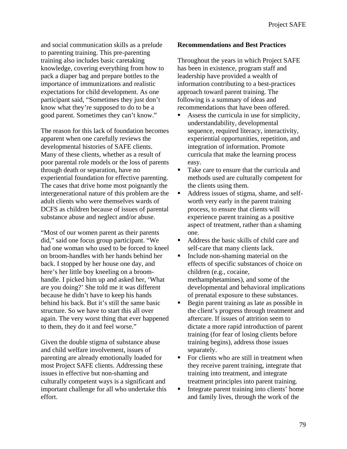and social communication skills as a prelude to parenting training. This pre-parenting training also includes basic caretaking knowledge, covering everything from how to pack a diaper bag and prepare bottles to the importance of immunizations and realistic expectations for child development. As one participant said, "Sometimes they just don't know what they're supposed to do to be a good parent. Sometimes they can't know."

The reason for this lack of foundation becomes apparent when one carefully reviews the developmental histories of SAFE clients. Many of these clients, whether as a result of poor parental role models or the loss of parents through death or separation, have no experiential foundation for effective parenting. The cases that drive home most poignantly the intergenerational nature of this problem are the adult clients who were themselves wards of DCFS as children because of issues of parental substance abuse and neglect and/or abuse.

"Most of our women parent as their parents did," said one focus group participant. "We had one woman who used to be forced to kneel on broom-handles with her hands behind her back. I stopped by her house one day, and here's her little boy kneeling on a broomhandle. I picked him up and asked her, 'What are you doing?' She told me it was different because he didn't have to keep his hands behind his back. But it's still the same basic structure. So we have to start this all over again. The very worst thing that ever happened to them, they do it and feel worse."

Given the double stigma of substance abuse and child welfare involvement, issues of parenting are already emotionally loaded for most Project SAFE clients. Addressing these issues in effective but non-shaming and culturally competent ways is a significant and important challenge for all who undertake this effort.

### **Recommendations and Best Practices**

Throughout the years in which Project SAFE has been in existence, program staff and leadership have provided a wealth of information contributing to a best-practices approach toward parent training. The following is a summary of ideas and recommendations that have been offered.

- Assess the curricula in use for simplicity, understandability, developmental sequence, required literacy, interactivity, experiential opportunities, repetition, and integration of information. Promote curricula that make the learning process easy.
- Take care to ensure that the curricula and methods used are culturally competent for the clients using them.
- Address issues of stigma, shame, and selfworth very early in the parent training process, to ensure that clients will experience parent training as a positive aspect of treatment, rather than a shaming one.
- Address the basic skills of child care and self-care that many clients lack.
- Include non-shaming material on the effects of specific substances of choice on children (e.g., cocaine, methamphetamines), and some of the developmental and behavioral implications of prenatal exposure to these substances.
- Begin parent training as late as possible in the client's progress through treatment and aftercare. If issues of attrition seem to dictate a more rapid introduction of parent training (for fear of losing clients before training begins), address those issues separately.
- For clients who are still in treatment when they receive parent training, integrate that training into treatment, and integrate treatment principles into parent training.
- Integrate parent training into clients' home and family lives, through the work of the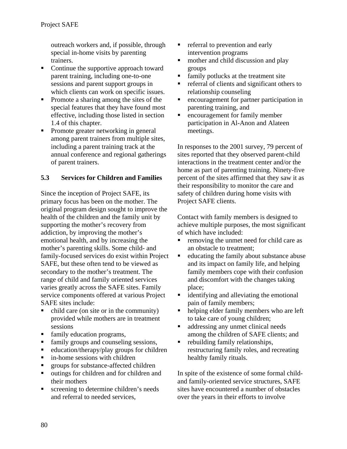outreach workers and, if possible, through special in-home visits by parenting trainers.

- Continue the supportive approach toward parent training, including one-to-one sessions and parent support groups in which clients can work on specific issues.
- Promote a sharing among the sites of the special features that they have found most effective, including those listed in section 1.4 of this chapter.
- Promote greater networking in general among parent trainers from multiple sites, including a parent training track at the annual conference and regional gatherings of parent trainers.

# **5.3 Services for Children and Families**

Since the inception of Project SAFE, its primary focus has been on the mother. The original program design sought to improve the health of the children and the family unit by supporting the mother's recovery from addiction, by improving the mother's emotional health, and by increasing the mother's parenting skills. Some child- and family-focused services do exist within Project SAFE, but these often tend to be viewed as secondary to the mother's treatment. The range of child and family oriented services varies greatly across the SAFE sites. Family service components offered at various Project SAFE sites include:

- child care (on site or in the community) provided while mothers are in treatment sessions
- family education programs,
- family groups and counseling sessions,
- education/therapy/play groups for children
- $\blacksquare$  in-home sessions with children
- groups for substance-affected children
- outings for children and for children and their mothers
- screening to determine children's needs and referral to needed services,
- referral to prevention and early intervention programs
- **mother and child discussion and play** groups
- **family potlucks at the treatment site**
- referral of clients and significant others to relationship counseling
- encouragement for partner participation in parenting training, and
- **Exercise 1** encouragement for family member participation in Al-Anon and Alateen meetings.

In responses to the 2001 survey, 79 percent of sites reported that they observed parent-child interactions in the treatment center and/or the home as part of parenting training. Ninety-five percent of the sites affirmed that they saw it as their responsibility to monitor the care and safety of children during home visits with Project SAFE clients.

Contact with family members is designed to achieve multiple purposes, the most significant of which have included:

- **•** removing the unmet need for child care as an obstacle to treatment;
- educating the family about substance abuse and its impact on family life, and helping family members cope with their confusion and discomfort with the changes taking place;
- identifying and alleviating the emotional pain of family members;
- helping elder family members who are left to take care of young children;
- addressing any unmet clinical needs among the children of SAFE clients; and
- rebuilding family relationships, restructuring family roles, and recreating healthy family rituals.

In spite of the existence of some formal childand family-oriented service structures, SAFE sites have encountered a number of obstacles over the years in their efforts to involve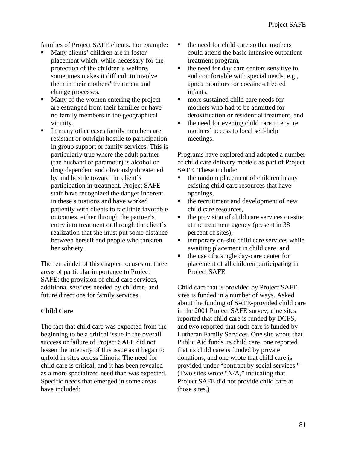families of Project SAFE clients. For example:

- Many clients' children are in foster placement which, while necessary for the protection of the children's welfare, sometimes makes it difficult to involve them in their mothers' treatment and change processes.
- Many of the women entering the project are estranged from their families or have no family members in the geographical vicinity.
- In many other cases family members are resistant or outright hostile to participation in group support or family services. This is particularly true where the adult partner (the husband or paramour) is alcohol or drug dependent and obviously threatened by and hostile toward the client's participation in treatment. Project SAFE staff have recognized the danger inherent in these situations and have worked patiently with clients to facilitate favorable outcomes, either through the partner's entry into treatment or through the client's realization that she must put some distance between herself and people who threaten her sobriety.

The remainder of this chapter focuses on three areas of particular importance to Project SAFE: the provision of child care services, additional services needed by children, and future directions for family services.

### **Child Care**

The fact that child care was expected from the beginning to be a critical issue in the overall success or failure of Project SAFE did not lessen the intensity of this issue as it began to unfold in sites across Illinois. The need for child care is critical, and it has been revealed as a more specialized need than was expected. Specific needs that emerged in some areas have included:

- $\blacksquare$  the need for child care so that mothers could attend the basic intensive outpatient treatment program,
- $\blacksquare$  the need for day care centers sensitive to and comfortable with special needs, e.g., apnea monitors for cocaine-affected infants,
- more sustained child care needs for mothers who had to be admitted for detoxification or residential treatment, and
- the need for evening child care to ensure mothers' access to local self-help meetings.

Programs have explored and adopted a number of child care delivery models as part of Project SAFE. These include:

- **the random placement of children in any** existing child care resources that have openings,
- the recruitment and development of new child care resources,
- $\blacksquare$  the provision of child care services on-site at the treatment agency (present in 38 percent of sites),
- temporary on-site child care services while awaiting placement in child care, and
- $\blacksquare$  the use of a single day-care center for placement of all children participating in Project SAFE.

Child care that is provided by Project SAFE sites is funded in a number of ways. Asked about the funding of SAFE-provided child care in the 2001 Project SAFE survey, nine sites reported that child care is funded by DCFS, and two reported that such care is funded by Lutheran Family Services. One site wrote that Public Aid funds its child care, one reported that its child care is funded by private donations, and one wrote that child care is provided under "contract by social services." (Two sites wrote "N/A," indicating that Project SAFE did not provide child care at those sites.)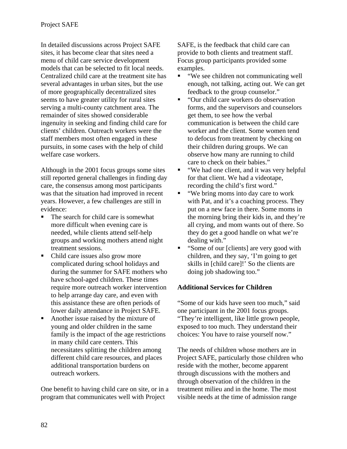In detailed discussions across Project SAFE sites, it has become clear that sites need a menu of child care service development models that can be selected to fit local needs. Centralized child care at the treatment site has several advantages in urban sites, but the use of more geographically decentralized sites seems to have greater utility for rural sites serving a multi-county catchment area. The remainder of sites showed considerable ingenuity in seeking and finding child care for clients' children. Outreach workers were the staff members most often engaged in these pursuits, in some cases with the help of child welfare case workers.

Although in the 2001 focus groups some sites still reported general challenges in finding day care, the consensus among most participants was that the situation had improved in recent years. However, a few challenges are still in evidence:

- The search for child care is somewhat more difficult when evening care is needed, while clients attend self-help groups and working mothers attend night treatment sessions.
- Child care issues also grow more complicated during school holidays and during the summer for SAFE mothers who have school-aged children. These times require more outreach worker intervention to help arrange day care, and even with this assistance these are often periods of lower daily attendance in Project SAFE.
- Another issue raised by the mixture of young and older children in the same family is the impact of the age restrictions in many child care centers. This necessitates splitting the children among different child care resources, and places additional transportation burdens on outreach workers.

One benefit to having child care on site, or in a program that communicates well with Project

SAFE, is the feedback that child care can provide to both clients and treatment staff. Focus group participants provided some examples.

- "We see children not communicating well enough, not talking, acting out. We can get feedback to the group counselor."
- "Our child care workers do observation forms, and the supervisors and counselors get them, to see how the verbal communication is between the child care worker and the client. Some women tend to defocus from treatment by checking on their children during groups. We can observe how many are running to child care to check on their babies."
- "We had one client, and it was very helpful for that client. We had a videotape, recording the child's first word."
- "We bring moms into day care to work with Pat, and it's a coaching process. They put on a new face in there. Some moms in the morning bring their kids in, and they're all crying, and mom wants out of there. So they do get a good handle on what we're dealing with."
- " "Some of our [clients] are very good with children, and they say, 'I'm going to get skills in [child care]!' So the clients are doing job shadowing too."

# **Additional Services for Children**

"Some of our kids have seen too much," said one participant in the 2001 focus groups. "They're intelligent, like little grown people, exposed to too much. They understand their choices: You have to raise yourself now."

The needs of children whose mothers are in Project SAFE, particularly those children who reside with the mother, become apparent through discussions with the mothers and through observation of the children in the treatment milieu and in the home. The most visible needs at the time of admission range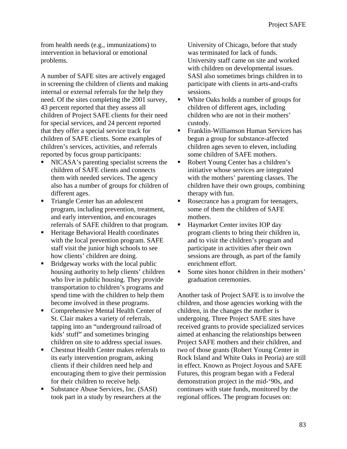from health needs (e.g., immunizations) to intervention in behavioral or emotional problems.

A number of SAFE sites are actively engaged in screening the children of clients and making internal or external referrals for the help they need. Of the sites completing the 2001 survey, 43 percent reported that they assess all children of Project SAFE clients for their need for special services, and 24 percent reported that they offer a special service track for children of SAFE clients. Some examples of children's services, activities, and referrals reported by focus group participants:

- NICASA's parenting specialist screens the children of SAFE clients and connects them with needed services. The agency also has a number of groups for children of different ages.
- Triangle Center has an adolescent program, including prevention, treatment, and early intervention, and encourages referrals of SAFE children to that program.
- Heritage Behavioral Health coordinates with the local prevention program. SAFE staff visit the junior high schools to see how clients' children are doing.
- Bridgeway works with the local public housing authority to help clients' children who live in public housing. They provide transportation to children's programs and spend time with the children to help them become involved in these programs.
- Comprehensive Mental Health Center of St. Clair makes a variety of referrals, tapping into an "underground railroad of kids' stuff" and sometimes bringing children on site to address special issues.
- Chestnut Health Center makes referrals to its early intervention program, asking clients if their children need help and encouraging them to give their permission for their children to receive help.
- Substance Abuse Services, Inc. (SASI) took part in a study by researchers at the

University of Chicago, before that study was terminated for lack of funds. University staff came on site and worked with children on developmental issues. SASI also sometimes brings children in to participate with clients in arts-and-crafts sessions.

- White Oaks holds a number of groups for children of different ages, including children who are not in their mothers' custody.
- **Franklin-Williamson Human Services has** begun a group for substance-affected children ages seven to eleven, including some children of SAFE mothers.
- Robert Young Center has a children's initiative whose services are integrated with the mothers' parenting classes. The children have their own groups, combining therapy with fun.
- Rosecrance has a program for teenagers, some of them the children of SAFE mothers.
- Haymarket Center invites IOP day program clients to bring their children in, and to visit the children's program and participate in activities after their own sessions are through, as part of the family enrichment effort.
- Some sites honor children in their mothers' graduation ceremonies.

Another task of Project SAFE is to involve the children, and those agencies working with the children, in the changes the mother is undergoing. Three Project SAFE sites have received grants to provide specialized services aimed at enhancing the relationships between Project SAFE mothers and their children, and two of those grants (Robert Young Center in Rock Island and White Oaks in Peoria) are still in effect. Known as Project Joyous and SAFE Futures, this program began with a Federal demonstration project in the mid-'90s, and continues with state funds, monitored by the regional offices. The program focuses on: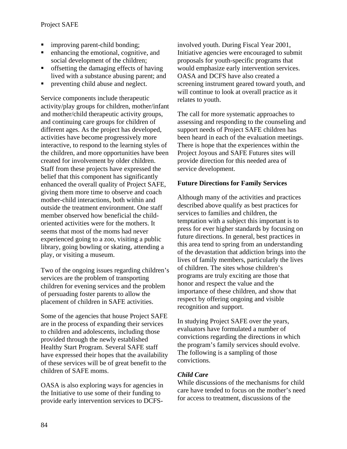- improving parent-child bonding;
- enhancing the emotional, cognitive, and social development of the children;
- offsetting the damaging effects of having lived with a substance abusing parent; and
- preventing child abuse and neglect.

Service components include therapeutic activity/play groups for children, mother/infant and mother/child therapeutic activity groups, and continuing care groups for children of different ages. As the project has developed, activities have become progressively more interactive, to respond to the learning styles of the children, and more opportunities have been created for involvement by older children. Staff from these projects have expressed the belief that this component has significantly enhanced the overall quality of Project SAFE, giving them more time to observe and coach mother-child interactions, both within and outside the treatment environment. One staff member observed how beneficial the childoriented activities were for the mothers. It seems that most of the moms had never experienced going to a zoo, visiting a public library, going bowling or skating, attending a play, or visiting a museum.

Two of the ongoing issues regarding children's services are the problem of transporting children for evening services and the problem of persuading foster parents to allow the placement of children in SAFE activities.

Some of the agencies that house Project SAFE are in the process of expanding their services to children and adolescents, including those provided through the newly established Healthy Start Program. Several SAFE staff have expressed their hopes that the availability of these services will be of great benefit to the children of SAFE moms.

OASA is also exploring ways for agencies in the Initiative to use some of their funding to provide early intervention services to DCFS- involved youth. During Fiscal Year 2001, Initiative agencies were encouraged to submit proposals for youth-specific programs that would emphasize early intervention services. OASA and DCFS have also created a screening instrument geared toward youth, and will continue to look at overall practice as it relates to youth.

The call for more systematic approaches to assessing and responding to the counseling and support needs of Project SAFE children has been heard in each of the evaluation meetings. There is hope that the experiences within the Project Joyous and SAFE Futures sites will provide direction for this needed area of service development.

### **Future Directions for Family Services**

Although many of the activities and practices described above qualify as best practices for services to families and children, the temptation with a subject this important is to press for ever higher standards by focusing on future directions. In general, best practices in this area tend to spring from an understanding of the devastation that addiction brings into the lives of family members, particularly the lives of children. The sites whose children's programs are truly exciting are those that honor and respect the value and the importance of these children, and show that respect by offering ongoing and visible recognition and support.

In studying Project SAFE over the years, evaluators have formulated a number of convictions regarding the directions in which the program's family services should evolve. The following is a sampling of those convictions.

### *Child Care*

While discussions of the mechanisms for child care have tended to focus on the mother's need for access to treatment, discussions of the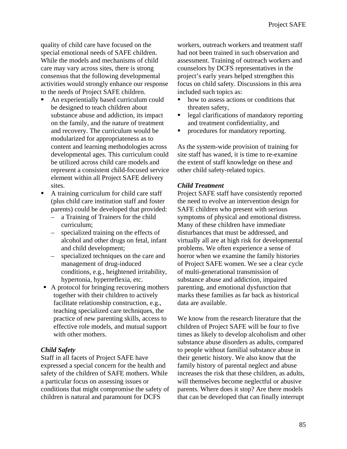quality of child care have focused on the special emotional needs of SAFE children. While the models and mechanisms of child care may vary across sites, there is strong consensus that the following developmental activities would strongly enhance our response to the needs of Project SAFE children.

- An experientially based curriculum could be designed to teach children about substance abuse and addiction, its impact on the family, and the nature of treatment and recovery. The curriculum would be modularized for appropriateness as to content and learning methodologies across developmental ages. This curriculum could be utilized across child care models and represent a consistent child-focused service element within all Project SAFE delivery sites.
- A training curriculum for child care staff (plus child care institution staff and foster parents) could be developed that provided:
	- a Training of Trainers for the child curriculum;
	- specialized training on the effects of alcohol and other drugs on fetal, infant and child development;
	- specialized techniques on the care and management of drug-induced conditions, e.g., heightened irritability, hypertonia, hyperreflexia, etc.
- A protocol for bringing recovering mothers together with their children to actively facilitate relationship construction, e.g., teaching specialized care techniques, the practice of new parenting skills, access to effective role models, and mutual support with other mothers.

### *Child Safety*

Staff in all facets of Project SAFE have expressed a special concern for the health and safety of the children of SAFE mothers. While a particular focus on assessing issues or conditions that might compromise the safety of children is natural and paramount for DCFS

workers, outreach workers and treatment staff had not been trained in such observation and assessment. Training of outreach workers and counselors by DCFS representatives in the project's early years helped strengthen this focus on child safety. Discussions in this area included such topics as:

- how to assess actions or conditions that threaten safety,
- legal clarifications of mandatory reporting and treatment confidentiality, and
- **•** procedures for mandatory reporting.

As the system-wide provision of training for site staff has waned, it is time to re-examine the extent of staff knowledge on these and other child safety-related topics.

### *Child Treatment*

Project SAFE staff have consistently reported the need to evolve an intervention design for SAFE children who present with serious symptoms of physical and emotional distress. Many of these children have immediate disturbances that must be addressed, and virtually all are at high risk for developmental problems. We often experience a sense of horror when we examine the family histories of Project SAFE women. We see a clear cycle of multi-generational transmission of substance abuse and addiction, impaired parenting, and emotional dysfunction that marks these families as far back as historical data are available.

We know from the research literature that the children of Project SAFE will be four to five times as likely to develop alcoholism and other substance abuse disorders as adults, compared to people without familial substance abuse in their genetic history. We also know that the family history of parental neglect and abuse increases the risk that these children, as adults, will themselves become neglectful or abusive parents. Where does it stop? Are there models that can be developed that can finally interrupt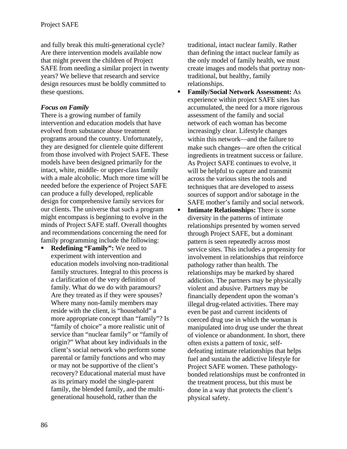and fully break this multi-generational cycle? Are there intervention models available now that might prevent the children of Project SAFE from needing a similar project in twenty years? We believe that research and service design resources must be boldly committed to these questions.

#### *Focus on Family*

There is a growing number of family intervention and education models that have evolved from substance abuse treatment programs around the country. Unfortunately, they are designed for clientele quite different from those involved with Project SAFE. These models have been designed primarily for the intact, white, middle- or upper-class family with a male alcoholic. Much more time will be needed before the experience of Project SAFE can produce a fully developed, replicable design for comprehensive family services for our clients. The universe that such a program might encompass is beginning to evolve in the minds of Project SAFE staff. Overall thoughts and recommendations concerning the need for family programming include the following:

 **Redefining "Family":** We need to experiment with intervention and education models involving non-traditional family structures. Integral to this process is a clarification of the very definition of family. What do we do with paramours? Are they treated as if they were spouses? Where many non-family members may reside with the client, is "household" a more appropriate concept than "family"? Is "family of choice" a more realistic unit of service than "nuclear family" or "family of origin?" What about key individuals in the client's social network who perform some parental or family functions and who may or may not be supportive of the client's recovery? Educational material must have as its primary model the single-parent family, the blended family, and the multigenerational household, rather than the

traditional, intact nuclear family. Rather than defining the intact nuclear family as the only model of family health, we must create images and models that portray nontraditional, but healthy, family relationships.

- **Family/Social Network Assessment:** As experience within project SAFE sites has accumulated, the need for a more rigorous assessment of the family and social network of each woman has become increasingly clear. Lifestyle changes within this network—and the failure to make such changes—are often the critical ingredients in treatment success or failure. As Project SAFE continues to evolve, it will be helpful to capture and transmit across the various sites the tools and techniques that are developed to assess sources of support and/or sabotage in the SAFE mother's family and social network.
- **Intimate Relationships:** There is some diversity in the patterns of intimate relationships presented by women served through Project SAFE, but a dominant pattern is seen repeatedly across most service sites. This includes a propensity for involvement in relationships that reinforce pathology rather than health. The relationships may be marked by shared addiction. The partners may be physically violent and abusive. Partners may be financially dependent upon the woman's illegal drug-related activities. There may even be past and current incidents of coerced drug use in which the woman is manipulated into drug use under the threat of violence or abandonment. In short, there often exists a pattern of toxic, selfdefeating intimate relationships that helps fuel and sustain the addictive lifestyle for Project SAFE women. These pathologybonded relationships must be confronted in the treatment process, but this must be done in a way that protects the client's physical safety.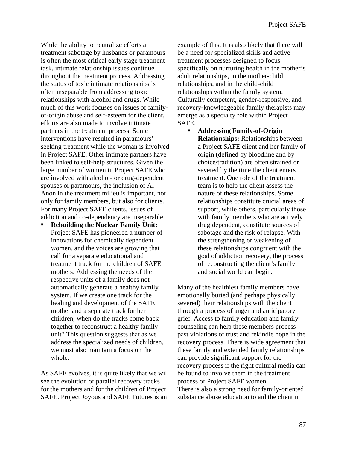While the ability to neutralize efforts at treatment sabotage by husbands or paramours is often the most critical early stage treatment task, intimate relationship issues continue throughout the treatment process. Addressing the status of toxic intimate relationships is often inseparable from addressing toxic relationships with alcohol and drugs. While much of this work focuses on issues of familyof-origin abuse and self-esteem for the client, efforts are also made to involve intimate partners in the treatment process. Some interventions have resulted in paramours' seeking treatment while the woman is involved in Project SAFE. Other intimate partners have been linked to self-help structures. Given the large number of women in Project SAFE who are involved with alcohol- or drug-dependent spouses or paramours, the inclusion of Al-Anon in the treatment milieu is important, not only for family members, but also for clients. For many Project SAFE clients, issues of addiction and co-dependency are inseparable.

 **Rebuilding the Nuclear Family Unit:** Project SAFE has pioneered a number of innovations for chemically dependent women, and the voices are growing that call for a separate educational and treatment track for the children of SAFE mothers. Addressing the needs of the respective units of a family does not automatically generate a healthy family system. If we create one track for the healing and development of the SAFE mother and a separate track for her children, when do the tracks come back together to reconstruct a healthy family unit? This question suggests that as we address the specialized needs of children, we must also maintain a focus on the whole.

As SAFE evolves, it is quite likely that we will see the evolution of parallel recovery tracks for the mothers and for the children of Project SAFE. Project Joyous and SAFE Futures is an

example of this. It is also likely that there will be a need for specialized skills and active treatment processes designed to focus specifically on nurturing health in the mother's adult relationships, in the mother-child relationships, and in the child-child relationships within the family system. Culturally competent, gender-responsive, and recovery-knowledgeable family therapists may emerge as a specialty role within Project SAFE.

 **Addressing Family-of-Origin Relationships:** Relationships between a Project SAFE client and her family of origin (defined by bloodline and by choice/tradition) are often strained or severed by the time the client enters treatment. One role of the treatment team is to help the client assess the nature of these relationships. Some relationships constitute crucial areas of support, while others, particularly those with family members who are actively drug dependent, constitute sources of sabotage and the risk of relapse. With the strengthening or weakening of these relationships congruent with the goal of addiction recovery, the process of reconstructing the client's family and social world can begin.

Many of the healthiest family members have emotionally buried (and perhaps physically severed) their relationships with the client through a process of anger and anticipatory grief. Access to family education and family counseling can help these members process past violations of trust and rekindle hope in the recovery process. There is wide agreement that these family and extended family relationships can provide significant support for the recovery process if the right cultural media can be found to involve them in the treatment process of Project SAFE women. There is also a strong need for family-oriented substance abuse education to aid the client in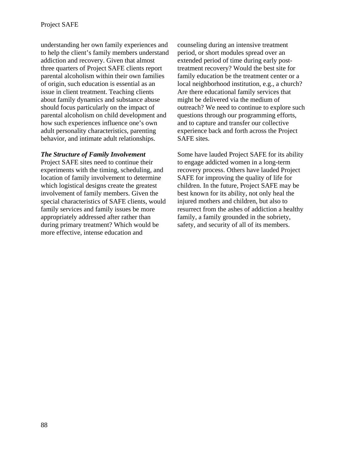understanding her own family experiences and to help the client's family members understand addiction and recovery. Given that almost three quarters of Project SAFE clients report parental alcoholism within their own families of origin, such education is essential as an issue in client treatment. Teaching clients about family dynamics and substance abuse should focus particularly on the impact of parental alcoholism on child development and how such experiences influence one's own adult personality characteristics, parenting behavior, and intimate adult relationships.

### *The Structure of Family Involvement*

Project SAFE sites need to continue their experiments with the timing, scheduling, and location of family involvement to determine which logistical designs create the greatest involvement of family members. Given the special characteristics of SAFE clients, would family services and family issues be more appropriately addressed after rather than during primary treatment? Which would be more effective, intense education and

counseling during an intensive treatment period, or short modules spread over an extended period of time during early posttreatment recovery? Would the best site for family education be the treatment center or a local neighborhood institution, e.g., a church? Are there educational family services that might be delivered via the medium of outreach? We need to continue to explore such questions through our programming efforts, and to capture and transfer our collective experience back and forth across the Project SAFE sites.

Some have lauded Project SAFE for its ability to engage addicted women in a long-term recovery process. Others have lauded Project SAFE for improving the quality of life for children. In the future, Project SAFE may be best known for its ability, not only heal the injured mothers and children, but also to resurrect from the ashes of addiction a healthy family, a family grounded in the sobriety, safety, and security of all of its members.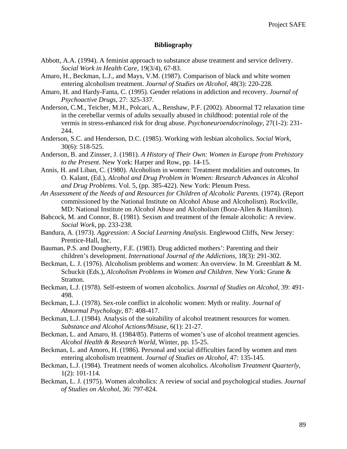#### **Bibliography**

- Abbott, A.A. (1994). A feminist approach to substance abuse treatment and service delivery. *Social Work in Health Care*, 19(3/4), 67-83.
- Amaro, H., Beckman, L.J., and Mays, V.M. (1987). Comparison of black and white women entering alcoholism treatment. *Journal of Studies on Alcohol*, 48(3): 220-228.
- Amaro, H. and Hardy-Fanta, C. (1995). Gender relations in addiction and recovery. *Journal of Psychoactive Drugs*, 27: 325-337.
- Anderson, C.M., Teicher, M.H., Polcari, A., Renshaw, P.F. (2002). Abnormal T2 relaxation time in the cerebellar vermis of adults sexually abused in childhood: potential role of the vermis in stress-enhanced risk for drug abuse. *Psychoneuroendocrinology*, 27(1-2): 231- 244.
- Anderson, S.C. and Henderson, D.C. (1985). Working with lesbian alcoholics. *Social Work*, 30(6): 518-525.
- Anderson, B. and Zinsser, J. (1981). *A History of Their Own: Women in Europe from Prehistory to the Present*. New York: Harper and Row, pp. 14-15.
- Annis, H. and Liban, C. (1980). Alcoholism in women: Treatment modalities and outcomes. In O. Kalant, (Ed.), *Alcohol and Drug Problem in Women: Research Advances in Alcohol and Drug Problems*. Vol. 5, (pp. 385-422). New York: Plenum Press.
- *An Assessment of the Needs of and Resources for Children of Alcoholic Parents*. (1974). (Report commissioned by the National Institute on Alcohol Abuse and Alcoholism). Rockville, MD: National Institute on Alcohol Abuse and Alcoholism (Booz-Allen & Hamilton).
- Babcock, M. and Connor, B. (1981). Sexism and treatment of the female alcoholic: A review. *Social Work*, pp. 233-238.
- Bandura, A. (1973). *Aggression: A Social Learning Analysis*. Englewood Cliffs, New Jersey: Prentice-Hall, Inc.
- Bauman, P.S. and Dougherty, F.E. (1983). Drug addicted mothers': Parenting and their children's development. *International Journal of the Addictions*, 18(3): 291-302.
- Beckman, L. J. (1976). Alcoholism problems and women: An overview. In M. Greenblatt & M. Schuckit (Eds.), *Alcoholism Problems in Women and Children*. New York: Grune & Stratton.
- Beckman, L.J. (1978). Self-esteem of women alcoholics. *Journal of Studies on Alcohol,* 39: 491- 498.
- Beckman, L.J. (1978). Sex-role conflict in alcoholic women: Myth or reality. *Journal of Abnormal Psychology*, 87: 408-417.
- Beckman, L.J. (1984). Analysis of the suitability of alcohol treatment resources for women. *Substance and Alcohol Actions/Misuse*, 6(1): 21-27.
- Beckman, L. and Amaro, H. (1984/85). Patterns of women's use of alcohol treatment agencies. *Alcohol Health & Research World*, Winter, pp. 15-25.
- Beckman, L. and Amoro, H. (1986). Personal and social difficulties faced by women and men entering alcoholism treatment. *Journal of Studies on Alcohol*, 47: 135-145.
- Beckman, L.J. (1984). Treatment needs of women alcoholics. *Alcoholism Treatment Quarterly*, 1(2): 101-114.
- Beckman, L. J. (1975). Women alcoholics: A review of social and psychological studies. *Journal of Studies on Alcohol*, 36: 797-824.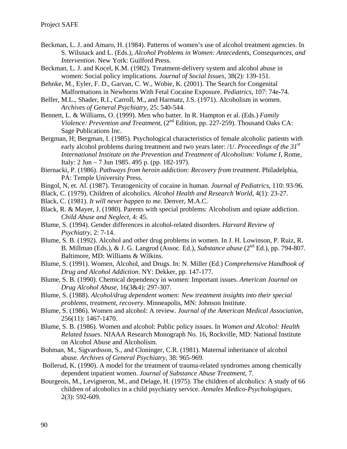- Beckman, L. J. and Amaro, H. (1984). Patterns of women's use of alcohol treatment agencies. In S. Wilsnack and L. (Eds.), *Alcohol Problems in Women: Antecedents, Consequences, and Intervention*. New York: Guilford Press.
- Beckman, L. J. and Kocel, K.M. (1982). Treatment-delivery system and alcohol abuse in women: Social policy implications. *Journal of Social Issues*, 38(2): 139-151.
- Behnke, M., Eyler, F. D., Garvan, C. W., Wobie, K. (2001). The Search for Congenital Malformations in Newborns With Fetal Cocaine Exposure. *Pediatrics*, 107: 74e-74.
- Belfer, M.L., Shader, R.I., Carroll, M., and Harmatz, J.S. (1971). Alcoholism in women. *Archives of General Psychiatry*, 25: 540-544.
- Bennett, L. & Williams, O. (1999). Men who batter. In R. Hampton et al. (Eds.) *Family Violence: Prevention and Treatment*, (2nd Edition, pp. 227-259). Thousand Oaks CA: Sage Publications Inc.
- Bergman, H; Bergman, I. (1985). Psychological characteristics of female alcoholic patients with early alcohol problems during treatment and two years later: /1/. *Proceedings of the 31st International Institute on the Prevention and Treatment of Alcoholism: Volume I*, Rome, Italy: 2 Jun – 7 Jun 1985. 495 p. (pp. 182-197).
- Biernacki, P. (1986). *Pathways from heroin addiction: Recovery from treatment*. Philadelphia, PA: Temple University Press.
- Bingol, N, et. Al. (1987). Teratogenicity of cocaine in human. *Journal of Pediatrics*, 110: 93-96.
- Black, C. (1979). Children of alcoholics. *Alcohol Health and Research World*, 4(1): 23-27.
- Black, C. (1981). *It will never happen to me.* Denver, M.A.C.
- Black, R. & Mayer, J. (1980). Parents with special problems: Alcoholism and opiate addiction. *Child Abuse and Neglect*, 4: 45.
- Blume, S. (1994). Gender differences in alcohol-related disorders. *Harvard Review of Psychiatry,* 2: 7-14.
- Blume, S. B. (1992). Alcohol and other drug problems in women. In J. H. Lowinson, P. Ruiz, R. B. Millman (Eds.), & J. G. Langrod (Assoc. Ed.), *Substance abuse* (2nd Ed.), pp. 794-807. Baltimore, MD: Williams & Wilkins.
- Blume, S. (1991). Women, Alcohol, and Drugs. In: N. Miller (Ed.) *Comprehensive Handbook of Drug and Alcohol Addiction*. NY: Dekker, pp. 147-177.
- Blume, S. B. (1990). Chemical dependency in women: Important issues. *American Journal on Drug Alcohol Abuse,* 16(3&4): 297-307.
- Blume, S. (1988). *Alcohol/drug dependent women: New treatment insights into their special problems, treatment, recovery*. Minneapolis, MN: Johnson Institute.
- Blume, S. (1986). Women and alcohol: A review. *Journal of the American Medical Association,* 256(11): 1467-1470.
- Blume, S. B. (1986). Women and alcohol: Public policy issues. In *Women and Alcohol: Health Related Issues*. NIAAA Research Monograph No. 16, Rockville, MD: National Institute on Alcohol Abuse and Alcoholism.
- Bohman, M., Sigvardsson, S., and Cloninger, C.R. (1981). Maternal inheritance of alcohol abuse. *Archives of General Psychiatry*, 38: 965-969.
- Bollerud, K. (1990). A model for the treatment of trauma-related syndromes among chemically dependent inpatient women. *Journal of Substance Abuse Treatment*, 7.
- Bourgeois, M., Levigneron, M., and Delage, H. (1975). The children of alcoholics: A study of 66 children of alcoholics in a child psychiatry service. *Annales Medico-Psychologiques*, 2(3): 592-609.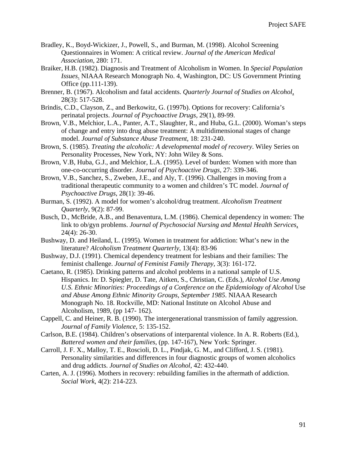- Bradley, K., Boyd-Wickizer, J., Powell, S., and Burman, M. (1998). Alcohol Screening Questionnaires in Women: A critical review. *Journal of the American Medical Association,* 280: 171.
- Braiker, H.B. (1982). Diagnosis and Treatment of Alcoholism in Women. In *Special Population Issues*. NIAAA Research Monograph No. 4, Washington, DC: US Government Printing Office (pp.111-139).
- Brenner, B. (1967). Alcoholism and fatal accidents. *Quarterly Journal of Studies on Alcohol*, 28(3): 517-528.
- Brindis, C.D., Clayson, Z., and Berkowitz, G. (1997b). Options for recovery: California's perinatal projects. *Journal of Psychoactive Drugs,* 29(1), 89-99.
- Brown, V.B., Melchior, L.A., Panter, A.T., Slaughter, R., and Huba, G.L. (2000). Woman's steps of change and entry into drug abuse treatment: A multidimensional stages of change model. *Journal of Substance Abuse Treatment*, 18: 231-240.
- Brown, S. (1985). *Treating the alcoholic: A developmental model of recovery*. Wiley Series on Personality Processes, New York, NY: John Wiley & Sons.
- Brown, V.B, Huba, G.J., and Melchior, L.A. (1995). Level of burden: Women with more than one-co-occurring disorder. *Journal of Psychoactive Drugs*, 27: 339-346.
- Brown, V.B., Sanchez, S., Zweben, J.E., and Aly, T. (1996). Challenges in moving from a traditional therapeutic community to a women and children's TC model. *Journal of Psychoactive Drugs*, 28(1): 39-46.
- Burman, S. (1992). A model for women's alcohol/drug treatment. *Alcoholism Treatment Quarterly*, 9(2): 87-99.
- Busch, D., McBride, A.B., and Benaventura, L.M. (1986). Chemical dependency in women: The link to ob/gyn problems. *Journal of Psychosocial Nursing and Mental Health Services*, 24(4): 26-30.
- Bushway, D. and Heiland, L. (1995). Women in treatment for addiction: What's new in the literature? *Alcoholism Treatment Quarterly*, 13(4): 83-96
- Bushway, D.J. (1991). Chemical dependency treatment for lesbians and their families: The feminist challenge. *Journal of Feminist Family Therapy,* 3(3): 161-172.
- Caetano, R. (1985). Drinking patterns and alcohol problems in a national sample of U.S. Hispanics. In: D. Spiegler, D. Tate, Aitken, S., Christian, C. (Eds.), *Alcohol Use Among*  U.S. Ethnic Minorities: Proceedings of a Conference on the Epidemiology of Alcohol Use *and Abuse Among Ethnic Minority Groups, September 1985*. NIAAA Research Monograph No. 18. Rockville, MD: National Institute on Alcohol Abuse and Alcoholism, 1989, (pp 147- 162).
- Cappell, C. and Heiner, R. B. (1990). The intergenerational transmission of family aggression. *Journal of Family Violence*, 5: 135-152.
- Carlson, B.E. (1984). Children's observations of interparental violence. In A. R. Roberts (Ed.), *Battered women and their families*, (pp. 147-167), New York: Springer.
- Carroll, J. F. X., Malloy, T. E., Roscioli, D. L., Pindjak, G. M., and Clifford, J. S. (1981). Personality similarities and differences in four diagnostic groups of women alcoholics and drug addicts. *Journal of Studies on Alcohol*, 42: 432-440.
- Carten, A. J. (1996). Mothers in recovery: rebuilding families in the aftermath of addiction. *Social Work*, 4(2): 214-223.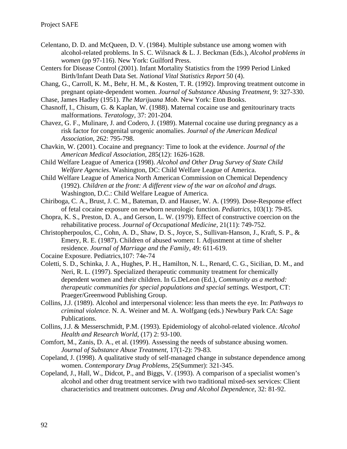- Celentano, D. D. and McQueen, D. V. (1984). Multiple substance use among women with alcohol-related problems. In S. C. Wilsnack & L. J. Beckman (Eds.), *Alcohol problems in women* (pp 97-116). New York: Guilford Press.
- Centers for Disease Control (2001). Infant Mortality Statistics from the 1999 Period Linked Birth/Infant Death Data Set. *National Vital Statistics Report* 50 (4).

Chang, G., Carroll, K. M., Behr, H. M., & Kosten, T. R. (1992). Improving treatment outcome in pregnant opiate-dependent women. *Journal of Substance Abusing Treatment*, 9: 327-330.

- Chase, James Hadley (1951). *The Marijuana Mob*. New York: Eton Books.
- Chasnoff, I., Chisum, G. & Kaplan, W. (1988). Maternal cocaine use and genitourinary tracts malformations. *Teratology*, 37: 201-204.
- Chavez, G. F., Mulinare, J. and Codero, J. (1989). Maternal cocaine use during pregnancy as a risk factor for congenital urogenic anomalies. *Journal of the American Medical Association*, 262: 795-798.
- Chavkin, W. (2001). Cocaine and pregnancy: Time to look at the evidence. *Journal of the American Medical Association*, 285(12): 1626-1628.
- Child Welfare League of America (1998). *Alcohol and Other Drug Survey of State Child Welfare Agencies*. Washington, DC: Child Welfare League of America.
- Child Welfare League of America North American Commission on Chemical Dependency (1992). *Children at the front: A different view of the war on alcohol and drugs.*  Washington, D.C.: Child Welfare League of America.
- Chiriboga, C. A., Brust, J. C. M., Bateman, D. and Hauser, W. A. (1999). Dose-Response effect of fetal cocaine exposure on newborn neurologic function. *Pediatrics*, 103(1): 79-85.
- Chopra, K. S., Preston, D. A., and Gerson, L. W. (1979). Effect of constructive coercion on the rehabilitative process. *Journal of Occupational Medicine,* 21(11): 749-752.
- Christopherpoulos, C., Cohn, A. D., Shaw, D. S., Joyce, S., Sullivan-Hanson, J., Kraft, S. P., & Emery, R. E. (1987). Children of abused women: I. Adjustment at time of shelter residence. *Journal of Marriage and the Family*, 49: 611-619.
- Cocaine Exposure. Pediatrics,107: 74e-74
- Coletti, S. D., Schinka, J. A., Hughes, P. H., Hamilton, N. L., Renard, C. G., Sicilian, D. M., and Neri, R. L. (1997). Specialized therapeutic community treatment for chemically dependent women and their children. In G.DeLeon (Ed.), *Community as a method: therapeutic communities for special populations and special settings.* Westport, CT: Praeger/Greenwood Publishing Group.
- Collins, J.J. (1989). Alcohol and interpersonal violence: less than meets the eye. In: *Pathways to criminal violence.* N. A. Weiner and M. A. Wolfgang (eds.) Newbury Park CA: Sage Publications.
- Collins, J.J. & Messerschmidt, P.M. (1993). Epidemiology of alcohol-related violence. *Alcohol Health and Research World*, (17) 2: 93-100.
- Comfort, M., Zanis, D. A., et al. (1999). Assessing the needs of substance abusing women. *Journal of Substance Abuse Treatment*, 17(1-2): 79-83.
- Copeland, J. (1998). A qualitative study of self-managed change in substance dependence among women. *Contemporary Drug Problems*, 25(Summer): 321-345.
- Copeland, J., Hall, W., Didcot, P., and Biggs, V. (1993). A comparison of a specialist women's alcohol and other drug treatment service with two traditional mixed-sex services: Client characteristics and treatment outcomes. *Drug and Alcohol Dependence*, 32: 81-92.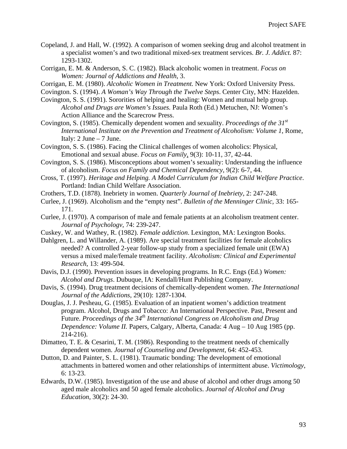Copeland, J. and Hall, W. (1992). A comparison of women seeking drug and alcohol treatment in a specialist women's and two traditional mixed-sex treatment services. *Br. J. Addict.* 87: 1293-1302.

- Corrigan, E. M. & Anderson, S. C. (1982). Black alcoholic women in treatment. *Focus on Women: Journal of Addictions and Health*, 3.
- Corrigan, E. M. (1980). *Alcoholic Women in Treatment.* New York: Oxford University Press.
- Covington. S. (1994). *A Woman's Way Through the Twelve Steps*. Center City, MN: Hazelden.
- Covington, S. S. (1991). Sororities of helping and healing: Women and mutual help group. *Alcohol and Drugs are Women's Issues.* Paula Roth (Ed.) Metuchen, NJ: Women's Action Alliance and the Scarecrow Press.
- Covington, S. (1985). Chemically dependent women and sexuality. *Proceedings of the 31st International Institute on the Prevention and Treatment of Alcoholism: Volume 1*, Rome, Italy:  $2$  June  $-7$  June.
- Covington, S. S. (1986). Facing the Clinical challenges of women alcoholics: Physical, Emotional and sexual abuse. *Focus on Family*, 9(3): 10-11, 37, 42-44.
- Covington, S. S. (1986). Misconceptions about women's sexuality: Understanding the influence of alcoholism. *Focus on Family and Chemical Dependency*, 9(2): 6-7, 44.
- Cross, T. (1997). *Heritage and Helping. A Model Curriculum for Indian Child Welfare Practice*. Portland: Indian Child Welfare Association.
- Crothers, T.D. (1878). Inebriety in women. *Quarterly Journal of Inebriety*, 2: 247-248.
- Curlee, J. (1969). Alcoholism and the "empty nest". *Bulletin of the Menninger Clinic,* 33: 165- 171.
- Curlee, J. (1970). A comparison of male and female patients at an alcoholism treatment center. *Journal of Psychologv*, 74: 239-247.
- Cuskey, W. and Wathey, R. (1982). *Female addiction*. Lexington, MA: Lexington Books.
- Dahlgren, L. and Willander, A. (1989). Are special treatment facilities for female alcoholics needed? A controlled 2-year follow-up study from a specialized female unit (EWA) versus a mixed male/female treatment facility. *Alcoholism: Clinical and Experimental Research*, 13: 499-504.
- Davis, D.J. (1990). Prevention issues in developing programs. In R.C. Engs (Ed.) *Women: Alcohol and Drugs*. Dubuque, IA: Kendall/Hunt Publishing Company.
- Davis, S. (1994). Drug treatment decisions of chemically-dependent women. *The International Journal of the Addictions*, 29(10): 1287-1304.
- Douglas, J. J. Pesheau, G. (1985). Evaluation of an inpatient women's addiction treatment program. Alcohol, Drugs and Tobacco: An International Perspective. Past, Present and Future. *Proceedings of the 34<sup>th</sup> International Congress on Alcoholism and Drug Dependence: Volume II.* Papers, Calgary, Alberta, Canada: 4 Aug – 10 Aug 1985 (pp. 214-216).
- Dimatteo, T. E. & Cesarini, T. M. (1986). Responding to the treatment needs of chemically dependent women. *Journal of Counseling and Development*, 64: 452-453.
- Dutton, D. and Painter, S. L. (1981). Traumatic bonding: The development of emotional attachments in battered women and other relationships of intermittent abuse. *Victimology*, 6: 13-23.
- Edwards, D.W. (1985). Investigation of the use and abuse of alcohol and other drugs among 50 aged male alcoholics and 50 aged female alcoholics. *Journal of Alcohol and Drug Education*, 30(2): 24-30.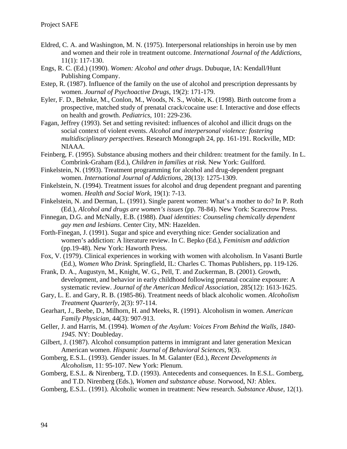- Eldred, C. A. and Washington, M. N. (1975). Interpersonal relationships in heroin use by men and women and their role in treatment outcome. *International Journal of the Addictions*, 11(1): 117-130.
- Engs, R. C. (Ed.) (1990). *Women: Alcohol and other drugs*. Dubuque, IA: Kendall/Hunt Publishing Company.
- Estep, R. (1987). Influence of the family on the use of alcohol and prescription depressants by women. *Journal of Psychoactive Drugs*, 19(2): 171-179.
- Eyler, F. D., Behnke, M., Conlon, M., Woods, N. S., Wobie, K. (1998). Birth outcome from a prospective, matched study of prenatal crack/cocaine use: I. Interactive and dose effects on health and growth. *Pediatrics*, 101: 229-236.
- Fagan, Jeffrey (1993). Set and setting revisited: influences of alcohol and illicit drugs on the social context of violent events. *Alcohol and interpersonal violence: fostering multidisciplinary perspectives*. Research Monograph 24, pp. 161-191. Rockville, MD: NIAAA.
- Feinberg, F. (1995). Substance abusing mothers and their children: treatment for the family. In L. Combrink-Graham (Ed.), *Children in families at risk.* New York: Guilford.
- Finkelstein, N. (1993). Treatment programming for alcohol and drug-dependent pregnant women. *International Journal of Addictions,* 28(13): 1275-1309.
- Finkelstein, N. (1994). Treatment issues for alcohol and drug dependent pregnant and parenting women. *Health and Social Work*, 19(1): 7-13.
- Finkelstein, N. and Derman, L. (1991). Single parent women: What's a mother to do? In P. Roth (Ed.), *Alcohol and drugs are women's issues* (pp. 78-84). New York: Scarecrow Press.
- Finnegan, D.G. and McNally, E.B. (1988). *Dual identities: Counseling chemically dependent gay men and lesbians*. Center City, MN: Hazelden.
- Forth-Finegan, J. (1991). Sugar and spice and everything nice: Gender socialization and women's addiction: A literature review. In C. Bepko (Ed.), *Feminism and addiction*  (pp.19-48). New York: Haworth Press.
- Fox, V. (1979). Clinical experiences in working with women with alcoholism. In Vasanti Burtle (Ed.), *Women Who Drink*. Springfield, IL: Charles C. Thomas Publishers, pp. 119-126.
- Frank, D. A., Augustyn, M., Knight, W. G., Pell, T. and Zuckerman, B. (2001). Growth, development, and behavior in early childhood following prenatal cocaine exposure: A systematic review. *Journal of the American Medical Association*, 285(12): 1613-1625.
- Gary, L. E. and Gary, R. B. (1985-86). Treatment needs of black alcoholic women. *Alcoholism Treatment Quarterly,* 2(3): 97-114.
- Gearhart, J., Beebe, D., Milhorn, H. and Meeks, R. (1991). Alcoholism in women. *American Family Physician*, 44(3): 907-913.
- Geller, J. and Harris, M. (1994). *Women of the Asylum: Voices From Behind the Walls, 1840- 1945.* NY: Doubleday.
- Gilbert, J. (1987). Alcohol consumption patterns in immigrant and later generation Mexican American women. *Hispanic Journal of Behavioral Sciences*, 9(3).
- Gomberg, E.S.L. (1993). Gender issues. In M. Galanter (Ed.), *Recent Developments in Alcoholism*, 11: 95-107. New York: Plenum.
- Gomberg, E.S.L. & Nirenberg, T.D. (1993). Antecedents and consequences. In E.S.L. Gomberg, and T.D. Nirenberg (Eds.), *Women and substance abuse*. Norwood, NJ: Ablex.
- Gomberg, E.S.L. (1991). Alcoholic women in treatment: New research. *Substance Abuse,* 12(1).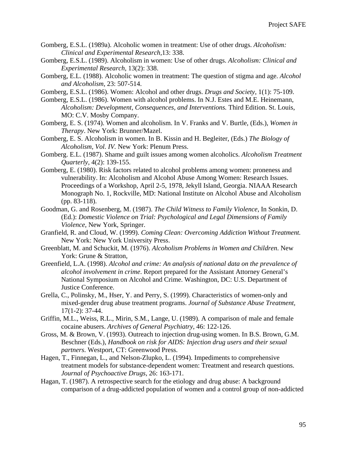- Gomberg, E.S.L. (1989a). Alcoholic women in treatment: Use of other drugs. *Alcoholism: Clinical and Experimental Research,*13: 338.
- Gomberg, E.S.L. (1989). Alcoholism in women: Use of other drugs. *Alcoholism: Clinical and Experimental Research*, 13(2): 338.
- Gomberg, E.L. (1988). Alcoholic women in treatment: The question of stigma and age. *Alcohol and Alcoholism*, 23: 507-514.
- Gomberg, E.S.L. (1986). Women: Alcohol and other drugs. *Drugs and Society*, 1(1): 75-109.
- Gomberg, E.S.L. (1986). Women with alcohol problems. In N.J. Estes and M.E. Heinemann, *Alcoholism: Development, Consequences, and Interventions.* Third Edition. St. Louis, MO: C.V. Mosby Company.
- Gomberg, E. S. (1974). Women and alcoholism. In V. Franks and V. Burtle, (Eds.), *Women in Therapy*. New York: Brunner/Mazel.
- Gomberg, E. S. Alcoholism in women. In B. Kissin and H. Begleiter, (Eds.) *The Biology of Alcoholism, Vol. IV.* New York: Plenum Press.
- Gomberg. E.L. (1987). Shame and guilt issues among women alcoholics. *Alcoholism Treatment Quarterly*, 4(2): 139-155.
- Gomberg, E. (1980). Risk factors related to alcohol problems among women: proneness and vulnerability. In: Alcoholism and Alcohol Abuse Among Women: Research Issues. Proceedings of a Workshop, April 2-5, 1978, Jekyll Island, Georgia. NIAAA Research Monograph No. 1, Rockville, MD: National Institute on Alcohol Abuse and Alcoholism (pp. 83-118).
- Goodman, G. and Rosenberg, M. (1987). *The Child Witness to Family Violence*, In Sonkin, D. (Ed.): *Domestic Violence on Trial: Psychological and Legal Dimensions of Family Violence*, New York, Springer.
- Granfield, R. and Cloud, W. (1999). *Coming Clean: Overcoming Addiction Without Treatment.* New York: New York University Press.
- Greenblatt, M. and Schuckit, M. (1976). *Alcoholism Problems in Women and Children*. New York: Grune & Stratton,
- Greenfield, L.A. (1998). *Alcohol and crime: An analysis of national data on the prevalence of alcohol involvement in crime*. Report prepared for the Assistant Attorney General's National Symposium on Alcohol and Crime. Washington, DC: U.S. Department of Justice Conference.
- Grella, C., Polinsky, M., Hser, Y. and Perry, S. (1999). Characteristics of women-only and mixed-gender drug abuse treatment programs. *Journal of Substance Abuse Treatment,*  17(1-2): 37-44.
- Griffin, M.L., Weiss, R.L., Mirin, S.M., Lange, U. (1989). A comparison of male and female cocaine abusers. *Archives of General Psychiatry*, 46: 122-126.
- Gross, M. & Brown, V. (1993). Outreach to injection drug-using women. In B.S. Brown, G.M. Beschner (Eds.), *Handbook on risk for AIDS: Injection drug users and their sexual partners*. Westport, CT: Greenwood Press.
- Hagen, T., Finnegan, L., and Nelson-Zlupko, L. (1994). Impediments to comprehensive treatment models for substance-dependent women: Treatment and research questions. *Journal of Psychoactive Drugs,* 26: 163-171.
- Hagan, T. (1987). A retrospective search for the etiology and drug abuse: A background comparison of a drug-addicted population of women and a control group of non-addicted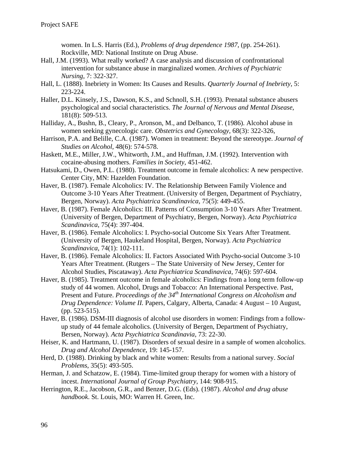women. In L.S. Harris (Ed.), *Problems of drug dependence 1987*, (pp. 254-261). Rockville, MD: National Institute on Drug Abuse.

- Hall, J.M. (1993). What really worked? A case analysis and discussion of confrontational intervention for substance abuse in marginalized women. *Archives of Psychiatric Nursing*, 7: 322-327.
- Hall, L. (1888). Inebriety in Women: Its Causes and Results. *Quarterly Journal of Inebriety*, 5: 223-224.
- Haller, D.L. Kinsely, J.S., Dawson, K.S., and Schnoll, S.H. (1993). Prenatal substance abusers psychological and social characteristics. *The Journal of Nervous and Mental Disease*, 181(8): 509-513.
- Halliday, A., Bushn, B., Cleary, P., Aronson, M., and Delbanco, T. (1986). Alcohol abuse in women seeking gynecologic care. *Obstetrics and Gynecology*, 68(3): 322-326,
- Harrison, P.A. and Belille, C.A. (1987). Women in treatment: Beyond the stereotype. *Journal of Studies on Alcohol*, 48(6): 574-578.
- Haskett, M.E., Miller, J.W., Whitworth, J.M., and Huffman, J.M. (1992). Intervention with cocaine-abusing mothers. *Families in Society*, 451-462.
- Hatsukami, D., Owen, P.L. (1980). Treatment outcome in female alcoholics: A new perspective. Center City, MN: Hazelden Foundation.
- Haver, B. (1987). Female Alcoholics: IV. The Relationship Between Family Violence and Outcome 3-10 Years After Treatment. (University of Bergen, Department of Psychiatry, Bergen, Norway). *Acta Psychiatrica Scandinavica*, 75(5): 449-455.
- Haver, B. (1987). Female Alcoholics: III. Patterns of Consumption 3-10 Years After Treatment. (University of Bergen, Department of Psychiatry, Bergen, Norway). *Acta Psychiatrica Scandinavica*, 75(4): 397-404.
- Haver, B. (1986). Female Alcoholics: I. Psycho-social Outcome Six Years After Treatment. (University of Bergen, Haukeland Hospital, Bergen, Norway). *Acta Psychiatrica Scandinavica,* 74(1): 102-111.
- Haver, B. (1986). Female Alcoholics: II. Factors Associated With Psycho-social Outcome 3-10 Years After Treatment. (Rutgers – The State University of New Jersey, Center for Alcohol Studies, Piscataway). *Acta Psychiatrica Scandinavica*, 74(6): 597-604.
- Haver, B. (1985). Treatment outcome in female alcoholics: Findings from a long term follow-up study of 44 women. Alcohol, Drugs and Tobacco: An International Perspective. Past, Present and Future. *Proceedings of the 34<sup>th</sup> International Congress on Alcoholism and Drug Dependence: Volume II.* Papers, Calgary, Alberta, Canada: 4 August – 10 August, (pp. 523-515).
- Haver, B. (1986). DSM-III diagnosis of alcohol use disorders in women: Findings from a followup study of 44 female alcoholics. (University of Bergen, Department of Psychiatry, Bersen, Norway). *Acta Psychiatrica Scandinavia*, 73: 22-30.
- Heiser, K. and Hartmann, U. (1987). Disorders of sexual desire in a sample of women alcoholics. *Drug and Alcohol Dependence*, 19: 145-157.
- Herd, D. (1988). Drinking by black and white women: Results from a national survey. *Social Problems*, 35(5): 493-505.
- Herman, J. and Schatzow, E. (1984). Time-limited group therapy for women with a history of incest. *International Journal of Group Psychiatry*, 144: 908-915.
- Herrington, R.E., Jacobson, G.R., and Benzer, D.G. (Eds). (1987). *Alcohol and drug abuse handbook*. St. Louis, MO: Warren H. Green, Inc.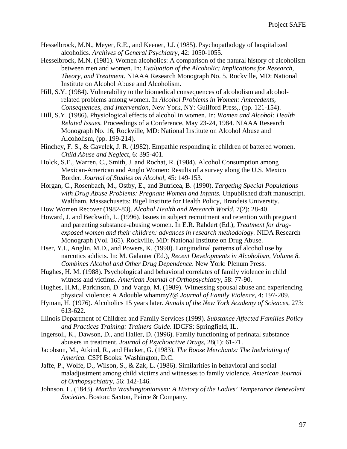- Hesselbrock, M.N., Meyer, R.E., and Keener, J.J. (1985). Psychopathology of hospitalized alcoholics. *Archives of General Psychiatry*, 42: 1050-1055.
- Hesselbrock, M.N. (1981). Women alcoholics: A comparison of the natural history of alcoholism between men and women. In: *Evaluation of the Alcoholic: Implications for Research, Theory, and Treatment*. NIAAA Research Monograph No. 5. Rockville, MD: National Institute on Alcohol Abuse and Alcoholism.
- Hill, S.Y. (1984). Vulnerability to the biomedical consequences of alcoholism and alcoholrelated problems among women. In *Alcohol Problems in Women: Antecedents, Consequences, and Intervention,* New York, NY: Guilford Press,. (pp. 121-154).
- Hill, S.Y. (1986). Physiological effects of alcohol in women. In: *Women and Alcohol: Health Related Issues.* Proceedings of a Conference, May 23-24, 1984. NIAAA Research Monograph No. 16, Rockville, MD: National Institute on Alcohol Abuse and Alcoholism, (pp. 199-214).
- Hinchey, F. S., & Gavelek, J. R. (1982). Empathic responding in children of battered women. *Child Abuse and Neglect*, 6: 395-401.
- Holck, S.E., Warren, C., Smith, J. and Rochat, R. (1984). Alcohol Consumption among Mexican-American and Anglo Women: Results of a survey along the U.S. Mexico Border. *Journal of Studies on Alcohol*, 45: 149-153.
- Horgan, C., Rosenbach, M., Ostby, E., and Butricea, B. (1990). *Targeting Special Populations with Drug Abuse Problems: Pregnant Women and Infants.* Unpublished draft manuscript. Waltham, Massachusetts: Bigel Institute for Health Policy, Brandeis University.
- How Women Recover (1982-83). *Alcohol Health and Research World*, 7(2): 28-40.
- Howard, J. and Beckwith, L. (1996). Issues in subject recruitment and retention with pregnant and parenting substance-abusing women. In E.R. Rahdert (Ed.), *Treatment for drugexposed women and their children: advances in research methodology.* NIDA Research Monograph (Vol. 165). Rockville, MD: National Institute on Drug Abuse.
- Hser, Y.I., Anglin, M.D., and Powers, K. (1990). Longitudinal patterns of alcohol use by narcotics addicts. In: M. Galanter (Ed.), *Recent Developments in Alcoholism, Volume 8. Combines Alcohol and Other Drug Dependence*. New York: Plenum Press.
- Hughes, H. M. (1988). Psychological and behavioral correlates of family violence in child witness and victims. *American Journal of Orthopsychiatry*, 58: 77-90.
- Hughes, H.M., Parkinson, D. and Vargo, M. (1989). Witnessing spousal abuse and experiencing physical violence: A Adouble whammy?@ *Journal of Family Violence*, 4: 197-209.
- Hyman, H. (1976). Alcoholics 15 years later. *Annals of the New York Academy of Sciences*, 273: 613-622.
- Illinois Department of Children and Family Services (1999). *Substance Affected Families Policy and Practices Training: Trainers Guide*. IDCFS: Springfield, IL.
- Ingersoll, K., Dawson, D., and Haller, D. (1996). Family functioning of perinatal substance abusers in treatment. *Journal of Psychoactive Drugs*, 28(1): 61-71.
- Jacobson, M., Atkind, R., and Hacker, G. (1983). *The Booze Merchants: The Inebriating of America.* CSPI Books: Washington, D.C.
- Jaffe, P., Wolfe, D., Wilson, S., & Zak, L. (1986). Similarities in behavioral and social maladjustment among child victims and witnesses to family violence. *American Journal of Orthopsychiatry*, 56: 142-146.
- Johnson, L. (1843). *Martha Washingtonianism: A History of the Ladies' Temperance Benevolent Societies*. Boston: Saxton, Peirce & Company.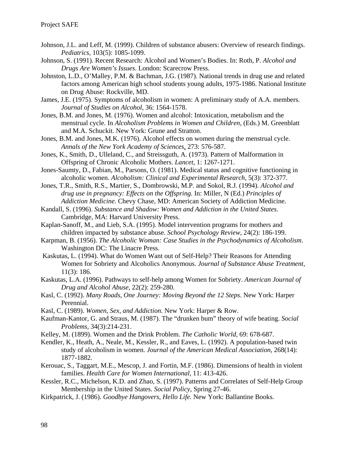- Johnson, J.L. and Leff, M. (1999). Children of substance abusers: Overview of research findings. *Pediatrics*, 103(5): 1085-1099.
- Johnson, S. (1991). Recent Research: Alcohol and Women's Bodies. In: Roth, P. *Alcohol and Drugs Are Women's Issues*. London: Scarecrow Press.
- Johnston, L.D., O'Malley, P.M. & Bachman, J.G. (1987). National trends in drug use and related factors among American high school students young adults, 1975-1986. National Institute on Drug Abuse: Rockville, MD.
- James, J.E. (1975). Symptoms of alcoholism in women: A preliminary study of A.A. members. *Journal of Studies on Alcohol*, 36: 1564-1578.
- Jones, B.M. and Jones, M. (1976). Women and alcohol: Intoxication, metabolism and the menstrual cycle. In *Alcoholism Problems in Women and Children*, (Eds.) M. Greenblatt and M.A. Schuckit. New York: Grune and Stratton.
- Jones, B.M. and Jones, M.K. (1976). Alcohol effects on women during the menstrual cycle. *Annals of the New York Academy of Sciences*, 273: 576-587.
- Jones, K., Smith, D., Ulleland, C., and Streissguth, A. (1973). Pattern of Malformation in Offspring of Chronic Alcoholic Mothers. *Lancet,* 1: 1267-1271.
- Jones-Saumty, D., Fabian, M., Parsons, O. (1981). Medical status and cognitive functioning in alcoholic women. *Alcoholism: Clinical and Experimental Research*, 5(3): 372-377.
- Jones, T.R., Smith, R.S., Martier, S., Dombrowski, M.P. and Sokol, R.J. (1994). *Alcohol and drug use in pregnancy: Effects on the Offspring.* In: Miller, N (Ed.) *Principles of Addiction Medicine.* Chevy Chase, MD: American Society of Addiction Medicine.
- Kandall, S. (1996). *Substance and Shadow: Women and Addiction in the United States*. Cambridge, MA: Harvard University Press.
- Kaplan-Sanoff, M., and Lieb, S.A. (1995). Model intervention programs for mothers and children impacted by substance abuse. *School Psychology Review*, 24(2): 186-199.
- Karpman, B. (1956). *The Alcoholic Woman: Case Studies in the Psychodynamics of Alcoholism*. Washington DC: The Linacre Press.
- Kaskutas, L. (1994). What do Women Want out of Self-Help? Their Reasons for Attending Women for Sobriety and Alcoholics Anonymous. *Journal of Substance Abuse Treatment,* 11(3): 186.
- Kaskutas, L.A. (1996). Pathways to self-help among Women for Sobriety. *American Journal of Drug and Alcohol Abuse*, 22(2): 259-280.
- Kasl, C. (1992). *Many Roads, One Journey: Moving Beyond the 12 Steps*. New York: Harper Perennial.
- Kasl, C. (1989). *Women, Sex, and Addiction.* New York: Harper & Row.
- Kaufman-Kantor, G. and Straus, M. (1987). The "drunken bum" theory of wife beating. *Social Problems*, 34(3):214-231.
- Kelley, M. (1899). Women and the Drink Problem. *The Catholic World*, 69: 678-687.
- Kendler, K., Heath, A., Neale, M., Kessler, R., and Eaves, L. (1992). A population-based twin study of alcoholism in women. *Journal of the American Medical Association*, 268(14): 1877-1882.
- Kerouac, S., Taggart, M.E., Mescop, J. and Fortin, M.F. (1986). Dimensions of health in violent families. *Health Care for Women International*, 11: 413-426.
- Kessler, R.C., Michelson, K.D. and Zhao, S. (1997). Patterns and Correlates of Self-Help Group Membership in the United States. *Social Policy*, Spring 27-46.
- Kirkpatrick, J. (1986). *Goodbye Hangovers, Hello Life.* New York: Ballantine Books.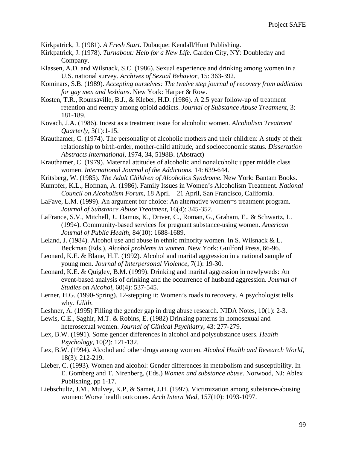Kirkpatrick, J. (1981). *A Fresh Start*. Dubuque: Kendall/Hunt Publishing.

- Kirkpatrick, J. (1978). *Turnabout: Help for a New Life*. Garden City, NY: Doubleday and Company.
- Klassen, A.D. and Wilsnack, S.C. (1986). Sexual experience and drinking among women in a U.S. national survey. *Archives of Sexual Behavior*, 15: 363-392.
- Kominars, S.B. (1989). *Accepting ourselves: The twelve step journal of recovery from addiction for gay men and lesbians*. New York: Harper & Row.
- Kosten, T.R., Rounsaville, B.J., & Kleber, H.D. (1986). A 2.5 year follow-up of treatment retention and reentry among opioid addicts. *Journal of Substance Abuse Treatment*, 3: 181-189.
- Kovach, J.A. (1986). Incest as a treatment issue for alcoholic women. *Alcoholism Treatment Quarterly*, 3(1):1-15.
- Krauthamer, C. (1974). The personality of alcoholic mothers and their children: A study of their relationship to birth-order, mother-child attitude, and socioeconomic status. *Dissertation Abstracts International*, 1974, 34, 5198B. (Abstract)
- Krauthamer, C. (1979). Maternal attitudes of alcoholic and nonalcoholic upper middle class women. *International Journal of the Addictions*, 14: 639-644.
- Kritsberg, W. (1985). *The Adult Children of Alcoholics Syndrome*. New York: Bantam Books.
- Kumpfer, K.L., Hofman, A. (1986). Family Issues in Women's Alcoholism Treatment. *National Council on Alcoholism Forum*, 18 April – 21 April, San Francisco, California.
- LaFave, L.M. (1999). An argument for choice: An alternative women=s treatment program. *Journal of Substance Abuse Treatment*, 16(4): 345-352.
- LaFrance, S.V., Mitchell, J., Damus, K., Driver, C., Roman, G., Graham, E., & Schwartz, L. (1994). Community-based services for pregnant substance-using women. *American Journal of Public Health,* 84(10): 1688-1689.
- Leland, J. (1984). Alcohol use and abuse in ethnic minority women. In S. Wilsnack & L. Beckman (Eds.), *Alcohol problems in women.* New York: Guilford Press, 66-96.
- Leonard, K.E. & Blane, H.T. (1992). Alcohol and marital aggression in a national sample of young men. *Journal of Interpersonal Violence*, 7(1): 19-30.
- Leonard, K.E. & Quigley, B.M. (1999). Drinking and marital aggression in newlyweds: An event-based analysis of drinking and the occurrence of husband aggression. *Journal of Studies on Alcohol*, 60(4): 537-545.
- Lerner, H.G. (1990-Spring). 12-stepping it: Women's roads to recovery. A psychologist tells why. *Lilith*.
- Leshner, A. (1995) Filling the gender gap in drug abuse research. NIDA Notes, 10(1): 2-3.
- Lewis, C.E., Saghir, M.T. & Robins, E. (1982) Drinking patterns in homosexual and heterosexual women. *Journal of Clinical Psychiatry*, 43: 277-279.
- Lex, B.W. (1991). Some gender differences in alcohol and polysubstance users. *Health Psychology,* 10(2): 121-132.
- Lex, B.W. (1994). Alcohol and other drugs among women. *Alcohol Health and Research World,*  18(3): 212-219.
- Lieber, C. (1993). Women and alcohol: Gender differences in metabolism and susceptibility. In E. Gomberg and T. Nirenberg, (Eds.) *Women and substance abuse*. Norwood, NJ: Ablex Publishing, pp 1-17.
- Liebschultz, J.M., Mulvey, K.P, & Samet, J.H. (1997). Victimization among substance-abusing women: Worse health outcomes. *Arch Intern Med,* 157(10): 1093-1097.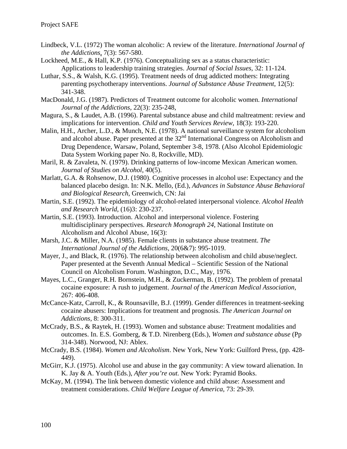- Lindbeck, V.L. (1972) The woman alcoholic: A review of the literature. *International Journal of the Addictions*, 7(3): 567-580.
- Lockheed, M.E., & Hall, K.P. (1976). Conceptualizing sex as a status characteristic: Applications to leadership training strategies. *Journal of Social Issues,* 32: 11-124.
- Luthar, S.S., & Walsh, K.G. (1995). Treatment needs of drug addicted mothers: Integrating parenting psychotherapy interventions. *Journal of Substance Abuse Treatment*, 12(5): 341-348.
- MacDonald, J.G. (1987). Predictors of Treatment outcome for alcoholic women. *International Journal of the Addictions*, 22(3): 235-248,
- Magura, S., & Laudet, A.B. (1996). Parental substance abuse and child maltreatment: review and implications for intervention. *Child and Youth Services Review*, 18(3): 193-220.
- Malin, H.H., Archer, L.D., & Munch, N.E. (1978). A national surveillance system for alcoholism and alcohol abuse. Paper presented at the  $32<sup>nd</sup>$  International Congress on Alcoholism and Drug Dependence, Warsaw, Poland, September 3-8, 1978. (Also Alcohol Epidemiologic Data System Working paper No. 8, Rockville, MD).
- Maril, R. & Zavaleta, N. (1979). Drinking patterns of low-income Mexican American women. *Journal of Studies on Alcohol*, 40(5).
- Marlatt, G.A. & Rohsenow, D.J. (1980). Cognitive processes in alcohol use: Expectancy and the balanced placebo design. In: N.K. Mello, (Ed.), *Advances in Substance Abuse Behavioral and Biological Research*, Greenwich, CN: Jai
- Martin, S.E. (1992). The epidemiology of alcohol-related interpersonal violence. *Alcohol Health and Research World*, (16)3: 230-237.
- Martin, S.E. (1993). Introduction. Alcohol and interpersonal violence. Fostering multidisciplinary perspectives. *Research Monograph 24*, National Institute on Alcoholism and Alcohol Abuse, 16(3):
- Marsh, J.C. & Miller, N.A. (1985). Female clients in substance abuse treatment. *The International Journal of the Addictions,* 20(6&7): 995-1019.
- Mayer, J., and Black, R. (1976). The relationship between alcoholism and child abuse/neglect. Paper presented at the Seventh Annual Medical – Scientific Session of the National Council on Alcoholism Forum. Washington, D.C., May, 1976.
- Mayes, L.C., Granger, R.H. Bornstein, M.H., & Zuckerman, B. (1992). The problem of prenatal cocaine exposure: A rush to judgement. *Journal of the American Medical Association,* 267: 406-408.
- McCance-Katz, Carroll, K., & Rounsaville, B.J. (1999). Gender differences in treatment-seeking cocaine abusers: Implications for treatment and prognosis. *The American Journal on Addictions,* 8: 300-311.
- McCrady, B.S., & Raytek, H. (1993). Women and substance abuse: Treatment modalities and outcomes. In. E.S. Gomberg, & T.D. Nirenberg (Eds.), *Women and substance abuse* (Pp 314-348). Norwood, NJ: Ablex.
- McCrady, B.S. (1984). *Women and Alcoholism*. New York, New York: Guilford Press, (pp. 428- 449).
- McGirr, K.J. (1975). Alcohol use and abuse in the gay community: A view toward alienation. In K. Jay & A. Youth (Eds.), *After you're out.* New York: Pyramid Books.
- McKay, M. (1994). The link between domestic violence and child abuse: Assessment and treatment considerations. *Child Welfare League of America*, 73: 29-39.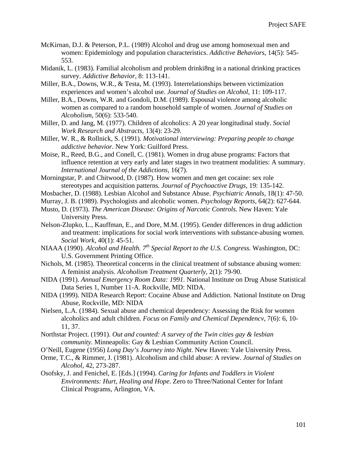- McKirnan, D.J. & Peterson, P.L. (1989) Alcohol and drug use among homosexual men and women: Epidemiology and population characteristics. *Addictive Behaviors*, 14(5): 545- 553.
- Midanik, L. (1983). Familial alcoholism and problem drinki8ng in a national drinking practices survey. *Addictive Behavior*, 8: 113-141.
- Miller, B.A., Downs, W.R., & Testa, M. (1993). Interrelationships between victimization experiences and women's alcohol use. *Journal of Studies on Alcohol*, 11: 109-117.
- Miller, B.A., Downs, W.R. and Gondoli, D.M. (1989). Espousal violence among alcoholic women as compared to a random household sample of women. *Journal of Studies on Alcoholism*, 50(6): 533-540.
- Miller, D. and Jang, M. (1977). Children of alcoholics: A 20 year longitudinal study. *Social Work Research and Abstracts*, 13(4): 23-29.
- Miller, W. R., & Rollnick, S. (1991). *Motivational interviewing: Preparing people to change addictive behavior*. New York: Guilford Press.
- Moise, R., Reed, B.G., and Conell, C. (1981). Women in drug abuse programs: Factors that influence retention at very early and later stages in two treatment modalities: A summary. *International Journal of the Addictions,* 16(7).
- Morningstar, P. and Chitwood, D. (1987). How women and men get cocaine: sex role stereotypes and acquisition patterns*. Journal of Psychoactive Drugs*, 19: 135-142.
- Mosbacher, D. (1988). Lesbian Alcohol and Substance Abuse. *Psychiatric Annals*, 18(1): 47-50.
- Murray, J. B. (1989). Psychologists and alcoholic women. *Psychology Reports,* 64(2): 627-644.
- Musto, D. (1973). *The American Disease: Origins of Narcotic Controls.* New Haven: Yale University Press.
- Nelson-Zlupko, L., Kauffman, E., and Dore, M.M. (1995). Gender differences in drug addiction and treatment: implications for social work interventions with substance-abusing women. *Social Work,* 40(1): 45-51.
- NIAAA (1990). *Alcohol and Health. 7th Special Report to the U.S. Congress.* Washington, DC: U.S. Government Printing Office.
- Nichols, M. (1985). Theoretical concerns in the clinical treatment of substance abusing women: A feminist analysis. *Alcoholism Treatment Quarterly,* 2(1): 79-90.
- NIDA (1991). *Annual Emergency Room Data: 1991.* National Institute on Drug Abuse Statistical Data Series 1, Number 11-A. Rockville, MD: NIDA.
- NIDA (1999). NIDA Research Report: Cocaine Abuse and Addiction. National Institute on Drug Abuse, Rockville, MD: NIDA
- Nielsen, L.A. (1984). Sexual abuse and chemical dependency: Assessing the Risk for women alcoholics and adult children. *Focus on Family and Chemical Dependencv*, 7(6): 6, 10- 11, 37.
- Northstar Project. (1991). *Out and counted: A survey of the Twin cities gay & lesbian community*. Minneapolis: Gay & Lesbian Community Action Council.
- O'Neill, Eugene (1956) *Long Day's Journey into Night*. New Haven: Yale University Press.
- Orme, T.C., & Rimmer, J. (1981). Alcoholism and child abuse: A review. *Journal of Studies on Alcohol*, 42, 273-287.
- Osofsky, J. and Fenichel, E. [Eds.] (1994). *Caring for Infants and Toddlers in Violent Environments: Hurt, Healing and Hope*. Zero to Three/National Center for Infant Clinical Programs, Arlington, VA.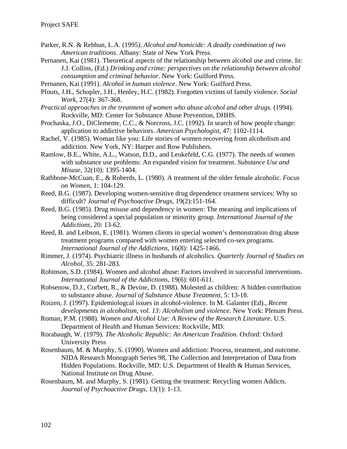- Parker, R.N. & Rebhun, L.A. (1995). *Alcohol and homicide: A deadly combination of two American traditions*. Albany: State of New York Press.
- Pernanen, Kai (1981). Theoretical aspects of the relationship between alcohol use and crime. In: J.J. Collins, (Ed.) *Drinking and crime: perspectives on the relationship between alcohol consumption and criminal behavior*. New York: Guilford Press.
- Pernanen, Kai (1991). *Alcohol in human violence*. New York: Guilford Press.
- Pfouts, J.H., Schopler, J.H., Henley, H.C. (1982). Forgotten victims of family violence. *Social Work*, 27(4): 367-368.
- *Practical approaches in the treatment of women who abuse alcohol and other drugs.* (1994). Rockville, MD: Center for Substance Abuse Prevention, DHHS.
- Prochaska, J.O., DiClemente, C.C., & Norcross, J.C. (1992). In search of how people change: application to addictive behaviors. *American Psychologist*, 47: 1102-1114.
- Rachel, V. (1985). Woman like you: Life stories of women recovering from alcoholism and addiction. New York, NY: Harper and Row Publishers.
- Ramlow, B.E., White, A.L., Watson, D.D., and Leukefeld, C.G. (1977). The needs of women with substance use problems: An expanded vision for treatment. *Substance Use and Misuse*, 32(10): 1395-1404.
- Rathbone-McCuan, E., & Roberds, L. (1980). A treatment of the older female alcoholic. *Focus on Women*, 1: 104-129.
- Reed, B.G. (1987). Developing women-sensitive drug dependence treatment services: Why so difficult? *Journal of Psychoactive Drugs,* 19(2):151-164.
- Reed, B.G. (1985). Drug misuse and dependency in women: The meaning and implications of being considered a special population or minority group. *International Journal of the Addictions*, 20: 13-62.
- Reed, B. and Leibson, E. (1981). Women clients in special women's demonstration drug abuse treatment programs compared with women entering selected co-sex programs. *International Journal of the Addictions*, 16(8): 1425-1466.
- Rimmer, J. (1974). Psychiatric illness in husbands of alcoholics. *Quarterly Journal of Studies on Alcohol*, 35: 281-283.
- Robinson, S.D. (1984). Women and alcohol abuse: Factors involved in successful interventions. *International Journal of the Addictions*, 19(6): 601-611.
- Robsenow, D.J., Corbett, R., & Devine, D. (1988). Molested as children: A hidden contribution to substance abuse. *Journal of Substance Abuse Treatment*, 5: 13-18.
- Roizen, J. (1997). Epidemiologcal issues in alcohol-violence. In M. Galanter (Ed)., *Recent developments in alcoholism, vol. 13: Alcoholism and violence*. New York: Plenum Press.
- Roman, P.M. (1988). *Women and Alcohol Use: A Review of the Research Literature*. U.S. Department of Health and Human Services: Rockville, MD.
- Rorabaugh, W. (1979). *The Alcoholic Republic: An American Tradition.* Oxford: Oxford University Press
- Rosenbaum, M. & Murphy, S. (1990). Women and addiction: Process, treatment, and outcome. NIDA Research Monograph Series 98, The Collection and Interpretation of Data from Hidden Populations. Rockville, MD: U.S. Department of Health & Human Services, National Institute on Drug Abuse.
- Rosenbaum, M. and Murphy, S. (1981). Getting the treatment: Recycling women Addicts. *Journal of Psychoactive Drugs*, 13(1): 1-13.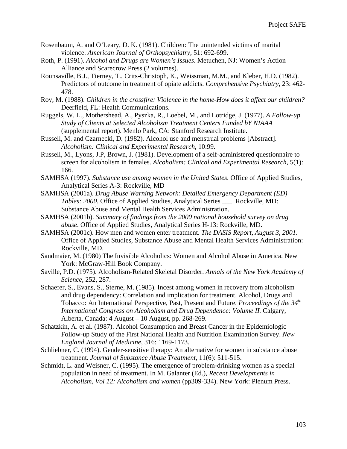- Rosenbaum, A. and O'Leary, D. K. (1981). Children: The unintended victims of marital violence. *American Journal of Orthopsychiatry*, 51: 692-699.
- Roth, P. (1991). *Alcohol and Drugs are Women's Issues.* Metuchen, NJ: Women's Action Alliance and Scarecrow Press (2 volumes).
- Rounsaville, B.J., Tierney, T., Crits-Christoph, K., Weissman, M.M., and Kleber, H.D. (1982). Predictors of outcome in treatment of opiate addicts. *Comprehensive Psychiatry*, 23: 462- 478.
- Roy, M. (1988). *Children in the crossfire: Violence in the home-How does it affect our children?* Deerfield, FL: Health Communications.
- Ruggels, W. L., Mothershead, A., Pyszka, R., Loebel, M., and Lotridge, J. (1977). *A Follow-up Study of Clients at Selected Alcoholism Treatment Centers Funded bY NIAAA* (supplemental report). Menlo Park, CA: Stanford Research Institute.
- Russell, M. and Czarnecki, D. (1982). Alcohol use and menstrual problems [Abstract]. *Alcoholism: Clinical and Experimental Research*, 10:99.
- Russell, M., Lyons, J.P, Brown, J. (1981). Development of a self-administered questionnaire to screen for alcoholism in females. *Alcoholism: Clinical and Experimental Research*, 5(1): 166.
- SAMHSA (1997). *Substance use among women in the United States*. Office of Applied Studies, Analytical Series A-3: Rockville, MD
- SAMHSA (2001a). *Drug Abuse Warning Network: Detailed Emergency Department (ED) Tables: 2000.* Office of Applied Studies, Analytical Series \_\_\_. Rockville, MD: Substance Abuse and Mental Health Services Administration.
- SAMHSA (2001b). *Summary of findings from the 2000 national household survey on drug abuse*. Office of Applied Studies, Analytical Series H-13: Rockville, MD.
- SAMHSA (2001c). How men and women enter treatment. *The DASIS Report, August 3, 2001*. Office of Applied Studies, Substance Abuse and Mental Health Services Administration: Rockville, MD.
- Sandmaier, M. (1980) The Invisible Alcoholics: Women and Alcohol Abuse in America. New York: McGraw-Hill Book Company.
- Saville, P.D. (1975). Alcoholism-Related Skeletal Disorder. *Annals of the New York Academy of Science*, 252, 287.
- Schaefer, S., Evans, S., Sterne, M. (1985). Incest among women in recovery from alcoholism and drug dependency: Correlation and implication for treatment. Alcohol, Drugs and Tobacco: An International Perspective, Past, Present and Future. *Proceedings of the 34th International Congress on Alcoholism and Drug Dependence: Volume II.* Calgary, Alberta, Canada: 4 August – 10 August, pp. 268-269.
- Schatzkin, A. et al. (1987). Alcohol Consumption and Breast Cancer in the Epidemiologic Follow-up Study of the First National Health and Nutrition Examination Survey. *New England Journal of Medicine*, 316: 1169-1173.
- Schliebner, C. (1994). Gender-sensitive therapy: An alternative for women in substance abuse treatment. *Journal of Substance Abuse Treatment*, 11(6): 511-515.
- Schmidt, L. and Weisner, C. (1995). The emergence of problem-drinking women as a special population in need of treatment. In M. Galanter (Ed.), *Recent Developments in Alcoholism, Vol 12: Alcoholism and women* (pp309-334). New York: Plenum Press.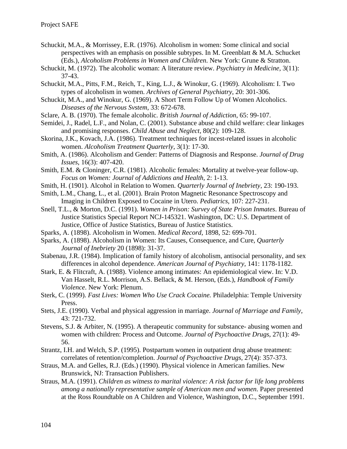- Schuckit, M.A., & Morrissey, E.R. (1976). Alcoholism in women: Some clinical and social perspectives with an emphasis on possible subtypes. In M. Greenblatt & M.A. Schucket (Eds.), *Alcoholism Problems in Women and Children*. New York: Grune & Stratton.
- Schuckit, M. (1972). The alcoholic woman: A literature review. *Psychiatry in Medicine*, 3(11): 37-43.
- Schuckit, M.A., Pitts, F.M., Reich, T., King, L.J., & Winokur, G. (1969). Alcoholism: I. Two types of alcoholism in women. *Archives of General Psychiatry*, 20: 301-306.
- Schuckit, M.A., and Winokur, G. (1969). A Short Term Follow Up of Women Alcoholics. *Diseases of the Nervous Svstem*, 33: 672-678.
- Sclare, A. B. (1970). The female alcoholic. *British Journal of Addiction*, 65: 99-107.
- Semidei, J., Radel, L.F., and Nolan, C. (2001). Substance abuse and child welfare: clear linkages and promising responses. *Child Abuse and Neglect*, 80(2): 109-128.
- Skorina, J.K., Kovach, J.A. (1986). Treatment techniques for incest-related issues in alcoholic women. *Alcoholism Treatment Quarterly*, 3(1): 17-30.
- Smith, A. (1986). Alcoholism and Gender: Patterns of Diagnosis and Response. *Journal of Drug Issues*, 16(3): 407-420.
- Smith, E.M. & Cloninger, C.R. (1981). Alcoholic females: Mortality at twelve-year follow-up. *Focus on Women: Journal of Addictions and Health*, 2: 1-13.
- Smith, H. (1901). Alcohol in Relation to Women. *Quarterly Journal of Inebriety*, 23: 190-193.
- Smith, L.M., Chang, L., et al. (2001). Brain Proton Magnetic Resonance Spectroscopy and Imaging in Children Exposed to Cocaine in Utero. *Pediatrics*, 107: 227-231.
- Snell, T.L., & Morton, D.C. (1991). *Women in Prison: Survey of State Prison Inmates*. Bureau of Justice Statistics Special Report NCJ-145321. Washington, DC: U.S. Department of Justice, Office of Justice Statistics, Bureau of Justice Statistics.
- Sparks, A. (1898). Alcoholism in Women. *Medical Record*, 1898, 52: 699-701.
- Sparks, A. (1898). Alcoholism in Women: Its Causes, Consequence, and Cure, *Quarterly Journal of Inebriety* 20 (1898): 31-37.
- Stabenau, J.R. (1984). Implication of family history of alcoholism, antisocial personality, and sex differences in alcohol dependence. *American Journal of Psychiatry,* 141: 1178-1182.
- Stark, E. & Flitcraft, A. (1988). Violence among intimates: An epidemiological view. In: V.D. Van Hasselt, R.L. Morrison, A.S. Bellack, & M. Herson, (Eds.), *Handbook of Family Violence*. New York: Plenum.
- Sterk, C. (1999). *Fast Lives: Women Who Use Crack Cocaine.* Philadelphia: Temple University Press.
- Stets, J.E. (1990). Verbal and physical aggression in marriage. *Journal of Marriage and Family*, 43: 721-732.
- Stevens, S.J. & Arbiter, N. (1995). A therapeutic community for substance- abusing women and women with children: Process and Outcome. *Journal of Psychoactive Drugs*, 27(1): 49- 56.
- Strantz, I.H. and Welch, S.P. (1995). Postpartum women in outpatient drug abuse treatment: correlates of retention/completion. *Journal of Psychoactive Drugs,* 27(4): 357-373.
- Straus, M.A. and Gelles, R.J. (Eds.) (1990). Physical violence in American families. New Brunswick, NJ: Transaction Publishers.
- Straus, M.A. (1991). *Children as witness to marital violence: A risk factor for life long problems among a nationally representative sample of American men and women*. Paper presented at the Ross Roundtable on A Children and Violence, Washington, D.C., September 1991.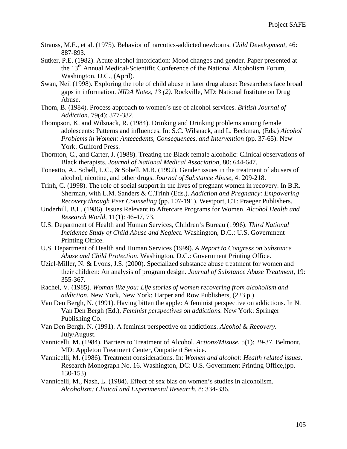- Strauss, M.E., et al. (1975). Behavior of narcotics-addicted newborns. *Child Development*, 46: 887-893.
- Sutker, P.E. (1982). Acute alcohol intoxication: Mood changes and gender. Paper presented at the 13<sup>th</sup> Annual Medical-Scientific Conference of the National Alcoholism Forum, Washington, D.C., (April).
- Swan, Neil (1998). Exploring the role of child abuse in later drug abuse: Researchers face broad gaps in information. *NIDA Notes, 13 (2).* Rockville, MD: National Institute on Drug Abuse.
- Thom, B. (1984). Process approach to women's use of alcohol services. *British Journal of Addiction*. 79(4): 377-382.
- Thompson, K. and Wilsnack, R. (1984). Drinking and Drinking problems among female adolescents: Patterns and influences. In: S.C. Wilsnack, and L. Beckman, (Eds.) *Alcohol Problems in Women: Antecedents, Consequences, and Intervention* (pp. 37-65). New York: Guilford Press.
- Thornton, C., and Carter, J. (1988). Treating the Black female alcoholic: Clinical observations of Black therapists. *Journal of National Medical Association*, 80: 644-647.
- Toneatto, A., Sobell, L.C., & Sobell, M.B. (1992). Gender issues in the treatment of abusers of alcohol, nicotine, and other drugs. *Journal of Substance Abuse*, 4: 209-218.
- Trinh, C. (1998). The role of social support in the lives of pregnant women in recovery. In B.R. Sherman, with L.M. Sanders & C.Trinh (Eds.). *Addiction and Pregnancy: Empowering Recovery through Peer Counseling* (pp. 107-191). Westport, CT: Praeger Publishers.
- Underhill, B.L. (1986). Issues Relevant to Aftercare Programs for Women. *Alcohol Health and Research World*, 11(1): 46-47, 73.
- U.S. Department of Health and Human Services, Children's Bureau (1996). *Third National Incidence Study of Child Abuse and Neglect*. Washington, D.C.: U.S. Government Printing Office.
- U.S. Department of Health and Human Services (1999). *A Report to Congress on Substance Abuse and Child Protection*. Washington, D.C.: Government Printing Office.
- Uziel-Miller, N. & Lyons, J.S. (2000). Specialized substance abuse treatment for women and their children: An analysis of program design. *Journal of Substance Abuse Treatment*, 19: 355-367.
- Rachel, V. (1985). *Woman like you: Life stories of women recovering from alcoholism and addiction*. New York, New York: Harper and Row Publishers, (223 p.)
- Van Den Bergh, N. (1991). Having bitten the apple: A feminist perspective on addictions. In N. Van Den Bergh (Ed.), *Feminist perspectives on addictions.* New York: Springer Publishing Co.
- Van Den Bergh, N. (1991). A feminist perspective on addictions. *Alcohol & Recovery*. July/August.
- Vannicelli, M. (1984). Barriers to Treatment of Alcohol. *Actions/Misuse*, 5(1): 29-37. Belmont, MD: Appleton Treatment Center, Outpatient Service.
- Vannicelli, M. (1986). Treatment considerations. In: *Women and alcohol: Health related issues*. Research Monograph No. 16. Washington, DC: U.S. Government Printing Office,(pp. 130-153).
- Vannicelli, M., Nash, L. (1984). Effect of sex bias on women's studies in alcoholism. *Alcoholism: Clinical and Experimental Research*, 8: 334-336.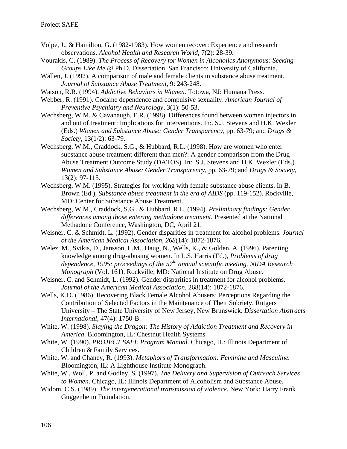- Volpe, J., & Hamilton, G. (1982-1983). How women recover: Experience and research observations. *Alcohol Health and Research World,* 7(2): 28-39.
- Vourakis, C. (1989). *The Process of Recovery for Women in Alcoholics Anonymous: Seeking Groups Like Me.@* Ph.D. Dissertation, San Francisco: University of California.
- Wallen, J. (1992). A comparison of male and female clients in substance abuse treatment. *Journal of Substance Abuse Treatment*, 9: 243-248.
- Watson, R.R. (1994). *Addictive Behaviors in Women.* Totowa, NJ: Humana Press.
- Webber, R. (1991). Cocaine dependence and compulsive sexuality. *American Journal of Preventive Psychiatry and Neurology*, 3(1): 50-53.
- Wechsberg, W.M. & Cavanaugh, E.R. (1998). Differences found between women injectors in and out of treatment: Implications for interventions. In:. S.J. Stevens and H.K. Wexler (Eds.) *Women and Substance Abuse: Gender Transparency*, pp. 63-79; and *Drugs & Society*, 13(1/2): 63-79.
- Wechsberg, W.M., Craddock, S.G., & Hubbard, R.L. (1998). How are women who enter substance abuse treatment different than men?: A gender comparison from the Drug Abuse Treatment Outcome Study (DATOS). In:. S.J. Stevens and H.K. Wexler (Eds.) *Women and Substance Abuse: Gender Transparency*, pp. 63-79; and *Drugs & Society*, 13(2): 97-115.
- Wechsberg, W.M. (1995). Strategies for working with female substance abuse clients. In B. Brown (Ed.), *Substance abuse treatment in the era of AIDS* (pp. 119-152). Rockville, MD: Center for Substance Abuse Treatment.
- Wechsberg, W.M., Craddock, S.G., & Hubbard, R.L. (1994). *Preliminary findings: Gender differences among those entering methadone treatment.* Presented at the National Methadone Conference, Washington, DC, April 21.
- Weisner, C. & Schmidt, L. (1992). Gender disparities in treatment for alcohol problems. *Journal of the American Medical Association, 268*(14): 1872-1876.
- Welez, M., Svikis, D., Jansson, L.M., Haug, N., Wells, K., & Golden, A. (1996). Parenting knowledge among drug-abusing women. In L.S. Harris (Ed.), *Problems of drug dependence, 1995: proceedings of the 57th annual scientific meeting. NIDA Research Monograph* (Vol. 161). Rockville, MD: National Institute on Drug Abuse.
- Weisner, C. and Schmidt, L. (1992). Gender disparities in treatment for alcohol problems. *Journal of the American Medical Association,* 268(14): 1872-1876.
- Wells, K.D. (1986). Recovering Black Female Alcohol Abusers' Perceptions Regarding the Contribution of Selected Factors in the Maintenance of Their Sobriety. Rutgers University – The State University of New Jersey, New Brunswick. *Dissertation Abstracts International*, 47(4): 1750-B.
- White, W. (1998). *Slaying the Dragon: The History of Addiction Treatment and Recovery in America*. Bloomington, IL: Chestnut Health Systems.
- White, W. (1990). *PROJECT SAFE Program Manual.* Chicago, IL: Illinois Department of Children & Family Services.
- White, W. and Chaney, R. (1993). *Metaphors of Transformation: Feminine and Masculine.* Bloomington, IL: A Lighthouse Institute Monograph.
- White, W., Woll, P. and Godley, S*.* (1997)*. The Delivery and Supervision of Outreach Services to Women*. Chicago, IL: Illinois Department of Alcoholism and Substance Abuse.
- Widom, C.S. (1989). *The intergenerational transmission of violence.* New York: Harry Frank Guggenheim Foundation.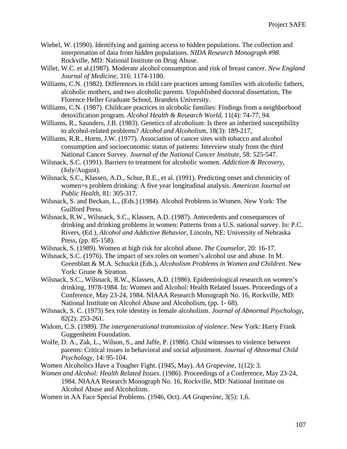- Wiebel, W. (1990). Identifying and gaining access to hidden populations. The collection and interpretation of data from hidden populations. *NIDA Research Monograph #98.* Rockville, MD: National Institute on Drug Abuse.
- Willet, W.C. et al.(1987). Moderate alcohol consumption and risk of breast cancer. *New England Journal of Medicine*, 316: 1174-1180.
- Williams, C.N. (1982). Differences in child care practices among families with alcoholic fathers, alcoholic mothers, and two alcoholic parents. Unpublished doctoral dissertation, The Florence Heller Graduate School, Brandeis University.
- Williams, C.N. (1987). Childcare practices in alcoholic families: Findings from a neighborhood detoxification program. *Alcohol Health & Research World*, 11(4): 74-77, 94.
- Williams, R., Saunders, J.B. (1983). Genetics of alcoholism: Is there an inherited susceptibility to alcohol-related problems? *Alcohol and Alcoholism*, 18(3): 189-217,
- Williams, R.R., Horm, J.W. (1977). Association of cancer sites with tobacco and alcohol consumption and socioeconomic status of patients: Interview study from the third National Cancer Survey. *Journal of the National Cancer Institute*, 58: 525-547.
- Wilsnack, S.C. (1991). Barriers to treatment for alcoholic women. *Addiction & Recovery*, (July/August).
- Wilsnack, S.C., Klassen, A.D., Schur, B.E., et al. (1991). Predicting onset and chronicity of women=s problem drinking: A five year longitudinal analysis. *American Journal on Public Health*, 81: 305-317.
- Wilsnack, S. and Beckan, L., (Eds.) (1984). Alcohol Problems in Women. New York: The Guilford Press.
- Wilsnack, R.W., Wilsnack, S.C., Klassen, A.D. (1987). Antecedents and consequences of drinking and drinking problems in women: Patterns from a U.S. national survey. In: P.C. Rivers, (Ed.), *Alcohol and Addictive Behavior*, Lincoln, NE: University of Nebraska Press, (pp. 85-158).
- Wilsnack, S. (1989). Women at high risk for alcohol abuse. *The Counselor*, 20: 16-17.
- Wilsnack, S.C. (1976). The impact of sex roles on women's alcohol use and abuse. In M. Greenblatt & M.A. Schuckit (Eds.), *Alcoholism Problems in Women and Children*. New York: Grune & Stratton.
- Wilsnack, S.C., Wilsnack, R.W., Klassen, A.D. (1986). Epidemiological research on women's drinking, 1978-1984. In: Women and Alcohol: Health Related Issues. Proceedings of a Conference, May 23-24, 1984. NIAAA Research Monograph No. 16, Rockville, MD: National Institute on Alcohol Abuse and Alcoholism, (pp. 1- 68).
- Wilsnack, S. C. (1973) Sex role identity in female alcoholism. *Journal of Abnormal Psychology,* 82(2): 253-261.
- Widom, C.S. (1989). *The intergenerational transmission of violence*. New York: Harry Frank Guggenheim Foundation.
- Wolfe, D. A., Zak, L., Wilson, S., and Jaffe, P. (1986). Child witnesses to violence between parents: Critical issues in behavioral and social adjustment. *Journal of Abnormal Child Psychology*, 14: 95-104.
- Women Alcoholics Have a Tougher Fight. (1945, May). *AA Grapevine,* 1(12): 3.
- *Women and Alcohol: Health Related Issues*. (1986). Proceedings of a Conference, May 23-24, 1984. NIAAA Research Monograph No. 16, Rockville, MD: National Institute on Alcohol Abuse and Alcoholism.
- Women in AA Face Special Problems. (1946, Oct). *AA Grapevine,* 3(5): 1,6.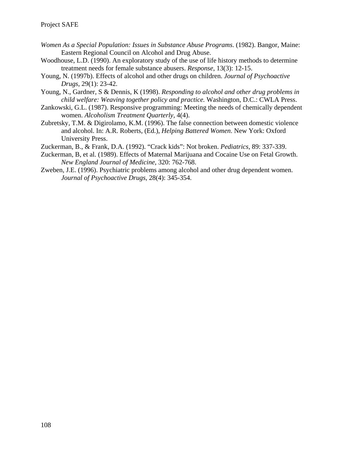- *Women As a Special Population: Issues in Substance Abuse Programs*. (1982). Bangor, Maine: Eastern Regional Council on Alcohol and Drug Abuse.
- Woodhouse, L.D. (1990). An exploratory study of the use of life history methods to determine treatment needs for female substance abusers. *Response*, 13(3): 12-15.
- Young, N. (1997b). Effects of alcohol and other drugs on children. *Journal of Psychoactive Drugs*, 29(1): 23-42.
- Young, N., Gardner, S & Dennis, K (1998). *Responding to alcohol and other drug problems in child welfare: Weaving together policy and practice.* Washington, D.C.: CWLA Press.
- Zankowski, G.L. (1987). Responsive programming: Meeting the needs of chemically dependent women. *Alcoholism Treatment Quarterly,* 4(4).
- Zubretsky, T.M. & Digirolamo, K.M. (1996). The false connection between domestic violence and alcohol. In: A.R. Roberts, (Ed.), *Helping Battered Women*. New York: Oxford University Press.
- Zuckerman, B., & Frank, D.A. (1992). "Crack kids": Not broken. *Pediatrics,* 89: 337-339.
- Zuckerman, B, et al. (1989). Effects of Maternal Marijuana and Cocaine Use on Fetal Growth. *New England Journal of Medicine*, 320: 762-768.
- Zweben, J.E. (1996). Psychiatric problems among alcohol and other drug dependent women. *Journal of Psychoactive Drugs*, 28(4): 345-354.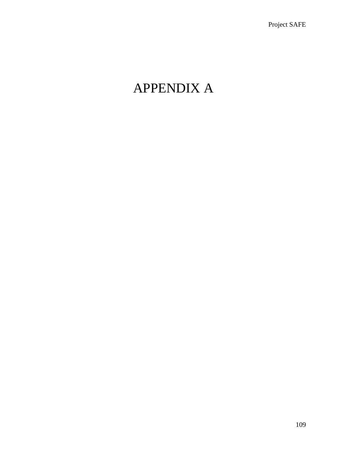Project SAFE

# APPENDIX A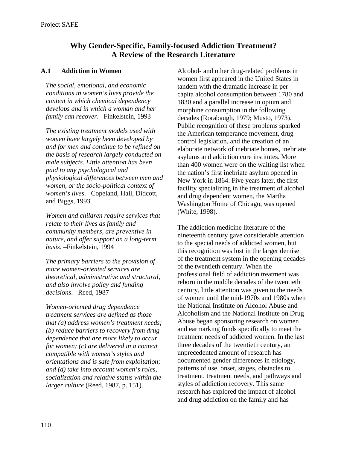## **Why Gender-Specific, Family-focused Addiction Treatment? A Review of the Research Literature**

#### **A.1 Addiction in Women**

*The social, emotional, and economic conditions in women's lives provide the context in which chemical dependency develops and in which a woman and her family can recover*. –Finkelstein, 1993

*The existing treatment models used with women have largely been developed by and for men and continue to be refined on the basis of research largely conducted on male subjects. Little attention has been paid to any psychological and physiological differences between men and women, or the socio-political context of women's lives*. –Copeland, Hall, Didcott, and Biggs, 1993

*Women and children require services that relate to their lives as family and community members, are preventive in nature, and offer support on a long-term basis*. –Finkelstein, 1994

*The primary barriers to the provision of more women-oriented services are theoretical, administrative and structural, and also involve policy and funding decisions*. –Reed, 1987

*Women-oriented drug dependence treatment services are defined as those that (a) address women's treatment needs; (b) reduce barriers to recovery from drug dependence that are more likely to occur for women; (c) are delivered in a context compatible with women's styles and orientations and is safe from exploitation; and (d) take into account women's roles, socialization and relative status within the larger culture* (Reed, 1987, p. 151).

Alcohol- and other drug-related problems in women first appeared in the United States in tandem with the dramatic increase in per capita alcohol consumption between 1780 and 1830 and a parallel increase in opium and morphine consumption in the following decades (Rorabaugh, 1979; Musto, 1973). Public recognition of these problems sparked the American temperance movement, drug control legislation, and the creation of an elaborate network of inebriate homes, inebriate asylums and addiction cure institutes. More than 400 women were on the waiting list when the nation's first inebriate asylum opened in New York in 1864. Five years later, the first facility specializing in the treatment of alcohol and drug dependent women, the Martha Washington Home of Chicago, was opened (White, 1998).

The addiction medicine literature of the nineteenth century gave considerable attention to the special needs of addicted women, but this recognition was lost in the larger demise of the treatment system in the opening decades of the twentieth century. When the professional field of addiction treatment was reborn in the middle decades of the twentieth century, little attention was given to the needs of women until the mid-1970s and 1980s when the National Institute on Alcohol Abuse and Alcoholism and the National Institute on Drug Abuse began sponsoring research on women and earmarking funds specifically to meet the treatment needs of addicted women. In the last three decades of the twentieth century, an unprecedented amount of research has documented gender differences in etiology, patterns of use, onset, stages, obstacles to treatment, treatment needs, and pathways and styles of addiction recovery. This same research has explored the impact of alcohol and drug addiction on the family and has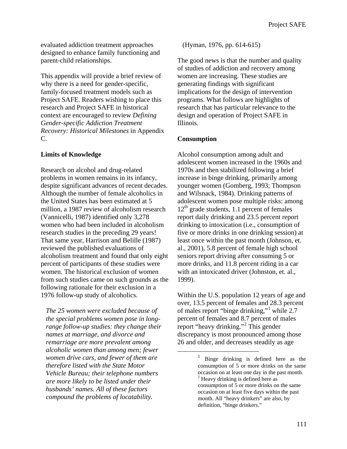evaluated addiction treatment approaches designed to enhance family functioning and parent-child relationships.

This appendix will provide a brief review of why there is a need for gender-specific, family-focused treatment models such as Project SAFE. Readers wishing to place this research and Project SAFE in historical context are encouraged to review *Defining Gender-specific Addiction Treatment Recovery: Historical Milestones* in Appendix C.

## **Limits of Knowledge**

Research on alcohol and drug-related problems in women remains in its infancy, despite significant advances of recent decades. Although the number of female alcoholics in the United States has been estimated at 5 million, a 1987 review of alcoholism research (Vannicelli, 1987) identified only 3,278 women who had been included in alcoholism research studies in the preceding 29 years! That same year, Harrison and Belille (1987) reviewed the published evaluations of alcoholism treatment and found that only eight percent of participants of these studies were women. The historical exclusion of women from such studies came on such grounds as the following rationale for their exclusion in a 1976 follow-up study of alcoholics.

<span id="page-116-1"></span><span id="page-116-0"></span>*The 25 women were excluded because of the special problems women pose in longrange follow-up studies: they change their names at marriage, and divorce and remarriage are more prevalent among alcoholic women than among men; fewer women drive cars, and fewer of them are therefore listed with the State Motor Vehicle Bureau; their telephone numbers are more likely to be listed under their husbands' names. All of these factors compound the problems of locatability.*

(Hyman, 1976, pp. 614-615)

The good news is that the number and quality of studies of addiction and recovery among women are increasing. These studies are generating findings with significant implications for the design of intervention programs. What follows are highlights of research that has particular relevance to the design and operation of Project SAFE in Illinois.

## **Consumption**

Alcohol consumption among adult and adolescent women increased in the 1960s and 1970s and then stabilized following a brief increase in binge drinking, primarily among younger women (Gomberg, 1993; Thompson and Wilsnack, 1984). Drinking patterns of adolescent women pose multiple risks: among  $12<sup>th</sup>$  grade students, 1.1 percent of females report daily drinking and 23.5 percent report drinking to intoxication (i.e., consumption of five or more drinks in one drinking session) at least once within the past month (Johnson, et. al., 2001), 5.8 percent of female high school seniors report driving after consuming 5 or more drinks, and 11.8 percent riding in a car with an intoxicated driver (Johnston, et. al., 1999).

Within the U.S. population 12 years of age and over, 13.5 percent of females and 28.3 percent of males report "binge drinking,"<sup>[1](#page-116-0)</sup> while 2.7 percent of females and 8.7 percent of males report "heavy drinking."<sup>[2](#page-116-1)</sup> This gender discrepancy is most pronounced among those 26 and older, and decreases steadily as age

 <sup>1</sup> Binge drinking is defined here as the consumption of 5 or more drinks on the same occasion on at least one day in the past month. <sup>2</sup> Heavy drinking is defined here as consumption of 5 or more drinks on the same occasion on at least five days within the past month. All "heavy drinkers" are also, by definition, "binge drinkers."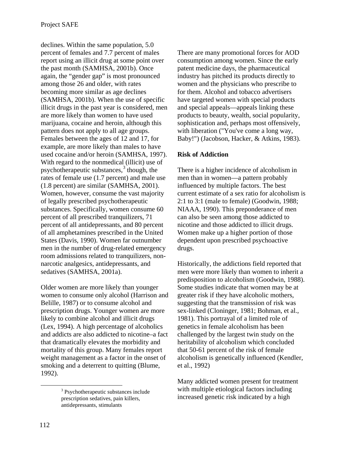declines. Within the same population, 5.0 percent of females and 7.7 percent of males report using an illicit drug at some point over the past month (SAMHSA, 2001b). Once again, the "gender gap" is most pronounced among those 26 and older, with rates becoming more similar as age declines (SAMHSA, 2001b). When the use of specific illicit drugs in the past year is considered, men are more likely than women to have used marijuana, cocaine and heroin, although this pattern does not apply to all age groups. Females between the ages of 12 and 17, for example, are more likely than males to have used cocaine and/or heroin (SAMHSA, 1997). With regard to the nonmedical (illicit) use of psychotherapeutic substances, $3$  though, the rates of female use (1.7 percent) and male use (1.8 percent) are similar (SAMHSA, 2001). Women, however, consume the vast majority of legally prescribed psychotherapeutic substances. Specifically, women consume 60 percent of all prescribed tranquilizers, 71 percent of all antidepressants, and 80 percent of all amphetamines prescribed in the United States (Davis, 1990). Women far outnumber men in the number of drug-related emergency room admissions related to tranquilizers, nonnarcotic analgesics, antidepressants, and sedatives (SAMHSA, 2001a).

Older women are more likely than younger women to consume only alcohol (Harrison and Belille, 1987) or to consume alcohol and prescription drugs. Younger women are more likely to combine alcohol and illicit drugs (Lex, 1994). A high percentage of alcoholics and addicts are also addicted to nicotine–a fact that dramatically elevates the morbidity and mortality of this group. Many females report weight management as a factor in the onset of smoking and a deterrent to quitting (Blume, 1992).

There are many promotional forces for AOD consumption among women. Since the early patent medicine days, the pharmaceutical industry has pitched its products directly to women and the physicians who prescribe to for them. Alcohol and tobacco advertisers have targeted women with special products and special appeals—appeals linking these products to beauty, wealth, social popularity, sophistication and, perhaps most offensively, with liberation ("You've come a long way, Baby!") (Jacobson, Hacker, & Atkins, 1983).

## **Risk of Addiction**

There is a higher incidence of alcoholism in men than in women—a pattern probably influenced by multiple factors. The best current estimate of a sex ratio for alcoholism is 2:1 to 3:1 (male to female) (Goodwin, 1988; NIAAA, 1990). This preponderance of men can also be seen among those addicted to nicotine and those addicted to illicit drugs. Women make up a higher portion of those dependent upon prescribed psychoactive drugs.

Historically, the addictions field reported that men were more likely than women to inherit a predisposition to alcoholism (Goodwin, 1988). Some studies indicate that women may be at greater risk if they have alcoholic mothers, suggesting that the transmission of risk was sex-linked (Cloninger, 1981; Bohman, et al., 1981). This portrayal of a limited role of genetics in female alcoholism has been challenged by the largest twin study on the heritability of alcoholism which concluded that 50-61 percent of the risk of female alcoholism is genetically influenced (Kendler, et al., 1992)

Many addicted women present for treatment with multiple etiological factors including increased genetic risk indicated by a high

<span id="page-117-0"></span> $\frac{1}{3}$ <sup>3</sup> Psychotherapeutic substances include prescription sedatives, pain killers, antidepressants, stimulants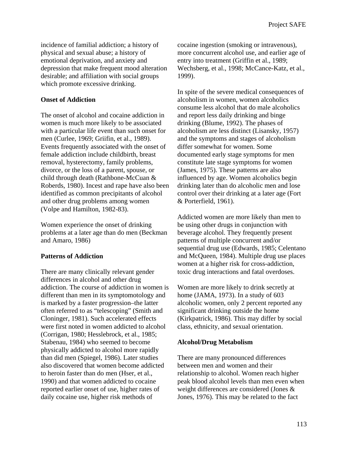incidence of familial addiction; a history of physical and sexual abuse; a history of emotional deprivation, and anxiety and depression that make frequent mood alteration desirable; and affiliation with social groups which promote excessive drinking.

#### **Onset of Addiction**

The onset of alcohol and cocaine addiction in women is much more likely to be associated with a particular life event than such onset for men (Curlee, 1969; Griifin, et al., 1989). Events frequently associated with the onset of female addiction include childbirth, breast removal, hysterectomy, family problems, divorce, or the loss of a parent, spouse, or child through death (Rathbone-McCuan & Roberds, 1980). Incest and rape have also been identified as common precipitants of alcohol and other drug problems among women (Volpe and Hamilton, 1982-83).

Women experience the onset of drinking problems at a later age than do men (Beckman and Amaro, 1986)

## **Patterns of Addiction**

There are many clinically relevant gender differences in alcohol and other drug addiction. The course of addiction in women is different than men in its symptomotology and is marked by a faster progression–the latter often referred to as "telescoping" (Smith and Cloninger, 1981). Such accelerated effects were first noted in women addicted to alcohol (Corrigan, 1980; Hesslebrock, et al., 1985; Stabenau, 1984) who seemed to become physically addicted to alcohol more rapidly than did men (Spiegel, 1986). Later studies also discovered that women become addicted to heroin faster than do men (Hser, et al., 1990) and that women addicted to cocaine reported earlier onset of use, higher rates of daily cocaine use, higher risk methods of

cocaine ingestion (smoking or intravenous), more concurrent alcohol use, and earlier age of entry into treatment (Griffin et al., 1989; Wechsberg, et al., 1998; McCance-Katz, et al., 1999).

In spite of the severe medical consequences of alcoholism in women, women alcoholics consume less alcohol that do male alcoholics and report less daily drinking and binge drinking (Blume, 1992). The phases of alcoholism are less distinct (Lisansky, 1957) and the symptoms and stages of alcoholism differ somewhat for women. Some documented early stage symptoms for men constitute late stage symptoms for women (James, 1975). These patterns are also influenced by age. Women alcoholics begin drinking later than do alcoholic men and lose control over their drinking at a later age (Fort & Porterfield, 1961).

Addicted women are more likely than men to be using other drugs in conjunction with beverage alcohol. They frequently present patterns of multiple concurrent and/or sequential drug use (Edwards, 1985; Celentano and McQueen, 1984). Multiple drug use places women at a higher risk for cross-addiction, toxic drug interactions and fatal overdoses.

Women are more likely to drink secretly at home (JAMA, 1973). In a study of 603 alcoholic women, only 2 percent reported any significant drinking outside the home (Kirkpatrick, 1986). This may differ by social class, ethnicity, and sexual orientation.

#### **Alcohol/Drug Metabolism**

There are many pronounced differences between men and women and their relationship to alcohol. Women reach higher peak blood alcohol levels than men even when weight differences are considered (Jones & Jones, 1976). This may be related to the fact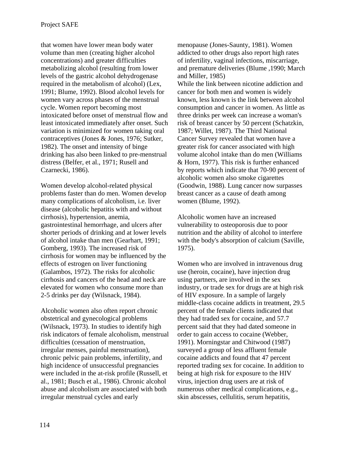that women have lower mean body water volume than men (creating higher alcohol concentrations) and greater difficulties metabolizing alcohol (resulting from lower levels of the gastric alcohol dehydrogenase required in the metabolism of alcohol) (Lex, 1991; Blume, 1992). Blood alcohol levels for women vary across phases of the menstrual cycle. Women report becoming most intoxicated before onset of menstrual flow and least intoxicated immediately after onset. Such variation is minimized for women taking oral contraceptives (Jones & Jones, 1976; Sutker, 1982). The onset and intensity of binge drinking has also been linked to pre-menstrual distress (Belfer, et al., 1971; Rusell and Czarnecki, 1986).

Women develop alcohol-related physical problems faster than do men. Women develop many complications of alcoholism, i.e. liver disease (alcoholic hepatitis with and without cirrhosis), hypertension, anemia, gastrointestinal hemorrhage, and ulcers after shorter periods of drinking and at lower levels of alcohol intake than men (Gearhart, 1991; Gomberg, 1993). The increased risk of cirrhosis for women may be influenced by the effects of estrogen on liver functioning (Galambos, 1972). The risks for alcoholic cirrhosis and cancers of the head and neck are elevated for women who consume more than 2-5 drinks per day (Wilsnack, 1984).

Alcoholic women also often report chronic obstetrical and gynecological problems (Wilsnack, 1973). In studies to identify high risk indicators of female alcoholism, menstrual difficulties (cessation of menstruation, irregular menses, painful menstruation), chronic pelvic pain problems, infertility, and high incidence of unsuccessful pregnancies were included in the at-risk profile (Russell, et al., 1981; Busch et al., 1986). Chronic alcohol abuse and alcoholism are associated with both irregular menstrual cycles and early

menopause (Jones-Saunty, 1981). Women addicted to other drugs also report high rates of infertility, vaginal infections, miscarriage, and premature deliveries (Blume ,1990; March and Miller, 1985)

While the link between nicotine addiction and cancer for both men and women is widely known, less known is the link between alcohol consumption and cancer in women. As little as three drinks per week can increase a woman's risk of breast cancer by 50 percent (Schatzkin, 1987; Willet, 1987). The Third National Cancer Survey revealed that women have a greater risk for cancer associated with high volume alcohol intake than do men (Williams & Horn, 1977). This risk is further enhanced by reports which indicate that 70-90 percent of alcoholic women also smoke cigarettes (Goodwin, 1988). Lung cancer now surpasses breast cancer as a cause of death among women (Blume, 1992).

Alcoholic women have an increased vulnerability to osteoporosis due to poor nutrition and the ability of alcohol to interfere with the body's absorption of calcium (Saville, 1975).

Women who are involved in intravenous drug use (heroin, cocaine), have injection drug using partners, are involved in the sex industry, or trade sex for drugs are at high risk of HIV exposure. In a sample of largely middle-class cocaine addicts in treatment, 29.5 percent of the female clients indicated that they had traded sex for cocaine, and 57.7 percent said that they had dated someone in order to gain access to cocaine (Webber, 1991). Morningstar and Chitwood (1987) surveyed a group of less affluent female cocaine addicts and found that 47 percent reported trading sex for cocaine. In addition to being at high risk for exposure to the HIV virus, injection drug users are at risk of numerous other medical complications, e.g., skin abscesses, cellulitis, serum hepatitis,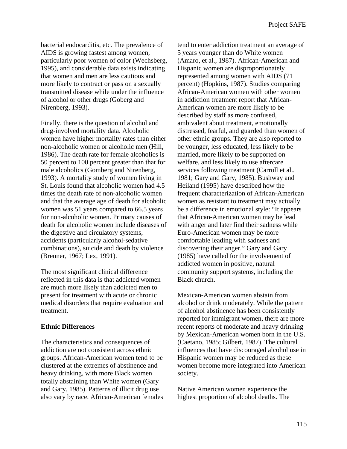bacterial endocarditis, etc. The prevalence of AIDS is growing fastest among women, particularly poor women of color (Wechsberg, 1995), and considerable data exists indicating that women and men are less cautious and more likely to contract or pass on a sexually transmitted disease while under the influence of alcohol or other drugs (Goberg and Nirenberg, 1993).

Finally, there is the question of alcohol and drug-involved mortality data. Alcoholic women have higher mortality rates than either non-alcoholic women or alcoholic men (Hill, 1986). The death rate for female alcoholics is 50 percent to 100 percent greater than that for male alcoholics (Gomberg and Nirenberg, 1993). A mortality study of women living in St. Louis found that alcoholic women had 4.5 times the death rate of non-alcoholic women and that the average age of death for alcoholic women was 51 years compared to 66.5 years for non-alcoholic women. Primary causes of death for alcoholic women include diseases of the digestive and circulatory systems, accidents (particularly alcohol-sedative combinations), suicide and death by violence (Brenner, 1967; Lex, 1991).

The most significant clinical difference reflected in this data is that addicted women are much more likely than addicted men to present for treatment with acute or chronic medical disorders that require evaluation and treatment.

#### **Ethnic Differences**

The characteristics and consequences of addiction are not consistent across ethnic groups. African-American women tend to be clustered at the extremes of abstinence and heavy drinking, with more Black women totally abstaining than White women (Gary and Gary, 1985). Patterns of illicit drug use also vary by race. African-American females tend to enter addiction treatment an average of 5 years younger than do White women (Amaro, et al., 1987). African-American and Hispanic women are disproportionately represented among women with AIDS (71 percent) (Hopkins, 1987). Studies comparing African-American women with other women in addiction treatment report that African-American women are more likely to be described by staff as more confused, ambivalent about treatment, emotionally distressed, fearful, and guarded than women of other ethnic groups. They are also reported to be younger, less educated, less likely to be married, more likely to be supported on welfare, and less likely to use aftercare services following treatment (Carroll et al., 1981; Gary and Gary, 1985). Bushway and Heiland (1995) have described how the frequent characterization of African-American women as resistant to treatment may actually be a difference in emotional style: "It appears that African-American women may be lead with anger and later find their sadness while Euro-American women may be more comfortable leading with sadness and discovering their anger." Gary and Gary (1985) have called for the involvement of addicted women in positive, natural community support systems, including the Black church.

Mexican-American women abstain from alcohol or drink moderately. While the pattern of alcohol abstinence has been consistently reported for immigrant women, there are more recent reports of moderate and heavy drinking by Mexican-American women born in the U.S. (Caetano, 1985; Gilbert, 1987). The cultural influences that have discouraged alcohol use in Hispanic women may be reduced as these women become more integrated into American society.

Native American women experience the highest proportion of alcohol deaths. The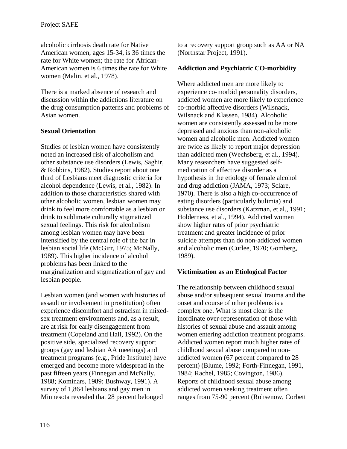alcoholic cirrhosis death rate for Native American women, ages 15-34, is 36 times the rate for White women; the rate for African-American women is 6 times the rate for White women (Malin, et al., 1978).

There is a marked absence of research and discussion within the addictions literature on the drug consumption patterns and problems of Asian women.

## **Sexual Orientation**

Studies of lesbian women have consistently noted an increased risk of alcoholism and other substance use disorders (Lewis, Saghir, & Robbins, 1982). Studies report about one third of Lesbians meet diagnostic criteria for alcohol dependence (Lewis, et al., 1982). In addition to those characteristics shared with other alcoholic women, lesbian women may drink to feel more comfortable as a lesbian or drink to sublimate culturally stigmatized sexual feelings. This risk for alcoholism among lesbian women may have been intensified by the central role of the bar in lesbian social life (McGirr, 1975; McNally, 1989). This higher incidence of alcohol problems has been linked to the marginalization and stigmatization of gay and lesbian people.

Lesbian women (and women with histories of assault or involvement in prostitution) often experience discomfort and ostracism in mixedsex treatment environments and, as a result, are at risk for early disengagement from treatment (Copeland and Hall, 1992). On the positive side, specialized recovery support groups (gay and lesbian AA meetings) and treatment programs (e.g., Pride Institute) have emerged and become more widespread in the past fifteen years (Finnegan and McNally, 1988; Kominars, 1989; Bushway, 1991). A survey of 1,864 lesbians and gay men in Minnesota revealed that 28 percent belonged

to a recovery support group such as AA or NA (Northstar Project, 1991).

## **Addiction and Psychiatric CO-morbidity**

Where addicted men are more likely to experience co-morbid personality disorders, addicted women are more likely to experience co-morbid affective disorders (Wilsnack, Wilsnack and Klassen, 1984). Alcoholic women are consistently assessed to be more depressed and anxious than non-alcoholic women and alcoholic men. Addicted women are twice as likely to report major depression than addicted men (Wechsberg, et al., 1994). Many researchers have suggested selfmedication of affective disorder as a hypothesis in the etiology of female alcohol and drug addiction (JAMA, 1973; Sclare, 1970). There is also a high co-occurrence of eating disorders (particularly bulimia) and substance use disorders (Katzman, et al., 1991; Holderness, et al., 1994). Addicted women show higher rates of prior psychiatric treatment and greater incidence of prior suicide attempts than do non-addicted women and alcoholic men (Curlee, 1970; Gomberg, 1989).

## **Victimization as an Etiological Factor**

The relationship between childhood sexual abuse and/or subsequent sexual trauma and the onset and course of other problems is a complex one. What is most clear is the inordinate over-representation of those with histories of sexual abuse and assault among women entering addiction treatment programs. Addicted women report much higher rates of childhood sexual abuse compared to nonaddicted women (67 percent compared to 28 percent) (Blume, 1992; Forth-Finnegan, 1991, 1984; Rachel, 1985; Covington, 1986). Reports of childhood sexual abuse among addicted women seeking treatment often ranges from 75-90 percent (Rohsenow, Corbett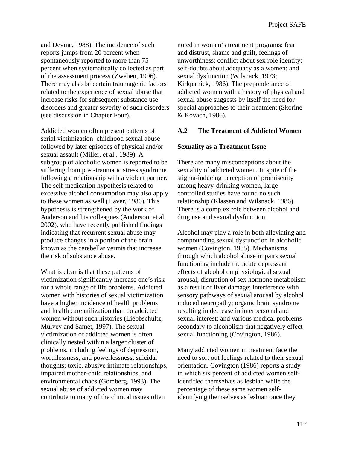and Devine, 1988). The incidence of such reports jumps from 20 percent when spontaneously reported to more than 75 percent when systematically collected as part of the assessment process (Zweben, 1996). There may also be certain traumagenic factors related to the experience of sexual abuse that increase risks for subsequent substance use disorders and greater severity of such disorders (see discussion in Chapter Four).

Addicted women often present patterns of serial victimization–childhood sexual abuse followed by later episodes of physical and/or sexual assault (Miller, et al., 1989). A subgroup of alcoholic women is reported to be suffering from post-traumatic stress syndrome following a relationship with a violent partner. The self-medication hypothesis related to excessive alcohol consumption may also apply to these women as well (Haver, 1986). This hypothesis is strengthened by the work of Anderson and his colleagues (Anderson, et al. 2002), who have recently published findings indicating that recurrent sexual abuse may produce changes in a portion of the brain known as the cerebellar vermis that increase the risk of substance abuse.

What is clear is that these patterns of victimization significantly increase one's risk for a whole range of life problems. Addicted women with histories of sexual victimization have a higher incidence of health problems and health care utilization than do addicted women without such histories (Liebbschultz, Mulvey and Samet, 1997). The sexual victimization of addicted women is often clinically nested within a larger cluster of problems, including feelings of depression, worthlessness, and powerlessness; suicidal thoughts; toxic, abusive intimate relationships, impaired mother-child relationships, and environmental chaos (Gomberg, 1993). The sexual abuse of addicted women may contribute to many of the clinical issues often

noted in women's treatment programs: fear and distrust, shame and guilt, feelings of unworthiness; conflict about sex role identity; self-doubts about adequacy as a women; and sexual dysfunction (Wilsnack, 1973; Kirkpatrick, 1986). The preponderance of addicted women with a history of physical and sexual abuse suggests by itself the need for special approaches to their treatment (Skorine & Kovach, 1986).

#### **A.2 The Treatment of Addicted Women**

#### **Sexuality as a Treatment Issue**

There are many misconceptions about the sexuality of addicted women. In spite of the stigma-inducing perception of promiscuity among heavy-drinking women, large controlled studies have found no such relationship (Klassen and Wilsnack, 1986). There is a complex role between alcohol and drug use and sexual dysfunction.

Alcohol may play a role in both alleviating and compounding sexual dysfunction in alcoholic women (Covington, 1985). Mechanisms through which alcohol abuse impairs sexual functioning include the acute depressant effects of alcohol on physiological sexual arousal; disruption of sex hormone metabolism as a result of liver damage; interference with sensory pathways of sexual arousal by alcohol induced neuropathy; organic brain syndrome resulting in decrease in interpersonal and sexual interest; and various medical problems secondary to alcoholism that negatively effect sexual functioning (Covington, 1986).

Many addicted women in treatment face the need to sort out feelings related to their sexual orientation. Covington (1986) reports a study in which six percent of addicted women selfidentified themselves as lesbian while the percentage of these same women selfidentifying themselves as lesbian once they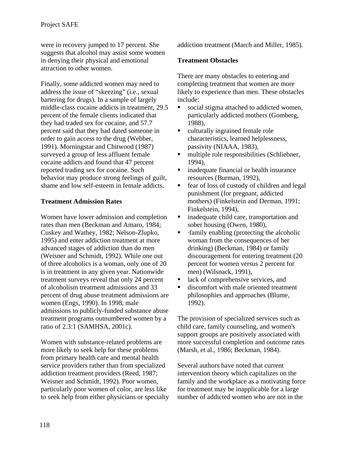were in recovery jumped to 17 percent. She suggests that alcohol may assist some women in denying their physical and emotional attraction to other women.

Finally, some addicted women may need to address the issue of "skeezing" (i.e., sexual bartering for drugs). In a sample of largely middle-class cocaine addicts in treatment, 29.5 percent of the female clients indicated that they had traded sex for cocaine, and 57.7 percent said that they had dated someone in order to gain access to the drug (Webber, 1991). Morningstar and Chitwood (1987) surveyed a group of less affluent female cocaine addicts and found that 47 percent reported trading sex for cocaine. Such behavior may produce strong feelings of guilt, shame and low self-esteem in female addicts.

## **Treatment Admission Rates**

Women have lower admission and completion rates than men (Beckman and Amaro, 1984; Cuskey and Wathey, 1982; Nelson-Zlupko, 1995) and enter addiction treatment at more advanced stages of addiction than do men (Weisner and Schmidt, 1992). While one out of three alcoholics is a woman, only one of 20 is in treatment in any given year. Nationwide treatment surveys reveal that only 24 percent of alcoholism treatment admissions and 33 percent of drug abuse treatment admissions are women (Engs, 1990). In 1998, male admissions to publicly-funded substance abuse treatment programs outnumbered women by a ratio of 2.3:1 (SAMHSA, 2001c).

Women with substance-related problems are more likely to seek help for these problems from primary health care and mental health service providers rather than from specialized addiction treatment providers (Reed, 1987; Weisner and Schmidt, 1992). Poor women, particularly poor women of color, are less like to seek help from either physicians or specialty addiction treatment (March and Miller, 1985).

## **Treatment Obstacles**

There are many obstacles to entering and completing treatment that women are more likely to experience than men. These obstacles include:

- social stigma attached to addicted women, particularly addicted mothers (Gomberg, 1988),
- culturally ingrained female role characteristics, learned helplessness, passivity (NIAAA, 1983),
- multiple role responsibilities (Schliebner, 1994),
- inadequate financial or health insurance resources (Burman, 1992),
- fear of loss of custody of children and legal punishment (for pregnant, addicted mothers) (Finkelstein and Derman, 1991; Finkelstein, 1994),
- **i** inadequate child care, transportation and sober housing (Owen, 1980),
- family enabling (protecting the alcoholic woman from the consequences of her drinking) (Beckman, 1984) or family discouragement for entering treatment (20 percent for women versus 2 percent for men) (Wilsnack, 1991),
- lack of comprehensive services, and
- discomfort with male oriented treatment philosophies and approaches (Blume, 1992).

The provision of specialized services such as child care, family counseling, and women's support groups are positively associated with more successful completion and outcome rates (Marsh, et al., 1986; Beckman, 1984).

Several authors have noted that current intervention theory which capitalizes on the family and the workplace as a motivating force for treatment may be inapplicable for a large number of addicted women who are not in the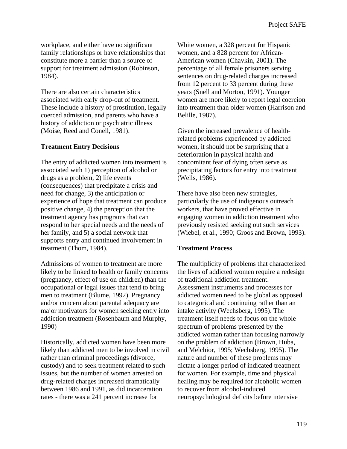workplace, and either have no significant family relationships or have relationships that constitute more a barrier than a source of support for treatment admission (Robinson, 1984).

There are also certain characteristics associated with early drop-out of treatment. These include a history of prostitution, legally coerced admission, and parents who have a history of addiction or psychiatric illness (Moise, Reed and Conell, 1981).

## **Treatment Entry Decisions**

The entry of addicted women into treatment is associated with 1) perception of alcohol or drugs as a problem, 2) life events (consequences) that precipitate a crisis and need for change, 3) the anticipation or experience of hope that treatment can produce positive change, 4) the perception that the treatment agency has programs that can respond to her special needs and the needs of her family, and 5) a social network that supports entry and continued involvement in treatment (Thom, 1984).

Admissions of women to treatment are more likely to be linked to health or family concerns (pregnancy, effect of use on children) than the occupational or legal issues that tend to bring men to treatment (Blume, 1992). Pregnancy and/or concern about parental adequacy are major motivators for women seeking entry into addiction treatment (Rosenbaum and Murphy, 1990)

Historically, addicted women have been more likely than addicted men to be involved in civil rather than criminal proceedings (divorce, custody) and to seek treatment related to such issues, but the number of women arrested on drug-related charges increased dramatically between 1986 and 1991, as did incarceration rates - there was a 241 percent increase for

White women, a 328 percent for Hispanic women, and a 828 percent for African-American women (Chavkin, 2001). The percentage of all female prisoners serving sentences on drug-related charges increased from 12 percent to 33 percent during these years (Snell and Morton, 1991). Younger women are more likely to report legal coercion into treatment than older women (Harrison and Belille, 1987).

Given the increased prevalence of healthrelated problems experienced by addicted women, it should not be surprising that a deterioration in physical health and concomitant fear of dying often serve as precipitating factors for entry into treatment (Wells, 1986).

There have also been new strategies, particularly the use of indigenous outreach workers, that have proved effective in engaging women in addiction treatment who previously resisted seeking out such services (Wiebel, et al., 1990; Groos and Brown, 1993).

## **Treatment Process**

The multiplicity of problems that characterized the lives of addicted women require a redesign of traditional addiction treatment. Assessment instruments and processes for addicted women need to be global as opposed to categorical and continuing rather than an intake activity (Wechsberg, 1995). The treatment itself needs to focus on the whole spectrum of problems presented by the addicted woman rather than focusing narrowly on the problem of addiction (Brown, Huba, and Melchior, 1995; Wechsberg, 1995). The nature and number of these problems may dictate a longer period of indicated treatment for women. For example, time and physical healing may be required for alcoholic women to recover from alcohol-induced neuropsychological deficits before intensive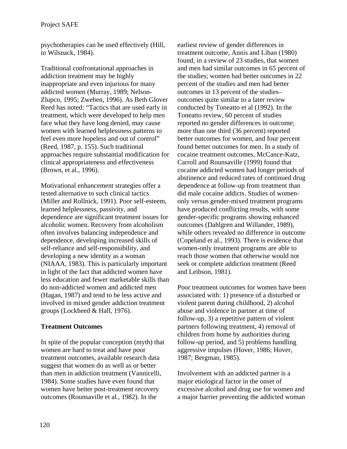psychotherapies can be used effectively (Hill, in Wilsnack, 1984).

Traditional confrontational approaches in addiction treatment may be highly inappropriate and even injurious for many addicted women (Murray, 1989; Nelson-Zlupco, 1995; Zweben, 1996). As Beth Glover Reed has noted: "Tactics that are used early in treatment, which were developed to help men face what they have long denied, may cause women with learned helplessness patterns to feel even more hopeless and out of control" (Reed, 1987, p. 155). Such traditional approaches require substantial modification for clinical appropriateness and effectiveness (Brown, et al., 1996).

Motivational enhancement strategies offer a tested alternative to such clinical tactics (Miller and Rollnick, 1991). Poor self-esteem, learned helplessness, passivity, and dependence are significant treatment issues for alcoholic women. Recovery from alcoholism often involves balancing independence and dependence, developing increased skills of self-reliance and self-responsibility, and developing a new identity as a woman (NIAAA, 1983). This is particularly important in light of the fact that addicted women have less education and fewer marketable skills than do non-addicted women and addicted men (Hagan, 1987) and tend to be less active and involved in mixed gender addiction treatment groups (Lockheed & Hall, 1976).

## **Treatment Outcomes**

In spite of the popular conception (myth) that women are hard to treat and have poor treatment outcomes, available research data suggest that women do as well as or better than men in addiction treatment (Vannicelli, 1984). Some studies have even found that women have better post-treatment recovery outcomes (Rounsaville et al., 1982). In the

earliest review of gender differences in treatment outcome, Annis and Liban (1980) found, in a review of 23 studies, that women and men had similar outcomes in 65 percent of the studies; women had better outcomes in 22 percent of the studies and men had better outcomes in 13 percent of the studies– outcomes quite similar to a later review conducted by Toneatto et al (1992). In the Toneatto review, 60 percent of studies reported no gender differences in outcome; more than one third (36 percent) reported better outcomes for women, and four percent found better outcomes for men. In a study of cocaine treatment outcomes, McCance-Katz, Carroll and Rounsaville (1999) found that cocaine addicted women had longer periods of abstinence and reduced rates of continued drug dependence at follow-up from treatment than did male cocaine addicts. Studies of womenonly versus gender-mixed treatment programs have produced conflicting results, with some gender-specific programs showing enhanced outcomes (Dahlgren and Willander, 1989), while others revealed no difference in outcome (Copeland et al., 1993). There is evidence that women-only treatment programs are able to reach those women that otherwise would not seek or complete addiction treatment (Reed and Leibson, 1981).

Poor treatment outcomes for women have been associated with: 1) presence of a disturbed or violent parent during childhood, 2) alcohol abuse and violence in partner at time of follow-up, 3) a repetitive pattern of violent partners following treatment, 4) removal of children from home by authorities during follow-up period, and 5) problems handling aggressive impulses (Hover, 1986; Hover, 1987; Bergman, 1985).

Involvement with an addicted partner is a major etiological factor in the onset of excessive alcohol and drug use for women and a major barrier preventing the addicted woman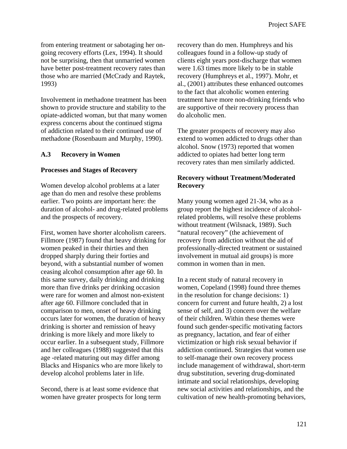from entering treatment or sabotaging her ongoing recovery efforts (Lex, 1994). It should not be surprising, then that unmarried women have better post-treatment recovery rates than those who are married (McCrady and Raytek, 1993)

Involvement in methadone treatment has been shown to provide structure and stability to the opiate-addicted woman, but that many women express concerns about the continued stigma of addiction related to their continued use of methadone (Rosenbaum and Murphy, 1990).

## **A.3 Recovery in Women**

#### **Processes and Stages of Recovery**

Women develop alcohol problems at a later age than do men and resolve these problems earlier. Two points are important here: the duration of alcohol- and drug-related problems and the prospects of recovery.

First, women have shorter alcoholism careers. Fillmore (1987) found that heavy drinking for women peaked in their thirties and then dropped sharply during their forties and beyond, with a substantial number of women ceasing alcohol consumption after age 60. In this same survey, daily drinking and drinking more than five drinks per drinking occasion were rare for women and almost non-existent after age 60. Fillmore concluded that in comparison to men, onset of heavy drinking occurs later for women, the duration of heavy drinking is shorter and remission of heavy drinking is more likely and more likely to occur earlier. In a subsequent study, Fillmore and her colleagues (1988) suggested that this age -related maturing out may differ among Blacks and Hispanics who are more likely to develop alcohol problems later in life.

Second, there is at least some evidence that women have greater prospects for long term recovery than do men. Humphreys and his colleagues found in a follow-up study of clients eight years post-discharge that women were 1.63 times more likely to be in stable recovery (Humphreys et al., 1997). Mohr, et al., (2001) attributes these enhanced outcomes to the fact that alcoholic women entering treatment have more non-drinking friends who are supportive of their recovery process than do alcoholic men.

The greater prospects of recovery may also extend to women addicted to drugs other than alcohol. Snow (1973) reported that women addicted to opiates had better long term recovery rates than men similarly addicted.

## **Recovery without Treatment/Moderated Recovery**

Many young women aged 21-34, who as a group report the highest incidence of alcoholrelated problems, will resolve these problems without treatment (Wilsnack, 1989). Such "natural recovery" (the achievement of recovery from addiction without the aid of professionally-directed treatment or sustained involvement in mutual aid groups) is more common in women than in men.

In a recent study of natural recovery in women, Copeland (1998) found three themes in the resolution for change decisions: 1) concern for current and future health, 2) a lost sense of self, and 3) concern over the welfare of their children. Within these themes were found such gender-specific motivating factors as pregnancy, lactation, and fear of either victimization or high risk sexual behavior if addiction continued. Strategies that women use to self-manage their own recovery process include management of withdrawal, short-term drug substitution, severing drug-dominated intimate and social relationships, developing new social activities and relationships, and the cultivation of new health-promoting behaviors,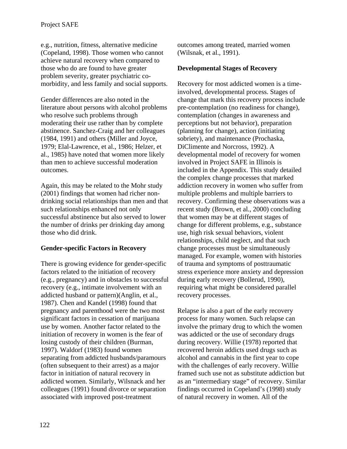e.g., nutrition, fitness, alternative medicine (Copeland, 1998). Those women who cannot achieve natural recovery when compared to those who do are found to have greater problem severity, greater psychiatric comorbidity, and less family and social supports.

Gender differences are also noted in the literature about persons with alcohol problems who resolve such problems through moderating their use rather than by complete abstinence. Sanchez-Craig and her colleagues (1984, 1991) and others (Miller and Joyce, 1979; Elal-Lawrence, et al., 1986; Helzer, et al., 1985) have noted that women more likely than men to achieve successful moderation outcomes.

Again, this may be related to the Mohr study (2001) findings that women had richer nondrinking social relationships than men and that such relationships enhanced not only successful abstinence but also served to lower the number of drinks per drinking day among those who did drink.

## **Gender-specific Factors in Recovery**

There is growing evidence for gender-specific factors related to the initiation of recovery (e.g., pregnancy) and in obstacles to successful recovery (e.g., intimate involvement with an addicted husband or pattern)(Anglin, et al., 1987). Chen and Kandel (1998) found that pregnancy and parenthood were the two most significant factors in cessation of marijuana use by women. Another factor related to the initiation of recovery in women is the fear of losing custody of their children (Burman, 1997). Waldorf (1983) found women separating from addicted husbands/paramours (often subsequent to their arrest) as a major factor in initiation of natural recovery in addicted women. Similarly, Wilsnack and her colleagues (1991) found divorce or separation associated with improved post-treatment

outcomes among treated, married women (Wilsnak, et al., 1991).

## **Developmental Stages of Recovery**

Recovery for most addicted women is a timeinvolved, developmental process. Stages of change that mark this recovery process include pre-contemplation (no readiness for change), contemplation (changes in awareness and perceptions but not behavior), preparation (planning for change), action (initiating sobriety), and maintenance (Prochaska, DiClimente and Norcross, 1992). A developmental model of recovery for women involved in Project SAFE in Illinois is included in the Appendix. This study detailed the complex change processes that marked addiction recovery in women who suffer from multiple problems and multiple barriers to recovery. Confirming these observations was a recent study (Brown, et al., 2000) concluding that women may be at different stages of change for different problems, e.g., substance use, high risk sexual behaviors, violent relationships, child neglect, and that such change processes must be simultaneously managed. For example, women with histories of trauma and symptoms of posttraumatic stress experience more anxiety and depression during early recovery (Bollerud, 1990), requiring what might be considered parallel recovery processes.

Relapse is also a part of the early recovery process for many women. Such relapse can involve the primary drug to which the women was addicted or the use of secondary drugs during recovery. Willie (1978) reported that recovered heroin addicts used drugs such as alcohol and cannabis in the first year to cope with the challenges of early recovery. Willie framed such use not as substitute addiction but as an "intermediary stage" of recovery. Similar findings occurred in Copeland's (1998) study of natural recovery in women. All of the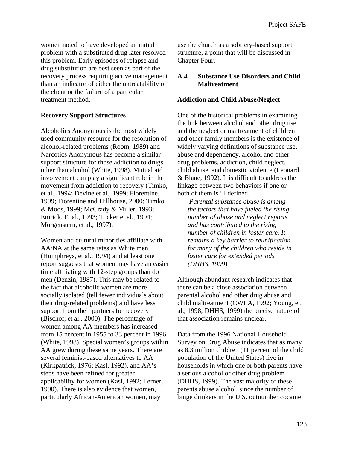women noted to have developed an initial problem with a substituted drug later resolved this problem. Early episodes of relapse and drug substitution are best seen as part of the recovery process requiring active management than an indicator of either the untreatability of the client or the failure of a particular treatment method.

#### **Recovery Support Structures**

Alcoholics Anonymous is the most widely used community resource for the resolution of alcohol-related problems (Room, 1989) and Narcotics Anonymous has become a similar support structure for those addiction to drugs other than alcohol (White, 1998). Mutual aid involvement can play a significant role in the movement from addiction to recovery (Timko, et al., 1994; Devine et al., 1999; Fiorentine, 1999; Fiorentine and Hillhouse, 2000; Timko & Moos, 1999; McCrady & Miller, 1993; Emrick. Et al., 1993; Tucker et al., 1994; Morgenstern, et al., 1997).

Women and cultural minorities affiliate with AA/NA at the same rates as White men (Humphreys, et al., 1994) and at least one report suggests that women may have an easier time affiliating with 12-step groups than do men (Denzin, 1987). This may be related to the fact that alcoholic women are more socially isolated (tell fewer individuals about their drug-related problems) and have less support from their partners for recovery (Bischof, et al., 2000). The percentage of women among AA members has increased from 15 percent in 1955 to 33 percent in 1996 (White, 1998). Special women's groups within AA grew during these same years. There are several feminist-based alternatives to AA (Kirkpatrick, 1976; Kasl, 1992), and AA's steps have been refined for greater applicability for women (Kasl, 1992; Lerner, 1990). There is also evidence that women, particularly African-American women, may

use the church as a sobriety-based support structure, a point that will be discussed in Chapter Four.

#### **A.4 Substance Use Disorders and Child Maltreatment**

#### **Addiction and Child Abuse/Neglect**

One of the historical problems in examining the link between alcohol and other drug use and the neglect or maltreatment of children and other family members is the existence of widely varying definitions of substance use, abuse and dependency, alcohol and other drug problems, addiction, child neglect, child abuse, and domestic violence (Leonard & Blane, 1992). It is difficult to address the linkage between two behaviors if one or both of them is ill defined.

 *Parental substance abuse is among the factors that have fueled the rising number of abuse and neglect reports and has contributed to the rising number of children in foster care. It remains a key barrier to reunification for many of the children who reside in foster care for extended periods (DHHS, 1999).*

Although abundant research indicates that there can be a close association between parental alcohol and other drug abuse and child maltreatment (CWLA, 1992; Young, et. al., 1998; DHHS, 1999) the precise nature of that association remains unclear.

Data from the 1996 National Household Survey on Drug Abuse indicates that as many as 8.3 million children (11 percent of the child population of the United States) live in households in which one or both parents have a serious alcohol or other drug problem (DHHS, 1999). The vast majority of these parents abuse alcohol, since the number of binge drinkers in the U.S. outnumber cocaine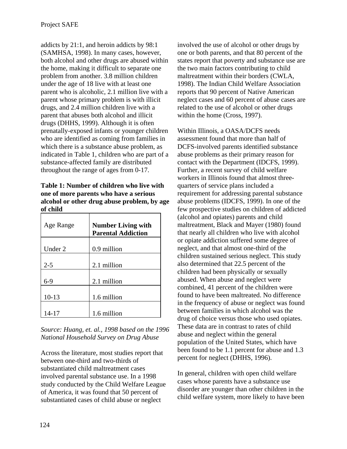addicts by 21:1, and heroin addicts by 98:1 (SAMHSA, 1998). In many cases, however, both alcohol and other drugs are abused within the home, making it difficult to separate one problem from another. 3.8 million children under the age of 18 live with at least one parent who is alcoholic, 2.1 million live with a parent whose primary problem is with illicit drugs, and 2.4 million children live with a parent that abuses both alcohol and illicit drugs (DHHS, 1999). Although it is often prenatally-exposed infants or younger children who are identified as coming from families in which there is a substance abuse problem, as indicated in Table 1, children who are part of a substance-affected family are distributed throughout the range of ages from 0-17.

**Table 1: Number of children who live with one of more parents who have a serious alcohol or other drug abuse problem, by age of child** 

| Age Range | <b>Number Living with</b><br><b>Parental Addiction</b> |
|-----------|--------------------------------------------------------|
| Under 2   | 0.9 million                                            |
| $2 - 5$   | 2.1 million                                            |
| $6-9$     | 2.1 million                                            |
| $10-13$   | 1.6 million                                            |
| 14-17     | 1.6 million                                            |

## *Source: Huang, et. al., 1998 based on the 1996 National Household Survey on Drug Abuse*

Across the literature, most studies report that between one-third and two-thirds of substantiated child maltreatment cases involved parental substance use. In a 1998 study conducted by the Child Welfare League of America, it was found that 50 percent of substantiated cases of child abuse or neglect

involved the use of alcohol or other drugs by one or both parents, and that 80 percent of the states report that poverty and substance use are the two main factors contributing to child maltreatment within their borders (CWLA, 1998). The Indian Child Welfare Association reports that 90 percent of Native American neglect cases and 60 percent of abuse cases are related to the use of alcohol or other drugs within the home (Cross, 1997).

Within Illinois, a OASA/DCFS needs assessment found that more than half of DCFS-involved parents identified substance abuse problems as their primary reason for contact with the Department (IDCFS, 1999). Further, a recent survey of child welfare workers in Illinois found that almost threequarters of service plans included a requirement for addressing parental substance abuse problems (IDCFS, 1999). In one of the few prospective studies on children of addicted (alcohol and opiates) parents and child maltreatment, Black and Mayer (1980) found that nearly all children who live with alcohol or opiate addiction suffered some degree of neglect, and that almost one-third of the children sustained serious neglect. This study also determined that 22.5 percent of the children had been physically or sexually abused. When abuse and neglect were combined, 41 percent of the children were found to have been maltreated. No difference in the frequency of abuse or neglect was found between families in which alcohol was the drug of choice versus those who used opiates. These data are in contrast to rates of child abuse and neglect within the general population of the United States, which have been found to be 1.1 percent for abuse and 1.3 percent for neglect (DHHS, 1996).

In general, children with open child welfare cases whose parents have a substance use disorder are younger than other children in the child welfare system, more likely to have been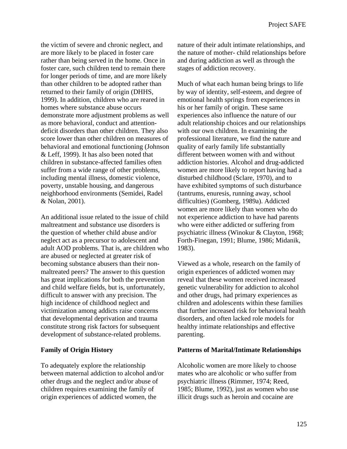the victim of severe and chronic neglect, and are more likely to be placed in foster care rather than being served in the home. Once in foster care, such children tend to remain there for longer periods of time, and are more likely than other children to be adopted rather than returned to their family of origin (DHHS, 1999). In addition, children who are reared in homes where substance abuse occurs demonstrate more adjustment problems as well as more behavioral, conduct and attentiondeficit disorders than other children. They also score lower than other children on measures of behavioral and emotional functioning (Johnson & Leff, 1999). It has also been noted that children in substance-affected families often suffer from a wide range of other problems, including mental illness, domestic violence, poverty, unstable housing, and dangerous neighborhood environments (Semidei, Radel & Nolan, 2001).

An additional issue related to the issue of child maltreatment and substance use disorders is the question of whether child abuse and/or neglect act as a precursor to adolescent and adult AOD problems. That is, are children who are abused or neglected at greater risk of becoming substance abusers than their nonmaltreated peers? The answer to this question has great implications for both the prevention and child welfare fields, but is, unfortunately, difficult to answer with any precision. The high incidence of childhood neglect and victimization among addicts raise concerns that developmental deprivation and trauma constitute strong risk factors for subsequent development of substance-related problems.

#### **Family of Origin History**

To adequately explore the relationship between maternal addiction to alcohol and/or other drugs and the neglect and/or abuse of children requires examining the family of origin experiences of addicted women, the

nature of their adult intimate relationships, and the nature of mother- child relationships before and during addiction as well as through the stages of addiction recovery.

Much of what each human being brings to life by way of identity, self-esteem, and degree of emotional health springs from experiences in his or her family of origin. These same experiences also influence the nature of our adult relationship choices and our relationships with our own children. In examining the professional literature, we find the nature and quality of early family life substantially different between women with and without addiction histories. Alcohol and drug-addicted women are more likely to report having had a disturbed childhood (Sclare, 1970), and to have exhibited symptoms of such disturbance (tantrums, enuresis, running away, school difficulties) (Gomberg, 1989a). Addicted women are more likely than women who do not experience addiction to have had parents who were either addicted or suffering from psychiatric illness (Winokur & Clayton, 1968; Forth-Finegan, 1991; Blume, 1986; Midanik, 1983).

Viewed as a whole, research on the family of origin experiences of addicted women may reveal that these women received increased genetic vulnerability for addiction to alcohol and other drugs, had primary experiences as children and adolescents within these families that further increased risk for behavioral health disorders, and often lacked role models for healthy intimate relationships and effective parenting.

#### **Patterns of Marital/Intimate Relationships**

Alcoholic women are more likely to choose mates who are alcoholic or who suffer from psychiatric illness (Rimmer, 1974; Reed, 1985; Blume, 1992), just as women who use illicit drugs such as heroin and cocaine are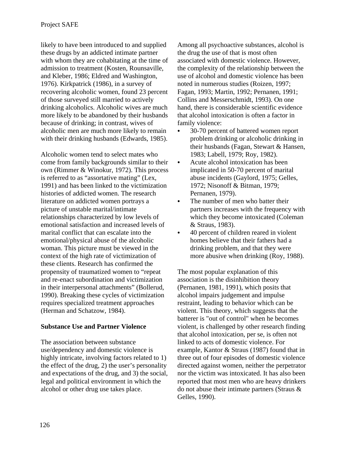likely to have been introduced to and supplied these drugs by an addicted intimate partner with whom they are cohabitating at the time of admission to treatment (Kosten, Rounsaville, and Kleber, 1986; Eldred and Washington, 1976). Kirkpatrick (1986), in a survey of recovering alcoholic women, found 23 percent of those surveyed still married to actively drinking alcoholics. Alcoholic wives are much more likely to be abandoned by their husbands because of drinking; in contrast, wives of alcoholic men are much more likely to remain with their drinking husbands (Edwards, 1985).

Alcoholic women tend to select mates who come from family backgrounds similar to their own (Rimmer & Winokur, 1972). This process is referred to as "assortative mating" (Lex, 1991) and has been linked to the victimization histories of addicted women. The research literature on addicted women portrays a picture of unstable marital/intimate relationships characterized by low levels of emotional satisfaction and increased levels of marital conflict that can escalate into the emotional/physical abuse of the alcoholic woman. This picture must be viewed in the context of the high rate of victimization of these clients. Research has confirmed the propensity of traumatized women to "repeat and re-enact subordination and victimization in their interpersonal attachments" (Bollerud, 1990). Breaking these cycles of victimization requires specialized treatment approaches (Herman and Schatzow, 1984).

## **Substance Use and Partner Violence**

The association between substance use/dependency and domestic violence is highly intricate, involving factors related to 1) the effect of the drug, 2) the user's personality and expectations of the drug, and 3) the social, legal and political environment in which the alcohol or other drug use takes place.

Among all psychoactive substances, alcohol is the drug the use of that is most often associated with domestic violence. However, the complexity of the relationship between the use of alcohol and domestic violence has been noted in numerous studies (Roizen, 1997; Fagan, 1993; Martin, 1992; Pernanen, 1991; Collins and Messerschmidt, 1993). On one hand, there is considerable scientific evidence that alcohol intoxication is often a factor in family violence:

- 30-70 percent of battered women report problem drinking or alcoholic drinking in their husbands (Fagan, Stewart & Hansen, 1983; Labell, 1979; Roy, 1982).
- Acute alcohol intoxication has been implicated in 50-70 percent of marital abuse incidents (Gaylord, 1975; Gelles, 1972; Nisonoff & Bitman, 1979; Pernanen, 1979).
- The number of men who batter their partners increases with the frequency with which they become intoxicated (Coleman & Straus, 1983).
- $\bullet$  40 percent of children reared in violent homes believe that their fathers had a drinking problem, and that they were more abusive when drinking (Roy, 1988).

The most popular explanation of this association is the disinhibition theory (Pernanen, 1981, 1991), which posits that alcohol impairs judgement and impulse restraint, leading to behavior which can be violent. This theory, which suggests that the batterer is "out of control" when he becomes violent, is challenged by other research finding that alcohol intoxication, per se, is often not linked to acts of domestic violence. For example, Kantor & Straus (1987) found that in three out of four episodes of domestic violence directed against women, neither the perpetrator nor the victim was intoxicated. It has also been reported that most men who are heavy drinkers do not abuse their intimate partners (Straus & Gelles, 1990).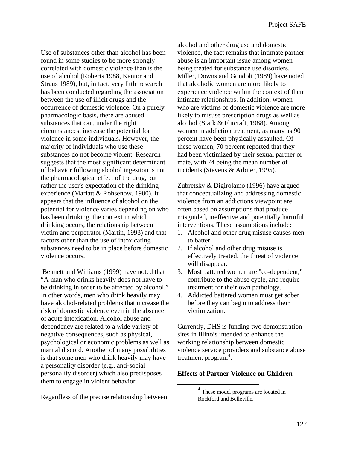Use of substances other than alcohol has been found in some studies to be more strongly correlated with domestic violence than is the use of alcohol (Roberts 1988, Kantor and Straus 1989), but, in fact, very little research has been conducted regarding the association between the use of illicit drugs and the occurrence of domestic violence. On a purely pharmacologic basis, there are abused substances that can, under the right circumstances, increase the potential for violence in some individuals**.** However, the majority of individuals who use these substances do not become violent. Research suggests that the most significant determinant of behavior following alcohol ingestion is not the pharmacological effect of the drug, but rather the user's expectation of the drinking experience (Marlatt & Rohsenow, 1980). It appears that the influence of alcohol on the potential for violence varies depending on who has been drinking, the context in which drinking occurs, the relationship between victim and perpetrator (Martin, 1993) and that factors other than the use of intoxicating substances need to be in place before domestic violence occurs.

 Bennett and Williams (1999) have noted that "A man who drinks heavily does not have to be drinking in order to be affected by alcohol." In other words, men who drink heavily may have alcohol-related problems that increase the risk of domestic violence even in the absence of acute intoxication. Alcohol abuse and dependency are related to a wide variety of negative consequences, such as physical, psychological or economic problems as well as marital discord. Another of many possibilities is that some men who drink heavily may have a personality disorder (e.g., anti-social personality disorder) which also predisposes them to engage in violent behavior.

<span id="page-132-0"></span>Regardless of the precise relationship between

alcohol and other drug use and domestic violence, the fact remains that intimate partner abuse is an important issue among women being treated for substance use disorders. Miller, Downs and Gondoli (1989) have noted that alcoholic women are more likely to experience violence within the context of their intimate relationships. In addition, women who are victims of domestic violence are more likely to misuse prescription drugs as well as alcohol (Stark & Flitcraft, 1988). Among women in addiction treatment, as many as 90 percent have been physically assaulted. Of these women, 70 percent reported that they had been victimized by their sexual partner or mate, with 74 being the mean number of incidents (Stevens & Arbiter, 1995).

Zubretsky & Digirolamo (1996) have argued that conceptualizing and addressing domestic violence from an addictions viewpoint are often based on assumptions that produce misguided, ineffective and potentially harmful interventions. These assumptions include:

- 1. Alcohol and other drug misuse causes men to batter.
- 2. If alcohol and other drug misuse is effectively treated, the threat of violence will disappear.
- 3. Most battered women are "co-dependent," contribute to the abuse cycle, and require treatment for their own pathology.
- 4. Addicted battered women must get sober before they can begin to address their victimization.

Currently, DHS is funding two demonstration sites in Illinois intended to enhance the working relationship between domestic violence service providers and substance abuse treatment program<sup>[4](#page-132-0)</sup>.

#### **Effects of Partner Violence on Children**

<sup>&</sup>lt;sup>4</sup> These model programs are located in Rockford and Belleville.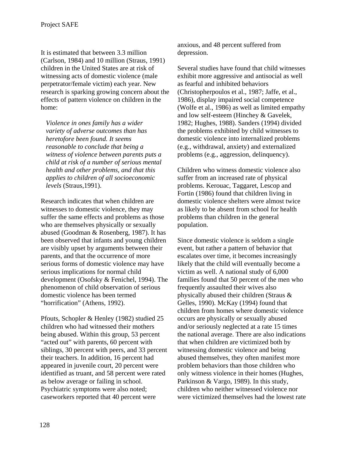It is estimated that between 3.3 million (Carlson, 1984) and 10 million (Straus, 1991) children in the United States are at risk of witnessing acts of domestic violence (male perpetrator/female victim) each year. New research is sparking growing concern about the effects of pattern violence on children in the home:

*Violence in ones family has a wider variety of adverse outcomes than has heretofore been found. It seems reasonable to conclude that being a witness of violence between parents puts a child at risk of a number of serious mental health and other problems, and that this applies to children of all socioeconomic levels* (Straus,1991).

Research indicates that when children are witnesses to domestic violence, they may suffer the same effects and problems as those who are themselves physically or sexually abused (Goodman & Rosenberg, 1987). It has been observed that infants and young children are visibly upset by arguments between their parents, and that the occurrence of more serious forms of domestic violence may have serious implications for normal child development (Osofsky & Fenichel, 1994). The phenomenon of child observation of serious domestic violence has been termed "horrification" (Athens, 1992).

Pfouts, Schopler & Henley (1982) studied 25 children who had witnessed their mothers being abused. Within this group, 53 percent "acted out" with parents, 60 percent with siblings, 30 percent with peers, and 33 percent their teachers. In addition, 16 percent had appeared in juvenile court, 20 percent were identified as truant, and 58 percent were rated as below average or failing in school. Psychiatric symptoms were also noted; caseworkers reported that 40 percent were

anxious, and 48 percent suffered from depression.

Several studies have found that child witnesses exhibit more aggressive and antisocial as well as fearful and inhibited behaviors (Christopherpoulos et al., 1987; Jaffe, et al., 1986), display impaired social competence (Wolfe et al., 1986) as well as limited empathy and low self-esteem (Hinchey & Gavelek, 1982; Hughes, 1988). Sanders (1994) divided the problems exhibited by child witnesses to domestic violence into internalized problems (e.g., withdrawal, anxiety) and externalized problems (e.g., aggression, delinquency).

Children who witness domestic violence also suffer from an increased rate of physical problems. Kerouac, Taggaret, Lescop and Fortin (1986) found that children living in domestic violence shelters were almost twice as likely to be absent from school for health problems than children in the general population.

Since domestic violence is seldom a single event, but rather a pattern of behavior that escalates over time, it becomes increasingly likely that the child will eventually become a victim as well. A national study of 6,000 families found that 50 percent of the men who frequently assaulted their wives also physically abused their children (Straus & Gelles, 1990). McKay (1994) found that children from homes where domestic violence occurs are physically or sexually abused and/or seriously neglected at a rate 15 times the national average. There are also indications that when children are victimized both by witnessing domestic violence and being abused themselves, they often manifest more problem behaviors than those children who only witness violence in their homes (Hughes, Parkinson & Vargo, 1989). In this study, children who neither witnessed violence nor were victimized themselves had the lowest rate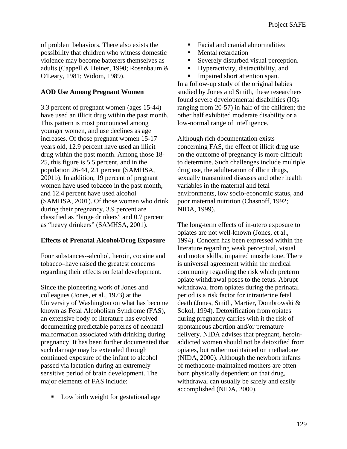of problem behaviors. There also exists the possibility that children who witness domestic violence may become batterers themselves as adults (Cappell & Heiner, 1990; Rosenbaum & O'Leary, 1981; Widom, 1989).

## **AOD Use Among Pregnant Women**

3.3 percent of pregnant women (ages 15-44) have used an illicit drug within the past month. This pattern is most pronounced among younger women, and use declines as age increases. Of those pregnant women 15-17 years old, 12.9 percent have used an illicit drug within the past month. Among those 18- 25, this figure is 5.5 percent, and in the population 26-44, 2.1 percent (SAMHSA, 2001b). In addition, 19 percent of pregnant women have used tobacco in the past month, and 12.4 percent have used alcohol (SAMHSA, 2001). Of those women who drink during their pregnancy, 3.9 percent are classified as "binge drinkers" and 0.7 percent as "heavy drinkers" (SAMHSA, 2001).

## **Effects of Prenatal Alcohol/Drug Exposure**

Four substances--alcohol, heroin, cocaine and tobacco–have raised the greatest concerns regarding their effects on fetal development.

Since the pioneering work of Jones and colleagues (Jones, et al., 1973) at the University of Washington on what has become known as Fetal Alcoholism Syndrome (FAS), an extensive body of literature has evolved documenting predictable patterns of neonatal malformation associated with drinking during pregnancy. It has been further documented that such damage may be extended through continued exposure of the infant to alcohol passed via lactation during an extremely sensitive period of brain development. The major elements of FAS include:

■ Low birth weight for gestational age

- Facial and cranial abnormalities
- Mental retardation
- Severely disturbed visual perception.
- $\blacksquare$  Hyperactivity, distractibility, and
- Impaired short attention span.

In a follow-up study of the original babies studied by Jones and Smith, these researchers found severe developmental disabilities (IQs ranging from 20-57) in half of the children; the other half exhibited moderate disability or a low-normal range of intelligence.

Although rich documentation exists concerning FAS, the effect of illicit drug use on the outcome of pregnancy is more difficult to determine. Such challenges include multiple drug use, the adulteration of illicit drugs, sexually transmitted diseases and other health variables in the maternal and fetal environments, low socio-economic status, and poor maternal nutrition (Chasnoff, 1992; NIDA, 1999).

The long-term effects of in-utero exposure to opiates are not well-known (Jones, et al., 1994). Concern has been expressed within the literature regarding weak perceptual, visual and motor skills, impaired muscle tone. There is universal agreement within the medical community regarding the risk which preterm opiate withdrawal poses to the fetus. Abrupt withdrawal from opiates during the perinatal period is a risk factor for intrauterine fetal death (Jones, Smith, Martier, Dombrowski & Sokol, 1994). Detoxification from opiates during pregnancy carries with it the risk of spontaneous abortion and/or premature delivery. NIDA advises that pregnant, heroinaddicted women should not be detoxified from opiates, but rather maintained on methadone (NIDA, 2000). Although the newborn infants of methadone-maintained mothers are often born physically dependent on that drug, withdrawal can usually be safely and easily accomplished (NIDA, 2000).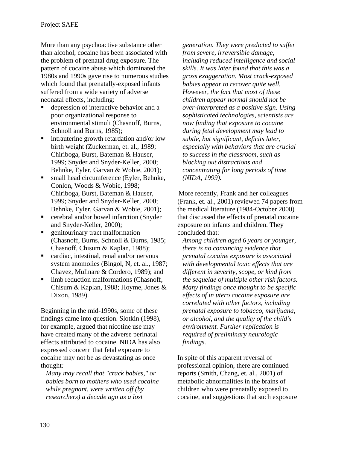More than any psychoactive substance other than alcohol, cocaine has been associated with the problem of prenatal drug exposure. The pattern of cocaine abuse which dominated the 1980s and 1990s gave rise to numerous studies which found that prenatally-exposed infants suffered from a wide variety of adverse neonatal effects, including:

- depression of interactive behavior and a poor organizational response to environmental stimuli (Chasnoff, Burns, Schnoll and Burns, 1985);
- intrauterine growth retardation and/or low birth weight (Zuckerman, et. al., 1989; Chiriboga, Burst, Bateman & Hauser, 1999; Snyder and Snyder-Keller, 2000; Behnke, Eyler, Garvan & Wobie, 2001);
- small head circumference (Eyler, Behnke, Conlon, Woods & Wobie, 1998; Chiriboga, Burst, Bateman & Hauser, 1999; Snyder and Snyder-Keller, 2000; Behnke, Eyler, Garvan & Wobie, 2001);
- cerebral and/or bowel infarction (Snyder and Snyder-Keller, 2000);
- genitourinary tract malformation (Chasnoff, Burns, Schnoll & Burns, 1985; Chasnoff, Chisum & Kaplan, 1988);
- cardiac, intestinal, renal and/or nervous system anomolies (Bingol, N, et. al., 1987; Chavez, Mulinare & Cordero, 1989); and
- limb reduction malformations (Chasnoff, Chisum & Kaplan, 1988; Hoyme, Jones & Dixon, 1989).

Beginning in the mid-1990s, some of these findings came into question. Slotkin (1998), for example, argued that nicotine use may have created many of the adverse perinatal effects attributed to cocaine. NIDA has also expressed concern that fetal exposure to cocaine may not be as devastating as once thought*:* 

*Many may recall that "crack babies," or babies born to mothers who used cocaine while pregnant, were written off (by researchers) a decade ago as a lost* 

*generation. They were predicted to suffer from severe, irreversible damage, including reduced intelligence and social skills. It was later found that this was a gross exaggeration. Most crack-exposed babies appear to recover quite well. However, the fact that most of these children appear normal should not be over-interpreted as a positive sign. Using sophisticated technologies, scientists are now finding that exposure to cocaine during fetal development may lead to subtle, but significant, deficits later, especially with behaviors that are crucial to success in the classroom, such as blocking out distractions and concentrating for long periods of time (NIDA, 1999).* 

More recently, Frank and her colleagues (Frank, et. al., 2001) reviewed 74 papers from the medical literature (1984-October 2000) that discussed the effects of prenatal cocaine exposure on infants and children. They concluded that:

*Among children aged 6 years or younger, there is no convincing evidence that prenatal cocaine exposure is associated with developmental toxic effects that are different in severity, scope, or kind from the sequelae of multiple other risk factors. Many findings once thought to be specific effects of in utero cocaine exposure are correlated with other factors, including prenatal exposure to tobacco, marijuana, or alcohol, and the quality of the child's environment. Further replication is required of preliminary neurologic findings.* 

In spite of this apparent reversal of professional opinion, there are continued reports (Smith, Chang, et. al., 2001) of metabolic abnormalities in the brains of children who were prenatally exposed to cocaine, and suggestions that such exposure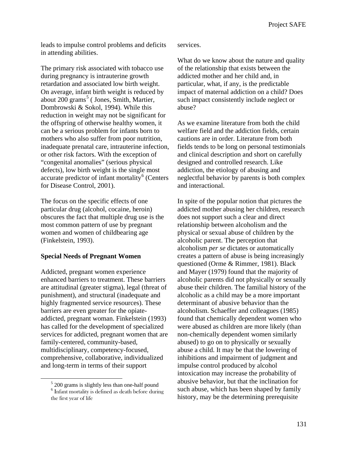leads to impulse control problems and deficits in attending abilities.

The primary risk associated with tobacco use during pregnancy is intrauterine growth retardation and associated low birth weight. On average, infant birth weight is reduced by about  $200$  grams<sup>[5](#page-136-0)</sup> (Jones, Smith, Martier, Dombrowski & Sokol, 1994). While this reduction in weight may not be significant for the offspring of otherwise healthy women, it can be a serious problem for infants born to mothers who also suffer from poor nutrition, inadequate prenatal care, intrauterine infection, or other risk factors. With the exception of "congenital anomalies" (serious physical defects), low birth weight is the single most accurate predictor of infant mortality<sup>[6](#page-136-1)</sup> (Centers for Disease Control, 2001).

The focus on the specific effects of one particular drug (alcohol, cocaine, heroin) obscures the fact that multiple drug use is the most common pattern of use by pregnant women and women of childbearing age (Finkelstein, 1993).

## **Special Needs of Pregnant Women**

Addicted, pregnant women experience enhanced barriers to treatment. These barriers are attitudinal (greater stigma), legal (threat of punishment), and structural (inadequate and highly fragmented service resources). These barriers are even greater for the opiateaddicted, pregnant woman. Finkelstein (1993) has called for the development of specialized services for addicted, pregnant women that are family-centered, community-based, multidisciplinary, competency-focused, comprehensive, collaborative, individualized and long-term in terms of their support

services.

What do we know about the nature and quality of the relationship that exists between the addicted mother and her child and, in particular, what, if any, is the predictable impact of maternal addiction on a child? Does such impact consistently include neglect or abuse?

As we examine literature from both the child welfare field and the addiction fields, certain cautions are in order. Literature from both fields tends to be long on personal testimonials and clinical description and short on carefully designed and controlled research. Like addiction, the etiology of abusing and neglectful behavior by parents is both complex and interactional.

In spite of the popular notion that pictures the addicted mother abusing her children, research does not support such a clear and direct relationship between alcoholism and the physical or sexual abuse of children by the alcoholic parent. The perception that alcoholism *per se* dictates or automatically creates a pattern of abuse is being increasingly questioned (Orme & Rimmer, 1981). Black and Mayer (1979) found that the majority of alcoholic parents did not physically or sexually abuse their children. The familial history of the alcoholic as a child may be a more important determinant of abusive behavior than the alcoholism. Schaeffer and colleagues (1985) found that chemically dependent women who were abused as children are more likely (than non-chemically dependent women similarly abused) to go on to physically or sexually abuse a child. It may be that the lowering of inhibitions and impairment of judgment and impulse control produced by alcohol intoxication may increase the probability of abusive behavior, but that the inclination for such abuse, which has been shaped by family history, may be the determining prerequisite

<span id="page-136-1"></span><span id="page-136-0"></span> $\frac{1}{5}$  $5200$  grams is slightly less than one-half pound

<sup>6</sup> Infant mortality is defined as death before during the first year of life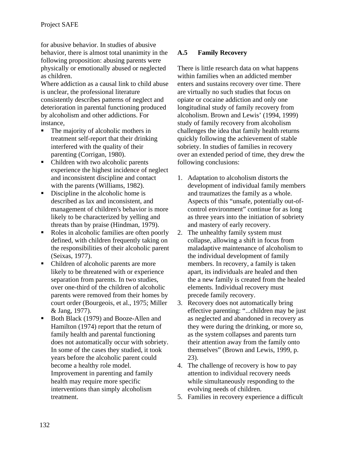for abusive behavior. In studies of abusive behavior, there is almost total unanimity in the following proposition: abusing parents were physically or emotionally abused or neglected as children.

Where addiction as a causal link to child abuse is unclear, the professional literature consistently describes patterns of neglect and deterioration in parental functioning produced by alcoholism and other addictions. For instance,

- The majority of alcoholic mothers in treatment self-report that their drinking interfered with the quality of their parenting (Corrigan, 1980).
- Children with two alcoholic parents experience the highest incidence of neglect and inconsistent discipline and contact with the parents (Williams, 1982).
- Discipline in the alcoholic home is described as lax and inconsistent, and management of children's behavior is more likely to be characterized by yelling and threats than by praise (Hindman, 1979).
- Roles in alcoholic families are often poorly defined, with children frequently taking on the responsibilities of their alcoholic parent (Seixas, 1977).
- Children of alcoholic parents are more likely to be threatened with or experience separation from parents. In two studies, over one-third of the children of alcoholic parents were removed from their homes by court order (Bourgeois, et al., 1975; Miller & Jang, 1977).
- Both Black (1979) and Booze-Allen and Hamilton (1974) report that the return of family health and parental functioning does not automatically occur with sobriety. In some of the cases they studied, it took years before the alcoholic parent could become a healthy role model. Improvement in parenting and family health may require more specific interventions than simply alcoholism treatment.

## **A.5 Family Recovery**

There is little research data on what happens within families when an addicted member enters and sustains recovery over time. There are virtually no such studies that focus on opiate or cocaine addiction and only one longitudinal study of family recovery from alcoholism. Brown and Lewis' (1994, 1999) study of family recovery from alcoholism challenges the idea that family health returns quickly following the achievement of stable sobriety. In studies of families in recovery over an extended period of time, they drew the following conclusions:

- 1. Adaptation to alcoholism distorts the development of individual family members and traumatizes the family as a whole. Aspects of this "unsafe, potentially out-ofcontrol environment" continue for as long as three years into the initiation of sobriety and mastery of early recovery.
- 2. The unhealthy family system must collapse, allowing a shift in focus from maladaptive maintenance of alcoholism to the individual development of family members. In recovery, a family is taken apart, its individuals are healed and then the a new family is created from the healed elements. Individual recovery must precede family recovery.
- 3. Recovery does not automatically bring effective parenting: "...children may be just as neglected and abandoned in recovery as they were during the drinking, or more so, as the system collapses and parents turn their attention away from the family onto themselves" (Brown and Lewis, 1999, p. 23).
- 4. The challenge of recovery is how to pay attention to individual recovery needs while simultaneously responding to the evolving needs of children.
- 5. Families in recovery experience a difficult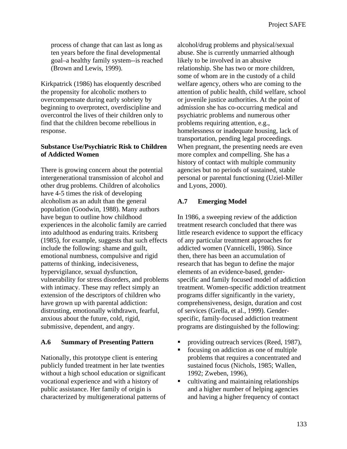process of change that can last as long as ten years before the final developmental goal–a healthy family system--is reached (Brown and Lewis, 1999).

Kirkpatrick (1986) has eloquently described the propensity for alcoholic mothers to overcompensate during early sobriety by beginning to overprotect, overdiscipline and overcontrol the lives of their children only to find that the children become rebellious in response.

#### **Substance Use/Psychiatric Risk to Children of Addicted Women**

There is growing concern about the potential intergenerational transmission of alcohol and other drug problems. Children of alcoholics have 4-5 times the risk of developing alcoholism as an adult than the general population (Goodwin, 1988). Many authors have begun to outline how childhood experiences in the alcoholic family are carried into adulthood as enduring traits. Kritsberg (1985), for example, suggests that such effects include the following: shame and guilt, emotional numbness, compulsive and rigid patterns of thinking, indecisiveness, hypervigilance, sexual dysfunction, vulnerability for stress disorders, and problems with intimacy. These may reflect simply an extension of the descriptors of children who have grown up with parental addiction: distrusting, emotionally withdrawn, fearful, anxious about the future, cold, rigid, submissive, dependent, and angry.

#### **A.6 Summary of Presenting Pattern**

Nationally, this prototype client is entering publicly funded treatment in her late twenties without a high school education or significant vocational experience and with a history of public assistance. Her family of origin is characterized by multigenerational patterns of alcohol/drug problems and physical/sexual abuse. She is currently unmarried although likely to be involved in an abusive relationship. She has two or more children, some of whom are in the custody of a child welfare agency, others who are coming to the attention of public health, child welfare, school or juvenile justice authorities. At the point of admission she has co-occurring medical and psychiatric problems and numerous other problems requiring attention, e.g., homelessness or inadequate housing, lack of transportation, pending legal proceedings. When pregnant, the presenting needs are even more complex and compelling. She has a history of contact with multiple community agencies but no periods of sustained, stable personal or parental functioning (Uziel-Miller and Lyons, 2000).

#### **A.7 Emerging Model**

In 1986, a sweeping review of the addiction treatment research concluded that there was little research evidence to support the efficacy of any particular treatment approaches for addicted women (Vannicelli, 1986). Since then, there has been an accumulation of research that has begun to define the major elements of an evidence-based, genderspecific and family focused model of addiction treatment. Women-specific addiction treatment programs differ significantly in the variety, comprehensiveness, design, duration and cost of services (Grella, et al., 1999). Genderspecific, family-focused addiction treatment programs are distinguished by the following:

- **providing outreach services (Reed, 1987),**
- focusing on addiction as one of multiple problems that requires a concentrated and sustained focus (Nichols, 1985; Wallen, 1992; Zweben, 1996),
- cultivating and maintaining relationships and a higher number of helping agencies and having a higher frequency of contact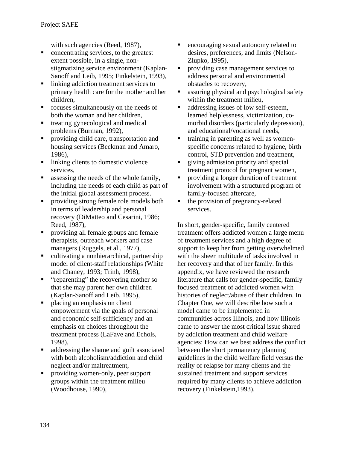with such agencies (Reed, 1987),

- concentrating services, to the greatest extent possible, in a single, nonstigmatizing service environment (Kaplan-Sanoff and Leib, 1995; Finkelstein, 1993),
- linking addiction treatment services to primary health care for the mother and her children,
- focuses simultaneously on the needs of both the woman and her children,
- treating gynecological and medical problems (Burman, 1992),
- providing child care, transportation and housing services (Beckman and Amaro, 1986),
- linking clients to domestic violence services,
- assessing the needs of the whole family, including the needs of each child as part of the initial global assessment process.
- **Peropeering 1** providing strong female role models both in terms of leadership and personal recovery (DiMatteo and Cesarini, 1986; Reed, 1987),
- providing all female groups and female therapists, outreach workers and case managers (Ruggels, et al., 1977),
- ultivating a nonhierarchical, partnership model of client-staff relationships (White and Chaney, 1993; Trinh, 1998),
- " "reparenting" the recovering mother so that she may parent her own children (Kaplan-Sanoff and Leib, 1995),
- **placing an emphasis on client** empowerment via the goals of personal and economic self-sufficiency and an emphasis on choices throughout the treatment process (LaFave and Echols, 1998),
- addressing the shame and guilt associated with both alcoholism/addiction and child neglect and/or maltreatment,
- providing women-only, peer support groups within the treatment milieu (Woodhouse, 1990),
- **EXECUTE:** encouraging sexual autonomy related to desires, preferences, and limits (Nelson-Zlupko, 1995),
- **Peropensi** providing case management services to address personal and environmental obstacles to recovery,
- **assuring physical and psychological safety** within the treatment milieu,
- ddressing issues of low self-esteem. learned helplessness, victimization, comorbid disorders (particularly depression), and educational/vocational needs,
- training in parenting as well as womenspecific concerns related to hygiene, birth control, STD prevention and treatment,
- **giving admission priority and special** treatment protocol for pregnant women,
- providing a longer duration of treatment involvement with a structured program of family-focused aftercare,
- $\blacksquare$  the provision of pregnancy-related services.

In short, gender-specific, family centered treatment offers addicted women a large menu of treatment services and a high degree of support to keep her from getting overwhelmed with the sheer multitude of tasks involved in her recovery and that of her family. In this appendix, we have reviewed the research literature that calls for gender-specific, family focused treatment of addicted women with histories of neglect/abuse of their children. In Chapter One, we will describe how such a model came to be implemented in communities across Illinois, and how Illinois came to answer the most critical issue shared by addiction treatment and child welfare agencies: How can we best address the conflict between the short permanency planning guidelines in the child welfare field versus the reality of relapse for many clients and the sustained treatment and support services required by many clients to achieve addiction recovery (Finkelstein,1993).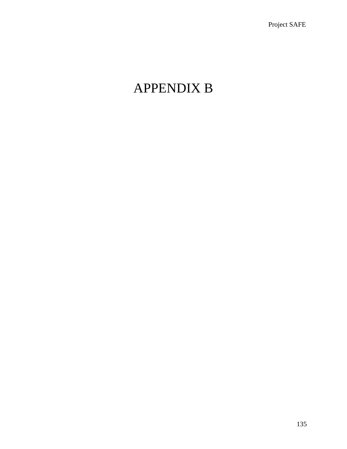# APPENDIX B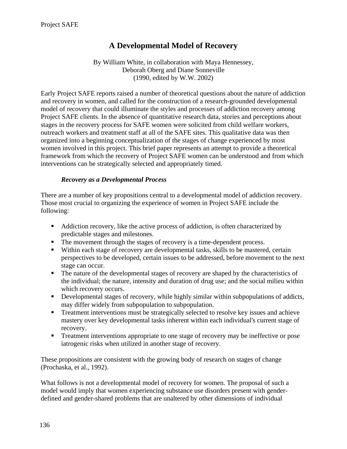## **A Developmental Model of Recovery**

 By William White, in collaboration with Maya Hennessey, Deborah Oberg and Diane Sonneville (1990, edited by W.W. 2002)

Early Project SAFE reports raised a number of theoretical questions about the nature of addiction and recovery in women, and called for the construction of a research-grounded developmental model of recovery that could illuminate the styles and processes of addiction recovery among Project SAFE clients. In the absence of quantitative research data, stories and perceptions about stages in the recovery process for SAFE women were solicited from child welfare workers, outreach workers and treatment staff at all of the SAFE sites. This qualitative data was then organized into a beginning conceptualization of the stages of change experienced by most women involved in this project. This brief paper represents an attempt to provide a theoretical framework from which the recovery of Project SAFE women can be understood and from which interventions can be strategically selected and appropriately timed.

#### *Recovery as a Developmental Process*

There are a number of key propositions central to a developmental model of addiction recovery. Those most crucial to organizing the experience of women in Project SAFE include the following:

- Addiction recovery, like the active process of addiction, is often characterized by predictable stages and milestones.
- The movement through the stages of recovery is a time-dependent process.
- Within each stage of recovery are developmental tasks, skills to be mastered, certain perspectives to be developed, certain issues to be addressed, before movement to the next stage can occur.
- The nature of the developmental stages of recovery are shaped by the characteristics of the individual; the nature, intensity and duration of drug use; and the social milieu within which recovery occurs.
- Developmental stages of recovery, while highly similar within subpopulations of addicts, may differ widely from subpopulation to subpopulation.
- **Treatment interventions must be strategically selected to resolve key issues and achieve** mastery over key developmental tasks inherent within each individual's current stage of recovery.
- **Treatment interventions appropriate to one stage of recovery may be ineffective or pose** iatrogenic risks when utilized in another stage of recovery.

These propositions are consistent with the growing body of research on stages of change (Prochaska, et al., 1992).

What follows is not a developmental model of recovery for women. The proposal of such a model would imply that women experiencing substance use disorders present with genderdefined and gender-shared problems that are unaltered by other dimensions of individual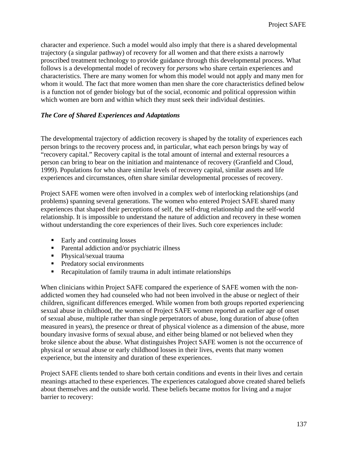character and experience. Such a model would also imply that there is a shared developmental trajectory (a singular pathway) of recovery for all women and that there exists a narrowly proscribed treatment technology to provide guidance through this developmental process. What follows is a developmental model of recovery for *persons* who share certain experiences and characteristics. There are many women for whom this model would not apply and many men for whom it would. The fact that more women than men share the core characteristics defined below is a function not of gender biology but of the social, economic and political oppression within which women are born and within which they must seek their individual destinies.

## *The Core of Shared Experiences and Adaptations*

The developmental trajectory of addiction recovery is shaped by the totality of experiences each person brings to the recovery process and, in particular, what each person brings by way of "recovery capital." Recovery capital is the total amount of internal and external resources a person can bring to bear on the initiation and maintenance of recovery (Granfield and Cloud, 1999). Populations for who share similar levels of recovery capital, similar assets and life experiences and circumstances, often share similar developmental processes of recovery.

Project SAFE women were often involved in a complex web of interlocking relationships (and problems) spanning several generations. The women who entered Project SAFE shared many experiences that shaped their perceptions of self, the self-drug relationship and the self-world relationship. It is impossible to understand the nature of addiction and recovery in these women without understanding the core experiences of their lives. Such core experiences include:

- Early and continuing losses
- Parental addiction and/or psychiatric illness
- Physical/sexual trauma
- **Predatory social environments**
- Recapitulation of family trauma in adult intimate relationships

When clinicians within Project SAFE compared the experience of SAFE women with the nonaddicted women they had counseled who had not been involved in the abuse or neglect of their children, significant differences emerged. While women from both groups reported experiencing sexual abuse in childhood, the women of Project SAFE women reported an earlier age of onset of sexual abuse, multiple rather than single perpetrators of abuse, long duration of abuse (often measured in years), the presence or threat of physical violence as a dimension of the abuse, more boundary invasive forms of sexual abuse, and either being blamed or not believed when they broke silence about the abuse. What distinguishes Project SAFE women is not the occurrence of physical or sexual abuse or early childhood losses in their lives, events that many women experience, but the intensity and duration of these experiences.

Project SAFE clients tended to share both certain conditions and events in their lives and certain meanings attached to these experiences. The experiences catalogued above created shared beliefs about themselves and the outside world. These beliefs became mottos for living and a major barrier to recovery: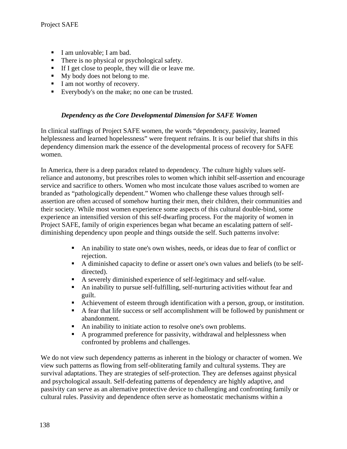- I am unlovable; I am bad.
- There is no physical or psychological safety.
- If I get close to people, they will die or leave me.
- My body does not belong to me.
- I am not worthy of recovery.
- Everybody's on the make; no one can be trusted.

## *Dependency as the Core Developmental Dimension for SAFE Women*

In clinical staffings of Project SAFE women, the words "dependency, passivity, learned helplessness and learned hopelessness" were frequent refrains. It is our belief that shifts in this dependency dimension mark the essence of the developmental process of recovery for SAFE women.

In America, there is a deep paradox related to dependency. The culture highly values selfreliance and autonomy, but prescribes roles to women which inhibit self-assertion and encourage service and sacrifice to others. Women who most inculcate those values ascribed to women are branded as "pathologically dependent." Women who challenge these values through selfassertion are often accused of somehow hurting their men, their children, their communities and their society. While most women experience some aspects of this cultural double-bind, some experience an intensified version of this self-dwarfing process. For the majority of women in Project SAFE, family of origin experiences began what became an escalating pattern of selfdiminishing dependency upon people and things outside the self. Such patterns involve:

- An inability to state one's own wishes, needs, or ideas due to fear of conflict or rejection.
- A diminished capacity to define or assert one's own values and beliefs (to be selfdirected).
- A severely diminished experience of self-legitimacy and self-value.
- An inability to pursue self-fulfilling, self-nurturing activities without fear and guilt.
- Achievement of esteem through identification with a person, group, or institution.
- A fear that life success or self accomplishment will be followed by punishment or abandonment.
- An inability to initiate action to resolve one's own problems.
- A programmed preference for passivity, withdrawal and helplessness when confronted by problems and challenges.

We do not view such dependency patterns as inherent in the biology or character of women. We view such patterns as flowing from self-obliterating family and cultural systems. They are survival adaptations. They are strategies of self-protection. They are defenses against physical and psychological assault. Self-defeating patterns of dependency are highly adaptive, and passivity can serve as an alternative protective device to challenging and confronting family or cultural rules. Passivity and dependence often serve as homeostatic mechanisms within a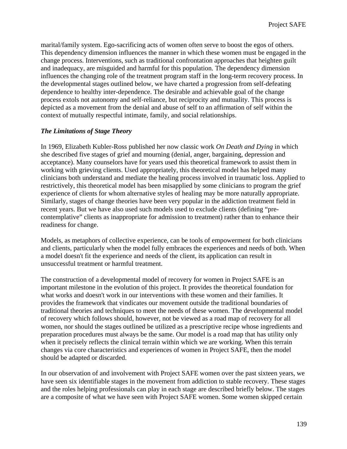marital/family system. Ego-sacrificing acts of women often serve to boost the egos of others. This dependency dimension influences the manner in which these women must be engaged in the change process. Interventions, such as traditional confrontation approaches that heighten guilt and inadequacy, are misguided and harmful for this population. The dependency dimension influences the changing role of the treatment program staff in the long-term recovery process. In the developmental stages outlined below, we have charted a progression from self-defeating dependence to healthy inter-dependence. The desirable and achievable goal of the change process extols not autonomy and self-reliance, but reciprocity and mutuality. This process is depicted as a movement from the denial and abuse of self to an affirmation of self within the context of mutually respectful intimate, family, and social relationships.

# *The Limitations of Stage Theory*

In 1969, Elizabeth Kubler-Ross published her now classic work *On Death and Dying* in which she described five stages of grief and mourning (denial, anger, bargaining, depression and acceptance). Many counselors have for years used this theoretical framework to assist them in working with grieving clients. Used appropriately, this theoretical model has helped many clinicians both understand and mediate the healing process involved in traumatic loss. Applied to restrictively, this theoretical model has been misapplied by some clinicians to program the grief experience of clients for whom alternative styles of healing may be more naturally appropriate. Similarly, stages of change theories have been very popular in the addiction treatment field in recent years. But we have also used such models used to exclude clients (defining "precontemplative" clients as inappropriate for admission to treatment) rather than to enhance their readiness for change.

Models, as metaphors of collective experience, can be tools of empowerment for both clinicians and clients, particularly when the model fully embraces the experiences and needs of both. When a model doesn't fit the experience and needs of the client, its application can result in unsuccessful treatment or harmful treatment.

The construction of a developmental model of recovery for women in Project SAFE is an important milestone in the evolution of this project. It provides the theoretical foundation for what works and doesn't work in our interventions with these women and their families. It provides the framework that vindicates our movement outside the traditional boundaries of traditional theories and techniques to meet the needs of these women. The developmental model of recovery which follows should, however, not be viewed as a road map of recovery for all women, nor should the stages outlined be utilized as a prescriptive recipe whose ingredients and preparation procedures must always be the same. Our model is a road map that has utility only when it precisely reflects the clinical terrain within which we are working. When this terrain changes via core characteristics and experiences of women in Project SAFE, then the model should be adapted or discarded.

In our observation of and involvement with Project SAFE women over the past sixteen years, we have seen six identifiable stages in the movement from addiction to stable recovery. These stages and the roles helping professionals can play in each stage are described briefly below. The stages are a composite of what we have seen with Project SAFE women. Some women skipped certain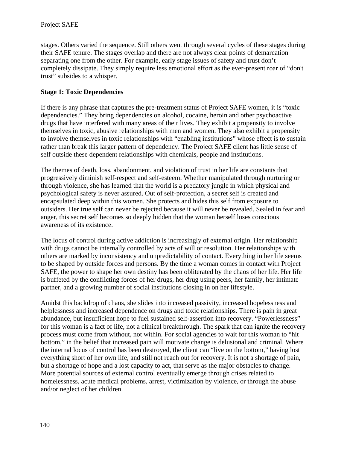stages. Others varied the sequence. Still others went through several cycles of these stages during their SAFE tenure. The stages overlap and there are not always clear points of demarcation separating one from the other. For example, early stage issues of safety and trust don't completely dissipate. They simply require less emotional effort as the ever-present roar of "don't trust" subsides to a whisper.

# **Stage 1: Toxic Dependencies**

If there is any phrase that captures the pre-treatment status of Project SAFE women, it is "toxic dependencies." They bring dependencies on alcohol, cocaine, heroin and other psychoactive drugs that have interfered with many areas of their lives. They exhibit a propensity to involve themselves in toxic, abusive relationships with men and women. They also exhibit a propensity to involve themselves in toxic relationships with "enabling institutions" whose effect is to sustain rather than break this larger pattern of dependency. The Project SAFE client has little sense of self outside these dependent relationships with chemicals, people and institutions.

The themes of death, loss, abandonment, and violation of trust in her life are constants that progressively diminish self-respect and self-esteem. Whether manipulated through nurturing or through violence, she has learned that the world is a predatory jungle in which physical and psychological safety is never assured. Out of self-protection, a secret self is created and encapsulated deep within this women. She protects and hides this self from exposure to outsiders. Her true self can never be rejected because it will never be revealed. Sealed in fear and anger, this secret self becomes so deeply hidden that the woman herself loses conscious awareness of its existence.

The locus of control during active addiction is increasingly of external origin. Her relationship with drugs cannot be internally controlled by acts of will or resolution. Her relationships with others are marked by inconsistency and unpredictability of contact. Everything in her life seems to be shaped by outside forces and persons. By the time a woman comes in contact with Project SAFE, the power to shape her own destiny has been obliterated by the chaos of her life. Her life is buffeted by the conflicting forces of her drugs, her drug using peers, her family, her intimate partner, and a growing number of social institutions closing in on her lifestyle.

Amidst this backdrop of chaos, she slides into increased passivity, increased hopelessness and helplessness and increased dependence on drugs and toxic relationships. There is pain in great abundance, but insufficient hope to fuel sustained self-assertion into recovery. "Powerlessness" for this woman is a fact of life, not a clinical breakthrough. The spark that can ignite the recovery process must come from without, not within. For social agencies to wait for this woman to "hit bottom," in the belief that increased pain will motivate change is delusional and criminal. Where the internal locus of control has been destroyed, the client can "live on the bottom," having lost everything short of her own life, and still not reach out for recovery. It is not a shortage of pain, but a shortage of hope and a lost capacity to act, that serve as the major obstacles to change. More potential sources of external control eventually emerge through crises related to homelessness, acute medical problems, arrest, victimization by violence, or through the abuse and/or neglect of her children.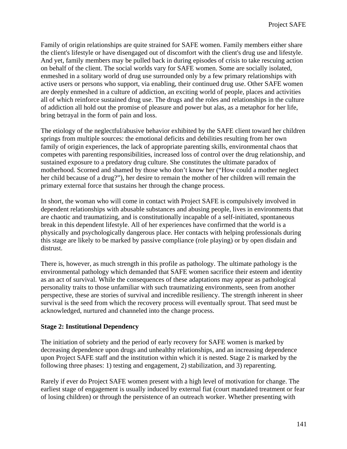Family of origin relationships are quite strained for SAFE women. Family members either share the client's lifestyle or have disengaged out of discomfort with the client's drug use and lifestyle. And yet, family members may be pulled back in during episodes of crisis to take rescuing action on behalf of the client. The social worlds vary for SAFE women. Some are socially isolated, enmeshed in a solitary world of drug use surrounded only by a few primary relationships with active users or persons who support, via enabling, their continued drug use. Other SAFE women are deeply enmeshed in a culture of addiction, an exciting world of people, places and activities all of which reinforce sustained drug use. The drugs and the roles and relationships in the culture of addiction all hold out the promise of pleasure and power but alas, as a metaphor for her life, bring betrayal in the form of pain and loss.

The etiology of the neglectful/abusive behavior exhibited by the SAFE client toward her children springs from multiple sources: the emotional deficits and debilities resulting from her own family of origin experiences, the lack of appropriate parenting skills, environmental chaos that competes with parenting responsibilities, increased loss of control over the drug relationship, and sustained exposure to a predatory drug culture. She constitutes the ultimate paradox of motherhood. Scorned and shamed by those who don't know her ("How could a mother neglect her child because of a drug?"), her desire to remain the mother of her children will remain the primary external force that sustains her through the change process.

In short, the woman who will come in contact with Project SAFE is compulsively involved in dependent relationships with abusable substances and abusing people, lives in environments that are chaotic and traumatizing, and is constitutionally incapable of a self-initiated, spontaneous break in this dependent lifestyle. All of her experiences have confirmed that the world is a physically and psychologically dangerous place. Her contacts with helping professionals during this stage are likely to be marked by passive compliance (role playing) or by open disdain and distrust.

There is, however, as much strength in this profile as pathology. The ultimate pathology is the environmental pathology which demanded that SAFE women sacrifice their esteem and identity as an act of survival. While the consequences of these adaptations may appear as pathological personality traits to those unfamiliar with such traumatizing environments, seen from another perspective, these are stories of survival and incredible resiliency. The strength inherent in sheer survival is the seed from which the recovery process will eventually sprout. That seed must be acknowledged, nurtured and channeled into the change process.

# **Stage 2: Institutional Dependency**

The initiation of sobriety and the period of early recovery for SAFE women is marked by decreasing dependence upon drugs and unhealthy relationships, and an increasing dependence upon Project SAFE staff and the institution within which it is nested. Stage 2 is marked by the following three phases: 1) testing and engagement, 2) stabilization, and 3) reparenting.

Rarely if ever do Project SAFE women present with a high level of motivation for change. The earliest stage of engagement is usually induced by external fiat (court mandated treatment or fear of losing children) or through the persistence of an outreach worker. Whether presenting with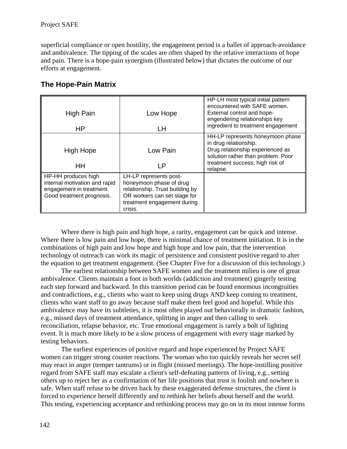superficial compliance or open hostility, the engagement period is a ballet of approach-avoidance and ambivalence. The tipping of the scales are often shaped by the relative interactions of hope and pain. There is a hope-pain synergism (illustrated below) that dictates the outcome of our efforts at engagement.

# **The Hope-Pain Matrix**

| High Pain<br>HP                                                                                               | Low Hope<br>LH                                                                                                                                                 | HP-LH most typical initial pattern<br>encountered with SAFE women.<br>External control and hope-<br>engendering relationships key<br>ingredient to treatment engagement            |
|---------------------------------------------------------------------------------------------------------------|----------------------------------------------------------------------------------------------------------------------------------------------------------------|------------------------------------------------------------------------------------------------------------------------------------------------------------------------------------|
| High Hope<br>HH                                                                                               | Low Pain<br>LP                                                                                                                                                 | HH-LP represents honeymoon phase<br>in drug relationship.<br>Drug relationship experienced as<br>solution rather than problem. Poor<br>treatment success; high risk of<br>relapse. |
| HP-HH produces high<br>internal motivation and rapid<br>engagement in treatment.<br>Good treatment prognosis. | LH-LP represents post-<br>honeymoon phase of drug<br>relationship. Trust building by<br>OR workers can set stage for<br>treatment engagement during<br>crisis. |                                                                                                                                                                                    |

 Where there is high pain and high hope, a rarity, engagement can be quick and intense. Where there is low pain and low hope, there is minimal chance of treatment initiation. It is in the combinations of high pain and low hope and high hope and low pain, that the intervention technology of outreach can work its magic of persistence and consistent positive regard to alter the equation to get treatment engagement. (See Chapter Five for a discussion of this technology.)

 The earliest relationship between SAFE women and the treatment milieu is one of great ambivalence. Clients maintain a foot in both worlds (addiction and treatment) gingerly testing each step forward and backward. In this transition period can be found enormous incongruities and contradictions, e.g., clients who want to keep using drugs AND keep coming to treatment, clients who want staff to go away because staff make them feel good and hopeful. While this ambivalence may have its subtleties, it is most often played out behaviorally in dramatic fashion, e.g., missed days of treatment attendance, splitting in anger and then calling to seek reconciliation, relapse behavior, etc. True emotional engagement is rarely a bolt of lighting event. It is much more likely to be a slow process of engagement with every stage marked by testing behaviors.

 The earliest experiences of positive regard and hope experienced by Project SAFE women can trigger strong counter reactions. The woman who too quickly reveals her secret self may react in anger (temper tantrums) or in flight (missed meetings). The hope-instilling positive regard from SAFE staff may escalate a client's self-defeating patterns of living, e.g., setting others up to reject her as a confirmation of her life positions that trust is foolish and nowhere is safe. When staff refuse to be driven back by these exaggerated defense structures, the client is forced to experience herself differently and to rethink her beliefs about herself and the world. This testing, experiencing acceptance and rethinking process may go on in its most intense forms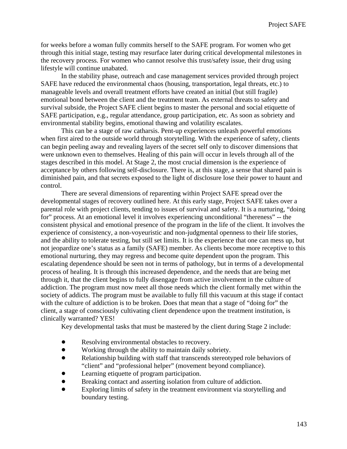for weeks before a woman fully commits herself to the SAFE program. For women who get through this initial stage, testing may resurface later during critical developmental milestones in the recovery process. For women who cannot resolve this trust/safety issue, their drug using lifestyle will continue unabated.

 In the stability phase, outreach and case management services provided through project SAFE have reduced the environmental chaos (housing, transportation, legal threats, etc.) to manageable levels and overall treatment efforts have created an initial (but still fragile) emotional bond between the client and the treatment team. As external threats to safety and survival subside, the Project SAFE client begins to master the personal and social etiquette of SAFE participation, e.g., regular attendance, group participation, etc. As soon as sobriety and environmental stability begins, emotional thawing and volatility escalates.

 This can be a stage of raw catharsis. Pent-up experiences unleash powerful emotions when first aired to the outside world through storytelling. With the experience of safety, clients can begin peeling away and revealing layers of the secret self only to discover dimensions that were unknown even to themselves. Healing of this pain will occur in levels through all of the stages described in this model. At Stage 2, the most crucial dimension is the experience of acceptance by others following self-disclosure. There is, at this stage, a sense that shared pain is diminished pain, and that secrets exposed to the light of disclosure lose their power to haunt and control.

 There are several dimensions of reparenting within Project SAFE spread over the developmental stages of recovery outlined here. At this early stage, Project SAFE takes over a parental role with project clients, tending to issues of survival and safety. It is a nurturing, "doing for" process. At an emotional level it involves experiencing unconditional "thereness" -- the consistent physical and emotional presence of the program in the life of the client. It involves the experience of consistency, a non-voyeuristic and non-judgmental openness to their life stories, and the ability to tolerate testing, but still set limits. It is the experience that one can mess up, but not jeopardize one's status as a family (SAFE) member. As clients become more receptive to this emotional nurturing, they may regress and become quite dependent upon the program. This escalating dependence should be seen not in terms of pathology, but in terms of a developmental process of healing. It is through this increased dependence, and the needs that are being met through it, that the client begins to fully disengage from active involvement in the culture of addiction. The program must now meet all those needs which the client formally met within the society of addicts. The program must be available to fully fill this vacuum at this stage if contact with the culture of addiction is to be broken. Does that mean that a stage of "doing for" the client, a stage of consciously cultivating client dependence upon the treatment institution, is clinically warranted? YES!

Key developmental tasks that must be mastered by the client during Stage 2 include:

- Resolving environmental obstacles to recovery.
- ! Working through the ability to maintain daily sobriety.
- Relationship building with staff that transcends stereotyped role behaviors of "client" and "professional helper" (movement beyond compliance).
- Learning etiquette of program participation.
- Breaking contact and asserting isolation from culture of addiction.
- Exploring limits of safety in the treatment environment via storytelling and boundary testing.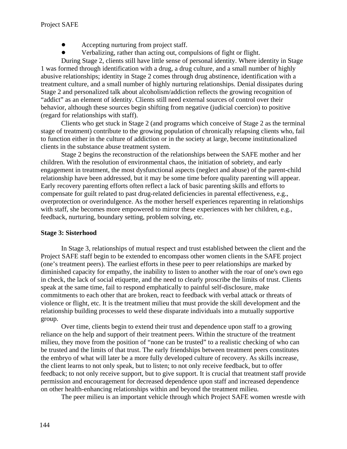- Accepting nurturing from project staff.
- Verbalizing, rather than acting out, compulsions of fight or flight.

 During Stage 2, clients still have little sense of personal identity. Where identity in Stage 1 was formed through identification with a drug, a drug culture, and a small number of highly abusive relationships; identity in Stage 2 comes through drug abstinence, identification with a treatment culture, and a small number of highly nurturing relationships. Denial dissipates during Stage 2 and personalized talk about alcoholism/addiction reflects the growing recognition of "addict" as an element of identity. Clients still need external sources of control over their behavior, although these sources begin shifting from negative (judicial coercion) to positive (regard for relationships with staff).

 Clients who get stuck in Stage 2 (and programs which conceive of Stage 2 as the terminal stage of treatment) contribute to the growing population of chronically relapsing clients who, fail to function either in the culture of addiction or in the society at large, become institutionalized clients in the substance abuse treatment system.

 Stage 2 begins the reconstruction of the relationships between the SAFE mother and her children. With the resolution of environmental chaos, the initiation of sobriety, and early engagement in treatment, the most dysfunctional aspects (neglect and abuse) of the parent-child relationship have been addressed, but it may be some time before quality parenting will appear. Early recovery parenting efforts often reflect a lack of basic parenting skills and efforts to compensate for guilt related to past drug-related deficiencies in parental effectiveness, e.g., overprotection or overindulgence. As the mother herself experiences reparenting in relationships with staff, she becomes more empowered to mirror these experiences with her children, e.g., feedback, nurturing, boundary setting, problem solving, etc.

## **Stage 3: Sisterhood**

 In Stage 3, relationships of mutual respect and trust established between the client and the Project SAFE staff begin to be extended to encompass other women clients in the SAFE project (one's treatment peers). The earliest efforts in these peer to peer relationships are marked by diminished capacity for empathy, the inability to listen to another with the roar of one's own ego in check, the lack of social etiquette, and the need to clearly proscribe the limits of trust. Clients speak at the same time, fail to respond emphatically to painful self-disclosure, make commitments to each other that are broken, react to feedback with verbal attack or threats of violence or flight, etc. It is the treatment milieu that must provide the skill development and the relationship building processes to weld these disparate individuals into a mutually supportive group.

 Over time, clients begin to extend their trust and dependence upon staff to a growing reliance on the help and support of their treatment peers. Within the structure of the treatment milieu, they move from the position of "none can be trusted" to a realistic checking of who can be trusted and the limits of that trust. The early friendships between treatment peers constitutes the embryo of what will later be a more fully developed culture of recovery. As skills increase, the client learns to not only speak, but to listen; to not only receive feedback, but to offer feedback; to not only receive support, but to give support. It is crucial that treatment staff provide permission and encouragement for decreased dependence upon staff and increased dependence on other health-enhancing relationships within and beyond the treatment milieu.

The peer milieu is an important vehicle through which Project SAFE women wrestle with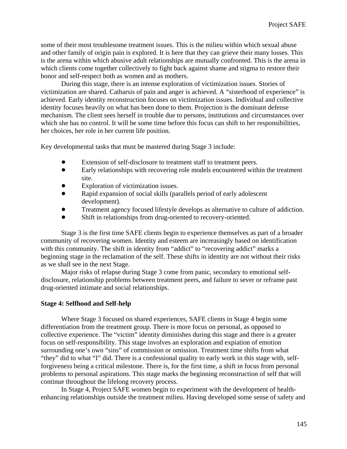some of their most troublesome treatment issues. This is the milieu within which sexual abuse and other family of origin pain is explored. It is here that they can grieve their many losses. This is the arena within which abusive adult relationships are mutually confronted. This is the arena in which clients come together collectively to fight back against shame and stigma to restore their honor and self-respect both as women and as mothers.

 During this stage, there is an intense exploration of victimization issues. Stories of victimization are shared. Catharsis of pain and anger is achieved. A "sisterhood of experience" is achieved. Early identity reconstruction focuses on victimization issues. Individual and collective identity focuses heavily on what has been done to them. Projection is the dominant defense mechanism. The client sees herself in trouble due to persons, institutions and circumstances over which she has no control. It will be some time before this focus can shift to her responsibilities, her choices, her role in her current life position.

Key developmental tasks that must be mastered during Stage 3 include:

- ! Extension of self-disclosure to treatment staff to treatment peers.
- ! Early relationships with recovering role models encountered within the treatment site.
- Exploration of victimization issues.
- Rapid expansion of social skills (parallels period of early adolescent development).
- Treatment agency focused lifestyle develops as alternative to culture of addiction.
- ! Shift in relationships from drug-oriented to recovery-oriented.

 Stage 3 is the first time SAFE clients begin to experience themselves as part of a broader community of recovering women. Identity and esteem are increasingly based on identification with this community. The shift in identity from "addict" to "recovering addict" marks a beginning stage in the reclamation of the self. These shifts in identity are not without their risks as we shall see in the next Stage.

 Major risks of relapse during Stage 3 come from panic, secondary to emotional selfdisclosure, relationship problems between treatment peers, and failure to sever or reframe past drug-oriented intimate and social relationships.

#### **Stage 4: Selfhood and Self-help**

 Where Stage 3 focused on shared experiences, SAFE clients in Stage 4 begin some differentiation from the treatment group. There is more focus on personal, as opposed to collective experience. The "victim" identity diminishes during this stage and there is a greater focus on self-responsibility. This stage involves an exploration and expiation of emotion surrounding one's own "sins" of commission or omission. Treatment time shifts from what "they" did to what "I" did. There is a confessional quality to early work in this stage with, selfforgiveness being a critical milestone. There is, for the first time, a shift in focus from personal problems to personal aspirations. This stage marks the beginning reconstruction of self that will continue throughout the lifelong recovery process.

 In Stage 4, Project SAFE women begin to experiment with the development of healthenhancing relationships outside the treatment milieu. Having developed some sense of safety and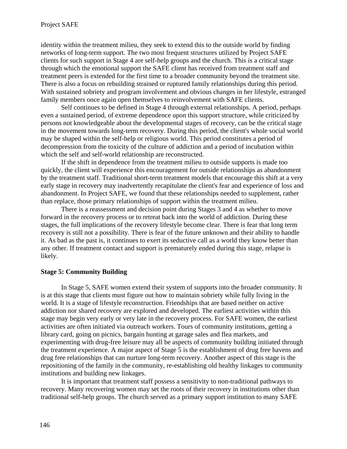identity within the treatment milieu, they seek to extend this to the outside world by finding networks of long-term support. The two most frequent structures utilized by Project SAFE clients for such support in Stage 4 are self-help groups and the church. This is a critical stage through which the emotional support the SAFE client has received from treatment staff and treatment peers is extended for the first time to a broader community beyond the treatment site. There is also a focus on rebuilding strained or ruptured family relationships during this period. With sustained sobriety and program involvement and obvious changes in her lifestyle, estranged family members once again open themselves to reinvolvement with SAFE clients.

 Self continues to be defined in Stage 4 through external relationships. A period, perhaps even a sustained period, of extreme dependence upon this support structure, while criticized by persons not knowledgeable about the developmental stages of recovery, can be the critical stage in the movement towards long-term recovery. During this period, the client's whole social world may be shaped within the self-help or religious world. This period constitutes a period of decompression from the toxicity of the culture of addiction and a period of incubation within which the self and self-world relationship are reconstructed.

 If the shift in dependence from the treatment milieu to outside supports is made too quickly, the client will experience this encouragement for outside relationships as abandonment by the treatment staff. Traditional short-term treatment models that encourage this shift at a very early stage in recovery may inadvertently recapitulate the client's fear and experience of loss and abandonment. In Project SAFE, we found that these relationships needed to supplement, rather than replace, those primary relationships of support within the treatment milieu.

 There is a reassessment and decision point during Stages 3 and 4 as whether to move forward in the recovery process or to retreat back into the world of addiction. During these stages, the full implications of the recovery lifestyle become clear. There is fear that long term recovery is still not a possibility. There is fear of the future unknown and their ability to handle it. As bad as the past is, it continues to exert its seductive call as a world they know better than any other. If treatment contact and support is prematurely ended during this stage, relapse is likely.

## **Stage 5: Community Building**

 In Stage 5, SAFE women extend their system of supports into the broader community. It is at this stage that clients must figure out how to maintain sobriety while fully living in the world. It is a stage of lifestyle reconstruction. Friendships that are based neither on active addiction nor shared recovery are explored and developed. The earliest activities within this stage may begin very early or very late in the recovery process. For SAFE women, the earliest activities are often initiated via outreach workers. Tours of community institutions, getting a library card, going on picnics, bargain hunting at garage sales and flea markets, and experimenting with drug-free leisure may all be aspects of community building initiated through the treatment experience. A major aspect of Stage 5 is the establishment of drug free havens and drug free relationships that can nurture long-term recovery. Another aspect of this stage is the repositioning of the family in the community, re-establishing old healthy linkages to community institutions and building new linkages.

 It is important that treatment staff possess a sensitivity to non-traditional pathways to recovery. Many recovering women may set the roots of their recovery in institutions other than traditional self-help groups. The church served as a primary support institution to many SAFE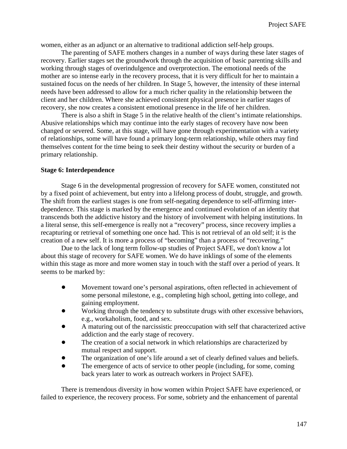women, either as an adjunct or an alternative to traditional addiction self-help groups.

 The parenting of SAFE mothers changes in a number of ways during these later stages of recovery. Earlier stages set the groundwork through the acquisition of basic parenting skills and working through stages of overindulgence and overprotection. The emotional needs of the mother are so intense early in the recovery process, that it is very difficult for her to maintain a sustained focus on the needs of her children. In Stage 5, however, the intensity of these internal needs have been addressed to allow for a much richer quality in the relationship between the client and her children. Where she achieved consistent physical presence in earlier stages of recovery, she now creates a consistent emotional presence in the life of her children.

There is also a shift in Stage 5 in the relative health of the client's intimate relationships. Abusive relationships which may continue into the early stages of recovery have now been changed or severed. Some, at this stage, will have gone through experimentation with a variety of relationships, some will have found a primary long-term relationship, while others may find themselves content for the time being to seek their destiny without the security or burden of a primary relationship.

#### **Stage 6: Interdependence**

 Stage 6 in the developmental progression of recovery for SAFE women, constituted not by a fixed point of achievement, but entry into a lifelong process of doubt, struggle, and growth. The shift from the earliest stages is one from self-negating dependence to self-affirming interdependence. This stage is marked by the emergence and continued evolution of an identity that transcends both the addictive history and the history of involvement with helping institutions. In a literal sense, this self-emergence is really not a "recovery" process, since recovery implies a recapturing or retrieval of something one once had. This is not retrieval of an old self; it is the creation of a new self. It is more a process of "becoming" than a process of "recovering."

 Due to the lack of long term follow-up studies of Project SAFE, we don't know a lot about this stage of recovery for SAFE women. We do have inklings of some of the elements within this stage as more and more women stay in touch with the staff over a period of years. It seems to be marked by:

- Movement toward one's personal aspirations, often reflected in achievement of some personal milestone, e.g., completing high school, getting into college, and gaining employment.
- Working through the tendency to substitute drugs with other excessive behaviors, e.g., workaholism, food, and sex.
- ! A maturing out of the narcissistic preoccupation with self that characterized active addiction and the early stage of recovery.
- The creation of a social network in which relationships are characterized by mutual respect and support.
- ! The organization of one's life around a set of clearly defined values and beliefs.
- ! The emergence of acts of service to other people (including, for some, coming back years later to work as outreach workers in Project SAFE).

 There is tremendous diversity in how women within Project SAFE have experienced, or failed to experience, the recovery process. For some, sobriety and the enhancement of parental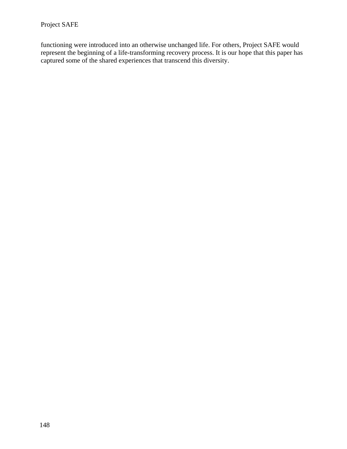functioning were introduced into an otherwise unchanged life. For others, Project SAFE would represent the beginning of a life-transforming recovery process. It is our hope that this paper has captured some of the shared experiences that transcend this diversity.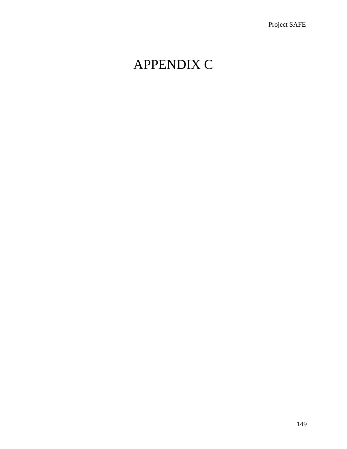# APPENDIX C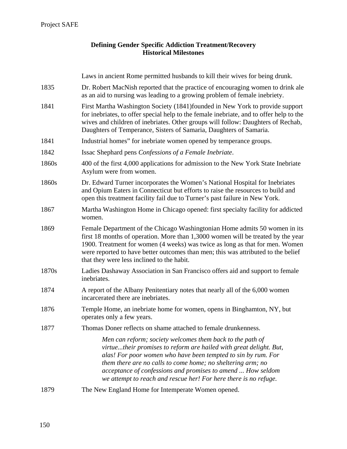# **Defining Gender Specific Addiction Treatment/Recovery Historical Milestones**

|       | Laws in ancient Rome permitted husbands to kill their wives for being drunk.                                                                                                                                                                                                                                                                                                                       |
|-------|----------------------------------------------------------------------------------------------------------------------------------------------------------------------------------------------------------------------------------------------------------------------------------------------------------------------------------------------------------------------------------------------------|
| 1835  | Dr. Robert MacNish reported that the practice of encouraging women to drink ale<br>as an aid to nursing was leading to a growing problem of female inebriety.                                                                                                                                                                                                                                      |
| 1841  | First Martha Washington Society (1841) founded in New York to provide support<br>for inebriates, to offer special help to the female inebriate, and to offer help to the<br>wives and children of inebriates. Other groups will follow: Daughters of Rechab,<br>Daughters of Temperance, Sisters of Samaria, Daughters of Samaria.                                                                 |
| 1841  | Industrial homes" for inebriate women opened by temperance groups.                                                                                                                                                                                                                                                                                                                                 |
| 1842  | Issac Shephard pens Confessions of a Female Inebriate.                                                                                                                                                                                                                                                                                                                                             |
| 1860s | 400 of the first 4,000 applications for admission to the New York State Inebriate<br>Asylum were from women.                                                                                                                                                                                                                                                                                       |
| 1860s | Dr. Edward Turner incorporates the Women's National Hospital for Inebriates<br>and Opium Eaters in Connecticut but efforts to raise the resources to build and<br>open this treatment facility fail due to Turner's past failure in New York.                                                                                                                                                      |
| 1867  | Martha Washington Home in Chicago opened: first specialty facility for addicted<br>women.                                                                                                                                                                                                                                                                                                          |
| 1869  | Female Department of the Chicago Washingtonian Home admits 50 women in its<br>first 18 months of operation. More than 1,3000 women will be treated by the year<br>1900. Treatment for women (4 weeks) was twice as long as that for men. Women<br>were reported to have better outcomes than men; this was attributed to the belief<br>that they were less inclined to the habit.                  |
| 1870s | Ladies Dashaway Association in San Francisco offers aid and support to female<br>inebriates.                                                                                                                                                                                                                                                                                                       |
| 1874  | A report of the Albany Penitentiary notes that nearly all of the 6,000 women<br>incarcerated there are inebriates.                                                                                                                                                                                                                                                                                 |
| 1876  | Temple Home, an inebriate home for women, opens in Binghamton, NY, but<br>operates only a few years.                                                                                                                                                                                                                                                                                               |
| 1877  | Thomas Doner reflects on shame attached to female drunkenness.                                                                                                                                                                                                                                                                                                                                     |
|       | Men can reform; society welcomes them back to the path of<br>virtuetheir promises to reform are hailed with great delight. But,<br>alas! For poor women who have been tempted to sin by rum. For<br>them there are no calls to come home; no sheltering arm; no<br>acceptance of confessions and promises to amend  How seldom<br>we attempt to reach and rescue her! For here there is no refuge. |
| 1879  | The New England Home for Intemperate Women opened.                                                                                                                                                                                                                                                                                                                                                 |
|       |                                                                                                                                                                                                                                                                                                                                                                                                    |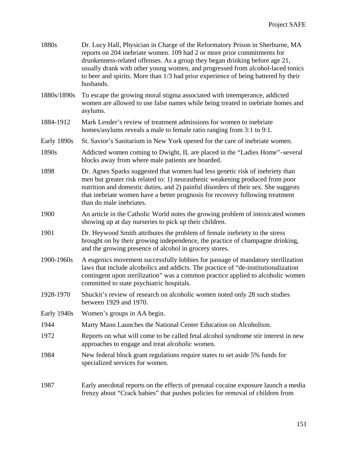| 1880s       | Dr. Lucy Hall, Physician in Charge of the Reformatory Prison in Sherburne, MA<br>reports on 204 inebriate women. 109 had 2 or more prior commitments for<br>drunkenness-related offenses. As a group they began drinking before age 21,<br>usually drank with other young women, and progressed from alcohol-laced tonics<br>to beer and spirits. More than 1/3 had prior experience of being battered by their<br>husbands. |
|-------------|------------------------------------------------------------------------------------------------------------------------------------------------------------------------------------------------------------------------------------------------------------------------------------------------------------------------------------------------------------------------------------------------------------------------------|
| 1880s/1890s | To escape the growing moral stigma associated with intemperance, addicted<br>women are allowed to use false names while being treated in inebriate homes and<br>asylums.                                                                                                                                                                                                                                                     |
| 1884-1912   | Mark Lender's review of treatment admissions for women to inebriate<br>homes/asylums reveals a male to female ratio ranging from 3:1 to 9:1.                                                                                                                                                                                                                                                                                 |
| Early 1890s | St. Savior's Sanitarium in New York opened for the care of inebriate women.                                                                                                                                                                                                                                                                                                                                                  |
| 1890s       | Addicted women coming to Dwight, IL are placed in the "Ladies Home"-several<br>blocks away from where male patients are boarded.                                                                                                                                                                                                                                                                                             |
| 1898        | Dr. Agnes Sparks suggested that women had less genetic risk of inebriety than<br>men but greater risk related to: 1) neurasthenic weakening produced from poor<br>nutrition and domestic duties, and 2) painful disorders of their sex. She suggests<br>that inebriate women have a better prognosis for recovery following treatment<br>than do male inebriates.                                                            |
| 1900        | An article in the Catholic World notes the growing problem of intoxicated women<br>showing up at day nurseries to pick up their children.                                                                                                                                                                                                                                                                                    |
| 1901        | Dr. Heywood Smith attributes the problem of female inebriety to the stress<br>brought on by their growing independence, the practice of champagne drinking,<br>and the growing presence of alcohol in grocery stores.                                                                                                                                                                                                        |
| 1900-1960s  | A eugenics movement successfully lobbies for passage of mandatory sterilization<br>laws that include alcoholics and addicts. The practice of "de-institutionalization<br>contingent upon sterilization" was a common practice applied to alcoholic women<br>committed to state psychiatric hospitals.                                                                                                                        |
| 1928-1970   | Shuckit's review of research on alcoholic women noted only 28 such studies<br>between 1929 and 1970.                                                                                                                                                                                                                                                                                                                         |
| Early 1940s | Women's groups in AA begin.                                                                                                                                                                                                                                                                                                                                                                                                  |
| 1944        | Marty Mann Launches the National Center Education on Alcoholism.                                                                                                                                                                                                                                                                                                                                                             |
| 1972        | Reports on what will come to be called fetal alcohol syndrome stir interest in new<br>approaches to engage and treat alcoholic women.                                                                                                                                                                                                                                                                                        |
| 1984        | New federal block grant regulations require states to set aside 5% funds for<br>specialized services for women.                                                                                                                                                                                                                                                                                                              |
| 1987        | Early anecdotal reports on the effects of prenatal cocaine exposure launch a media<br>frenzy about "Crack babies" that pushes policies for removal of children from                                                                                                                                                                                                                                                          |